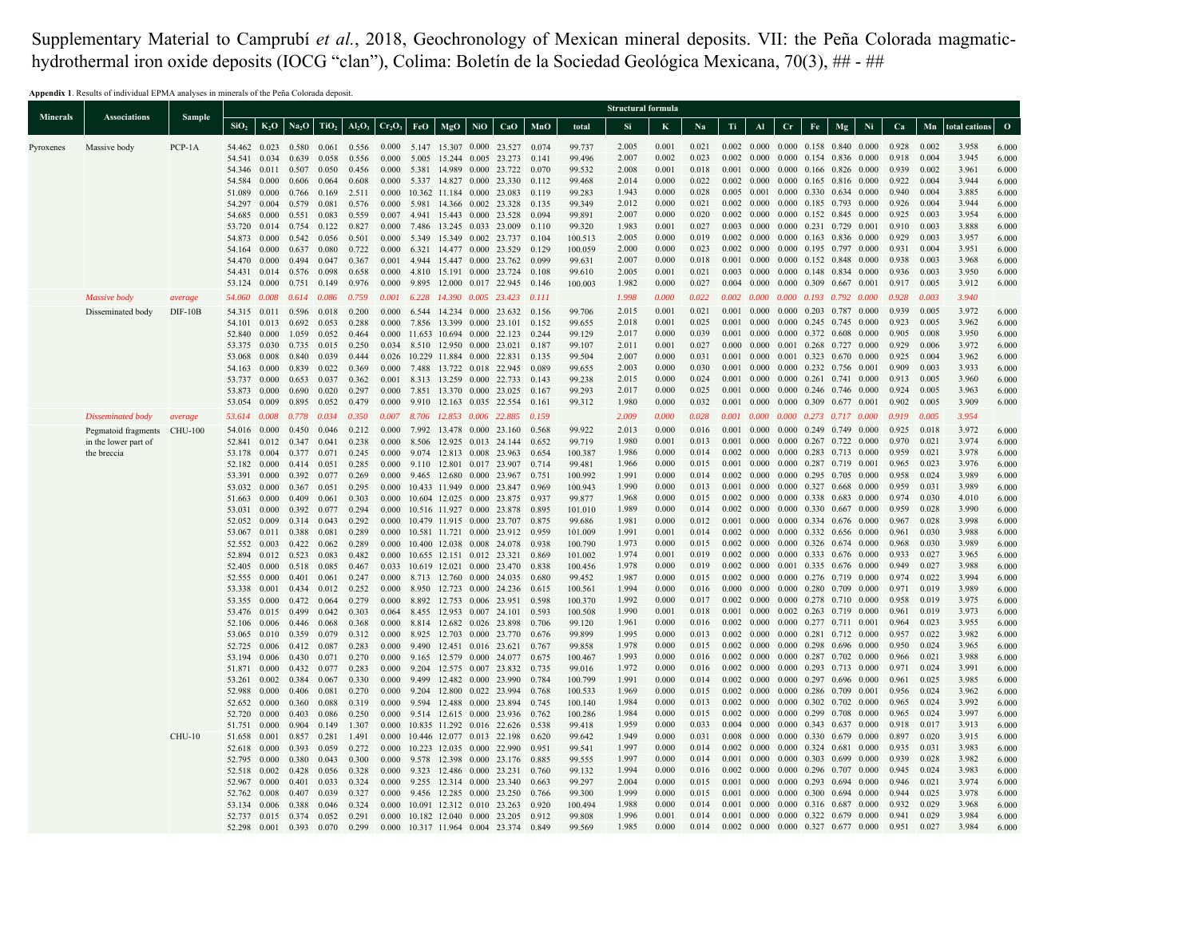Supplementary Material to Camprubí *et al.*, 2018, Geochronology of Mexican mineral deposits. VII: the Peña Colorada magmatichydrothermal iron oxide deposits (IOCG "clan"), Colima: Boletín de la Sociedad Geológica Mexicana, 70(3), 633-674.

**Appendix 1**. Results of individual EPMA analyses in minerals of the Peña Colorada deposit.

|                 |                             |               |                  |                      |                        |                  |                                |                |     |                                                              |            |                                                                     |                |                    | <b>Structural formula</b> |                |                |       |                                                                                                    |             |    |                         |    |                |                |                |                |
|-----------------|-----------------------------|---------------|------------------|----------------------|------------------------|------------------|--------------------------------|----------------|-----|--------------------------------------------------------------|------------|---------------------------------------------------------------------|----------------|--------------------|---------------------------|----------------|----------------|-------|----------------------------------------------------------------------------------------------------|-------------|----|-------------------------|----|----------------|----------------|----------------|----------------|
| <b>Minerals</b> | Associations                | Sample        | SiO <sub>2</sub> | $K_2O$               | Na <sub>2</sub> O      | TiO <sub>2</sub> | AI <sub>2</sub> O <sub>3</sub> | $Cr_2O_3$      | FeO | MgO                                                          | <b>NiO</b> | CaO                                                                 | MnO            | total              | -Si                       | $\bf K$        | Na             | Ti    | Al                                                                                                 | $_{\rm Cr}$ | Fe | Mg                      | Ni | Ca             | Mn             | total cations  | $\Omega$       |
| Pyroxenes       | Massive body                | $PCP-1A$      | 54.462           |                      | 0.023 0.580 0.061      |                  |                                |                |     |                                                              |            | 0.556 0.000 5.147 15.307 0.000 23.527 0.074                         |                | 99.737             | 2.005                     | 0.001          | 0.021          |       | $0.002$ $0.000$ $0.000$ $0.158$ $0.840$ $0.000$                                                    |             |    |                         |    | 0.928          | 0.002          | 3.958          | 6.000          |
|                 |                             |               | 54.541           |                      | 0.034 0.639            | 0.058            | 0.556                          |                |     |                                                              |            | 0.000 5.005 15.244 0.005 23.273                                     | 0.141          | 99.496             | 2.007                     | 0.002          | 0.023          |       | $0.002$ $0.000$ $0.000$ $0.154$ $0.836$ $0.000$                                                    |             |    |                         |    | 0.918          | 0.004          | 3.945          | 6.000          |
|                 |                             |               | 54.346           |                      | $0.011$ 0.507          | 0.050            | 0.456                          | 0.000          |     | 5.381 14.989 0.000 23.722                                    |            |                                                                     | 0.070          | 99.532             | 2.008                     | 0.001          | 0.018          |       | 0.001 0.000 0.000 0.166 0.826 0.000                                                                |             |    |                         |    | 0.939          | 0.002          | 3.961          | 6.000          |
|                 |                             |               | 54.584           | 0.000                | 0.606                  | 0.064            | 0.608                          | 0.000          |     |                                                              |            | 5.337 14.827 0.000 23.330                                           | 0.112          | 99.468             | 2.014                     | 0.000          | 0.022          |       | $0.002$ $0.000$ $0.000$ $0.165$ $0.816$ $0.000$                                                    |             |    |                         |    | 0.922          | 0.004          | 3.944          | 6.000          |
|                 |                             |               | 51.089           | 0.000                | 0.766                  | 0.169            | 2.511                          | 0.000          |     |                                                              |            | 10.362 11.184 0.000 23.083                                          | 0.119          | 99.283             | 1.943                     | 0.000          | 0.028          |       | 0.005 0.001 0.000 0.330 0.634 0.000                                                                |             |    |                         |    | 0.940          | 0.004          | 3.885          | 6.000          |
|                 |                             |               | 54.297           | 0.004                | 0.579                  | 0.081            | 0.576                          | 0.000          |     |                                                              |            | 5.981 14.366 0.002 23.328                                           | 0.135          | 99.349             | 2.012                     | 0.000          | 0.021          |       | 0.002 0.000 0.000 0.185 0.793 0.000                                                                |             |    |                         |    | 0.926          | 0.004          | 3.944          | 6.000          |
|                 |                             |               | 54.685<br>53.720 | 0.000<br>0.014 0.754 | 0.551                  | 0.083<br>0.122   | 0.559<br>0.827                 | 0.000          |     | 0.007 4.941 15.443 0.000 23.528<br>7.486 13.245 0.033 23.009 |            |                                                                     | 0.094<br>0.110 | 99.891<br>99.320   | 2.007<br>1.983            | 0.000<br>0.001 | 0.020<br>0.027 |       | 0.002 0.000 0.000 0.152 0.845 0.000<br>$0.003$ $0.000$ $0.000$ $0.231$ $0.729$ $0.001$             |             |    |                         |    | 0.925<br>0.910 | 0.003<br>0.003 | 3.954<br>3.888 | 6.000<br>6.000 |
|                 |                             |               | 54.873           | 0.000                | 0.542                  | 0.056            | 0.501                          | 0.000          |     | 5.349 15.349 0.002 23.737                                    |            |                                                                     | 0.104          | 100.513            | 2.005                     | 0.000          | 0.019          |       | 0.002 0.000 0.000 0.163 0.836 0.000                                                                |             |    |                         |    | 0.929          | 0.003          | 3.957          | 6.000          |
|                 |                             |               | 54.164           | 0.000                | 0.637                  | 0.080            | 0.722                          | 0.000          |     |                                                              |            | 6.321 14.477 0.000 23.529                                           | 0.129          | 100.059            | 2.000                     | 0.000          | 0.023          |       | $0.002$ $0.000$ $0.000$ $0.195$ $0.797$ $0.000$                                                    |             |    |                         |    | 0.931          | 0.004          | 3.951          | 6.000          |
|                 |                             |               | 54.470           | 0.000                | 0.494 0.047            |                  | 0.367                          |                |     |                                                              |            | 0.001 4.944 15.447 0.000 23.762                                     | 0.099          | 99.631             | 2.007                     | 0.000          | 0.018          |       | $0.001$ $0.000$ $0.000$ $0.152$ $0.848$ $0.000$                                                    |             |    |                         |    | 0.938          | 0.003          | 3.968          | 6.000          |
|                 |                             |               | 54.431           |                      | 0.014 0.576 0.098      |                  | 0.658                          |                |     |                                                              |            | 0.000 4.810 15.191 0.000 23.724                                     | 0.108          | 99.610             | 2.005                     | 0.001          | 0.021          |       | $0.003$ $0.000$ $0.000$ $0.148$ $0.834$ $0.000$                                                    |             |    |                         |    | 0.936          | 0.003          | 3.950          | 6.000          |
|                 |                             |               | 53.124           | 0.000                | 0.751 0.149            |                  | 0.976                          | 0.000          |     |                                                              |            | 9.895 12.000 0.017 22.945                                           | 0.146          | 100.003            | 1.982                     | 0.000          | 0.027          |       | $0.004$ $0.000$ $0.000$ $0.309$ $0.667$ $0.001$                                                    |             |    |                         |    | 0.917          | 0.005          | 3.912          | 6.000          |
|                 | Massive body                | average       | 54.060           | 0.008                | 0.614                  | 0.086            | 0.759                          | 0.001          |     | 6.228 14.390 0.005 23.423                                    |            |                                                                     | 0.111          |                    | 1.998                     | 0.000          | 0.022          |       | $0.002$ $0.000$ $0.000$ $0.193$ $0.792$ $0.000$                                                    |             |    |                         |    | 0.928          | 0.003          | 3.940          |                |
|                 | Disseminated body           | $DIF-10B$     | 54.315           | 0.011                | 0.596                  | 0.018            | 0.200                          | 0.000          |     |                                                              |            | 6.544 14.234 0.000 23.632                                           | 0.156          | 99.706             | 2.015                     | 0.001          | 0.021          |       | 0.001 0.000 0.000 0.203 0.787 0.000                                                                |             |    |                         |    | 0.939          | 0.005          | 3.972          | 6.000          |
|                 |                             |               | 54.101<br>52.840 | 0.013<br>0.000       | 0.692<br>1.059         | 0.053<br>0.052   | 0.288<br>0.464                 |                |     |                                                              |            | 0.000 7.856 13.399 0.000 23.101<br>0.000 11.653 10.694 0.000 22.123 | 0.152<br>0.244 | 99.655<br>99.129   | 2.018<br>2.017            | 0.001<br>0.000 | 0.025<br>0.039 |       | $0.001$ $0.000$ $0.000$ $0.245$ $0.745$ $0.000$<br>$0.001$ $0.000$ $0.000$ $0.372$ $0.608$ $0.000$ |             |    |                         |    | 0.923<br>0.905 | 0.005<br>0.008 | 3.962<br>3.950 | 6.000<br>6.000 |
|                 |                             |               | 53.375           | 0.030                | 0.735                  | 0.015            | 0.250                          |                |     | 0.034 8.510 12.950 0.000 23.021                              |            |                                                                     | 0.187          | 99.107             | 2.011                     | 0.001          | 0.027          | 0.000 | 0.000                                                                                              |             |    | 0.001 0.268 0.727 0.000 |    | 0.929          | 0.006          | 3.972          | 6.000          |
|                 |                             |               | 53.068           | 0.008                | 0.840                  | 0.039            | 0.444                          |                |     | 0.026 10.229 11.884 0.000 22.831                             |            |                                                                     | 0.135          | 99.504             | 2.007                     | 0.000          | 0.031          |       | $0.001$ $0.000$ $0.001$ $0.323$ $0.670$ $0.000$                                                    |             |    |                         |    | 0.925          | 0.004          | 3.962          | 6.000          |
|                 |                             |               | 54.163           | 0.000                | 0.839                  | 0.022            | 0.369                          |                |     |                                                              |            | 0.000 7.488 13.722 0.018 22.945                                     | 0.089          | 99.655             | 2.003                     | 0.000          | 0.030          |       | $0.001\quad 0.000\quad 0.000\quad 0.232\quad 0.756\quad 0.001$                                     |             |    |                         |    | 0.909          | 0.003          | 3.933          | 6.000          |
|                 |                             |               | 53.737           | 0.000                | $0.653$ 0.037          |                  | 0.362                          |                |     | 0.001 8.313 13.259 0.000 22.733                              |            |                                                                     | 0.143          | 99.238             | 2.015                     | 0.000          | 0.024          |       | 0.001 0.000 0.000 0.261 0.741 0.000                                                                |             |    |                         |    | 0.913          | 0.005          | 3.960          | 6.000          |
|                 |                             |               | 53.873           | 0.000                | 0.690                  | 0.020            | 0.297                          |                |     |                                                              |            | 0.000 7.851 13.370 0.000 23.025                                     | 0.167          | 99.293             | 2.017                     | 0.000          | 0.025          |       | $0.001$ $0.000$ $0.000$ $0.246$ $0.746$ $0.000$                                                    |             |    |                         |    | 0.924          | 0.005          | 3.963          | 6.000          |
|                 |                             |               | 53.054           | 0.009                | 0.895                  | 0.052            | 0.479                          | 0.000          |     | 9.910 12.163 0.035 22.554                                    |            |                                                                     | 0.161          | 99.312             | 1.980                     | 0.000          | 0.032          |       | $0.001$ $0.000$ $0.000$ $0.309$ $0.677$ $0.001$                                                    |             |    |                         |    | 0.902          | 0.005          | 3.909          | 6.000          |
|                 | Disseminated body           | average       | 53.614           | 0.008                | 0.778                  | 0.034            | 0.350                          | 0.007          |     | 8.706 12.853 0.006 22.885                                    |            |                                                                     | 0.159          |                    | 2.009                     | 0.000          | 0.028          |       | $0.001$ $0.000$ $0.000$ $0.273$ $0.717$ $0.000$                                                    |             |    |                         |    | 0.919          | 0.005          | 3.954          |                |
|                 | Pegmatoid fragments CHU-100 |               | 54.016           | 0.000                | 0.450                  | 0.046            | 0.212                          | 0.000          |     | 7.992 13.478 0.000 23.160                                    |            |                                                                     | 0.568          | 99.922             | 2.013                     | 0.000          | 0.016          |       | 0.001 0.000 0.000 0.249 0.749 0.000                                                                |             |    |                         |    | 0.925          | 0.018          | 3.972          | 6.000          |
|                 | in the lower part of        |               | 52.841           | 0.012                | 0.347                  | 0.041            | 0.238                          | 0.000          |     | 8.506 12.925 0.013 24.144                                    |            |                                                                     | 0.652          | 99.719             | 1.980<br>1.986            | 0.001<br>0.000 | 0.013<br>0.014 |       | $0.001$ $0.000$ $0.000$ $0.267$ $0.722$ $0.000$<br>$0.002$ $0.000$ $0.000$ $0.283$ $0.713$ $0.000$ |             |    |                         |    | 0.970<br>0.959 | 0.021<br>0.021 | 3.974<br>3.978 | 6.000          |
|                 | the breccia                 |               | 53.178<br>52.182 | 0.004<br>0.000       | 0.377<br>0.414         | 0.071<br>0.051   | 0.245<br>0.285                 | 0.000<br>0.000 |     | 9.074 12.813 0.008 23.963                                    |            | 9.110 12.801 0.017 23.907                                           | 0.654<br>0.714 | 100.387<br>99.481  | 1.966                     | 0.000          | 0.015          |       | 0.001 0.000 0.000 0.287 0.719 0.001                                                                |             |    |                         |    | 0.965          | 0.023          | 3.976          | 6.000<br>6.000 |
|                 |                             |               | 53.391           | 0.000                | 0.392                  | 0.077            | 0.269                          |                |     | 0.000 9.465 12.680 0.000 23.967                              |            |                                                                     | 0.751          | 100.992            | 1.991                     | 0.000          | 0.014          |       | $0.002$ $0.000$ $0.000$ $0.295$ $0.705$ $0.000$                                                    |             |    |                         |    | 0.958          | 0.024          | 3.989          | 6.000          |
|                 |                             |               | 53.032           | 0.000                | 0.367                  | 0.051            | 0.295                          | 0.000          |     | 10.433 11.949 0.000 23.847                                   |            |                                                                     | 0.969          | 100.943            | 1.990                     | 0.000          | 0.013          |       | $0.001$ $0.000$ $0.000$ $0.327$ $0.668$ $0.000$                                                    |             |    |                         |    | 0.959          | 0.031          | 3.989          | 6.000          |
|                 |                             |               | 51.663           | 0.000                | 0.409                  | 0.061            | 0.303                          |                |     |                                                              |            | 0.000 10.604 12.025 0.000 23.875                                    | 0.937          | 99.877             | 1.968                     | 0.000          | 0.015          |       | $0.002$ $0.000$ $0.000$ $0.338$ $0.683$ $0.000$                                                    |             |    |                         |    | 0.974          | 0.030          | 4.010          | 6.000          |
|                 |                             |               | 53.031           | 0.000                | 0.392                  | 0.077            | 0.294                          | 0.000          |     |                                                              |            | 10.516 11.927 0.000 23.878                                          | 0.895          | 101.010            | 1.989                     | 0.000          | 0.014          |       | $0.002$ $0.000$ $0.000$ $0.330$ $0.667$ $0.000$                                                    |             |    |                         |    | 0.959          | 0.028          | 3.990          | 6.000          |
|                 |                             |               | 52.052           | 0.009                | 0.314                  | 0.043            | 0.292                          | 0.000          |     | 10.479 11.915 0.000 23.707                                   |            |                                                                     | 0.875          | 99.686             | 1.981                     | 0.000          | 0.012          |       | $0.001$ $0.000$ $0.000$ $0.334$ $0.676$ $0.000$                                                    |             |    |                         |    | 0.967          | 0.028          | 3.998          | 6.000          |
|                 |                             |               | 53.067           |                      | 0.011 0.388            | 0.081            | 0.289                          | 0.000          |     |                                                              |            | 10.581 11.721 0.000 23.912                                          | 0.959          | 101.009            | 1.991<br>1.973            | 0.001<br>0.000 | 0.014<br>0.015 |       | $0.002$ $0.000$ $0.000$ $0.332$ $0.656$ $0.000$<br>$0.002$ $0.000$ $0.000$ $0.326$ $0.674$ $0.000$ |             |    |                         |    | 0.961<br>0.968 | 0.030<br>0.030 | 3.988<br>3.989 | 6.000          |
|                 |                             |               | 52.552<br>52.894 | 0.003                | 0.422<br>$0.012$ 0.523 | 0.062<br>0.083   | 0.289<br>0.482                 | 0.000<br>0.000 |     | 10.655 12.151 0.012 23.321                                   |            | 10.400 12.038 0.008 24.078                                          | 0.938<br>0.869 | 100.790<br>101.002 | 1.974                     | 0.001          | 0.019          |       | $0.002$ $0.000$ $0.000$ $0.333$ $0.676$ $0.000$                                                    |             |    |                         |    | 0.933          | 0.027          | 3.965          | 6.000<br>6.000 |
|                 |                             |               | 52.405           | 0.000                | 0.518 0.085            |                  | 0.467                          |                |     |                                                              |            | 0.033 10.619 12.021 0.000 23.470                                    | 0.838          | 100.456            | 1.978                     | 0.000          | 0.019          |       | $0.002$ $0.000$ $0.001$ $0.335$ $0.676$ $0.000$                                                    |             |    |                         |    | 0.949          | 0.027          | 3.988          | 6.000          |
|                 |                             |               | 52.555           | 0.000                | 0.401                  | 0.061            | 0.247                          | 0.000          |     |                                                              |            | 8.713 12.760 0.000 24.035                                           | 0.680          | 99.452             | 1.987                     | 0.000          | 0.015          |       | $0.002$ $0.000$ $0.000$ $0.276$ $0.719$ $0.000$                                                    |             |    |                         |    | 0.974          | 0.022          | 3.994          | 6.000          |
|                 |                             |               | 53.338           | 0.001                | 0.434                  | 0.012            | 0.252                          | 0.000          |     | 8.950 12.723 0.000 24.236                                    |            |                                                                     | 0.615          | 100.561            | 1.994                     | 0.000          | 0.016          |       | $0.000$ $0.000$ $0.000$ $0.280$ $0.709$ $0.000$                                                    |             |    |                         |    | 0.971          | 0.019          | 3.989          | 6.000          |
|                 |                             |               | 53.355           | 0.000                | 0.472 0.064            |                  | 0.279                          | 0.000          |     | 8.892 12.753 0.006 23.951                                    |            |                                                                     | 0.598          | 100.370            | 1.992                     | 0.000          | 0.017          |       | $0.002$ $0.000$ $0.000$ $0.278$ $0.710$ $0.000$                                                    |             |    |                         |    | 0.958          | 0.019          | 3.975          | 6.000          |
|                 |                             |               | 53.476           | 0.015                | 0.499                  | 0.042            | 0.303                          | 0.064          |     | 8.455 12.953 0.007 24.101                                    |            |                                                                     | 0.593          | 100.508            | 1.990                     | 0.001          | 0.018          |       | $0.001$ $0.000$ $0.002$ $0.263$ $0.719$ $0.000$                                                    |             |    |                         |    | 0.961          | 0.019          | 3.973          | 6.000          |
|                 |                             |               | 52.106           | 0.006                | 0.446                  | 0.068            | 0.368                          | 0.000          |     | 8.814 12.682 0.026 23.898                                    |            |                                                                     | 0.706          | 99.120             | 1.961                     | 0.000          | 0.016          |       | $0.002$ $0.000$ $0.000$ $0.277$ $0.711$ $0.001$                                                    |             |    |                         |    | 0.964          | 0.023          | 3.955          | 6.000          |
|                 |                             |               | 53.065           | 0.010<br>0.006       | 0.359                  | 0.079            | 0.312                          | 0.000          |     |                                                              |            | 8.925 12.703 0.000 23.770                                           | 0.676          | 99.899             | 1.995<br>1.978            | 0.000<br>0.000 | 0.013<br>0.015 |       | $0.002$ $0.000$ $0.000$ $0.281$ $0.712$ $0.000$<br>$0.002$ $0.000$ $0.000$ $0.298$ $0.696$ $0.000$ |             |    |                         |    | 0.957<br>0.950 | 0.022<br>0.024 | 3.982<br>3.965 | 6.000<br>6.000 |
|                 |                             |               | 52.725<br>53.194 | 0.006                | 0.412 0.087<br>0.430   | 0.071            | 0.283<br>0.270                 | 0.000<br>0.000 |     | 9.490 12.451 0.016 23.621<br>9.165 12.579 0.000              |            | 24.077                                                              | 0.767<br>0.675 | 99.858<br>100.467  | 1.993                     | 0.000          | 0.016          |       | 0.002 0.000 0.000 0.287 0.702 0.000                                                                |             |    |                         |    | 0.966          | 0.021          | 3.988          | 6.000          |
|                 |                             |               | 51.871           | 0.000                | 0.432                  | 0.077            | 0.283                          | 0.000          |     |                                                              |            | 9.204 12.575 0.007 23.832                                           | 0.735          | 99.016             | 1.972                     | 0.000          | 0.016          |       | 0.002 0.000 0.000 0.293 0.713 0.000                                                                |             |    |                         |    | 0.971          | 0.024          | 3.991          | 6.000          |
|                 |                             |               | 53.261           |                      | 0.002 0.384            | 0.067            | 0.330                          | 0.000          |     | 9.499 12.482 0.000 23.990                                    |            |                                                                     | 0.784          | 100.799            | 1.991                     | 0.000          | 0.014          |       | $0.002$ $0.000$ $0.000$ $0.297$ $0.696$ $0.000$                                                    |             |    |                         |    | 0.961          | 0.025          | 3.985          | 6.000          |
|                 |                             |               | 52.988           | 0.000                | 0.406                  | 0.081            | 0.270                          | 0.000          |     | 9.204 12.800 0.022 23.994                                    |            |                                                                     | 0.768          | 100.533            | 1.969                     | 0.000          | 0.015          |       | 0.002 0.000 0.000 0.286 0.709 0.001                                                                |             |    |                         |    | 0.956          | 0.024          | 3.962          | 6.000          |
|                 |                             |               | 52.652           | 0.000                | 0.360                  | 0.088            | 0.319                          | 0.000          |     | 9.594 12.488 0.000 23.894                                    |            |                                                                     | 0.745          | 100.140            | 1.984                     | 0.000          | 0.013          |       | $0.002$ $0.000$ $0.000$ $0.302$ $0.702$ $0.000$                                                    |             |    |                         |    | 0.965          | 0.024          | 3.992          | 6.000          |
|                 |                             |               | 52.720           | 0.000                | 0.403                  | 0.086            | 0.250                          | 0.000          |     | 9.514 12.615 0.000 23.936                                    |            |                                                                     | 0.762          | 100.286            | 1.984                     | 0.000          | 0.015          |       | $0.002$ $0.000$ $0.000$ $0.299$ $0.708$ $0.000$                                                    |             |    |                         |    | 0.965          | 0.024          | 3.997          | 6.000          |
|                 |                             |               | 51.751           | 0.000                | 0.904                  | 0.149            | 1.307                          | 0.000<br>0.000 |     | 10.835 11.292 0.016 22.626                                   |            |                                                                     | 0.538          | 99.418             | 1.959<br>1.949            | 0.000<br>0.000 | 0.033<br>0.031 | 0.008 | 0.004 0.000 0.000 0.343 0.637 0.000<br>0.000 0.000 0.330 0.679 0.000                               |             |    |                         |    | 0.918<br>0.897 | 0.017<br>0.020 | 3.913<br>3.915 | 6.000          |
|                 |                             | <b>CHU-10</b> | 51.658<br>52.618 | 0.001<br>0.000       | 0.857<br>0.393         | 0.281<br>0.059   | 1.491<br>0.272                 | 0.000          |     | 10.446 12.077 0.013 22.198<br>10.223 12.035 0.000 22.990     |            |                                                                     | 0.620<br>0.951 | 99.642<br>99.541   | 1.997                     | 0.000          | 0.014          |       | 0.002 0.000 0.000 0.324 0.681 0.000                                                                |             |    |                         |    | 0.935          | 0.031          | 3.983          | 6.000<br>6.000 |
|                 |                             |               | 52.795           | 0.000                | 0.380                  | 0.043            | 0.300                          | 0.000          |     |                                                              |            | 9.578 12.398 0.000 23.176                                           | 0.885          | 99.555             | 1.997                     | 0.000          | 0.014          |       | $0.001$ $0.000$ $0.000$ $0.303$ $0.699$ $0.000$                                                    |             |    |                         |    | 0.939          | 0.028          | 3.982          | 6.000          |
|                 |                             |               | 52.518           | 0.002                | 0.428                  | 0.056            | 0.328                          | 0.000          |     | 9.323 12.486 0.000 23.231                                    |            |                                                                     | 0.760          | 99.132             | 1.994                     | 0.000          | 0.016          |       | $0.002$ $0.000$ $0.000$ $0.296$ $0.707$ $0.000$                                                    |             |    |                         |    | 0.945          | 0.024          | 3.983          | 6.000          |
|                 |                             |               | 52.967           | 0.000                | 0.401                  | 0.033            | 0.324                          | 0.000          |     | 9.255 12.314 0.000 23.340                                    |            |                                                                     | 0.663          | 99.297             | 2.004                     | 0.000          | 0.015          |       | 0.001 0.000 0.000 0.293 0.694 0.000                                                                |             |    |                         |    | 0.946          | 0.021          | 3.974          | 6.000          |
|                 |                             |               | 52.762           | 0.008                | 0.407                  | 0.039            | 0.327                          | 0.000          |     | 9.456 12.285 0.000 23.250                                    |            |                                                                     | 0.766          | 99.300             | 1.999                     | 0.000          | 0.015          |       | $0.001$ $0.000$ $0.000$ $0.300$ $0.694$ $0.000$                                                    |             |    |                         |    | 0.944          | 0.025          | 3.978          | 6.000          |
|                 |                             |               | 53.134           | 0.006                | 0.388                  | 0.046            | 0.324                          | 0.000          |     | 10.091 12.312 0.010 23.263                                   |            |                                                                     | 0.920          | 100.494            | 1.988                     | 0.000          | 0.014          | 0.001 | 0.000 0.000 0.316 0.687 0.000                                                                      |             |    |                         |    | 0.932          | 0.029          | 3.968          | 6.000          |
|                 |                             |               | 52.737           |                      | $0.015$ 0.374          | 0.052            | 0.291                          |                |     |                                                              |            | 0.000 10.182 12.040 0.000 23.205                                    | 0.912          | 99.808             | 1.996                     | 0.001          | 0.014          |       | $0.001$ $0.000$ $0.000$ $0.322$ $0.679$ $0.000$                                                    |             |    |                         |    | 0.941          | 0.029          | 3.984          | 6.000          |
|                 |                             |               | 52.298           |                      | $0.001$ 0.393          | 0.070            | 0.299                          |                |     |                                                              |            | 0.000 10.317 11.964 0.004 23.374                                    | 0.849          | 99.569             | 1.985                     | 0.000          | 0.014          |       | $0.002$ $0.000$ $0.000$ $0.327$ $0.677$ $0.000$                                                    |             |    |                         |    | 0.951          | 0.027          | 3.984          | 6.000          |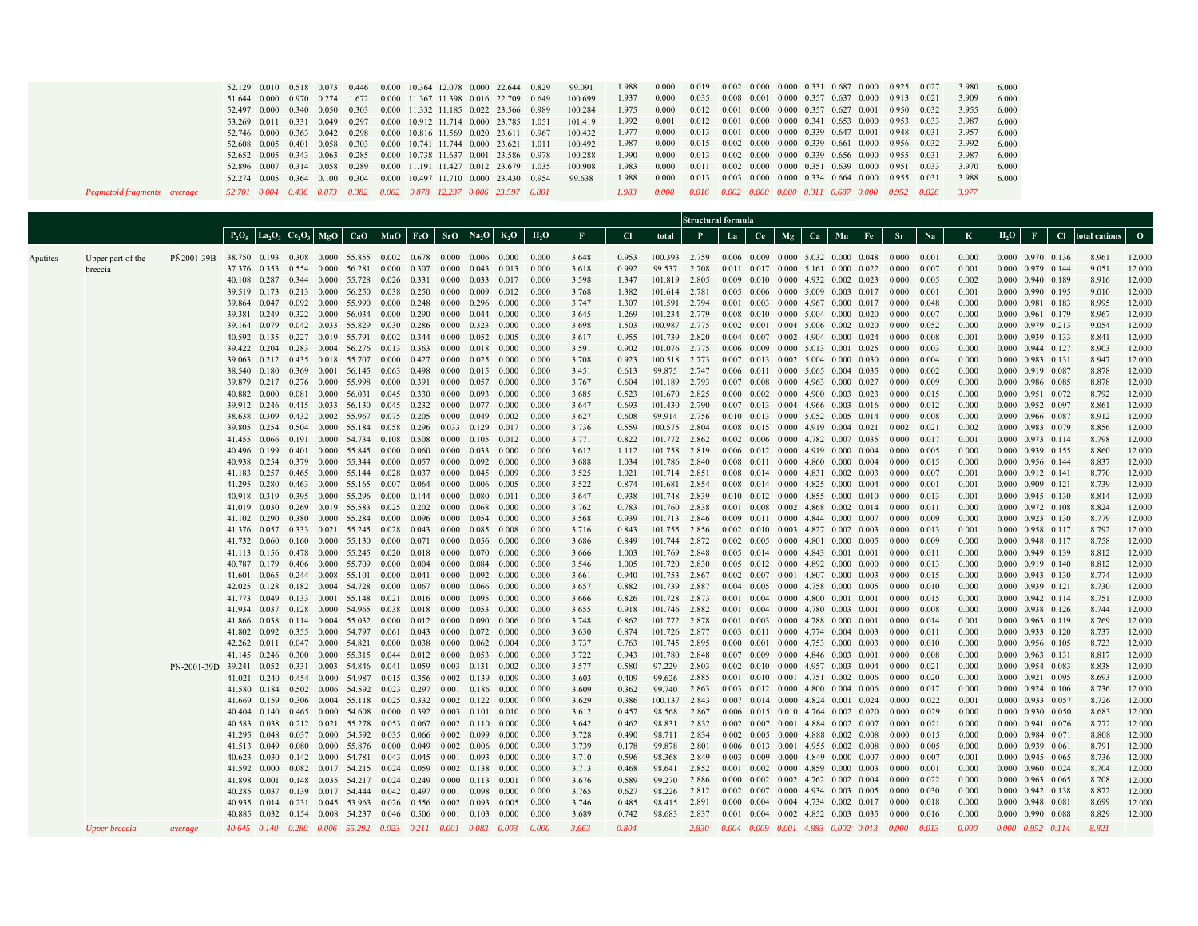|          | Pegmatoid fragments average  |                                                                                                                   | 52.129<br>51.644<br>52.497<br>53.269<br>52.746<br>52.608<br>52.652<br>52.896                                                                                                                                                       | 0.000<br>0.000<br>0.011<br>0.000<br>0.005<br>0.005<br>0.007                                                                                                                                                                                                                                                                                                                              | 0.340                                                                  | 0.050<br>$0.331 \quad 0.049$<br>0.363 0.042<br>0.401 0.058<br>$0.343 \quad 0.063$<br>0.314 0.058 | 0.010 0.518 0.073 0.446 0.000 10.364 12.078 0.000 22.644<br>0.970 0.274 1.672 0.000 11.367 11.398 0.016 22.709<br>0.303<br>0.297<br>0.298<br>0.303<br>0.285<br>0.289<br>52.274 0.005 0.364 0.100 0.304<br>52.701 0.004 0.436 0.073 0.382 0.002 9.878 12.237 0.006 23.597 0.801                                                                                                                                                                                                                                                                                                                                                                                                                                                                                                                                                                                                                                                                                                                                                                                                                                                                                                                                                                                                                                                                                                                                                                                                             | 0.000 10.741 11.744 0.000 23.621<br>0.000 10.497 11.710 0.000 23.430                                                                                                                                                                          |                                                                                                                                                                                                                                                                                | 0.000 10.816 11.569 0.020 23.611<br>0.000 10.738 11.637 0.001 23.586<br>0.000 11.191 11.427 0.012 23.679                                                                                                                                                                                                          |                                                                                                                                                                                                                                                                                                                                                                                                                                  | 0.000 11.332 11.185 0.022 23.566<br>0.000 10.912 11.714 0.000 23.785                                                                                                                                                                                                                                                                                                                                             | 0.649<br>0.989<br>1.051<br>0.967<br>1.011<br>0.978<br>1.035<br>0.954                                                                                                                                                                                                                                                                                                                                                                | 99.091<br>100.699<br>100.284<br>101.419<br>100.432<br>100.492<br>100.288<br>100.908<br>99.638                                                                                                                                                                                                                                                                                                                                       | 1.988<br>1.937<br>1.975<br>1.992<br>1.977<br>1.987<br>1.990<br>1.983<br>1.988<br>1.983                                                                                                                                                                                                                                                                                                                                              | 0.000<br>0.000<br>0.000<br>0.001<br>0.000<br>0.000<br>0.000<br>0.000<br>0.000<br>0.000                                                                                                                                                                                                                                                                                                                                                                                                                                                                                                                                     | 0.019<br>0.035<br>0.012<br>0.012<br>0.013<br>0.015<br>0.011<br>0.013<br>$0.016$ $0.002$ $0.000$ $0.000$ $0.311$ $0.687$ $0.000$ $0.952$ $0.026$                                                                                                                            |    |    |    | 0.002 0.000 0.000 0.331 0.687 0.000<br>$0.008$ 0.001 0.000 0.357 0.637 0.000<br>$0.001$ $0.000$ $0.000$ $0.357$ $0.627$ $0.001$<br>0.001 0.000 0.000 0.341 0.653 0.000<br>$0.001$ $0.000$ $0.000$ $0.339$ $0.647$ $0.001$<br>$0.002$ $0.000$ $0.000$ $0.339$ $0.661$ $0.000$<br>0.013 0.002 0.000 0.000 0.339 0.656 0.000<br>0.002 0.000 0.000 0.351 0.639 0.000<br>$0.003$ 0.000 0.000 0.334 0.664 0.000                                                                                                                                                                                                                                                                                                                                                                                                                                                                                                                                                                                                                                                                                                                                                                                                                                                                                                                                                                                                                                                                                                                                                                                                                                                                                                                                                                                                                                                                                                                                                                                                                                                                                                                                         |    |                                                                                                        | 0.925<br>0.913<br>0.950<br>0.953<br>0.948<br>0.956<br>0.955<br>0.951<br>0.955                                                                                                                                                                                                                                                                                                                                                       | 0.021<br>0.032<br>0.033<br>0.031<br>0.032<br>0.031<br>0.033<br>0.031                                                                                                                                                                                                                                                                                                                                                                | 3.980<br>3.909<br>3.955<br>3.987<br>3.957<br>3.992<br>3.987<br>3.970<br>3.988<br>3.977                                                                                                                                                                                                                                                                                                                                              | 6.000<br>6.000<br>6.000<br>6.000<br>6.000<br>6.000<br>6.000<br>6.000<br>6.000 |                                                                                                                                                                                                                                                                                                                                                                                                                                                                                                                                                                                                                                                                                                                                                                                                                                                                                                                                                                                                                                                                               |                                                                                                                                                                                                                                                                                                                                                                                                                                     |                                                                                                                                                                                                                                                                                                                                                                                                                                                                                    |
|----------|------------------------------|-------------------------------------------------------------------------------------------------------------------|------------------------------------------------------------------------------------------------------------------------------------------------------------------------------------------------------------------------------------|------------------------------------------------------------------------------------------------------------------------------------------------------------------------------------------------------------------------------------------------------------------------------------------------------------------------------------------------------------------------------------------|------------------------------------------------------------------------|--------------------------------------------------------------------------------------------------|--------------------------------------------------------------------------------------------------------------------------------------------------------------------------------------------------------------------------------------------------------------------------------------------------------------------------------------------------------------------------------------------------------------------------------------------------------------------------------------------------------------------------------------------------------------------------------------------------------------------------------------------------------------------------------------------------------------------------------------------------------------------------------------------------------------------------------------------------------------------------------------------------------------------------------------------------------------------------------------------------------------------------------------------------------------------------------------------------------------------------------------------------------------------------------------------------------------------------------------------------------------------------------------------------------------------------------------------------------------------------------------------------------------------------------------------------------------------------------------------|-----------------------------------------------------------------------------------------------------------------------------------------------------------------------------------------------------------------------------------------------|--------------------------------------------------------------------------------------------------------------------------------------------------------------------------------------------------------------------------------------------------------------------------------|-------------------------------------------------------------------------------------------------------------------------------------------------------------------------------------------------------------------------------------------------------------------------------------------------------------------|----------------------------------------------------------------------------------------------------------------------------------------------------------------------------------------------------------------------------------------------------------------------------------------------------------------------------------------------------------------------------------------------------------------------------------|------------------------------------------------------------------------------------------------------------------------------------------------------------------------------------------------------------------------------------------------------------------------------------------------------------------------------------------------------------------------------------------------------------------|-------------------------------------------------------------------------------------------------------------------------------------------------------------------------------------------------------------------------------------------------------------------------------------------------------------------------------------------------------------------------------------------------------------------------------------|-------------------------------------------------------------------------------------------------------------------------------------------------------------------------------------------------------------------------------------------------------------------------------------------------------------------------------------------------------------------------------------------------------------------------------------|-------------------------------------------------------------------------------------------------------------------------------------------------------------------------------------------------------------------------------------------------------------------------------------------------------------------------------------------------------------------------------------------------------------------------------------|----------------------------------------------------------------------------------------------------------------------------------------------------------------------------------------------------------------------------------------------------------------------------------------------------------------------------------------------------------------------------------------------------------------------------------------------------------------------------------------------------------------------------------------------------------------------------------------------------------------------------|----------------------------------------------------------------------------------------------------------------------------------------------------------------------------------------------------------------------------------------------------------------------------|----|----|----|---------------------------------------------------------------------------------------------------------------------------------------------------------------------------------------------------------------------------------------------------------------------------------------------------------------------------------------------------------------------------------------------------------------------------------------------------------------------------------------------------------------------------------------------------------------------------------------------------------------------------------------------------------------------------------------------------------------------------------------------------------------------------------------------------------------------------------------------------------------------------------------------------------------------------------------------------------------------------------------------------------------------------------------------------------------------------------------------------------------------------------------------------------------------------------------------------------------------------------------------------------------------------------------------------------------------------------------------------------------------------------------------------------------------------------------------------------------------------------------------------------------------------------------------------------------------------------------------------------------------------------------------------------------------------------------------------------------------------------------------------------------------------------------------------------------------------------------------------------------------------------------------------------------------------------------------------------------------------------------------------------------------------------------------------------------------------------------------------------------------------------------------------|----|--------------------------------------------------------------------------------------------------------|-------------------------------------------------------------------------------------------------------------------------------------------------------------------------------------------------------------------------------------------------------------------------------------------------------------------------------------------------------------------------------------------------------------------------------------|-------------------------------------------------------------------------------------------------------------------------------------------------------------------------------------------------------------------------------------------------------------------------------------------------------------------------------------------------------------------------------------------------------------------------------------|-------------------------------------------------------------------------------------------------------------------------------------------------------------------------------------------------------------------------------------------------------------------------------------------------------------------------------------------------------------------------------------------------------------------------------------|-------------------------------------------------------------------------------|-------------------------------------------------------------------------------------------------------------------------------------------------------------------------------------------------------------------------------------------------------------------------------------------------------------------------------------------------------------------------------------------------------------------------------------------------------------------------------------------------------------------------------------------------------------------------------------------------------------------------------------------------------------------------------------------------------------------------------------------------------------------------------------------------------------------------------------------------------------------------------------------------------------------------------------------------------------------------------------------------------------------------------------------------------------------------------|-------------------------------------------------------------------------------------------------------------------------------------------------------------------------------------------------------------------------------------------------------------------------------------------------------------------------------------------------------------------------------------------------------------------------------------|------------------------------------------------------------------------------------------------------------------------------------------------------------------------------------------------------------------------------------------------------------------------------------------------------------------------------------------------------------------------------------------------------------------------------------------------------------------------------------|
|          |                              |                                                                                                                   |                                                                                                                                                                                                                                    |                                                                                                                                                                                                                                                                                                                                                                                          | $P_2O_5$ La <sub>2</sub> O <sub>3</sub> Ce <sub>2</sub> O <sub>3</sub> |                                                                                                  | $MgO$ $CaO$ $MnO$ $FeO$ $SrO$ $Na2O$                                                                                                                                                                                                                                                                                                                                                                                                                                                                                                                                                                                                                                                                                                                                                                                                                                                                                                                                                                                                                                                                                                                                                                                                                                                                                                                                                                                                                                                       |                                                                                                                                                                                                                                               |                                                                                                                                                                                                                                                                                |                                                                                                                                                                                                                                                                                                                   |                                                                                                                                                                                                                                                                                                                                                                                                                                  | $K_2O$                                                                                                                                                                                                                                                                                                                                                                                                           | $H_2O$                                                                                                                                                                                                                                                                                                                                                                                                                              | $\mathbf F$                                                                                                                                                                                                                                                                                                                                                                                                                         | C1                                                                                                                                                                                                                                                                                                                                                                                                                                  | total                                                                                                                                                                                                                                                                                                                                                                                                                                                                                                                                                                                                                      | Structural formula<br>P.                                                                                                                                                                                                                                                   | La | Ce | Mg | Ca                                                                                                                                                                                                                                                                                                                                                                                                                                                                                                                                                                                                                                                                                                                                                                                                                                                                                                                                                                                                                                                                                                                                                                                                                                                                                                                                                                                                                                                                                                                                                                                                                                                                                                                                                                                                                                                                                                                                                                                                                                                                                                                                                | Mn | $\rm Fe$                                                                                               | <b>Sr</b>                                                                                                                                                                                                                                                                                                                                                                                                                           | Na                                                                                                                                                                                                                                                                                                                                                                                                                                  | $\bf K$                                                                                                                                                                                                                                                                                                                                                                                                                             | $H_2O$                                                                        | $\mathbf F$                                                                                                                                                                                                                                                                                                                                                                                                                                                                                                                                                                                                                                                                                                                                                                                                                                                                                                                                                                                                                                                                   | Cl total cations                                                                                                                                                                                                                                                                                                                                                                                                                    | $\mathbf{O}$                                                                                                                                                                                                                                                                                                                                                                                                                                                                       |
| Apatites | Upper part of the<br>breccia | PÑ2001-39B 38.750 0.193 0.308 0.000 55.855 0.002 0.678 0.000<br>PN-2001-39D 39.241 0.052 0.331 0.003 54.846 0.041 | 39.381<br>40.592<br>39.422<br>39.063<br>39.879<br>40.882<br>41.455 0.066<br>40.496<br>40.938<br>40.918 0.319<br>41.376 0.057<br>41.732<br>41.866<br>41.802<br>42.262<br>40.404 0.140<br>40.583<br>41.295<br>40.623 0.030<br>41.592 | 39.864 0.047<br>0.249<br>39.164 0.079<br>0.204<br>0.212<br>38.540 0.180<br>0.000<br>39.912 0.246<br>38.638 0.309<br>39.805 0.254<br>0.199<br>41.295 0.280<br>41.019 0.030<br>41.102 0.290<br>0.060<br>41.113 0.156<br>40.787 0.179<br>42.025 0.128<br>0.038<br>0.092<br>0.011<br>41.145 0.246<br>41.021 0.240<br>41.580 0.184<br>41.669 0.159<br>0.038<br>0.048<br>41.513 0.049<br>0.000 | 0.322<br>0.081<br>0.401<br>0.080<br>0.082                              | 0.160 0.000                                                                                      | 37.376 0.353 0.554 0.000 56.281 0.000 0.307 0.000<br>40.108 0.287 0.344 0.000 55.728 0.026 0.331 0.000<br>39.519 0.173 0.213 0.000 56.250<br>0.092 0.000 55.990<br>0.000 56.034<br>0.042 0.033 55.829 0.030 0.286<br>$0.135$ $0.227$ $0.019$ $55.791$ $0.002$<br>0.283 0.004 56.276 0.013<br>0.435 0.018 55.707<br>0.369 0.001 56.145 0.063 0.498 0.000<br>0.217 0.276 0.000 55.998 0.000<br>0.000 56.031 0.045 0.330 0.000<br>0.415 0.033 56.130<br>$0.432 \quad 0.002 \quad 55.967 \quad 0.075 \quad 0.205 \quad 0.000$<br>$0.504$ $0.000$ 55.184<br>0.191 0.000 54.734 0.108<br>0.000 55.845<br>0.254 0.379 0.000 55.344 0.000<br>41.183 0.257 0.465 0.000 55.144 0.028 0.037<br>$0.463$ $0.000$ 55.165 0.007 0.064 0.000<br>0.395 0.000 55.296 0.000<br>0.269 0.019 55.583<br>0.380 0.000 55.284<br>0.333 0.021 55.245<br>55.130<br>0.478 0.000 55.245 0.020<br>0.406 0.000 55.709 0.000<br>41.601 0.065 0.244 0.008 55.101 0.000<br>0.182 0.004 54.728 0.000<br>41.773 0.049 0.133 0.001 55.148<br>41.934 0.037 0.128 0.000 54.965 0.038<br>0.114 0.004 55.032<br>0.355 0.000 54.797<br>0.047 0.000 54.821<br>0.300 0.000 55.315 0.044<br>0.454 0.000 54.987<br>0.502 0.006 54.592 0.023 0.297 0.001 0.186<br>$0.306$ $0.004$ 55.118 $0.025$ 0.332<br>0.465 0.000 54.608<br>$0.212$ $0.021$ 55.278<br>0.037 0.000 54.592<br>0.000 55.876<br>$0.142 \quad 0.000 \quad 54.781 \quad 0.043 \quad 0.045 \quad 0.001$<br>0.017 54.215<br>41.898 0.001 0.148 0.035 54.217 0.024 0.249 0.000 | 0.038 0.250 0.000<br>0.000<br>0.000<br>0.000<br>$0.045$ 0.232<br>0.058 0.296<br>0.000<br>$0.025$ 0.202<br>0.000<br>0.028<br>0.000<br>0.021 0.016 0.000<br>0.000<br>0.061<br>0.000<br>0.015 0.356<br>0.000<br>0.053<br>0.035<br>0.000<br>0.024 | 0.248 0.000<br>0.290<br>0.344<br>0.363<br>0.427<br>0.391 0.000<br>0.508<br>0.060<br>0.144<br>0.096<br>0.043<br>0.071<br>0.018<br>0.004<br>$0.041 \quad 0.000$<br>0.067<br>0.012<br>0.043<br>0.038<br>$0.012 \quad 0.000$<br>0.059<br>0.392<br>0.067<br>0.066<br>0.049<br>0.059 | 0.000<br>0.000<br>0.000<br>0.000<br>0.000<br>0.000<br>0.033<br>0.000<br>0.000<br>$0.057$ 0.000<br>0.000<br>0.000<br>0.000<br>0.000<br>0.000<br>0.000<br>0.000<br>0.000<br>0.000<br>$0.018$ 0.000<br>0.000<br>0.000<br>0.000<br>0.003<br>0.002<br>$0.002 \quad 0.122$<br>0.003<br>0.002<br>0.002<br>0.002<br>0.002 | 0.006 0.000<br>$0.043$ 0.013<br>0.009<br>0.296<br>0.044<br>0.323<br>0.052<br>0.018<br>0.025<br>0.015<br>0.057<br>0.093<br>0.077<br>0.049<br>0.129<br>0.105<br>0.033<br>0.092<br>0.045<br>0.006<br>0.080<br>0.068<br>0.054<br>0.085<br>0.056<br>0.070<br>0.084<br>0.092<br>0.066<br>0.095<br>0.053<br>0.090<br>0.072<br>0.062<br>0.053<br>$0.131$ $0.002$<br>0.139<br>0.101<br>0.110<br>0.099<br>0.006<br>0.093<br>0.138<br>0.113 | 0.033 0.017<br>0.012<br>0.000<br>0.000<br>0.000<br>0.005<br>0.000<br>0.000<br>0.000<br>0.000<br>0.000<br>0.000<br>0.002<br>0.017<br>0.012<br>0.000<br>0.000<br>0.009<br>0.005<br>0.011<br>0.000<br>0.000<br>0.008<br>0.000<br>0.000<br>0.000<br>0.000<br>0.000<br>0.000<br>0.000<br>0.006<br>- 0.000<br>0.004<br>0.000<br>0.009<br>0.000<br>0.000<br>0.010<br>0.000<br>0.000<br>0.000<br>0.000<br>0.000<br>0.001 | 0.000<br>0.000<br>0.000<br>0.000<br>0.000<br>0.000<br>0.000<br>0.000<br>0.000<br>0.000<br>0.000<br>0.000<br>0.000<br>0.000<br>0.000<br>0.000<br>0.000<br>0.000<br>0.000<br>0.000<br>0.000<br>0.000<br>0.000<br>0.000<br>0.000<br>0.000<br>0.000<br>0.000<br>0.000<br>0.000<br>0.000<br>0.000<br>0.000<br>0.000<br>0.000<br>0.000<br>0.000<br>0.000<br>0.000<br>0.000<br>0.000<br>0.000<br>0.000<br>0.000<br>0.000<br>0.000<br>0.000 | 3.648<br>3.618<br>3.598<br>3.768<br>3.747<br>3.645<br>3.698<br>3.617<br>3.591<br>3.708<br>3.451<br>3.767<br>3.685<br>3.647<br>3.627<br>3.736<br>3.771<br>3.612<br>3.688<br>3.525<br>3.522<br>3.647<br>3.762<br>3.568<br>3.716<br>3.686<br>3.666<br>3.546<br>3.661<br>3.657<br>3.666<br>3.655<br>3.748<br>3.630<br>3.737<br>3.722<br>3.577<br>3.603<br>3.609<br>3.629<br>3.612<br>3.642<br>3.728<br>3.739<br>3.710<br>3.713<br>3.676 | 0.953<br>0.992<br>1.347<br>1.382<br>1.307<br>1.269<br>1.503<br>0.955<br>0.902<br>0.923<br>0.613<br>0.604<br>0.523<br>0.693<br>0.608<br>0.559<br>0.822<br>1.112<br>1.034<br>1.021<br>0.874<br>0.938<br>0.783<br>0.939<br>0.843<br>0.849<br>1.003<br>1.005<br>0.940<br>0.882<br>0.826<br>0.918<br>0.862<br>0.874<br>0.763<br>0.943<br>0.580<br>0.409<br>0.362<br>0.386<br>0.457<br>0.462<br>0.490<br>0.178<br>0.596<br>0.468<br>0.589 | 100.393 2.759<br>99.537<br>101.819<br>101.614<br>101.591 2.794<br>101.234<br>100 987 2 775<br>101.739 2.820<br>101.076 2.775<br>100.518<br>99.875<br>101.189<br>101.670<br>101.430<br>99.914 2.756<br>100.575 2.804<br>101.772 2.862<br>101.758<br>101.786 2.840<br>101.714 2.851<br>101.681 2.854<br>101.748<br>101.760 2.838<br>101.713 2.846<br>101.755 2.856<br>101.744<br>101.769<br>101.720<br>101.753 2.867<br>101.739<br>101.728<br>101.746<br>101.772 2.878<br>101.726 2.877<br>101.745<br>101.780<br>97.229<br>99.626<br>99.740<br>100.137<br>98.568<br>98.831<br>98.711<br>99.878<br>98.368<br>98.641<br>99.270 | 2.708<br>2.805<br>2.781<br>2.779<br>2.773<br>2.747<br>2.793<br>2.825<br>2.790<br>2.819<br>2.839<br>2.872<br>2.848<br>2.830<br>2.887<br>2.873<br>2.882<br>2.895<br>2.848<br>2.803<br>2.885<br>2.863<br>2.843<br>2.867<br>2.832<br>2.834<br>2.801<br>2.849<br>2.852<br>2.886 |    |    |    | $0.006$ $0.009$ $0.000$ $5.032$ $0.000$ $0.048$<br>$0.011$ $0.017$ $0.000$ $5.161$ $0.000$ $0.022$<br>0.009 0.010 0.000 4.932 0.002 0.023<br>$0.005$ 0.006 0.000 5.009 0.003 0.017<br>0.001 0.003 0.000 4.967 0.000 0.017<br>$0.008$ $0.010$ $0.000$ $5.004$ $0.000$ $0.020$<br>$0.002$ $0.001$ $0.004$ $5.006$ $0.002$ $0.020$<br>$0.004$ 0.007 0.002 4.904 0.000 0.024<br>0.006 0.009 0.000 5.013 0.001 0.025<br>$0.007$ 0.013 0.002 5.004 0.000 0.030<br>0.006 0.011 0.000 5.065 0.004 0.035<br>$0.007$ 0.008 0.000 4.963 0.000 0.027<br>$0.000$ $0.002$ $0.000$ $4.900$ $0.003$ $0.023$<br>0.007 0.013 0.004 4.966 0.003 0.016<br>0.010 0.013 0.000 5.052 0.005 0.014<br>0.008 0.015 0.000 4.919 0.004 0.021<br>0.002 0.006 0.000 4.782 0.007 0.035<br>$0.006$ $0.012$ $0.000$ $4.919$ $0.000$ $0.004$<br>0.008 0.011 0.000 4.860 0.000 0.004<br>0.008 0.014 0.000 4.831 0.002 0.003<br>0.008 0.014 0.000 4.825 0.000 0.004<br>0.010 0.012 0.000 4.855 0.000 0.010<br>0.001 0.008 0.002 4.868 0.002 0.014<br>0.009 0.011 0.000 4.844 0.000 0.007<br>0.002 0.010 0.003 4.827 0.002 0.003<br>$0.002$ $0.005$ $0.000$ $4.801$ $0.000$ $0.005$<br>0.005 0.014 0.000 4.843 0.001 0.001<br>$0.005$ $0.012$ $0.000$ $4.892$ $0.000$ $0.000$<br>0.002 0.007 0.001 4.807 0.000 0.003<br>0.004 0.005 0.000 4.758 0.000 0.005<br>$0.001$ $0.004$ $0.000$ $4.800$ $0.001$ $0.001$<br>$0.001$ $0.004$ $0.000$ $4.780$ $0.003$ $0.001$<br>$0.001$ $0.003$ $0.000$ $4.788$ $0.000$ $0.001$<br>0.003 0.011 0.000 4.774 0.004 0.003<br>$0.000$ $0.001$ $0.000$ $4.753$ $0.000$ $0.003$<br>$0.007$ $0.009$ $0.000$ $4.846$ $0.003$ $0.001$<br>0.002 0.010 0.000 4.957 0.003 0.004<br>$0.001$ $0.010$ $0.001$ $4.751$ $0.002$ $0.006$<br>$0.003$ $0.012$ $0.000$ $4.800$ $0.004$ $0.006$<br>0.007 0.014 0.000 4.824 0.001 0.024<br>0.006 0.015 0.010 4.764 0.002 0.020<br>$0.002$ $0.007$ $0.001$ $4.884$ $0.002$ $0.007$<br>0.002 0.005 0.000 4.888 0.002 0.008<br>0.006 0.013 0.001 4.955 0.002 0.008<br>$0.003$ $0.009$ $0.000$ $4.849$ $0.000$ $0.007$<br>$0.001$ $0.002$ $0.000$ $4.859$ $0.000$ $0.003$<br>$0.000$ $0.002$ $0.002$ $4.762$ $0.002$ $0.004$ |    |                                                                                                        | 0.000<br>0.000<br>0.000<br>0.000<br>0.000<br>0.000<br>0.000<br>0.000<br>0.000<br>0.000<br>0.000<br>0.000<br>0.000<br>0.000<br>0.000<br>0.002<br>0.000<br>0.000<br>0.000<br>0.000<br>0.000<br>0.000<br>0.000<br>0.000<br>0.000<br>0.000<br>0.000<br>0.000<br>0.000<br>0.000<br>0.000<br>0.000<br>0.000<br>0.000<br>0.000<br>0.000<br>0.000<br>0.000<br>0.000<br>0.000<br>0.000<br>0.000<br>0.000<br>0.000<br>0.000<br>0.000<br>0.000 | 0.001<br>0.007<br>0.005<br>0.001<br>0.048<br>0.007<br>0.052<br>0.008<br>0.003<br>0.004<br>0.002<br>0.009<br>0.015<br>0.012<br>0.008<br>0.021<br>0.017<br>0.005<br>0.015<br>0.007<br>0.001<br>0.013<br>0.011<br>0.009<br>0.013<br>0.009<br>0.011<br>0.013<br>0.015<br>0.010<br>0.015<br>0.008<br>0.014<br>0.011<br>0.010<br>0.008<br>0.021<br>0.020<br>0.017<br>0.022<br>0.029<br>0.021<br>0.015<br>0.005<br>0.007<br>0.001<br>0.022 | 0.000<br>0.001<br>0.002<br>0.001<br>0.000<br>0.000<br>0.000<br>0.001<br>0.000<br>0.000<br>0.000<br>0.000<br>0.000<br>0.000<br>0.000<br>0.002<br>0.001<br>0.000<br>0.000<br>0.001<br>0.001<br>0.001<br>0.000<br>0.000<br>0.001<br>0.000<br>0.000<br>0.000<br>0.000<br>0.000<br>0.000<br>0.000<br>0.001<br>0.000<br>0.000<br>0.000<br>0.000<br>0.000<br>0.000<br>0.001<br>0.000<br>0.000<br>0.000<br>0.000<br>0.001<br>0.000<br>0.000 |                                                                               | 0.000 0.970 0.136<br>0.000 0.979 0.144<br>0.000 0.940 0.189<br>0.000 0.990 0.195<br>0.000 0.981 0.183<br>0.000 0.961 0.179<br>0.000 0.979 0.213<br>0.000 0.939 0.133<br>0.000 0.944 0.127<br>$0.000$ $0.983$ $0.131$<br>0.000 0.919 0.087<br>0.000 0.986 0.085<br>0.000 0.951 0.072<br>0.000 0.952 0.097<br>0.000 0.966 0.087<br>0.000 0.983 0.079<br>0.000 0.973 0.114<br>0.000 0.939 0.155<br>0.000 0.956 0.144<br>$0.000$ $0.912$ $0.141$<br>$0.000 \quad 0.909 \quad 0.121$<br>0.000 0.945 0.130<br>0.000 0.972 0.108<br>$0.000$ $0.923$ $0.130$<br>0.000 0.958 0.117<br>0.000 0.948 0.117<br>0.000 0.949 0.139<br>0.000 0.919 0.140<br>0.000 0.943 0.130<br>0.000 0.939 0.121<br>0.000 0.942 0.114<br>0.000 0.938 0.126<br>0.000 0.963 0.119<br>$0.000$ $0.933$ $0.120$<br>0.000 0.956 0.105<br>0.000 0.963 0.131<br>0.000 0.954 0.083<br>0.000 0.921 0.095<br>$0.000$ $0.924$ 0.106<br>0.000 0.933 0.057<br>0.000 0.930 0.050<br>$0.000$ $0.941$ $0.076$<br>0.000 0.984 0.071<br>0.000 0.939 0.061<br>0.000 0.945 0.065<br>$0.000$ $0.960$ $0.024$<br>0.000 0.963 0.065 | 8.961<br>9.051<br>8.916<br>9.010<br>8.995<br>8.967<br>9.054<br>8.841<br>8.903<br>8.947<br>8.878<br>8.878<br>8.792<br>8.861<br>8.912<br>8.856<br>8.798<br>8.860<br>8.837<br>8.770<br>8.739<br>8.814<br>8.824<br>8.779<br>8.792<br>8.758<br>8.812<br>8.812<br>8.774<br>8.730<br>8.751<br>8.744<br>8.769<br>8.737<br>8.723<br>8.817<br>8.838<br>8.693<br>8.736<br>8.726<br>8.683<br>8.772<br>8.808<br>8.791<br>8.736<br>8.704<br>8.708 | 12,000<br>12.000<br>12.000<br>12.000<br>12.000<br>12.000<br>12.000<br>12.000<br>12.000<br>12.000<br>12.000<br>12.000<br>12.000<br>12.000<br>12.000<br>12.000<br>12.000<br>12.000<br>12.000<br>12.000<br>12.000<br>12.000<br>12.000<br>12.000<br>12.000<br>12.000<br>12.000<br>12.000<br>12.000<br>12.000<br>12.000<br>12.000<br>12.000<br>12.000<br>12.000<br>12.000<br>12.000<br>12.000<br>12.000<br>12.000<br>12.000<br>12.000<br>12.000<br>12.000<br>12.000<br>12.000<br>12,000 |
|          | <b>Upper breccia</b>         | <i>average</i>                                                                                                    | 40.285                                                                                                                                                                                                                             | 0.037<br>40.935 0.014                                                                                                                                                                                                                                                                                                                                                                    |                                                                        |                                                                                                  | 0.139 0.017 54.444<br>0.231 0.045 53.963 0.026 0.556 0.002<br>40.885 0.032 0.154 0.008 54.237 0.046 0.506 0.001 0.103 0.000<br>40.645 0.140 0.280 0.006 55.292 0.023 0.211 0.001 0.083 0.003                                                                                                                                                                                                                                                                                                                                                                                                                                                                                                                                                                                                                                                                                                                                                                                                                                                                                                                                                                                                                                                                                                                                                                                                                                                                                               | 0.042                                                                                                                                                                                                                                         | 0.497                                                                                                                                                                                                                                                                          | 0.001                                                                                                                                                                                                                                                                                                             | 0.098<br>0.093                                                                                                                                                                                                                                                                                                                                                                                                                   | 0.000<br>0.005                                                                                                                                                                                                                                                                                                                                                                                                   | 0.000<br>0.000<br>0.000<br>0.000                                                                                                                                                                                                                                                                                                                                                                                                    | 3.765<br>3.746<br>3.689<br>3.663                                                                                                                                                                                                                                                                                                                                                                                                    | 0.627<br>0.485<br>0.742<br>0.804                                                                                                                                                                                                                                                                                                                                                                                                    | 98.226<br>98.415<br>98.683                                                                                                                                                                                                                                                                                                                                                                                                                                                                                                                                                                                                 | 2.812<br>2.891<br>2.837<br>2.830                                                                                                                                                                                                                                           |    |    |    | $0.002$ 0.007 0.000 4.934 0.003 0.005<br>$0.000 \quad 0.004 \quad 0.004 \quad 4.734 \quad 0.002 \quad 0.017$                                                                                                                                                                                                                                                                                                                                                                                                                                                                                                                                                                                                                                                                                                                                                                                                                                                                                                                                                                                                                                                                                                                                                                                                                                                                                                                                                                                                                                                                                                                                                                                                                                                                                                                                                                                                                                                                                                                                                                                                                                      |    | $0.001$ 0.004 0.002 4.852 0.003 0.035 0.000<br>$0.004$ $0.009$ $0.001$ $4.883$ $0.002$ $0.013$ $0.000$ | 0.000<br>0.000                                                                                                                                                                                                                                                                                                                                                                                                                      | 0.030<br>0.018<br>0.016<br>0.013                                                                                                                                                                                                                                                                                                                                                                                                    | 0.000<br>0.000<br>0.000<br>0.000                                                                                                                                                                                                                                                                                                                                                                                                    |                                                                               | 0.000 0.942 0.138<br>0.000 0.948 0.081<br>$0.000$ $0.990$ $0.088$<br>0.000 0.952 0.114                                                                                                                                                                                                                                                                                                                                                                                                                                                                                                                                                                                                                                                                                                                                                                                                                                                                                                                                                                                        | 8.872<br>8.699<br>8.829<br>8.821                                                                                                                                                                                                                                                                                                                                                                                                    | 12,000<br>12.000<br>12.000                                                                                                                                                                                                                                                                                                                                                                                                                                                         |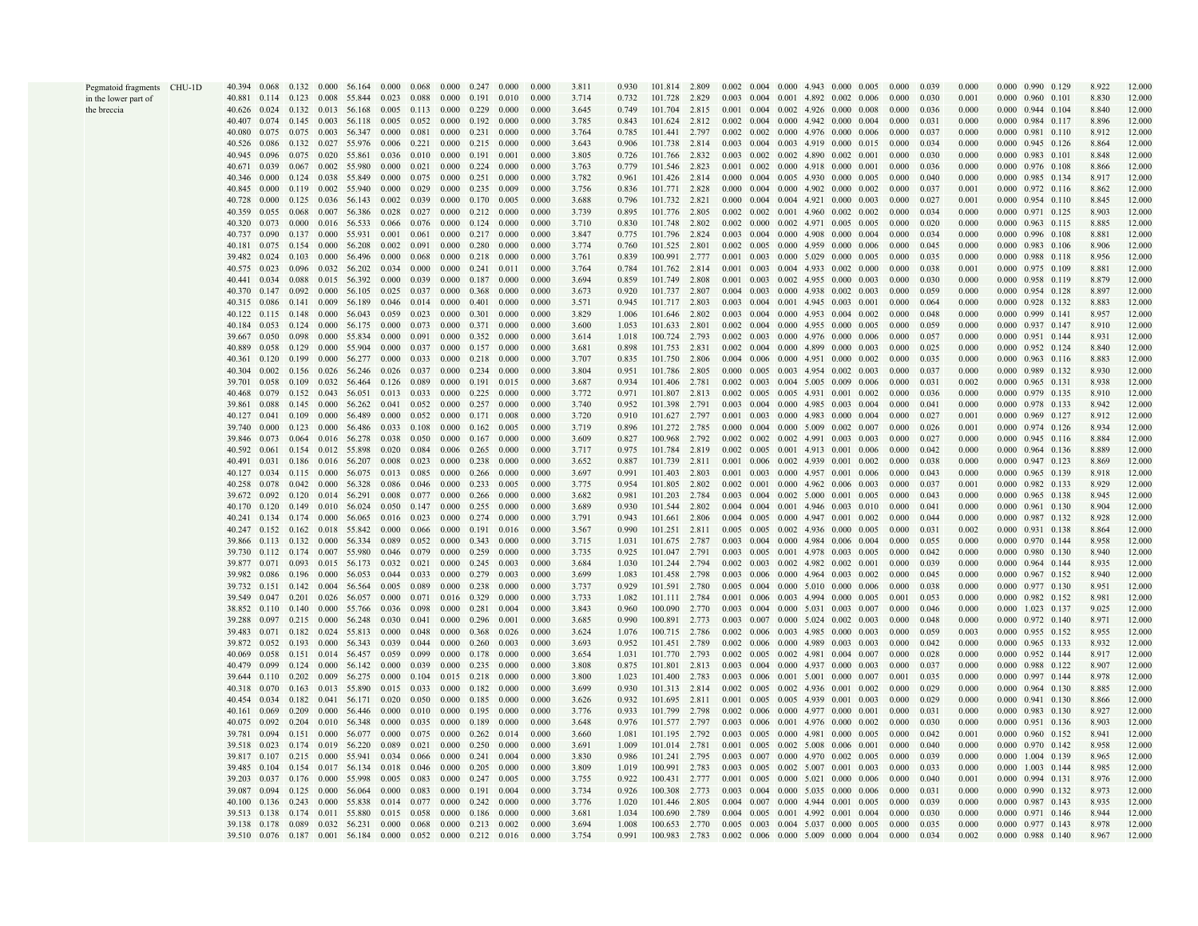| Pegmatoid fragments CHU-1D | 40.394 0.068 0.132 0.000        |       |                                 |                     | 56.164                           | 0.000 | 0.068         | $0.000 \quad 0.247 \quad 0.000$                         |                     |       | 0.000 | 3.811 | 0.930 | 101.814 2.809 |       | $0.002$ $0.004$ $0.000$ $4.943$ $0.000$ $0.005$ |  |                                                         | 0.000 |       | 0.000 | 0.000 0.990 0.129               | 8.922 | 12.000 |
|----------------------------|---------------------------------|-------|---------------------------------|---------------------|----------------------------------|-------|---------------|---------------------------------------------------------|---------------------|-------|-------|-------|-------|---------------|-------|-------------------------------------------------|--|---------------------------------------------------------|-------|-------|-------|---------------------------------|-------|--------|
|                            |                                 |       |                                 |                     | 40.881 0.114 0.123 0.008 55.844  | 0.023 | 0.088         | $0.000 \quad 0.191$                                     |                     | 0.010 | 0.000 | 3.714 | 0.732 | 101.728       | 2.829 | $0.003$ $0.004$ $0.001$ $4.892$ $0.002$ $0.006$ |  |                                                         | 0.000 | 0.030 | 0.001 | $0.000$ $0.960$ $0.101$         | 8.830 | 12.000 |
| in the lower part of       | 40.626                          | 0.024 |                                 |                     | $0.132$ $0.013$ 56.168           |       |               | $0.005$ 0.113 0.000 0.229                               |                     | 0.000 | 0.000 | 3.645 | 0.749 | 101.704       | 2.815 | $0.001$ $0.004$ $0.002$ $4.926$ $0.000$ $0.008$ |  |                                                         | 0.000 | 0.036 | 0.000 | $0.000 \quad 0.944 \quad 0.104$ | 8.840 | 12.000 |
| the breccia                |                                 |       |                                 |                     |                                  |       |               |                                                         |                     |       |       |       |       |               |       |                                                 |  |                                                         |       |       |       |                                 |       |        |
|                            | 40.407                          |       | $0.074$ 0.145                   |                     | 0.003 56.118                     |       |               | $0.005$ $0.052$ $0.000$ $0.192$ $0.000$                 |                     |       | 0.000 | 3.785 | 0.843 | 101.624 2.812 |       | 0.002 0.004 0.000 4.942 0.000 0.004             |  |                                                         | 0.000 | 0.031 | 0.000 | 0.000 0.984 0.117               | 8.896 | 12.000 |
|                            | 40.080                          |       |                                 |                     | 0.075 0.075 0.003 56.347         |       |               | $0.000$ $0.081$ $0.000$ $0.231$                         |                     | 0.000 | 0.000 | 3.764 | 0.785 | 101.441       | 2.797 |                                                 |  | $0.002$ $0.002$ $0.000$ $4.976$ $0.000$ $0.006$         | 0.000 | 0.037 | 0.000 | $0.000$ $0.981$ $0.110$         | 8.912 | 12.000 |
|                            | 40.526                          |       |                                 |                     | 0.086 0.132 0.027 55.976         |       |               | $0.006$ $0.221$ $0.000$ $0.215$ $0.000$                 |                     |       | 0.000 | 3.643 | 0.906 | 101.738 2.814 |       |                                                 |  | 0.003 0.004 0.003 4.919 0.000 0.015                     | 0.000 | 0.034 | 0.000 | 0.000 0.945 0.126               | 8.864 | 12.000 |
|                            | 40.945                          |       |                                 |                     | 0.096 0.075 0.020 55.861         |       |               | $0.036$ 0.010 0.000 0.191                               |                     | 0.001 | 0.000 | 3.805 | 0.726 | 101.766 2.832 |       | $0.003$ $0.002$ $0.002$ $4.890$ $0.002$ $0.001$ |  |                                                         | 0.000 | 0.030 | 0.000 | 0.000 0.983 0.101               | 8.848 | 12.000 |
|                            | 40.671                          | 0.039 |                                 |                     | 0.067 0.002 55.980               |       |               | $0.000$ $0.021$ $0.000$ $0.224$ $0.000$                 |                     |       | 0.000 | 3.763 | 0.779 | 101.546       | 2.823 | $0.001$ $0.002$ $0.000$ $4.918$ $0.000$ $0.001$ |  |                                                         | 0.000 | 0.036 | 0.000 | $0.000$ $0.976$ $0.108$         | 8.866 | 12.000 |
|                            | 40.346                          | 0.000 |                                 |                     | 0.124 0.038 55.849               |       |               | $0.000 \quad 0.075 \quad 0.000 \quad 0.251$             |                     | 0.000 | 0.000 | 3.782 | 0.961 | 101.426 2.814 |       | 0.000 0.004 0.005 4.930 0.000 0.005             |  |                                                         | 0.000 | 0.040 | 0.000 | 0.000 0.985 0.134               | 8.917 | 12.000 |
|                            | 40.845                          | 0.000 |                                 |                     | 0.119 0.002 55.940               | 0.000 | 0.029         | 0.000 0.235 0.009                                       |                     |       | 0.000 | 3.756 | 0.836 | 101.771 2.828 |       |                                                 |  | $0.000$ $0.004$ $0.000$ $4.902$ $0.000$ $0.002$         | 0.000 | 0.037 | 0.001 | 0.000 0.972 0.116               | 8.862 | 12.000 |
|                            | 40.728                          | 0.000 |                                 |                     | 0.125 0.036 56.143               | 0.002 | 0.039         | 0.000 0.170                                             |                     | 0.005 | 0.000 | 3.688 | 0.796 | 101.732 2.821 |       | $0.000$ $0.004$ $0.004$ $4.921$ $0.000$ $0.003$ |  |                                                         | 0.000 | 0.027 | 0.001 | $0.000$ 0.954 0.110             | 8.845 | 12.000 |
|                            | 40.359                          | 0.055 | 0.068                           |                     | 0.007 56.386                     | 0.028 |               | $0.027$ $0.000$ $0.212$                                 |                     | 0.000 | 0.000 | 3.739 | 0.895 | 101.776       | 2.805 | $0.002$ $0.002$ $0.001$ $4.960$ $0.002$ $0.002$ |  |                                                         | 0.000 | 0.034 | 0.000 | 0.000 0.971 0.125               | 8.903 | 12.000 |
|                            | 40.320                          | 0.073 | 0.000                           |                     | 0.016 56.533                     |       |               | 0.066 0.076 0.000 0.124 0.000                           |                     |       | 0.000 | 3.710 | 0.830 | 101.748       | 2.802 | 0.002 0.000 0.002 4.971 0.005 0.005             |  |                                                         | 0.000 | 0.020 | 0.000 | $0.000$ $0.963$ $0.115$         | 8.885 | 12.000 |
|                            | 40.737                          | 0.090 |                                 |                     | 0.137 0.000 55.931               |       |               | $0.001$ $0.061$ $0.000$ $0.217$ $0.000$                 |                     |       | 0.000 | 3.847 | 0.775 | 101.796       | 2.824 | $0.003$ $0.004$ $0.000$ $4.908$ $0.000$ $0.004$ |  |                                                         | 0.000 | 0.034 | 0.000 | 0.000 0.996 0.108               | 8.881 | 12.000 |
|                            |                                 |       |                                 |                     | 40.181 0.075 0.154 0.000 56.208  |       |               | $0.002$ $0.091$ $0.000$ $0.280$ $0.000$                 |                     |       | 0.000 | 3.774 | 0.760 | 101.525 2.801 |       |                                                 |  | $0.002$ $0.005$ $0.000$ $4.959$ $0.000$ $0.006$         | 0.000 | 0.045 | 0.000 | 0.000 0.983 0.106               | 8.906 | 12.000 |
|                            | 39.482                          | 0.024 |                                 |                     | 0.103 0.000 56.496               |       |               | $0.000$ $0.068$ $0.000$ $0.218$                         |                     | 0.000 | 0.000 | 3.761 | 0.839 | 100.991 2.777 |       |                                                 |  | $0.001$ $0.003$ $0.000$ $5.029$ $0.000$ $0.005$         | 0.000 | 0.035 | 0.000 | $0.000$ 0.988 0.118             | 8.956 | 12.000 |
|                            | 40.575                          | 0.023 | 0.096                           |                     | 0.032 56.202                     |       |               | $0.034$ 0.000 0.000 0.241 0.011                         |                     |       | 0.000 | 3.764 | 0.784 | 101.762 2.814 |       | $0.001$ $0.003$ $0.004$ 4.933 0.002 0.000       |  |                                                         | 0.000 | 0.038 | 0.001 | 0.000 0.975 0.109               | 8.881 | 12.000 |
|                            | 40.441                          | 0.034 | 0.088                           |                     | 0.015 56.392                     |       |               | $0.000$ $0.039$ $0.000$ $0.187$ $0.000$                 |                     |       | 0.000 | 3.694 | 0.859 | 101.749 2.808 |       | 0.001 0.003 0.002 4.955 0.000 0.003             |  |                                                         | 0.000 | 0.030 | 0.000 | 0.000 0.958 0.119               | 8.879 | 12.000 |
|                            | 40.370                          | 0.147 |                                 |                     | $0.092 \quad 0.000 \quad 56.105$ |       |               | 0.025 0.037 0.000 0.368                                 |                     | 0.000 | 0.000 |       | 0.920 |               |       | 0.004 0.003 0.000 4.938 0.002 0.003             |  |                                                         | 0.000 | 0.059 | 0.000 |                                 | 8.897 |        |
|                            |                                 |       |                                 |                     |                                  |       |               |                                                         |                     |       |       | 3.673 |       | 101.737 2.807 |       |                                                 |  |                                                         |       |       |       | 0.000 0.954 0.128               |       | 12.000 |
|                            | 40.315                          | 0.086 |                                 | $0.141$ 0.009       | 56.189                           |       |               | $0.046$ $0.014$ $0.000$ $0.401$                         |                     | 0.000 | 0.000 | 3.571 | 0.945 | 101.717 2.803 |       | 0.003 0.004 0.001 4.945 0.003 0.001             |  |                                                         | 0.000 | 0.064 | 0.000 | $0.000$ $0.928$ $0.132$         | 8.883 | 12.000 |
|                            | 40.122                          | 0.115 | 0.148                           | 0.000               | 56.043                           | 0.059 | 0.023         | $0.000 \quad 0.301$                                     |                     | 0.000 | 0.000 | 3.829 | 1.006 | 101.646       | 2.802 | $0.003$ $0.004$ $0.000$ $4.953$ $0.004$ $0.002$ |  |                                                         | 0.000 | 0.048 | 0.000 | 0.000 0.999 0.141               | 8.957 | 12.000 |
|                            | 40.184                          | 0.053 |                                 | $0.124 \quad 0.000$ | 56.175                           | 0.000 |               | $0.073$ $0.000$ $0.371$ $0.000$                         |                     |       | 0.000 | 3.600 | 1.053 | 101.633       | 2.801 | 0.002 0.004 0.000 4.955 0.000 0.005             |  |                                                         | 0.000 | 0.059 | 0.000 | 0.000 0.937 0.147               | 8.910 | 12.000 |
|                            | 39.667                          | 0.050 |                                 |                     | 0.098 0.000 55.834               |       |               | $0.000$ $0.091$ $0.000$ $0.352$ $0.000$                 |                     |       | 0.000 | 3.614 | 1.018 | 100.724 2.793 |       |                                                 |  | $0.002$ $0.003$ $0.000$ $4.976$ $0.000$ $0.006$         | 0.000 | 0.057 | 0.000 | $0.000$ $0.951$ $0.144$         | 8.931 | 12.000 |
|                            | 40.889                          |       |                                 |                     | 0.058 0.129 0.000 55.904         |       |               | 0.000 0.037 0.000 0.157 0.000                           |                     |       | 0.000 | 3.681 | 0.898 | 101.753 2.831 |       | 0.002 0.004 0.000 4.899 0.000 0.003             |  |                                                         | 0.000 | 0.025 | 0.000 | $0.000 \quad 0.952 \quad 0.124$ | 8.840 | 12.000 |
|                            | 40.361 0.120                    |       |                                 |                     | 0.199 0.000 56.277               |       |               | $0.000$ $0.033$ $0.000$ $0.218$                         |                     | 0.000 | 0.000 | 3.707 | 0.835 | 101.750       | 2.806 |                                                 |  | $0.004$ $0.006$ $0.000$ $4.951$ $0.000$ $0.002$         | 0.000 | 0.035 | 0.000 | 0.000 0.963 0.116               | 8.883 | 12.000 |
|                            | 40.304                          | 0.002 |                                 |                     | 0.156 0.026 56.246               |       |               | $0.026$ $0.037$ $0.000$ $0.234$ $0.000$                 |                     |       | 0.000 | 3.804 | 0.951 | 101.786 2.805 |       | $0.000$ $0.005$ $0.003$ 4.954 $0.002$ 0.003     |  |                                                         | 0.000 | 0.037 | 0.000 | 0.000 0.989 0.132               | 8.930 | 12.000 |
|                            | 39.701 0.058 0.109 0.032 56.464 |       |                                 |                     |                                  |       |               | $0.126$ 0.089 0.000 0.191 0.015                         |                     |       | 0.000 | 3.687 | 0.934 | 101.406       | 2.781 | $0.002$ $0.003$ $0.004$ $5.005$ $0.009$ $0.006$ |  |                                                         | 0.000 | 0.031 | 0.002 | 0.000 0.965 0.131               | 8.938 | 12.000 |
|                            | 40.468                          | 0.079 |                                 |                     | 0.152 0.043 56.051               |       |               | $0.013$ $0.033$ $0.000$ $0.225$ $0.000$                 |                     |       | 0.000 | 3.772 | 0.971 | 101.807 2.813 |       |                                                 |  | 0.002 0.005 0.005 4.931 0.001 0.002                     | 0.000 | 0.036 | 0.000 | 0.000 0.979 0.135               | 8.910 | 12.000 |
|                            | 39.861                          | 0.088 | $0.145 \quad 0.000$             |                     | 56.262                           | 0.041 |               | 0.052 0.000 0.257                                       |                     | 0.000 | 0.000 | 3.740 | 0.952 | 101.398 2.791 |       | 0.003 0.004 0.000 4.985 0.003 0.004             |  |                                                         | 0.000 | 0.041 | 0.000 | 0.000 0.978 0.133               | 8.942 | 12.000 |
|                            | 40.127                          | 0.041 | 0.109                           | 0.000               | 56.489                           | 0.000 |               | $0.052$ $0.000$ $0.171$                                 |                     | 0.008 | 0.000 | 3.720 | 0.910 | 101.627       | 2.797 | $0.001$ $0.003$ $0.000$ $4.983$ $0.000$ $0.004$ |  |                                                         | 0.000 | 0.027 | 0.001 | 0.000 0.969 0.127               | 8.912 | 12.000 |
|                            | 39.740                          | 0.000 |                                 | $0.123$ 0.000       | 56.486                           |       |               | 0.033 0.108 0.000 0.162 0.005                           |                     |       | 0.000 | 3.719 | 0.896 | 101.272 2.785 |       | $0.000$ $0.004$ $0.000$ $5.009$ $0.002$ $0.007$ |  |                                                         | 0.000 | 0.026 | 0.001 | 0.000 0.974 0.126               | 8.934 | 12.000 |
|                            | 39.846                          | 0.073 |                                 |                     | 0.064 0.016 56.278               |       |               | $0.038$ 0.050 0.000 0.167 0.000                         |                     |       | 0.000 | 3.609 | 0.827 | 100.968       | 2.792 |                                                 |  | $0.002$ $0.002$ $0.002$ $4.991$ $0.003$ $0.003$         | 0.000 | 0.027 | 0.000 | $0.000$ $0.945$ $0.116$         | 8.884 | 12.000 |
|                            |                                 |       |                                 |                     | 40.592 0.061 0.154 0.012 55.898  |       |               | 0.020 0.084 0.006 0.265 0.000                           |                     |       | 0.000 | 3.717 | 0.975 | 101.784 2.819 |       |                                                 |  | 0.002 0.005 0.001 4.913 0.001 0.006                     | 0.000 | 0.042 | 0.000 | 0.000 0.964 0.136               | 8.889 | 12.000 |
|                            | 40.491                          | 0.031 |                                 |                     | 0.186 0.016 56.207               |       |               | $0.008$ $0.023$ $0.000$ $0.238$                         |                     | 0.000 | 0.000 | 3.652 | 0.887 | 101.739 2.811 |       | $0.001$ $0.006$ $0.002$ 4.939 $0.001$ $0.002$   |  |                                                         | 0.000 | 0.038 | 0.000 | 0.000 0.947 0.123               | 8.869 | 12.000 |
|                            | 40.127                          |       | 0.034 0.115 0.000               |                     | 56.075                           |       |               | 0.013 0.085 0.000 0.266 0.000                           |                     |       | 0.000 | 3.697 | 0.991 | 101.403 2.803 |       | $0.001$ $0.003$ $0.000$ $4.957$ $0.001$ $0.006$ |  |                                                         | 0.000 | 0.043 | 0.000 | 0.000 0.965 0.139               | 8.918 | 12.000 |
|                            |                                 |       |                                 |                     |                                  |       |               |                                                         |                     |       |       |       |       |               |       |                                                 |  |                                                         |       | 0.037 |       |                                 |       |        |
|                            | 40.258                          |       | 0.078 0.042 0.000               |                     | 56.328                           |       |               | 0.086 0.046 0.000 0.233 0.005                           |                     |       | 0.000 | 3.775 | 0.954 | 101.805 2.802 |       | $0.002$ $0.001$ $0.000$ $4.962$ $0.006$ $0.003$ |  |                                                         | 0.000 |       | 0.001 | 0.000 0.982 0.133               | 8.929 | 12.000 |
|                            | 39.672                          |       |                                 |                     | $0.092$ 0.120 0.014 56.291       | 0.008 |               | $0.077$ 0.000 0.266                                     |                     | 0.000 | 0.000 | 3.682 | 0.981 | 101.203 2.784 |       | $0.003$ $0.004$ $0.002$ $5.000$ $0.001$ $0.005$ |  |                                                         | 0.000 | 0.043 | 0.000 | 0.000 0.965 0.138               | 8.945 | 12.000 |
|                            | 40.170                          |       | $0.120 \quad 0.149 \quad 0.010$ |                     | 56.024                           |       |               | 0.050 0.147 0.000 0.255                                 |                     | 0.000 | 0.000 | 3.689 | 0.930 | 101.544 2.802 |       | $0.004$ $0.004$ $0.001$ $4.946$ $0.003$ $0.010$ |  |                                                         | 0.000 | 0.041 | 0.000 | 0.000 0.961 0.130               | 8.904 | 12.000 |
|                            | 40.241                          | 0.134 | $0.174 \quad 0.000$             |                     | 56.065                           | 0.016 | 0.023         | $0.000 \quad 0.274 \quad 0.000$                         |                     |       | 0.000 | 3.791 | 0.943 | 101.661 2.806 |       | $0.004$ $0.005$ $0.000$ $4.947$ $0.001$ $0.002$ |  |                                                         | 0.000 | 0.044 | 0.000 | 0.000 0.987 0.132               | 8.928 | 12.000 |
|                            | 40.247                          |       |                                 |                     | 0.152 0.162 0.018 55.842         | 0.000 |               | 0.066 0.000 0.191 0.016                                 |                     |       | 0.000 | 3.567 | 0.990 | 101.251 2.811 |       | $0.005$ $0.005$ $0.002$ $4.936$ $0.000$ $0.005$ |  |                                                         | 0.000 | 0.031 | 0.002 | 0.000 0.931 0.138               | 8.864 | 12.000 |
|                            |                                 |       |                                 |                     | 39.866 0.113 0.132 0.000 56.334  |       |               | 0.089 0.052 0.000 0.343 0.000                           |                     |       | 0.000 | 3.715 | 1.031 | 101.675 2.787 |       | $0.003$ $0.004$ $0.000$ $4.984$ $0.006$ $0.004$ |  |                                                         | 0.000 | 0.055 | 0.000 | 0.000 0.970 0.144               | 8.958 | 12.000 |
|                            |                                 |       |                                 |                     | 39.730 0.112 0.174 0.007 55.980  |       |               | 0.046 0.079 0.000 0.259 0.000                           |                     |       | 0.000 | 3.735 | 0.925 | 101.047 2.791 |       |                                                 |  | 0.003 0.005 0.001 4.978 0.003 0.005                     | 0.000 | 0.042 | 0.000 | 0.000 0.980 0.130               | 8.940 | 12.000 |
|                            | 39.877                          |       |                                 |                     | 0.071 0.093 0.015 56.173         |       |               | 0.032 0.021 0.000 0.245                                 |                     | 0.003 | 0.000 | 3.684 | 1.030 | 101.244 2.794 |       | $0.002$ $0.003$ $0.002$ $4.982$ $0.002$ $0.001$ |  |                                                         | 0.000 | 0.039 | 0.000 | $0.000$ 0.964 0.144             | 8.935 | 12.000 |
|                            | 39.982 0.086 0.196              |       |                                 | 0.000               | 56.053                           |       |               | $0.044$ 0.033 0.000 0.279 0.003                         |                     |       | 0.000 | 3.699 | 1.083 | 101.458 2.798 |       |                                                 |  | 0.003 0.006 0.000 4.964 0.003 0.002                     | 0.000 | 0.045 | 0.000 | $0.000$ 0.967 0.152             | 8.940 | 12.000 |
|                            | 39.732  0.151  0.142  0.004     |       |                                 |                     | 56.564                           |       |               | $0.005$ $0.089$ $0.000$ $0.238$ $0.000$                 |                     |       | 0.000 | 3.737 | 0.929 | 101.591 2.780 |       | $0.005$ 0.004 0.000 5.010 0.000 0.006           |  |                                                         | 0.000 | 0.038 | 0.000 | 0.000 0.977 0.130               | 8.951 | 12.000 |
|                            | 39.549                          |       |                                 |                     | 0.047 0.201 0.026 56.057         | 0.000 |               | 0.071 0.016 0.329                                       |                     | 0.000 | 0.000 | 3.733 | 1.082 | 101.111 2.784 |       | 0.001 0.006 0.003 4.994 0.000 0.005             |  |                                                         | 0.001 | 0.053 | 0.000 | 0.000 0.982 0.152               | 8.981 | 12.000 |
|                            | 38.852                          |       | $0.110 \quad 0.140$             | 0.000               | 55.766                           |       | 0.036 0.098   | $0.000 \quad 0.281$                                     |                     | 0.004 | 0.000 | 3.843 | 0.960 | 100.090       | 2.770 | 0.003 0.004 0.000 5.031 0.003 0.007             |  |                                                         | 0.000 | 0.046 | 0.000 | 0.000 1.023 0.137               | 9.025 | 12.000 |
|                            | 39.288                          | 0.097 |                                 | $0.215 \quad 0.000$ | 56.248                           | 0.030 |               | 0.041 0.000 0.296                                       |                     | 0.001 | 0.000 | 3.685 | 0.990 | 100.891       | 2.773 | 0.003 0.007 0.000 5.024 0.002 0.003             |  |                                                         | 0.000 | 0.048 | 0.000 | 0.000 0.972 0.140               | 8.971 | 12.000 |
|                            | 39.483                          |       |                                 |                     | 0.071 0.182 0.024 55.813         | 0.000 |               | 0.048 0.000 0.368 0.026                                 |                     |       | 0.000 | 3.624 | 1.076 | 100.715 2.786 |       | $0.002$ $0.006$ $0.003$ $4.985$ $0.000$ $0.003$ |  |                                                         | 0.000 | 0.059 | 0.003 | 0.000 0.955 0.152               | 8.955 | 12.000 |
|                            |                                 |       |                                 |                     | 39.872 0.052 0.193 0.000 56.343  |       |               | 0.039 0.044 0.000 0.260 0.003                           |                     |       | 0.000 | 3.693 | 0.952 | 101.451 2.789 |       |                                                 |  | 0.002 0.006 0.000 4.989 0.003 0.003                     | 0.000 | 0.042 | 0.000 | 0.000 0.965 0.133               | 8.932 | 12.000 |
|                            | 40.069                          |       |                                 |                     | $0.058$ 0.151 0.014 56.457       |       |               | 0.059 0.099 0.000 0.178                                 |                     | 0.000 | 0.000 | 3.654 | 1.031 | 101.770 2.793 |       |                                                 |  | $0.002$ $0.005$ $0.002$ $4.981$ $0.004$ $0.007$         | 0.000 | 0.028 | 0.000 | $0.000$ $0.952$ $0.144$         | 8.917 | 12.000 |
|                            | 40.479                          | 0.099 | 0.124                           | 0.000               | 56.142                           |       |               | $0.000 \pm 0.039 \pm 0.000 \pm 0.235$                   |                     | 0.000 | 0.000 | 3.808 | 0.875 | 101.801 2.813 |       | 0.003 0.004 0.000 4.937 0.000 0.003             |  |                                                         | 0.000 | 0.037 | 0.000 | 0.000 0.988 0.122               | 8.907 | 12.000 |
|                            | 39.644                          |       | $0.110$ $0.202$ $0.009$         |                     | 56.275                           |       |               | $0.000$ $0.104$ $0.015$ $0.218$ $0.000$                 |                     |       | 0.000 | 3.800 | 1.023 | 101.400 2.783 |       | $0.003$ 0.006 0.001 5.001 0.000 0.007           |  |                                                         | 0.001 | 0.035 | 0.000 | 0.000 0.997 0.144               | 8.978 | 12.000 |
|                            |                                 |       |                                 |                     |                                  |       |               |                                                         |                     |       |       |       |       |               |       |                                                 |  |                                                         |       |       |       |                                 |       |        |
|                            | 40.318                          | 0.070 |                                 |                     | 0.163 0.013 55.890               |       |               | $0.015$ 0.033 0.000 0.182 0.000                         |                     |       | 0.000 | 3.699 | 0.930 | 101.313 2.814 |       |                                                 |  | $0.002$ $0.005$ $0.002$ $4.936$ $0.001$ $0.002$         | 0.000 | 0.029 | 0.000 | 0.000 0.964 0.130               | 8.885 | 12.000 |
|                            | 40.454                          |       |                                 |                     | 0.034 0.182 0.041 56.171         | 0.020 | 0.050         | $0.000 \quad 0.185$                                     |                     | 0.000 | 0.000 | 3.626 | 0.932 | 101.695 2.811 |       | 0.001 0.005 0.005 4.939 0.001 0.003             |  |                                                         | 0.000 | 0.029 | 0.000 | 0.000 0.941 0.130               | 8.866 | 12.000 |
|                            | 40.161                          | 0.069 | 0.209                           |                     | 0.000 56.446                     | 0.000 |               | 0.010 0.000 0.195                                       |                     | 0.000 | 0.000 | 3.776 | 0.933 | 101.799       | 2.798 | $0.002$ $0.006$ $0.000$ $4.977$ $0.000$ $0.001$ |  |                                                         | 0.000 | 0.031 | 0.000 | 0.000 0.983 0.130               | 8.927 | 12.000 |
|                            | 40.075                          | 0.092 |                                 |                     | 0.204 0.010 56.348               | 0.000 |               | 0.035 0.000 0.189                                       |                     | 0.000 | 0.000 | 3.648 | 0.976 | 101.577 2.797 |       |                                                 |  | 0.003 0.006 0.001 4.976 0.000 0.002                     | 0.000 | 0.030 | 0.000 | 0.000 0.951 0.136               | 8.903 | 12.000 |
|                            | 39.781                          | 0.094 |                                 |                     | 0.151 0.000 56.077               |       |               | $0.000$ $0.075$ $0.000$ $0.262$ $0.014$                 |                     |       | 0.000 | 3.660 | 1.081 | 101.195 2.792 |       |                                                 |  | 0.003 0.005 0.000 4.981 0.000 0.005                     | 0.000 | 0.042 | 0.001 | $0.000$ $0.960$ $0.152$         | 8.941 | 12.000 |
|                            | 39.518                          | 0.023 |                                 |                     | 0.174 0.019 56.220               | 0.089 |               | $0.021$ $0.000$ $0.250$ $0.000$                         |                     |       | 0.000 | 3.691 | 1.009 | 101.014 2.781 |       | $0.001$ $0.005$ $0.002$ $5.008$ $0.006$ $0.001$ |  |                                                         | 0.000 | 0.040 | 0.000 | 0.000 0.970 0.142               | 8.958 | 12.000 |
|                            |                                 |       |                                 |                     | 39.817 0.107 0.215 0.000 55.941  |       |               | $0.034$ 0.066 0.000 0.241                               |                     | 0.004 | 0.000 | 3.830 | 0.986 | 101.241 2.795 |       |                                                 |  | 0.003 0.007 0.000 4.970 0.002 0.005                     | 0.000 | 0.039 | 0.000 | 0.000 1.004 0.139               | 8.965 | 12.000 |
|                            | 39.485 0.104                    |       | 0.154                           |                     | 0.017 56.134                     |       |               | $0.018$ $0.046$ $0.000$ $0.205$ $0.000$                 |                     |       | 0.000 | 3.809 | 1.019 | 100.991 2.783 |       | $0.003$ $0.005$ $0.002$ $5.007$ $0.001$ $0.003$ |  |                                                         | 0.000 | 0.033 | 0.000 | $0.000$ 1.003 0.144             | 8.985 | 12.000 |
|                            | 39.203                          |       | 0.037 0.176 0.000               |                     | 55.998                           |       | $0.005$ 0.083 | 0.000 0.247 0.005                                       |                     |       | 0.000 | 3.755 | 0.922 | 100.431 2.777 |       | 0.001 0.005 0.000 5.021 0.000 0.006             |  |                                                         | 0.000 | 0.040 | 0.001 | 0.000 0.994 0.131               | 8.976 | 12.000 |
|                            | 39.087                          | 0.094 | 0.125 0.000                     |                     | 56.064                           | 0.000 | 0.083         | $0.000 \quad 0.191$                                     |                     | 0.004 | 0.000 | 3.734 | 0.926 | 100.308 2.773 |       | $0.003$ $0.004$ $0.000$ $5.035$ $0.000$ $0.006$ |  |                                                         | 0.000 | 0.031 | 0.000 | 0.000 0.990 0.132               | 8.973 | 12.000 |
|                            | 40.100                          |       | $0.136$ $0.243$ $0.000$         |                     | 55.838                           |       | 0.014 0.077   |                                                         | $0.000 \quad 0.242$ | 0.000 | 0.000 | 3.776 | 1.020 | 101.446       | 2.805 | 0.004 0.007 0.000 4.944 0.001 0.005             |  |                                                         | 0.000 | 0.039 | 0.000 | 0.000 0.987 0.143               | 8.935 | 12.000 |
|                            | 39.513                          | 0.138 |                                 |                     | 0.174 0.011 55.880               | 0.015 | 0.058         |                                                         | $0.000 \quad 0.186$ | 0.000 | 0.000 | 3.681 | 1.034 | 100.690       | 2.789 | $0.004$ $0.005$ $0.001$ $4.992$ $0.001$ $0.004$ |  |                                                         | 0.000 | 0.030 | 0.000 | 0.000 0.971 0.146               | 8.944 | 12.000 |
|                            | 39.138 0.178                    |       |                                 |                     | 0.089 0.032 56.231               |       |               | $0.000 \quad 0.068 \quad 0.000 \quad 0.213 \quad 0.002$ |                     |       | 0.000 | 3.694 | 1.008 | 100.653 2.770 |       |                                                 |  | $0.005$ $0.003$ $0.004$ $5.037$ $0.000$ $0.005$ $0.000$ |       | 0.035 | 0.000 | 0.000 0.977 0.143               | 8.978 | 12.000 |
|                            |                                 |       |                                 |                     | 39.510 0.076 0.187 0.001 56.184  |       |               | $0.000$ $0.052$ $0.000$ $0.212$ $0.016$                 |                     |       | 0.000 | 3.754 | 0.991 | 100.983 2.783 |       |                                                 |  | $0.002$ $0.006$ $0.000$ $5.009$ $0.000$ $0.004$ $0.000$ |       | 0.034 | 0.002 | 0.000 0.988 0.140               | 8.967 | 12.000 |
|                            |                                 |       |                                 |                     |                                  |       |               |                                                         |                     |       |       |       |       |               |       |                                                 |  |                                                         |       |       |       |                                 |       |        |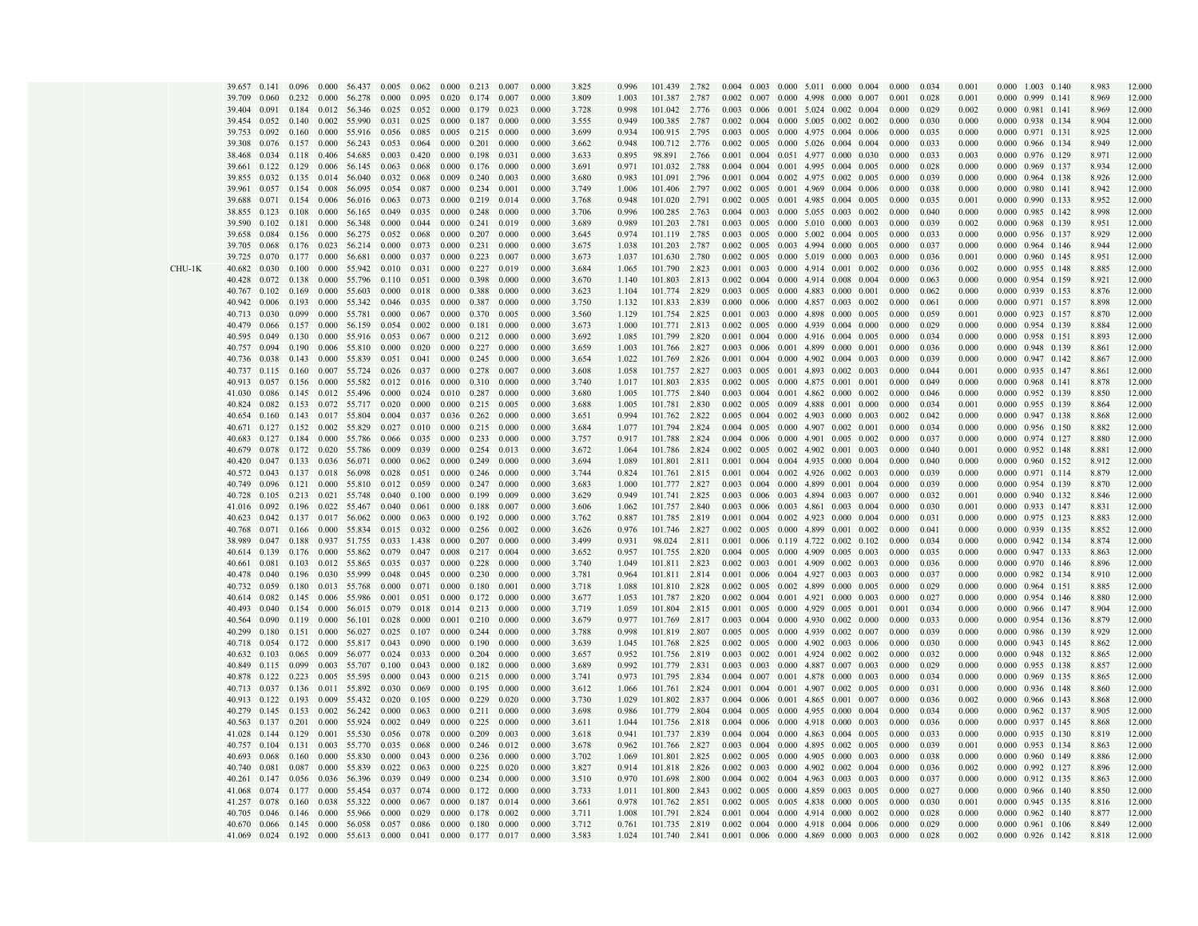|         | 39.657             |                     |       |       | 0.141 0.096 0.000 56.437 0.005 0.062 0.000 0.213 0.007        |       |                                 |                     |                                 |       | 0.000 | 3.825 | 0.996 | 101.439 2.782 |       |  |  | $0.004$ $0.003$ $0.000$ $5.011$ $0.000$ $0.004$ | 0.000 | 0.034 | 0.001 | 0.000                           | 1.003 0.140 | 8.983 | 12.000 |
|---------|--------------------|---------------------|-------|-------|---------------------------------------------------------------|-------|---------------------------------|---------------------|---------------------------------|-------|-------|-------|-------|---------------|-------|--|--|-------------------------------------------------|-------|-------|-------|---------------------------------|-------------|-------|--------|
|         | 39.709             | 0.060               |       |       | 0.232 0.000 56.278 0.000                                      |       | 0.095 0.020 0.174 0.007         |                     |                                 |       | 0.000 | 3.809 | 1.003 | 101.387       | 2.787 |  |  | 0.002 0.007 0.000 4.998 0.000 0.007             | 0.001 | 0.028 | 0.001 | $0.000 \quad 0.999 \quad 0.141$ |             | 8.969 | 12.000 |
|         | 39.404             |                     |       |       | 0.091 0.184 0.012 56.346 0.025 0.052 0.000 0.179 0.023        |       |                                 |                     |                                 |       | 0.000 | 3.728 | 0.998 | 101.042 2.776 |       |  |  | $0.003$ $0.006$ $0.001$ $5.024$ $0.002$ $0.004$ | 0.000 | 0.029 | 0.002 | $0.000$ $0.981$ $0.141$         |             | 8.969 | 12.000 |
|         | 39.454             | $0.052 \quad 0.140$ |       |       | 0.002 55.990                                                  | 0.031 | 0.025 0.000 0.187 0.000         |                     |                                 |       | 0.000 | 3.555 | 0.949 | 100.385       | 2.787 |  |  | $0.002$ $0.004$ $0.000$ $5.005$ $0.002$ $0.002$ | 0.000 | 0.030 | 0.000 | 0.000 0.938 0.134               |             | 8.904 | 12.000 |
|         |                    | 0.092               | 0.160 |       |                                                               |       |                                 |                     |                                 | 0.000 | 0.000 |       |       |               |       |  |  |                                                 | 0.000 |       |       |                                 |             |       | 12.000 |
|         | 39.753             |                     |       |       | 0.000 55.916                                                  | 0.056 | 0.085                           | $0.005 \quad 0.215$ |                                 |       |       | 3.699 | 0.934 | 100.915       | 2.795 |  |  | 0.003 0.005 0.000 4.975 0.004 0.006             |       | 0.035 | 0.000 | 0.000                           | 0.971 0.131 | 8.925 |        |
|         | 39.308             | 0.076               |       |       | 0.157 0.000 56.243                                            | 0.053 | $0.064$ $0.000$ $0.201$         |                     |                                 | 0.000 | 0.000 | 3.662 | 0.948 | 100.712       | 2.776 |  |  | 0.002 0.005 0.000 5.026 0.004 0.004             | 0.000 | 0.033 | 0.000 | 0.000 0.966 0.134               |             | 8.949 | 12.000 |
|         | 38.468             | 0.034               |       |       | 0.118  0.406  54.685                                          | 0.003 | 0.420 0.000 0.198               |                     |                                 | 0.031 | 0.000 | 3.633 | 0.895 | 98.891        | 2.766 |  |  | 0.001 0.004 0.051 4.977 0.000 0.030             | 0.000 | 0.033 | 0.003 | 0.000 0.976 0.129               |             | 8.971 | 12.000 |
|         | 39.661             | $0.122$ 0.129       |       |       | 0.006 56.145                                                  | 0.063 | 0.068                           | 0.000 0.176         |                                 | 0.000 | 0.000 | 3.691 | 0.971 | 101.032       | 2.788 |  |  | $0.004$ $0.004$ $0.001$ $4.995$ $0.004$ $0.005$ | 0.000 | 0.028 | 0.000 | 0.000 0.969 0.137               |             | 8.934 | 12.000 |
|         | 39.855             | 0.032               | 0.135 |       | 0.014 56.040                                                  | 0.032 | 0.068                           | 0.009 0.240         |                                 | 0.003 | 0.000 | 3.680 | 0.983 | 101.091       | 2.796 |  |  | $0.001$ $0.004$ $0.002$ $4.975$ $0.002$ $0.005$ | 0.000 | 0.039 | 0.000 | 0.000 0.964 0.138               |             | 8.926 | 12.000 |
|         | 39.961             | 0.057               | 0.154 |       | 0.008 56.095                                                  | 0.054 | 0.087                           | 0.000               | 0.234                           | 0.001 | 0.000 | 3.749 | 1.006 | 101.406       | 2.797 |  |  | $0.002$ $0.005$ $0.001$ 4.969 0.004 0.006       | 0.000 | 0.038 | 0.000 | 0.000                           | 0.980 0.141 | 8.942 | 12.000 |
|         | 39.688             | $0.071$ 0.154       |       |       | 0.006 56.016 0.063                                            |       | 0.073                           |                     | $0.000$ $0.219$ $0.014$         |       | 0.000 | 3.768 | 0.948 | 101.020       | 2.791 |  |  | $0.002$ $0.005$ $0.001$ 4.985 $0.004$ 0.005     | 0.000 | 0.035 | 0.001 | 0.000 0.990 0.133               |             | 8.952 | 12.000 |
|         | 38.855 0.123 0.108 |                     |       |       | 0.000 56.165 0.049                                            |       | 0.035                           |                     | $0.000 \quad 0.248 \quad 0.000$ |       | 0.000 | 3.706 | 0.996 | 100.285 2.763 |       |  |  | $0.004$ $0.003$ $0.000$ $5.055$ $0.003$ $0.002$ | 0.000 | 0.040 | 0.000 | 0.000 0.985 0.142               |             | 8.998 | 12.000 |
|         | 39.590             | $0.102$ $0.181$     |       |       | 0.000 56.348                                                  | 0.000 | $0.044$ $0.000$ $0.241$         |                     |                                 | 0.019 | 0.000 | 3.689 | 0.989 | 101.203 2.781 |       |  |  | $0.003$ $0.005$ $0.000$ $5.010$ $0.000$ $0.003$ | 0.000 | 0.039 | 0.002 | 0.000 0.968 0.139               |             | 8.951 | 12.000 |
|         |                    |                     |       |       |                                                               |       |                                 |                     |                                 |       |       |       |       |               |       |  |  |                                                 |       |       |       |                                 |             |       |        |
|         | 39.658             | 0.084               |       |       | 0.156 0.000 56.275                                            | 0.052 | 0.068                           | $0.000 \quad 0.207$ |                                 | 0.000 | 0.000 | 3.645 | 0.974 | 101.119 2.785 |       |  |  | $0.003$ $0.005$ $0.000$ $5.002$ $0.004$ $0.005$ | 0.000 | 0.033 | 0.000 | 0.000 0.956 0.137               |             | 8.929 | 12.000 |
|         | 39.705             | 0.068               |       |       | $0.176$ 0.023 56.214 0.000                                    |       | 0.073 0.000 0.231               |                     |                                 | 0.000 | 0.000 | 3.675 | 1.038 | 101.203 2.787 |       |  |  | 0.002 0.005 0.003 4.994 0.000 0.005             | 0.000 | 0.037 | 0.000 | 0.000 0.964 0.146               |             | 8.944 | 12.000 |
|         | 39.725 0.070       |                     |       |       | $0.177$ 0.000 56.681 0.000                                    |       | 0.037 0.000 0.223               |                     |                                 | 0.007 | 0.000 | 3.673 | 1.037 | 101.630 2.780 |       |  |  | $0.002$ $0.005$ $0.000$ $5.019$ $0.000$ $0.003$ | 0.000 | 0.036 | 0.001 | 0.000 0.960 0.145               |             | 8.951 | 12.000 |
| $HU-1K$ | 40.682             | 0.030               | 0.100 |       | 0.000 55.942 0.010                                            |       | 0.031                           | $0.000 \quad 0.227$ |                                 | 0.019 | 0.000 | 3.684 | 1.065 | 101.790       | 2.823 |  |  | $0.001$ $0.003$ $0.000$ $4.914$ $0.001$ $0.002$ | 0.000 | 0.036 | 0.002 | 0.000 0.955 0.148               |             | 8.885 | 12.000 |
|         | 40.428             | 0.072               | 0.138 |       | 0.000 55.796                                                  | 0.110 | 0.051                           | 0.000 0.398         |                                 | 0.000 | 0.000 | 3.670 | 1.140 | 101.803       | 2.813 |  |  | $0.002$ $0.004$ $0.000$ $4.914$ $0.008$ $0.004$ | 0.000 | 0.063 | 0.000 | 0.000 0.954 0.159               |             | 8.921 | 12.000 |
|         | 40.767             | 0.102               | 0.169 | 0.000 | 55.603                                                        | 0.000 | 0.018                           | 0.000               | 0.388                           | 0.000 | 0.000 | 3.623 | 1.104 | 101.774       | 2.829 |  |  | 0.003 0.005 0.000 4.883 0.000 0.001             | 0.000 | 0.062 | 0.000 | 0.000                           | 0.939 0.153 | 8.876 | 12.000 |
|         | 40.942             | 0.006               | 0.193 |       | 0.000 55.342 0.046                                            |       | 0.035                           | 0.000 0.387         |                                 | 0.000 | 0.000 | 3.750 | 1.132 | 101.833       | 2.839 |  |  | $0.000$ $0.006$ $0.000$ $4.857$ $0.003$ $0.002$ | 0.000 | 0.061 | 0.000 | 0.000 0.971 0.157               |             | 8.898 | 12.000 |
|         | 40.713 0.030       |                     | 0.099 |       | 0.000 55.781 0.000                                            |       | 0.067 0.000 0.370 0.005         |                     |                                 |       | 0.000 | 3.560 | 1.129 | 101.754 2.825 |       |  |  | $0.001$ $0.003$ $0.000$ $4.898$ $0.000$ $0.005$ | 0.000 | 0.059 | 0.001 | 0.000 0.923 0.157               |             | 8.870 | 12.000 |
|         |                    |                     |       |       |                                                               |       |                                 |                     |                                 |       |       |       |       |               |       |  |  | 0.002 0.005 0.000 4.939 0.004 0.000             |       |       |       |                                 |             |       |        |
|         | 40.479             | 0.066               |       |       | 0.157 0.000 56.159 0.054                                      |       | $0.002$ $0.000$ $0.181$         |                     |                                 | 0.000 | 0.000 | 3.673 | 1.000 | 101.771 2.813 |       |  |  |                                                 | 0.000 | 0.029 | 0.000 | 0.000 0.954 0.139               |             | 8.884 | 12.000 |
|         | 40.595             | 0.049               | 0.130 |       | 0.000 55.916 0.053                                            |       | $0.067$ $0.000$ $0.212$         |                     |                                 | 0.000 | 0.000 | 3.692 | 1.085 | 101.799       | 2.820 |  |  | $0.001$ $0.004$ $0.000$ $4.916$ $0.004$ $0.005$ | 0.000 | 0.034 | 0.000 | 0.000 0.958 0.151               |             | 8.893 | 12.000 |
|         | 40.757             | 0.094               | 0.190 |       | 0.006 55.810                                                  | 0.000 | $0.020$ 0.000 0.227             |                     |                                 | 0.000 | 0.000 | 3.659 | 1.003 | 101.766 2.827 |       |  |  | $0.003$ $0.006$ $0.001$ $4.899$ $0.000$ $0.001$ | 0.000 | 0.036 | 0.000 | 0.000 0.948 0.139               |             | 8.861 | 12.000 |
|         | 40.736 0.038       |                     |       |       | 0.143 0.000 55.839 0.051                                      |       | 0.041 0.000 0.245               |                     |                                 | 0.000 | 0.000 | 3.654 | 1.022 | 101.769       | 2.826 |  |  | $0.001$ $0.004$ $0.000$ $4.902$ $0.004$ $0.003$ | 0.000 | 0.039 | 0.000 | 0.000 0.947 0.142               |             | 8.867 | 12.000 |
|         | 40.737             | $0.115$ $0.160$     |       |       | 0.007 55.724                                                  | 0.026 | 0.037                           | $0.000 \quad 0.278$ |                                 | 0.007 | 0.000 | 3.608 | 1.058 | 101.757 2.827 |       |  |  | 0.003 0.005 0.001 4.893 0.002 0.003             | 0.000 | 0.044 | 0.001 | $0.000 \quad 0.935 \quad 0.147$ |             | 8.861 | 12.000 |
|         | 40.913 0.057       |                     | 0.156 |       | 0.000 55.582                                                  | 0.012 | 0.016 0.000 0.310               |                     |                                 | 0.000 | 0.000 | 3.740 | 1.017 | 101.803       | 2.835 |  |  | 0.002 0.005 0.000 4.875 0.001 0.001             | 0.000 | 0.049 | 0.000 | $0.000$ $0.968$ $0.141$         |             | 8.878 | 12.000 |
|         | 41.030             | 0.086               | 0.145 |       | 0.012 55.496                                                  | 0.000 | 0.024                           | 0.010 0.287         |                                 | 0.000 | 0.000 | 3.680 | 1.005 | 101.775       | 2.840 |  |  | $0.003$ $0.004$ $0.001$ $4.862$ $0.000$ $0.002$ | 0.000 | 0.046 | 0.000 | 0.000                           | 0.952 0.139 | 8.850 | 12.000 |
|         | 40.824             | $0.082 \quad 0.153$ |       |       | 0.072 55.717 0.020                                            |       | 0.000                           |                     | $0.000 \quad 0.215$             | 0.005 | 0.000 | 3.688 | 1.005 | 101.781       | 2.830 |  |  | $0.002$ $0.005$ $0.009$ $4.888$ $0.001$ $0.000$ | 0.000 | 0.034 | 0.001 | 0.000 0.955 0.139               |             | 8.864 | 12.000 |
|         |                    |                     |       |       |                                                               |       |                                 |                     |                                 |       |       |       |       |               |       |  |  | $0.005$ $0.004$ $0.002$ $4.903$ $0.000$ $0.003$ |       |       |       |                                 |             |       |        |
|         |                    |                     |       |       | 40.654 0.160 0.143 0.017 55.804 0.004                         |       | $0.037$ 0.036 0.262 0.000       |                     |                                 |       | 0.000 | 3.651 | 0.994 | 101.762 2.822 |       |  |  |                                                 | 0.002 | 0.042 | 0.000 | 0.000 0.947 0.138               |             | 8.868 | 12.000 |
|         |                    |                     |       |       | 40.671 0.127 0.152 0.002 55.829 0.027                         |       | $0.010$ $0.000$ $0.215$ $0.000$ |                     |                                 |       | 0.000 | 3.684 | 1.077 | 101.794 2.824 |       |  |  | 0.004 0.005 0.000 4.907 0.002 0.001             | 0.000 | 0.034 | 0.000 | 0.000 0.956 0.150               |             | 8.882 | 12.000 |
|         | 40.683             | 0.127               | 0.184 |       | 0.000 55.786                                                  | 0.066 | 0.035 0.000 0.233               |                     |                                 | 0.000 | 0.000 | 3.757 | 0.917 | 101.788       | 2.824 |  |  | $0.004$ $0.006$ $0.000$ $4.901$ $0.005$ $0.002$ | 0.000 | 0.037 | 0.000 | 0.000 0.974 0.127               |             | 8.880 | 12.000 |
|         | 40.679             | 0.078               |       |       | 0.172 0.020 55.786 0.009                                      |       | 0.039 0.000 0.254               |                     |                                 | 0.013 | 0.000 | 3.672 | 1.064 | 101.786 2.824 |       |  |  | $0.002$ $0.005$ $0.002$ $4.902$ $0.001$ $0.003$ | 0.000 | 0.040 | 0.001 | 0.000 0.952 0.148               |             | 8.881 | 12.000 |
|         | 40.420 0.047       |                     |       |       | 0.133 0.036 56.071 0.000                                      |       | 0.062 0.000 0.249               |                     |                                 | 0.000 | 0.000 | 3.694 | 1.089 | 101.801 2.811 |       |  |  | $0.001$ $0.004$ $0.004$ $4.935$ $0.000$ $0.004$ | 0.000 | 0.040 | 0.000 | 0.000 0.960 0.152               |             | 8.912 | 12.000 |
|         | 40.572 0.043       |                     | 0.137 |       | 0.018 56.098                                                  | 0.028 | 0.051                           | $0.000 \quad 0.246$ |                                 | 0.000 | 0.000 | 3.744 | 0.824 | 101.761       | 2.815 |  |  | $0.001$ $0.004$ $0.002$ $4.926$ $0.002$ $0.003$ | 0.000 | 0.039 | 0.000 | 0.000 0.971 0.114               |             | 8.879 | 12.000 |
|         | 40.749             | 0.096               | 0.121 |       | 0.000 55.810                                                  | 0.012 | 0.059                           | $0.000 \quad 0.247$ |                                 | 0.000 | 0.000 | 3.683 | 1.000 | 101.777 2.827 |       |  |  | 0.003 0.004 0.000 4.899 0.001 0.004             | 0.000 | 0.039 | 0.000 | 0.000 0.954 0.139               |             | 8.870 | 12.000 |
|         | 40.728             | 0.105               | 0.213 |       | 0.021 55.748                                                  | 0.040 | 0.100                           | 0.000 0.199         |                                 | 0.009 | 0.000 | 3.629 | 0.949 | 101.741       | 2.825 |  |  | 0.003 0.006 0.003 4.894 0.003 0.007             | 0.000 | 0.032 | 0.001 | 0.000                           | 0.940 0.132 | 8.846 | 12.000 |
|         | 41.016             | 0.092               | 0.196 |       | 0.022 55.467                                                  | 0.040 | 0.061                           | $0.000 \quad 0.188$ |                                 | 0.007 | 0.000 | 3.606 | 1.062 | 101.757 2.840 |       |  |  | 0.003 0.006 0.003 4.861 0.003 0.004             | 0.000 | 0.030 | 0.001 | 0.000 0.933 0.147               |             | 8.831 | 12.000 |
|         |                    |                     |       |       |                                                               |       |                                 |                     |                                 |       |       |       |       |               |       |  |  |                                                 |       |       |       |                                 |             |       |        |
|         |                    |                     |       |       | 40.623 0.042 0.137 0.017 56.062 0.000                         |       | $0.063$ 0.000 0.192 0.000       |                     |                                 |       | 0.000 | 3.762 | 0.887 | 101.785 2.819 |       |  |  | $0.001$ $0.004$ $0.002$ $4.923$ $0.000$ $0.004$ | 0.000 | 0.031 | 0.000 | 0.000 0.975 0.123               |             | 8.883 | 12.000 |
|         | 40.768             |                     |       |       | 0.071 0.166 0.000 55.834 0.015                                |       | 0.032 0.000 0.256               |                     |                                 | 0.002 | 0.000 | 3.626 | 0.976 | 101.746       | 2.827 |  |  | 0.002 0.005 0.000 4.899 0.001 0.002             | 0.000 | 0.041 | 0.000 | 0.000 0.939 0.135               |             | 8.852 | 12.000 |
|         | 38.989             | 0.047               | 0.188 |       | 0.937 51.755                                                  | 0.033 | 1.438                           | $0.000 \quad 0.207$ |                                 | 0.000 | 0.000 | 3.499 | 0.931 | 98.024        | 2.811 |  |  | $0.001$ $0.006$ $0.119$ $4.722$ $0.002$ $0.102$ | 0.000 | 0.034 | 0.000 | 0.000 0.942 0.134               |             | 8.874 | 12.000 |
|         | 40.614 0.139       |                     |       |       | 0.176 0.000 55.862                                            | 0.079 | 0.047 0.008 0.217               |                     |                                 | 0.004 | 0.000 | 3.652 | 0.957 | 101.755       | 2.820 |  |  | $0.004$ $0.005$ $0.000$ $4.909$ $0.005$ $0.003$ | 0.000 | 0.035 | 0.000 | 0.000 0.947 0.133               |             | 8.863 | 12.000 |
|         | 40.661 0.081       |                     | 0.103 |       | 0.012 55.865 0.035                                            |       | 0.037 0.000 0.228               |                     |                                 | 0.000 | 0.000 | 3.740 | 1.049 | 101.811 2.823 |       |  |  | $0.002$ $0.003$ $0.001$ 4.909 0.002 0.003       | 0.000 | 0.036 | 0.000 | 0.000 0.970 0.146               |             | 8.896 | 12.000 |
|         | 40.478             | 0.040               | 0.196 |       | 0.030 55.999                                                  | 0.048 | 0.045                           |                     | $0.000 \quad 0.230$             | 0.000 | 0.000 | 3.781 | 0.964 | 101.811 2.814 |       |  |  | $0.001$ $0.006$ $0.004$ 4.927 $0.003$ 0.003     | 0.000 | 0.037 | 0.000 | 0.000 0.982 0.134               |             | 8.910 | 12.000 |
|         | 40.732             | 0.059               | 0.180 |       | 0.013 55.768                                                  | 0.000 | 0.071                           | $0.000 \quad 0.180$ |                                 | 0.00  | 0.000 | 3.718 | 1.088 | 101.810 2.828 |       |  |  | $0.002$ $0.005$ $0.002$ $4.899$ $0.000$ $0.005$ | 0.000 | 0.029 | 0.000 | $0.000$ $0.964$ $0.151$         |             | 8.885 | 12.000 |
|         | 40.614             | 0.082               | 0.145 |       | 0.006 55.986                                                  | 0.001 | 0.051                           | $0.000 \quad 0.172$ |                                 | 0.000 | 0.000 | 3.677 | 1.053 | 101.787       | 2.820 |  |  | $0.002$ $0.004$ $0.001$ $4.921$ $0.000$ $0.003$ | 0.000 | 0.027 | 0.000 | 0.000                           | 0.954 0.146 | 8.880 | 12.000 |
|         | 40.493             | 0.040               |       |       | 0.154 0.000 56.015 0.079                                      |       | 0.018                           |                     | $0.014$ $0.213$ $0.000$         |       | 0.000 | 3.719 | 1.059 | 101.804       | 2.815 |  |  | $0.001$ $0.005$ $0.000$ $4.929$ $0.005$ $0.001$ | 0.001 | 0.034 | 0.000 | 0.000                           | 0.966 0.147 | 8.904 | 12.000 |
|         |                    |                     |       |       |                                                               |       |                                 |                     |                                 |       |       |       |       |               |       |  |  |                                                 |       |       |       |                                 |             |       |        |
|         | 40.564             |                     |       |       | 0.090 0.119 0.000 56.101 0.028                                |       | 0.000                           |                     | $0.001$ $0.210$ $0.000$         |       | 0.000 | 3.679 | 0.977 | 101.769       | 2.817 |  |  | $0.003$ 0.004 0.000 4.930 0.002 0.000           | 0.000 | 0.033 | 0.000 | 0.000 0.954 0.136               |             | 8.879 | 12.000 |
|         | 40.299             | 0.180               |       |       | 0.151 0.000 56.027 0.025                                      |       | $0.107$ $0.000$ $0.244$ $0.000$ |                     |                                 |       | 0.000 | 3.788 | 0.998 | 101.819 2.807 |       |  |  | 0.005 0.005 0.000 4.939 0.002 0.007             | 0.000 | 0.039 | 0.000 | 0.000 0.986 0.139               |             | 8.929 | 12.000 |
|         | 40.718             | 0.054               | 0.172 |       | 0.000 55.817 0.043                                            |       | 0.090                           | $0.000 \quad 0.190$ |                                 | 0.000 | 0.000 | 3.639 | 1.045 | 101.768       | 2.825 |  |  | $0.002$ $0.005$ $0.000$ $4.902$ $0.003$ $0.006$ | 0.000 | 0.030 | 0.000 | 0.000 0.943 0.145               |             | 8.862 | 12.000 |
|         | 40.632 0.103       |                     | 0.065 |       | 0.009 56.077 0.024                                            |       | 0.033 0.000 0.204               |                     |                                 | 0.000 | 0.000 | 3.657 | 0.952 | 101.756       | 2.819 |  |  | $0.003$ $0.002$ $0.001$ $4.924$ $0.002$ $0.002$ | 0.000 | 0.032 | 0.000 | 0.000 0.948 0.132               |             | 8.865 | 12.000 |
|         | 40.849 0.115 0.099 |                     |       |       | 0.003 55.707 0.100                                            |       | 0.043 0.000 0.182               |                     |                                 | 0.000 | 0.000 | 3.689 | 0.992 | 101.779 2.831 |       |  |  | 0.003 0.003 0.000 4.887 0.007 0.003             | 0.000 | 0.029 | 0.000 | 0.000 0.955 0.138               |             | 8.857 | 12.000 |
|         | 40.878 0.122       |                     | 0.223 |       | 0.005 55.595                                                  | 0.000 | 0.043                           | $0.000 \quad 0.215$ |                                 | 0.000 | 0.000 | 3.741 | 0.973 | 101.795       | 2.834 |  |  | $0.004$ $0.007$ $0.001$ $4.878$ $0.000$ $0.003$ | 0.000 | 0.034 | 0.000 | 0.000 0.969 0.135               |             | 8.865 | 12.000 |
|         | 40.713             | 0.037               | 0.136 |       | 0.011 55.892                                                  | 0.030 | 0.069                           | 0.000 0.195         |                                 | 0.000 | 0.000 | 3.612 | 1.066 | 101.761       | 2.824 |  |  | $0.001$ $0.004$ $0.001$ 4.907 0.002 0.005       | 0.000 | 0.031 | 0.000 | 0.000 0.936 0.148               |             | 8.860 | 12.000 |
|         | 40.913             | 0.122               | 0.193 |       | 0.009 55.432                                                  | 0.020 | 0.105                           | $0.000 \quad 0.229$ |                                 | 0.020 | 0.000 | 3.730 | 1.029 | 101.802       | 2.837 |  |  | 0.004 0.006 0.001 4.865 0.001 0.007             | 0.000 | 0.036 | 0.002 | 0.000                           | 0.966 0.143 | 8.868 | 12.000 |
|         |                    |                     |       |       |                                                               |       |                                 |                     |                                 |       |       |       |       |               |       |  |  |                                                 |       |       |       |                                 |             |       |        |
|         | 40.279             | $0.145$ $0.153$     |       |       | 0.002 56.242 0.000                                            |       | 0.063                           |                     | $0.000 \quad 0.211 \quad 0.000$ |       | 0.000 | 3.698 | 0.986 | 101.779       | 2.804 |  |  | 0.004 0.005 0.000 4.955 0.000 0.004             | 0.000 | 0.034 | 0.000 | 0.000 0.962 0.137               |             | 8.905 | 12.000 |
|         | 40.563 0.137 0.201 |                     |       |       | $0.000$ 55.924 $0.002$                                        |       | $0.049$ $0.000$ $0.225$ $0.000$ |                     |                                 |       | 0.000 | 3.611 | 1.044 | 101.756 2.818 |       |  |  | 0.004 0.006 0.000 4.918 0.000 0.003             | 0.000 | 0.036 | 0.000 | 0.000 0.937 0.145               |             | 8.868 | 12,000 |
|         | 41.028 0.144 0.129 |                     |       |       | 0.001 55.530 0.056                                            |       | 0.078 0.000 0.209               |                     |                                 | 0.003 | 0.000 | 3.618 | 0.941 | 101.737 2.839 |       |  |  | $0.004$ $0.004$ $0.000$ $4.863$ $0.004$ $0.005$ | 0.000 | 0.033 | 0.000 | 0.000 0.935 0.130               |             | 8.819 | 12.000 |
|         | 40.757             | 0.104               | 0.131 |       | 0.003 55.770                                                  | 0.035 | 0.068                           | $0.000 \quad 0.246$ |                                 | 0.012 | 0.000 | 3.678 | 0.962 | 101.766 2.827 |       |  |  | $0.003$ $0.004$ $0.000$ $4.895$ $0.002$ $0.005$ | 0.000 | 0.039 | 0.001 | 0.000                           | 0.953 0.134 | 8.863 | 12.000 |
|         | 40.693             | 0.068               | 0.160 |       | 0.000 55.830                                                  | 0.000 | $0.043$ $0.000$ $0.236$         |                     |                                 | 0.000 | 0.000 | 3.702 | 1.069 | 101.801 2.825 |       |  |  | 0.002 0.005 0.000 4.905 0.000 0.003             | 0.000 | 0.038 | 0.000 | 0.000 0.960 0.149               |             | 8.886 | 12,000 |
|         | 40.740 0.081       |                     | 0.087 |       | 0.000 55.839                                                  | 0.022 | $0.063$ $0.000$ $0.225$         |                     |                                 | 0.020 | 0.000 | 3.827 | 0.914 | 101.818 2.826 |       |  |  | 0.002 0.003 0.000 4.902 0.002 0.004             | 0.000 | 0.036 | 0.002 | 0.000 0.992 0.127               |             | 8.896 | 12.000 |
|         | 40.261 0.147       |                     | 0.056 |       | 0.036 56.396                                                  | 0.039 | 0.049                           | $0.000 \quad 0.234$ |                                 | 0.000 | 0.000 | 3.510 | 0.970 | 101.698       | 2.800 |  |  | 0.004 0.002 0.004 4.963 0.003 0.003             | 0.000 | 0.037 | 0.000 | 0.000 0.912 0.135               |             | 8.863 | 12.000 |
|         | 41.068             | 0.074               | 0.177 |       | 0.000 55.454                                                  | 0.037 | 0.074                           | 0.000 0.172         |                                 | 0.000 | 0.000 | 3.733 | 1.011 | 101.800       | 2.843 |  |  | $0.002$ $0.005$ $0.000$ $4.859$ $0.003$ $0.005$ | 0.000 | 0.027 | 0.000 | 0.000 0.966 0.140               |             | 8.850 | 12.000 |
|         |                    |                     |       |       |                                                               |       |                                 |                     |                                 |       |       |       |       |               |       |  |  |                                                 |       |       |       |                                 |             |       |        |
|         | 41.257             | 0.078               | 0.160 | 0.038 | 55.322                                                        | 0.000 | 0.067                           | 0.000               | 0.187                           | 0.014 | 0.000 | 3.661 | 0.978 | 101.762       | 2.851 |  |  | 0.002 0.005 0.005 4.838 0.000 0.005             | 0.000 | 0.030 | 0.001 | 0.000                           | 0.945 0.135 | 8.816 | 12.000 |
|         | 40.705             | 0.046               | 0.146 | 0.000 | 55.966                                                        | 0.000 | 0.029                           |                     | 0.000 0.178 0.002               |       | 0.000 | 3.711 | 1.008 | 101.791 2.824 |       |  |  | $0.001$ $0.004$ $0.000$ $4.914$ $0.000$ $0.002$ | 0.000 | 0.028 | 0.000 | 0.000 0.962 0.140               |             | 8.877 | 12.000 |
|         |                    |                     |       |       | 40.670 0.066 0.145 0.000 56.058 0.057 0.086 0.000 0.180 0.000 |       |                                 |                     |                                 |       | 0.000 | 3.712 | 0.761 | 101.735 2.819 |       |  |  | $0.002$ $0.004$ $0.000$ $4.918$ $0.004$ $0.006$ | 0.000 | 0.029 | 0.000 | 0.000 0.961 0.106               |             | 8.849 | 12.000 |
|         | 41.069             |                     |       |       | 0.024 0.192 0.000 55.613 0.000 0.041 0.000 0.177 0.017        |       |                                 |                     |                                 |       | 0.000 | 3.583 | 1.024 | 101.740 2.841 |       |  |  | $0.001$ $0.006$ $0.000$ $4.869$ $0.000$ $0.003$ | 0.000 | 0.028 | 0.002 | 0.000 0.926 0.142               |             | 8.818 | 12.000 |

 $\sqrt{ }$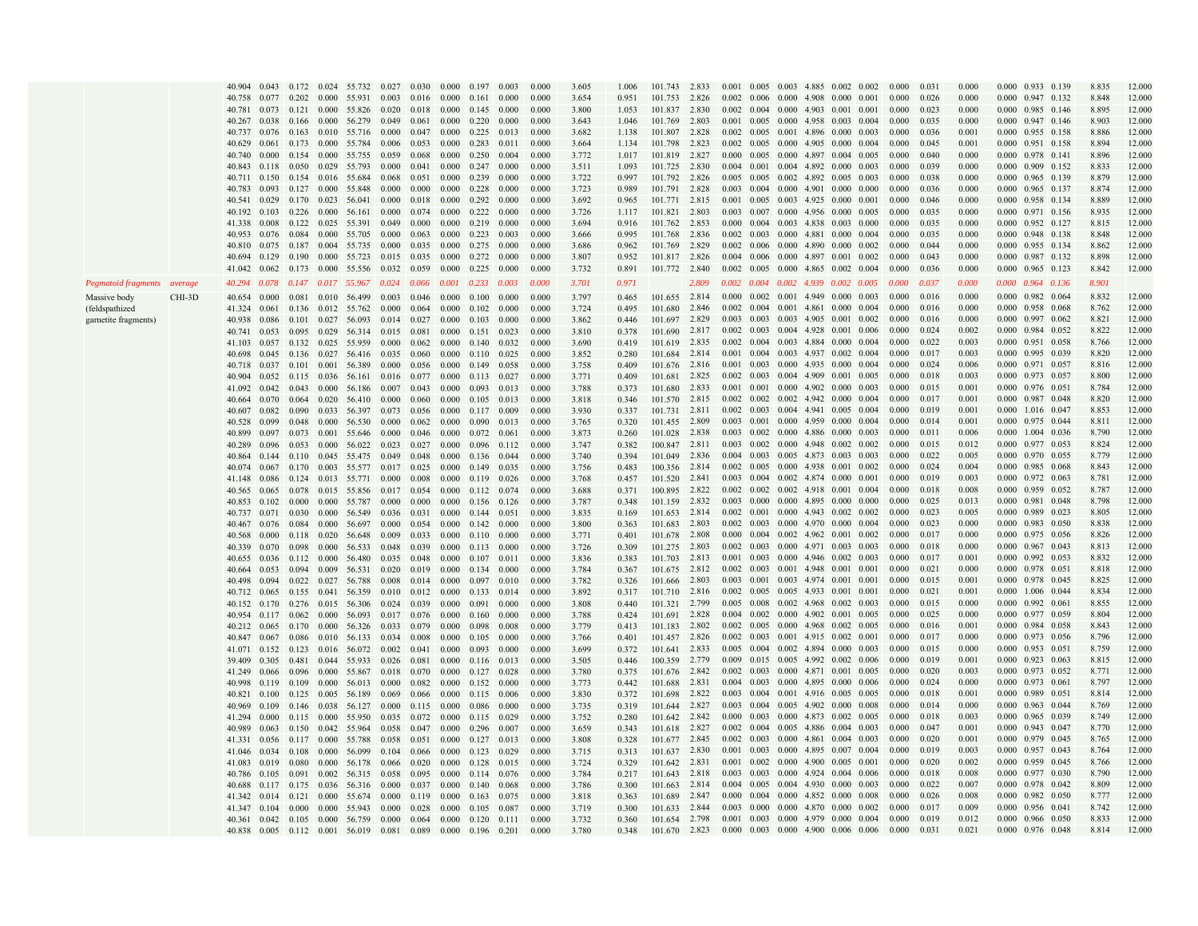|                             |        | 40.904       |       |       |       | 0.043 0.172 0.024 55.732 0.027                                   |                                         | 0.030                           |       | $0.000 \quad 0.197$             | 0.003 | 0.000 | 3.605 | 1.006 | 101.743       | 2.833 |       |  | 0.001 0.005 0.003 4.885 0.002 0.002             | 0.000 | 0.03  | 0.000 | 0.000 0.933 0.139               | 8.835 | 12.000 |
|-----------------------------|--------|--------------|-------|-------|-------|------------------------------------------------------------------|-----------------------------------------|---------------------------------|-------|---------------------------------|-------|-------|-------|-------|---------------|-------|-------|--|-------------------------------------------------|-------|-------|-------|---------------------------------|-------|--------|
|                             |        | 40.758       | 0.077 |       |       | 0.202 0.000 55.931 0.003                                         |                                         | $0.016$ $0.000$ $0.161$ $0.000$ |       |                                 |       | 0.000 | 3.654 | 0.951 | 101.753       | 2.826 |       |  | $0.002$ $0.006$ $0.000$ $4.908$ $0.000$ $0.001$ | 0.000 | 0.026 | 0.000 | 0.000 0.947 0.132               | 8.848 | 12.000 |
|                             |        | 40.781       | 0.073 |       |       | 0.121 0.000 55.826 0.020                                         |                                         | 0.018 0.000 0.145 0.000         |       |                                 |       | 0.000 | 3.800 | 1.053 | 101.837       | 2.830 |       |  | $0.002$ 0.004 0.000 4.903 0.001 0.001           | 0.000 | 0.023 | 0.000 | 0.000 0.985 0.146               | 8.895 | 12.000 |
|                             |        |              |       |       |       |                                                                  |                                         |                                 |       |                                 |       |       |       |       |               |       |       |  |                                                 |       |       |       |                                 |       |        |
|                             |        | 40.267 0.038 |       |       |       | 0.166 0.000 56.279 0.049                                         |                                         |                                 |       | $0.061$ $0.000$ $0.220$ $0.000$ |       | 0.000 | 3.643 | 1.046 | 101.769       | 2.803 |       |  | 0.001 0.005 0.000 4.958 0.003 0.004             | 0.000 | 0.035 | 0.000 | 0.000 0.947 0.146               | 8.903 | 12.000 |
|                             |        | 40.737 0.076 |       |       |       | 0.163 0.010 55.716 0.000                                         |                                         |                                 |       | $0.047$ 0.000 0.225 0.013       |       | 0.000 | 3.682 | 1.138 | 101.807       | 2.828 |       |  | $0.002$ $0.005$ $0.001$ 4.896 0.000 0.003       | 0.000 | 0.036 | 0.001 | 0.000 0.955 0.158               | 8.886 | 12.000 |
|                             |        | 40.629       | 0.061 |       |       | 0.173 0.000 55.784 0.006 0.053 0.000 0.283 0.011                 |                                         |                                 |       |                                 |       | 0.000 | 3.664 | 1.134 | 101.798       | 2.823 |       |  | $0.002$ $0.005$ $0.000$ $4.905$ $0.000$ $0.004$ | 0.000 | 0.045 | 0.001 | 0.000 0.951 0.158               | 8.894 | 12.000 |
|                             |        | 40.740       | 0.000 |       |       | 0.154 0.000 55.755 0.059 0.068                                   |                                         |                                 |       | $0.000 \quad 0.250 \quad 0.004$ |       | 0.000 | 3.772 | 1.017 | 101.819 2.827 |       |       |  | 0.000 0.005 0.000 4.897 0.004 0.005             | 0.000 | 0.040 | 0.000 | $0.000 \quad 0.978 \quad 0.141$ | 8.896 | 12.000 |
|                             |        | 40.843       | 0.118 |       |       | 0.050 0.029 55.793                                               | 0.000                                   | 0.041                           |       | $0.000 \quad 0.247 \quad 0.000$ |       | 0.000 | 3.511 | 1.093 | 101.725 2.830 |       |       |  | 0.004 0.001 0.004 4.892 0.000 0.003             | 0.000 | 0.039 | 0.000 | 0.000 0.909 0.152               | 8.833 | 12.000 |
|                             |        |              |       |       |       |                                                                  |                                         |                                 |       |                                 |       |       |       |       |               |       |       |  |                                                 |       |       |       |                                 |       |        |
|                             |        | 40 711       | 0.150 |       |       | 0.154 0.016 55.684                                               | 0.068                                   | 0.051                           |       | $0.000 \quad 0.239$             | 0.000 | 0.000 | 3.722 | 0.997 | 101.792       | 2.826 |       |  | 0.005 0.005 0.002 4.892 0.005 0.003             | 0.000 | 0.038 | 0.000 | 0.000 0.965 0.139               | 8.879 | 12.000 |
|                             |        | 40.783       | 0.093 | 0.127 | 0.000 | 55.848                                                           | 0.000                                   | 0.000                           |       | $0.000 \quad 0.228$             | 0.000 | 0.000 | 3.723 | 0.989 | 101.791       | 2.828 |       |  | 0.003 0.004 0.000 4.901 0.000 0.000             | 0.000 | 0.036 | 0.000 | 0.000 0.965 0.137               | 8.874 | 12.000 |
|                             |        | 40.541       | 0.029 |       |       | $0.170$ 0.023 56.041 0.000                                       |                                         | 0.018                           |       | $0.000 \quad 0.292 \quad 0.000$ |       | 0.000 | 3.692 | 0.965 | 101.771 2.815 |       |       |  | 0.001 0.005 0.003 4.925 0.000 0.001             | 0.000 | 0.046 | 0.000 | 0.000 0.958 0.134               | 8889  | 12.000 |
|                             |        |              |       |       |       | 40.192 0.103 0.226 0.000 56.161 0.000                            |                                         |                                 |       | $0.074$ $0.000$ $0.222$ $0.000$ |       | 0.000 | 3.726 | 1.117 | 101.821 2.803 |       |       |  | $0.003$ 0.007 0.000 4.956 0.000 0.005           | 0.000 | 0.035 | 0.000 | 0.000 0.971 0.156               | 8.935 | 12.000 |
|                             |        |              |       |       |       |                                                                  |                                         | 0.000                           |       |                                 |       | 0.000 |       |       |               |       |       |  |                                                 | 0.000 | 0.035 |       |                                 |       |        |
|                             |        | 41.338 0.008 |       |       |       | $0.122$ $0.025$ 55.391 0.049                                     |                                         |                                 |       | $0.000 \quad 0.219 \quad 0.000$ |       |       | 3.694 | 0.916 | 101.762 2.853 |       |       |  | $0.000$ $0.004$ $0.003$ $4.838$ $0.003$ $0.000$ |       |       | 0.000 | $0.000$ $0.952$ $0.127$         | 8.815 | 12.000 |
|                             |        | 40.953 0.076 |       |       |       | 0.084 0.000 55.705                                               | 0.000                                   | 0.063                           |       | $0.000 \quad 0.223 \quad 0.003$ |       | 0.000 | 3.666 | 0.995 | 101.768 2.836 |       |       |  | $0.002$ $0.003$ $0.000$ $4.881$ $0.000$ $0.004$ | 0.000 | 0.035 | 0.000 | 0.000 0.948 0.138               | 8.848 | 12.000 |
|                             |        |              |       |       |       | 40.810 0.075 0.187 0.004 55.735 0.000 0.035 0.000 0.275 0.000    |                                         |                                 |       |                                 |       | 0.000 | 3.686 | 0.962 | 101.769 2.829 |       |       |  | 0.002 0.006 0.000 4.890 0.000 0.002             | 0.000 | 0.044 | 0.000 | 0.000 0.955 0.134               | 8.862 | 12.000 |
|                             |        |              |       |       |       | 40.694 0.129 0.190 0.000 55.723 0.015 0.035 0.000 0.272 0.000    |                                         |                                 |       |                                 |       | 0.000 | 3.807 | 0.952 | 101.817 2.826 |       |       |  | $0.004$ $0.006$ $0.000$ $4.897$ $0.001$ $0.002$ | 0.000 | 0.043 | 0.000 | 0.000 0.987 0.132               | 8.898 | 12.000 |
|                             |        | 41.042 0.062 |       |       |       | $0.173$ 0.000 55.556 0.032 0.059 0.000 0.225 0.000               |                                         |                                 |       |                                 |       | 0.000 | 3.732 | 0.891 | 101.772 2.840 |       |       |  | $0.002$ $0.005$ $0.000$ $4.865$ $0.002$ $0.004$ | 0.000 | 0.036 | 0.000 | 0.000 0.965 0.123               | 8.842 | 12.000 |
|                             |        |              |       |       |       |                                                                  |                                         |                                 |       |                                 |       |       |       |       |               |       |       |  |                                                 |       |       |       |                                 |       |        |
| Pegmatoid fragments average |        | 40.294       | 0.078 |       |       | $0.147$ $0.017$ 55.967 0.024 0.066 0.001 0.233 0.003             |                                         |                                 |       |                                 |       | 0.000 | 3.701 | 0.971 |               | 2.809 |       |  | $0.002$ $0.004$ $0.002$ $4.939$ $0.002$ $0.005$ | 0.000 | 0.037 | 0.000 | 0.000 0.964 0.136               | 8.901 |        |
| Massive body                | CHI-3D | 40.654       | 0.000 | 0.081 |       | $0.010$ 56.499 $0.003$ 0.046 0.000 0.100 0.000                   |                                         |                                 |       |                                 |       | 0.000 | 3.797 | 0.465 | 101.655 2.814 |       | 0.000 |  | 0.002 0.001 4.949 0.000 0.003                   | 0.000 | 0.016 | 0.000 | 0.000 0.982 0.064               | 8.832 | 12.000 |
|                             |        | 41.324 0.061 |       |       |       | $0.136$ $0.012$ $55.762$ $0.000$                                 |                                         | $0.064$ $0.000$ $0.102$ $0.000$ |       |                                 |       | 0.000 | 3.724 | 0.495 | 101.680 2.846 |       |       |  | $0.002$ $0.004$ $0.001$ $4.861$ $0.000$ $0.004$ | 0.000 | 0.016 | 0.000 | 0.000 0.958 0.068               | 8.762 | 12.000 |
| (feldspathized              |        |              |       |       |       |                                                                  |                                         |                                 |       |                                 |       |       |       |       |               |       |       |  |                                                 |       |       |       |                                 |       |        |
| garnetite fragments)        |        | 40.938       | 0.086 |       |       | $0.101$ $0.027$ 56.093 0.014                                     |                                         | 0.027                           |       | $0.000$ $0.103$ $0.000$         |       | 0.000 | 3.862 | 0.446 | 101.697 2.829 |       |       |  | 0.003 0.003 0.003 4.905 0.001 0.002             | 0.000 | 0.016 | 0.000 | $0.000$ 0.997 0.062             | 8.821 | 12.000 |
|                             |        | 40.741       | 0.053 |       |       | $0.095$ $0.029$ $56.314$ $0.015$                                 |                                         | 0.081                           |       | 0.000 0.151 0.023               |       | 0.000 | 3.810 | 0.378 | 101.690       | 2.817 | 0.002 |  | 0.003 0.004 4.928 0.001 0.006                   | 0.000 | 0.024 | 0.002 | $0.000$ 0.984 0.052             | 8.822 | 12.000 |
|                             |        | 41.103 0.057 |       |       |       | 0.132 0.025 55.959 0.000                                         |                                         |                                 |       | $0.062$ $0.000$ $0.140$ $0.032$ |       | 0.000 | 3.690 | 0.419 | 101.619 2.835 |       |       |  | 0.002 0.004 0.003 4.884 0.000 0.004             | 0.000 | 0.022 | 0.003 | $0.000 \quad 0.951 \quad 0.058$ | 8.766 | 12.000 |
|                             |        | 40.698       | 0.045 |       |       | 0.136 0.027 56.416 0.035 0.060                                   |                                         |                                 |       | 0.000 0.110 0.025               |       | 0.000 | 3.852 | 0.280 | 101.684 2.814 |       |       |  | 0.001 0.004 0.003 4.937 0.002 0.004             | 0.000 | 0.017 | 0.003 | 0.000 0.995 0.039               | 8.820 | 12.000 |
|                             |        |              |       |       |       |                                                                  |                                         |                                 |       |                                 |       |       |       |       | 101.676 2.816 |       |       |  | $0.001$ $0.003$ $0.000$ $4.935$ $0.000$ $0.004$ | 0.000 | 0.024 | 0.006 | 0.000 0.971 0.057               | 8.816 | 12.000 |
|                             |        | 40.718 0.037 |       |       |       | $0.101$ $0.001$ $56.389$ $0.000$                                 |                                         | 0.056                           |       | $0.000$ $0.149$ $0.058$         |       | 0.000 | 3.758 | 0.409 |               |       |       |  |                                                 |       |       |       |                                 |       |        |
|                             |        | 40.904       | 0.052 |       |       | 0.115 0.036 56.161 0.016 0.077 0.000 0.113 0.027                 |                                         |                                 |       |                                 |       | 0.000 | 3.771 | 0.409 | 101.681       | 2.825 |       |  | $0.002$ $0.003$ $0.004$ 4.909 $0.001$ 0.005     | 0.000 | 0.018 | 0.003 | 0.000 0.973 0.057               | 8.800 | 12.000 |
|                             |        | 41.092       | 0.042 |       |       | $0.043$ 0.000 56.186 0.007 0.043                                 |                                         |                                 |       | 0.000 0.093 0.013               |       | 0.000 | 3.788 | 0.373 | 101.680 2.833 |       |       |  | $0.001$ $0.001$ $0.000$ $4.902$ $0.000$ $0.003$ | 0.000 | 0.015 | 0.001 | 0.000 0.976 0.051               | 8.784 | 12.000 |
|                             |        | 40.664       | 0.070 |       |       | 0.064 0.020 56.410 0.000                                         |                                         | 0.060                           |       | $0.000 \quad 0.105 \quad 0.013$ |       | 0.000 | 3.818 | 0.346 | 101.570 2.815 |       |       |  | $0.002$ $0.002$ $0.002$ $4.942$ $0.000$ $0.004$ | 0.000 | 0.017 | 0.001 | 0.000 0.987 0.048               | 8.820 | 12.000 |
|                             |        | 40.607       | 0.082 | 0.090 |       | 0.033 56.397                                                     | 0.073                                   | 0.056                           |       | 0.000 0.117 0.009               |       | 0.000 | 3.930 | 0.337 | 101.731       | 2.811 |       |  | 0.002 0.003 0.004 4.941 0.005 0.004             | 0.000 | 0.019 | 0.001 | 0.000 1.016 0.047               | 8.853 | 12.000 |
|                             |        | 40.528       | 0.099 | 0.048 |       | 0.000 56.530                                                     | 0.000                                   | 0.062                           |       | 0.000 0.090 0.013               |       | 0.000 | 3.765 | 0.320 | 101.455       | 2.809 |       |  | 0.003 0.001 0.000 4.959 0.000 0.004             | 0.000 | 0.014 | 0.001 | 0.000 0.975 0.044               | 8.811 | 12.000 |
|                             |        |              |       |       |       |                                                                  |                                         |                                 |       |                                 |       |       |       |       |               |       |       |  |                                                 |       |       |       |                                 |       |        |
|                             |        | 40.899       | 0.097 |       |       | 0.073 0.001 55.646 0.000                                         |                                         | 0.046                           |       | $0.000$ $0.072$ $0.061$         |       | 0.000 | 3.873 | 0.260 | 101.028       | 2.838 |       |  | 0.003 0.002 0.000 4.886 0.000 0.003             | 0.000 | 0.011 | 0.006 | 0.000 1.004 0.036               | 8.790 | 12.000 |
|                             |        | 40.289       | 0.096 |       |       | 0.053 0.000 56.022 0.023                                         |                                         | 0.027 0.000 0.096 0.112         |       |                                 |       | 0.000 | 3.747 | 0.382 | 100.847 2.811 |       |       |  | $0.003$ $0.002$ $0.000$ $4.948$ $0.002$ $0.002$ | 0.000 | 0.015 | 0.012 | 0.000 0.977 0.053               | 8.824 | 12.000 |
|                             |        | 40.864 0.144 |       |       |       | 0.110 0.045 55.475 0.049                                         |                                         |                                 |       | $0.048$ 0.000 0.136 0.044       |       | 0.000 | 3.740 | 0.394 | 101.049 2.836 |       |       |  | 0.004 0.003 0.005 4.873 0.003 0.003             | 0.000 | 0.022 | 0.005 | 0.000 0.970 0.055               | 8.779 | 12.000 |
|                             |        | 40.074       | 0.067 |       |       | 0.170 0.003 55.577                                               |                                         | 0.017 0.025 0.000 0.149 0.035   |       |                                 |       | 0.000 | 3.756 | 0.483 | 100.356 2.814 |       |       |  | 0.002 0.005 0.000 4.938 0.001 0.002             | 0.000 | 0.024 | 0.004 | 0.000 0.985 0.068               | 8.843 | 12.000 |
|                             |        | 41.148 0.086 |       |       |       | 0.124 0.013 55.771 0.000 0.008 0.000 0.119 0.026                 |                                         |                                 |       |                                 |       | 0.000 | 3.768 | 0.457 | 101.520 2.841 |       |       |  | 0.003 0.004 0.002 4.874 0.000 0.001             | 0.000 | 0.019 | 0.003 | 0.000 0.972 0.063               | 8.781 | 12.000 |
|                             |        |              |       |       |       |                                                                  |                                         |                                 |       |                                 |       |       |       |       |               |       |       |  |                                                 |       |       |       |                                 |       |        |
|                             |        | 40.565       | 0.065 |       |       | 0.078 0.015 55.856                                               |                                         | $0.017$ 0.054                   |       | 0.000 0.112 0.074               |       | 0.000 | 3.688 | 0.371 | 100.895 2.822 |       |       |  | $0.002$ $0.002$ $0.002$ $4.918$ $0.001$ $0.004$ | 0.000 | 0.018 | 0.008 | $0.000 \quad 0.959 \quad 0.052$ | 8.787 | 12.000 |
|                             |        | 40.853       | 0.102 |       |       | 0.000 0.000 55.787                                               | 0.000                                   | 0.000                           |       | $0.000 \quad 0.156 \quad 0.126$ |       | 0.000 | 3.787 | 0.348 | 101.159 2.832 |       |       |  | $0.003$ $0.000$ $0.000$ $4.895$ $0.000$ $0.000$ | 0.000 | 0.025 | 0.013 | 0.000 0.981 0.048               | 8.798 | 12.000 |
|                             |        | 40.737       | 0.071 | 0.030 |       | 0.000 56.549                                                     | 0.036                                   | 0.031                           |       | $0.000 \quad 0.144$             | 0.051 | 0.000 | 3.835 | 0.169 | 101.653       | 2.814 |       |  | 0.002 0.001 0.000 4.943 0.002 0.002             | 0.000 | 0.023 | 0.005 | 0.000 0.989 0.023               | 8.805 | 12.000 |
|                             |        | 40.467       | 0.076 |       |       | 0.084 0.000 56.697                                               | 0.000                                   |                                 |       | $0.054$ $0.000$ $0.142$ $0.000$ |       | 0.000 | 3.800 | 0.363 | 101.683 2.803 |       |       |  | $0.002$ $0.003$ $0.000$ $4.970$ $0.000$ $0.004$ | 0.000 | 0.023 | 0.000 | $0.000$ 0.983 0.050             | 8.838 | 12.000 |
|                             |        | 40.568       | 0.000 |       |       | 0.118 0.020 56.648                                               | 0.009                                   |                                 |       | 0.033 0.000 0.110 0.000         |       | 0.000 | 3.771 | 0.401 | 101.678 2.808 |       |       |  | $0.000$ $0.004$ $0.002$ $4.962$ $0.001$ $0.002$ | 0.000 | 0.017 | 0.000 | 0.000 0.975 0.056               | 8.826 | 12.000 |
|                             |        |              |       |       |       |                                                                  |                                         |                                 |       |                                 |       |       |       |       |               |       |       |  |                                                 |       |       |       |                                 |       |        |
|                             |        | 40.339 0.070 |       |       |       | $0.098$ 0.000 56.533 0.048 0.039 0.000 0.113 0.000               |                                         |                                 |       |                                 |       | 0.000 | 3.726 | 0.309 | 101.275 2.803 |       |       |  | 0.002 0.003 0.000 4.971 0.003 0.003             | 0.000 | 0.018 | 0.000 | 0.000 0.967 0.043               | 8.813 | 12.000 |
|                             |        | 40.655 0.036 |       |       |       | 0.112 0.000 56.480                                               | 0.035                                   |                                 |       | $0.048$ $0.000$ $0.107$ $0.011$ |       | 0.000 | 3.836 | 0.383 | 101.703 2.813 |       |       |  | 0.001 0.003 0.000 4.946 0.002 0.003             | 0.000 | 0.017 | 0.001 | 0.000 0.992 0.053               | 8.832 | 12.000 |
|                             |        | 40.664 0.053 |       |       |       | 0.094 0.009 56.531 0.020 0.019 0.000 0.134 0.000                 |                                         |                                 |       |                                 |       | 0.000 | 3.784 | 0.367 | 101.675 2.812 |       |       |  | $0.002$ $0.003$ $0.001$ $4.948$ $0.001$ $0.001$ | 0.000 | 0.021 | 0.000 | 0.000 0.978 0.051               | 8.818 | 12.000 |
|                             |        | 40.498       | 0.094 |       |       | 0.022 0.027 56.788                                               |                                         | $0.008$ 0.014 0.000 0.097 0.010 |       |                                 |       | 0.000 | 3.782 | 0.326 | 101.666 2.803 |       |       |  | 0.003 0.001 0.003 4.974 0.001 0.001             | 0.000 | 0.015 | 0.001 | 0.000 0.978 0.045               | 8.825 | 12.000 |
|                             |        | 40.712 0.065 |       |       |       | $0.155 \quad 0.041 \quad 56.359$                                 | 0.010                                   | $0.012$ $0.000$ $0.133$ $0.014$ |       |                                 |       | 0.000 | 3.892 | 0.317 | 101.710 2.816 |       |       |  | 0.002 0.005 0.005 4.933 0.001 0.001             | 0.000 | 0.021 | 0.001 | 0.000 1.006 0.044               | 8.834 | 12.000 |
|                             |        | 40.152 0.170 |       |       |       | 0.276 0.015 56.306                                               | 0.024                                   | 0.039                           |       | 0.000 0.091                     | 0.000 | 0.000 | 3.808 | 0.440 | 101.321 2.799 |       |       |  | 0.005 0.008 0.002 4.968 0.002 0.003             | 0.000 | 0.015 | 0.000 | $0.000$ $0.992$ $0.061$         | 8.855 | 12.000 |
|                             |        |              |       |       |       |                                                                  |                                         |                                 |       |                                 |       |       |       |       |               |       |       |  |                                                 |       |       |       |                                 |       |        |
|                             |        | 40.954 0.117 |       |       |       | 0.062 0.000 56.093                                               | $0.017$ $0.076$ $0.000$ $0.160$ $0.000$ |                                 |       |                                 |       | 0.000 | 3.788 | 0.424 | 101.691 2.828 |       |       |  | $0.004$ $0.002$ $0.000$ $4.902$ $0.001$ $0.005$ | 0.000 | 0.025 | 0.000 | 0.000 0.977 0.059               | 8.804 | 12.000 |
|                             |        | 40.212 0.065 |       |       |       | 0.170 0.000 56.326                                               | 0.033                                   | 0.079                           |       | $0.000$ $0.098$ $0.008$         |       | 0.000 | 3.779 | 0.413 | 101.183 2.802 |       |       |  | 0.002 0.005 0.000 4.968 0.002 0.005             | 0.000 | 0.016 | 0.001 | 0.000 0.984 0.058               | 8.843 | 12.000 |
|                             |        | 40.847 0.067 |       |       |       | $0.086$ $0.010$ $56.133$ $0.034$ $0.008$ $0.000$ $0.105$ $0.000$ |                                         |                                 |       |                                 |       | 0.000 | 3.766 | 0.401 | 101.457 2.826 |       |       |  | 0.002 0.003 0.001 4.915 0.002 0.001             | 0.000 | 0.017 | 0.000 | 0.000 0.973 0.056               | 8.796 | 12.000 |
|                             |        | 41.071 0.152 |       |       |       | 0.123 0.016 56.072 0.002                                         |                                         | 0.041                           |       | $0.000$ $0.093$ $0.000$         |       | 0.000 | 3.699 | 0.372 | 101.641 2.833 |       |       |  | $0.005$ $0.004$ $0.002$ $4.894$ $0.000$ $0.003$ | 0.000 | 0.015 | 0.000 | $0.000$ 0.953 0.051             | 8.759 | 12.000 |
|                             |        | 39.409       | 0.305 |       |       | 0.481 0.044 55.933 0.026 0.081 0.000 0.116 0.013                 |                                         |                                 |       |                                 |       | 0.000 | 3.505 | 0.446 | 100.359 2.779 |       |       |  | 0.009 0.015 0.005 4.992 0.002 0.006             | 0.000 | 0.019 | 0.001 | 0.000 0.923 0.063               | 8.815 | 12.000 |
|                             |        |              |       |       |       |                                                                  |                                         |                                 |       |                                 |       |       |       |       |               |       |       |  | 0.002 0.003 0.000 4.871 0.001 0.005             | 0.000 | 0.020 | 0.003 | $0.000$ 0.973 0.052             | 8.771 | 12.000 |
|                             |        | 41.249       | 0.066 |       |       | 0.096 0.000 55.867                                               | $0.018$ $0.070$ $0.000$ $0.127$ $0.028$ |                                 |       |                                 |       | 0.000 | 3.780 | 0.375 | 101.676 2.842 |       |       |  |                                                 |       |       |       |                                 |       |        |
|                             |        | 40.998       | 0.119 |       |       | 0.109 0.000 56.013                                               | 0.000                                   | 0.082                           |       | $0.000 \quad 0.152 \quad 0.000$ |       | 0.000 | 3.773 | 0.442 | 101.688       | 2.831 |       |  | 0.004 0.003 0.000 4.895 0.000 0.006             | 0.000 | 0.024 | 0.000 | 0.000 0.973 0.061               | 8.797 | 12.000 |
|                             |        | 40.821       | 0.100 |       |       | 0.125 0.005 56.189                                               | 0.069                                   | 0.066                           |       | $0.000 \quad 0.115$             | 0.006 | 0.000 | 3.830 | 0.372 | 101.698       | 2.822 |       |  | 0.003 0.004 0.001 4.916 0.005 0.005             | 0.000 | 0.018 | 0.001 | 0.000 0.989 0.051               | 8.814 | 12.000 |
|                             |        | 40.969       | 0.109 |       |       | 0.146 0.038 56.127                                               | 0.000                                   |                                 |       | $0.115$ $0.000$ $0.086$ $0.000$ |       | 0.000 | 3.735 | 0.319 | 101.644 2.827 |       |       |  | $0.003$ $0.004$ $0.005$ $4.902$ $0.000$ $0.008$ | 0.000 | 0.014 | 0.000 | 0.000 0.963 0.044               | 8.769 | 12.000 |
|                             |        | 41.294       | 0.000 |       |       | $0.115$ $0.000$ 55.950                                           | 0.035                                   | $0.072$ 0.000 0.115 0.029       |       |                                 |       | 0.000 | 3.752 | 0.280 | 101.642 2.842 |       |       |  | $0.000$ $0.003$ $0.000$ 4.873 0.002 0.005       | 0.000 | 0.018 | 0.003 | 0.000 0.965 0.039               | 8.749 | 12.000 |
|                             |        |              |       |       |       |                                                                  |                                         |                                 |       |                                 |       |       |       |       | 101.618 2.827 |       |       |  | 0.002 0.004 0.005 4.886 0.004 0.003             | 0.000 | 0.047 | 0.001 | 0.000 0.943 0.047               | 8.770 | 12.000 |
|                             |        | 40.989       | 0.063 |       |       | $0.150 \quad 0.042 \quad 55.964 \quad 0.058$                     |                                         |                                 |       | 0.047 0.000 0.296 0.007         |       | 0.000 | 3.659 | 0.343 |               |       |       |  |                                                 |       |       |       |                                 |       |        |
|                             |        | 41.331       | 0.056 |       |       | 0.117 0.000 55.788                                               | 0.058                                   | 0.051                           |       | $0.000 \quad 0.127$             | 0.013 | 0.000 | 3.808 | 0.328 | 101.677 2.845 |       |       |  | $0.002$ 0.003 0.000 4.861 0.004 0.003           | 0.000 | 0.020 | 0.001 | 0.000 0.979 0.045               | 8.765 | 12.000 |
|                             |        | 41.046       | 0.034 |       |       | 0.108 0.000 56.099 0.104 0.066 0.000 0.123 0.029                 |                                         |                                 |       |                                 |       | 0.000 | 3.715 | 0.313 | 101.637 2.830 |       |       |  | 0.001 0.003 0.000 4.895 0.007 0.004             | 0.000 | 0.019 | 0.003 | 0.000 0.957 0.043               | 8.764 | 12.000 |
|                             |        | 41.083       | 0.019 | 0.080 |       | 0.000 56.178 0.066                                               |                                         | 0.020                           |       | 0.000 0.128 0.015               |       | 0.000 | 3.724 | 0.329 | 101.642 2.831 |       |       |  | 0.001 0.002 0.000 4.900 0.005 0.001             | 0.000 | 0.020 | 0.002 | 0.000 0.959 0.045               | 8.766 | 12.000 |
|                             |        | 40.786       | 0.105 | 0.091 |       | 0.002 56.315 0.058                                               |                                         | 0.095                           |       | 0.000 0.114 0.076               |       | 0.000 | 3.784 | 0.217 | 101.643 2.818 |       |       |  | 0.003 0.003 0.000 4.924 0.004 0.006             | 0.000 | 0.018 | 0.008 | 0.000 0.977 0.030               | 8.790 | 12.000 |
|                             |        |              |       |       |       |                                                                  |                                         |                                 |       |                                 |       |       |       |       | 101.663 2.814 |       |       |  | $0.004$ $0.005$ $0.004$ $4.930$ $0.000$ $0.003$ | 0.000 | 0.022 | 0.007 | 0.000 0.978 0.042               | 8.809 | 12.000 |
|                             |        | 40.688       | 0.117 | 0.175 |       | 0.036 56.316                                                     | 0.000                                   | 0.037                           | 0.000 | 0.140                           | 0.068 | 0.000 | 3.786 | 0.300 |               |       |       |  |                                                 |       |       |       |                                 |       |        |
|                             |        | 41.342 0.014 |       |       |       | 0.121 0.000 55.674 0.000                                         |                                         | 0.119                           |       | $0.000 \quad 0.163 \quad 0.075$ |       | 0.000 | 3.818 | 0.363 | 101.689       | 2.847 | 0.000 |  | $0.004$ $0.000$ $4.852$ $0.000$ $0.008$         | 0.000 | 0.026 | 0.008 | $0.000$ 0.982 0.050             | 8.777 | 12.000 |
|                             |        | 41.347 0.104 |       |       |       | $0.000$ $0.000$ 55.943 0.000                                     |                                         | 0.028                           |       | $0.000 \quad 0.105 \quad 0.087$ |       | 0.000 | 3.719 | 0.300 | 101.633 2.844 |       |       |  | $0.003$ $0.000$ $0.000$ $4.870$ $0.000$ $0.002$ | 0.000 | 0.017 | 0.009 | 0.000 0.956 0.041               | 8.742 | 12.000 |
|                             |        |              |       |       |       | 40.361 0.042 0.105 0.000 56.759 0.000                            |                                         | $0.064$ 0.000 0.120 0.111       |       |                                 |       | 0.000 | 3.732 | 0.360 | 101.654 2.798 |       |       |  | $0.001$ $0.003$ $0.000$ $4.979$ $0.000$ $0.004$ | 0.000 | 0.019 | 0.012 | 0.000 0.966 0.050               | 8.833 | 12.000 |
|                             |        |              |       |       |       | 40.838 0.005 0.112 0.001 56.019 0.081                            |                                         |                                 |       | 0.089 0.000 0.196 0.201         |       | 0.000 | 3.780 | 0.348 | 101.670 2.823 |       |       |  | 0.000 0.003 0.000 4.900 0.006 0.006             | 0.000 | 0.031 | 0.021 | $0.000$ 0.976 0.048             | 8.814 | 12.000 |
|                             |        |              |       |       |       |                                                                  |                                         |                                 |       |                                 |       |       |       |       |               |       |       |  |                                                 |       |       |       |                                 |       |        |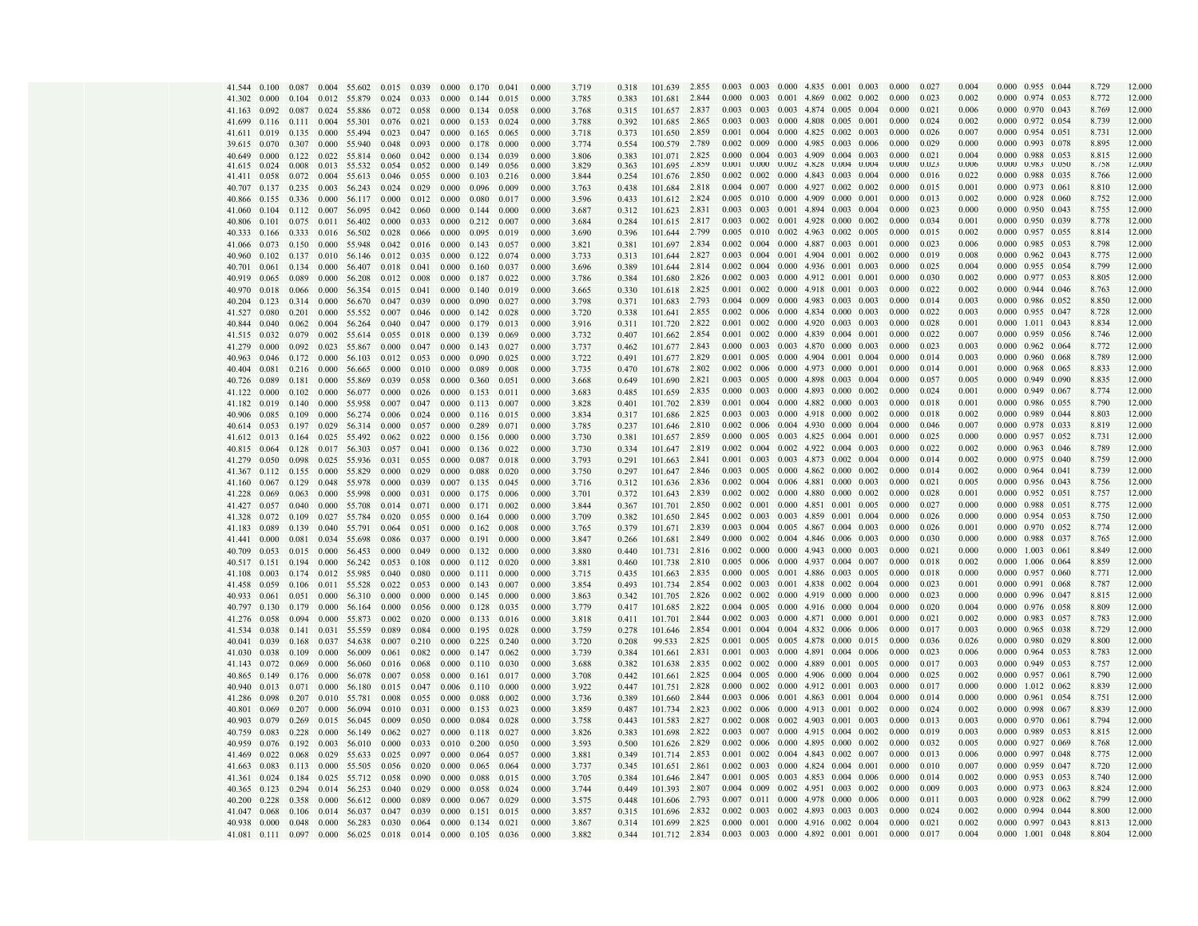|              |                    |                          |       | 41.544 0.100 0.087 0.004 55.602 0.015 0.039 0.000             |               |                                 |                                 | 0.170 0.041                     |       | 0.000 | 3.719 | 0.318 | 101.639 2.855 |       | 0.003 0.003 0.000 4.835 0.001 0.003             |  |  | 0.000 | 0.027 | 0.004 |                                 | 0.000 0.955 0.044               |       | 8.729   | 12.000 |
|--------------|--------------------|--------------------------|-------|---------------------------------------------------------------|---------------|---------------------------------|---------------------------------|---------------------------------|-------|-------|-------|-------|---------------|-------|-------------------------------------------------|--|--|-------|-------|-------|---------------------------------|---------------------------------|-------|---------|--------|
|              |                    |                          |       | 41.302 0.000 0.104 0.012 55.879                               | $0.024$ 0.033 |                                 | $0.000$ $0.144$ $0.015$         |                                 |       | 0.000 | 3.785 | 0.383 | 101.681 2.844 |       | $0.000$ $0.003$ $0.001$ $4.869$ $0.002$ $0.002$ |  |  | 0.000 | 0.023 | 0.002 | 0.000 0.974 0.053               |                                 |       | 8 7 7 2 | 12.000 |
| 41.163       |                    |                          |       | 0.092 0.087 0.024 55.886                                      | 0.072         | 0.058                           | $0.000 \quad 0.134 \quad 0.058$ |                                 |       | 0.000 | 3.768 | 0.315 | 101.657 2.837 |       | 0.003 0.003 0.003 4.874 0.005 0.004             |  |  | 0.000 | 0.021 | 0.006 | $0.000 \quad 0.970 \quad 0.043$ |                                 |       | 8.769   | 12.000 |
| 41.699       |                    |                          |       | $0.116$ $0.111$ $0.004$ 55.301                                | 0.076         | 0.021                           | 0.000                           | $0.153$ $0.024$                 |       | 0.000 | 3.788 | 0.392 | 101.685 2.865 |       | 0.003 0.003 0.000 4.808 0.005 0.001             |  |  | 0.000 | 0.024 | 0.002 | 0.000 0.972 0.054               |                                 |       | 8.739   | 12.000 |
|              |                    |                          |       | 41.611 0.019 0.135 0.000 55.494                               | 0.023         | $0.047$ 0.000                   |                                 | 0.165                           | 0.065 | 0.000 | 3.718 | 0.373 | 101.650 2.859 |       | $0.001$ $0.004$ $0.000$ $4.825$ $0.002$ $0.003$ |  |  | 0.000 | 0.026 | 0.007 | $0.000$ 0.954 0.051             |                                 |       | 8.731   | 12.000 |
|              |                    | 39.615 0.070 0.307 0.000 |       | 55.940                                                        |               | 0.048 0.093 0.000               |                                 | 0.178                           | 0.000 | 0.000 | 3.774 | 0.554 | 100.579 2.789 |       | 0.002 0.009 0.000 4.985 0.003 0.006             |  |  | 0.000 | 0.025 | 0.000 |                                 | 0.000 0.993 0.078               |       | 8.895   | 12.000 |
| 40.649       | 0.000              |                          |       | 0.122 0.022 55.814                                            | 0.060         | 0.042                           | 0.000                           | 0.134                           | 0.039 | 0.000 | 3.806 | 0.383 | 101.071 2.825 |       | 0.000 0.004 0.003 4.909 0.004 0.003             |  |  | 0.000 | 0.021 | 0.004 |                                 | 0.000 0.988 0.053               |       | 8.815   | 12.000 |
| 41.615       |                    | 0.024 0.008              | 0.013 | 55.532                                                        | 0.054         | 0.052                           | 0.000                           | 0.149                           | 0.056 | 0.000 | 3.829 | 0.363 | 101.695       | 2.859 | 0.001  0.000  0.002  4.828  0.004  0.004        |  |  | 0.000 | 0.023 | 0.006 | 0.000 0.983 0.050               |                                 |       | 8.758   | 12.000 |
|              |                    |                          |       | 41.411 0.058 0.072 0.004 55.613                               |               | 0.046 0.055 0.000               |                                 | $0.103$ 0.216                   |       | 0.000 | 3.844 | 0.254 | 101.676       | 2.850 | $0.002$ $0.002$ $0.000$ $4.843$ $0.003$ $0.004$ |  |  | 0.000 | 0.016 | 0.022 | 0.000 0.988 0.035               |                                 |       | 8.766   | 12.000 |
| 40.707       |                    |                          |       | 0.137 0.235 0.003 56.243                                      | 0.024         | $0.029$ 0.000                   |                                 | 0.096                           | 0.009 | 0.000 | 3.763 | 0.438 | 101.684 2.818 |       | $0.004$ $0.007$ $0.000$ $4.927$ $0.002$ $0.002$ |  |  | 0.000 | 0.015 | 0.001 | 0.000 0.973 0.061               |                                 |       | 8.810   | 12.000 |
| 40.866       |                    | 0.155 0.336 0.000        |       | 56.117                                                        | 0.000         | $0.012 \quad 0.000$             |                                 | 0.080                           | 0.017 | 0.000 | 3.596 | 0.433 | 101.612 2.824 |       | $0.005$ $0.010$ $0.000$ $4.909$ $0.000$ $0.001$ |  |  | 0.000 | 0.013 | 0.002 | 0.000 0.928 0.060               |                                 |       | 8.752   | 12.000 |
| 41.060       | 0.104              |                          |       | 0.112 0.007 56.095                                            | 0.042         | 0.060                           | 0.000                           | 0.144                           | 0.000 | 0.000 | 3.687 | 0.312 | 101.623 2.831 |       | 0.003 0.003 0.001 4.894 0.003 0.004             |  |  | 0.000 | 0.023 | 0.000 | 0.000 0.950 0.043               |                                 |       | 8.755   | 12.000 |
|              |                    |                          |       | 40.806 0.101 0.075 0.011 56.402                               | 0.000         | 0.033                           | 0.000                           | 0.212                           | 0.007 | 0.000 | 3.684 | 0.284 | 101.615 2.817 |       | $0.003$ $0.002$ $0.001$ $4.928$ $0.000$ $0.002$ |  |  | 0.000 | 0.034 | 0.001 | 0.000 0.950 0.039               |                                 |       | 8.778   | 12.000 |
|              |                    |                          |       | 40.333 0.166 0.333 0.016 56.502                               | 0.028         | 0.066 0.000                     |                                 | 0.095                           | 0.019 | 0.000 | 3.690 | 0.396 | 101.644 2.799 |       | 0.005 0.010 0.002 4.963 0.002 0.005             |  |  | 0.000 | 0.015 | 0.002 | 0.000 0.957 0.055               |                                 |       | 8.814   | 12.000 |
|              |                    |                          |       | 41.066 0.073 0.150 0.000 55.948                               |               | $0.042 \quad 0.016 \quad 0.000$ |                                 | 0.143                           | 0.057 | 0.000 | 3.821 | 0.381 | 101.697 2.834 |       | $0.002$ $0.004$ $0.000$ $4.887$ $0.003$ $0.001$ |  |  | 0.000 | 0.023 | 0.006 | $0.000 \quad 0.985 \quad 0.053$ |                                 |       | 8.798   | 12.000 |
|              |                    |                          |       | 40.960 0.102 0.137 0.010 56.146                               |               | $0.012$ $0.035$ $0.000$         |                                 | $0.122 \quad 0.074$             |       | 0.000 | 3.733 | 0.313 | 101.644 2.827 |       | $0.003$ $0.004$ $0.001$ 4.904 $0.001$ $0.002$   |  |  | 0.000 | 0.019 | 0.008 | 0.000 0.962 0.043               |                                 |       | 8.775   | 12.000 |
|              |                    |                          |       | 40.701 0.061 0.134 0.000 56.407                               | 0.018         | 0.041                           | 0.000                           | 0.160                           | 0.037 | 0.000 | 3.696 | 0.389 | 101.644 2.814 |       | 0.002 0.004 0.000 4.936 0.001 0.003             |  |  | 0.000 | 0.025 | 0.004 | 0.000 0.955 0.054               |                                 |       | 8.799   | 12.000 |
| 40.919       |                    | $0.065$ 0.089 0.000      |       | 56.208                                                        |               | $0.012$ 0.008 0.000             |                                 | 0.187 0.022                     |       | 0.000 | 3.786 | 0.384 | 101.680 2.826 |       | $0.002$ $0.003$ $0.000$ $4.912$ $0.001$ $0.001$ |  |  | 0.000 | 0.030 | 0.002 | 0.000 0.977 0.053               |                                 |       | 8.805   | 12.000 |
| 40.970       |                    | 0.018 0.066              | 0.000 | 56.354                                                        |               | $0.015$ $0.041$ $0.000$         |                                 | 0.140                           | 0.019 | 0.000 | 3.665 | 0.330 | 101.618 2.825 |       | $0.001$ $0.002$ $0.000$ $4.918$ $0.001$ $0.003$ |  |  | 0.000 | 0.022 | 0.002 | $0.000$ 0.944 0.046             |                                 |       | 8.763   | 12.000 |
| 40.204       |                    | $0.123$ $0.314$ $0.000$  |       | 56.670                                                        |               | 0.047 0.039 0.000               |                                 | 0.090                           | 0.027 | 0.000 | 3.798 | 0.371 | 101.683 2.793 |       | 0.004 0.009 0.000 4.983 0.003 0.003             |  |  | 0.000 | 0.014 | 0.003 | 0.000 0.986 0.052               |                                 |       | 8.850   | 12.000 |
| 41.527       | 0.080              | 0.201                    |       | 0.000 55.552                                                  | 0.007         | $0.046$ 0.000                   |                                 | 0.142                           | 0.028 | 0.000 | 3.720 | 0.338 | 101.641 2.855 |       | 0.002 0.006 0.000 4.834 0.000 0.003             |  |  | 0.000 | 0.022 | 0.003 | $0.000 \quad 0.955 \quad 0.047$ |                                 |       | 8.728   | 12.000 |
| 40.844 0.040 |                    |                          |       | $0.062$ $0.004$ 56.264                                        | 0.040         | $0.047$ 0.000                   |                                 | 0.179                           | 0.013 | 0.000 | 3.916 | 0.311 | 101.720 2.822 |       | $0.001$ $0.002$ $0.000$ $4.920$ $0.003$ $0.003$ |  |  | 0.000 | 0.028 | 0.001 | $0.000$ $1.011$ $0.043$         |                                 |       | 8.834   | 12.000 |
|              |                    |                          |       | 41.515 0.032 0.079 0.002 55.614                               |               | 0.055 0.018 0.000               |                                 | 0.139                           | 0.069 | 0.000 | 3.732 | 0.407 | 101.662 2.854 |       | 0.001 0.002 0.000 4.839 0.004 0.001             |  |  | 0.000 | 0.022 | 0.007 | 0.000 0.959 0.056               |                                 |       | 8.746   | 12.000 |
| 41.279       | 0.000              |                          |       | 0.092 0.023 55.867                                            | 0.000         | 0.047 0.000                     |                                 | 0.143                           | 0.027 | 0.000 | 3.737 | 0.462 | 101.677 2.843 |       | 0.000 0.003 0.003 4.870 0.000 0.003             |  |  | 0.000 | 0.023 | 0.003 | 0.000 0.962 0.064               |                                 |       | 8.772   | 12.000 |
|              |                    | 40.963 0.046 0.172 0.000 |       | 56.103                                                        |               | $0.012$ 0.053 0.000             |                                 | 0.090                           | 0.025 | 0.000 | 3.722 | 0.491 | 101.677 2.829 |       | $0.001$ $0.005$ $0.000$ $4.904$ $0.001$ $0.004$ |  |  | 0.000 | 0.014 | 0.003 | 0.000 0.960 0.068               |                                 |       | 8.789   | 12.000 |
| 40.404       |                    | $0.081$ $0.216$ $0.000$  |       | 56.665                                                        |               | $0.000$ $0.010$ $0.000$         |                                 | 0.089                           | 0.008 | 0.000 | 3.735 | 0.470 | 101.678 2.802 |       | $0.002$ $0.006$ $0.000$ $4.973$ $0.000$ $0.001$ |  |  | 0.000 | 0.014 | 0.001 | 0.000 0.968 0.065               |                                 |       | 8.833   | 12.000 |
| 40.726       |                    |                          |       | 0.089 0.181 0.000 55.869                                      |               | 0.039 0.058 0.000               |                                 | 0.360                           | 0.051 | 0.000 | 3.668 | 0.649 | 101.690 2.821 |       | 0.003 0.005 0.000 4.898 0.003 0.004             |  |  | 0.000 | 0.057 | 0.005 | 0.000 0.949 0.090               |                                 |       | 8.835   | 12.000 |
| 41.122       |                    | $0.000$ $0.102$ $0.000$  |       | 56.077                                                        | 0.000         | $0.026$ 0.000                   |                                 | 0.153                           | 0.011 | 0.000 | 3.683 | 0.485 | 101.659 2.835 |       | $0.000$ $0.003$ $0.000$ $4.893$ $0.000$ $0.002$ |  |  | 0.000 | 0.024 | 0.001 | $0.000$ $0.949$ $0.067$         |                                 |       | 8.774   | 12.000 |
|              |                    | 41.182 0.019 0.140 0.000 |       | 55.958                                                        | 0.007         | $0.047$ 0.000                   |                                 | $0.113$ $0.007$                 |       | 0.000 | 3.828 | 0.401 | 101.702 2.839 |       | 0.001 0.004 0.000 4.882 0.000 0.003             |  |  | 0.000 | 0.018 | 0.001 | 0.000 0.986 0.055               |                                 |       | 8.790   | 12.000 |
| 40.906       | 0.085              | 0.109                    | 0.000 | 56.274                                                        | 0.006         | $0.024$ 0.000                   |                                 | 0.116                           | 0.015 | 0.000 | 3.834 | 0.317 | 101.686 2.825 |       | $0.003$ $0.003$ $0.000$ $4.918$ $0.000$ $0.002$ |  |  | 0.000 | 0.018 | 0.002 | 0.000 0.989                     |                                 | 0.044 | 8.803   | 12.000 |
|              |                    | 40.614 0.053 0.197 0.029 |       | 56.314                                                        | 0.000         | $0.057$ 0.000                   |                                 | 0.289                           | 0.071 | 0.000 | 3.785 | 0.237 | 101.646 2.810 |       | 0.002 0.006 0.004 4.930 0.000 0.004             |  |  | 0.000 | 0.046 | 0.007 | 0.000 0.978 0.033               |                                 |       | 8.819   | 12.000 |
|              |                    |                          |       | 41.612 0.013 0.164 0.025 55.492 0.062 0.022 0.000             |               |                                 |                                 | 0.156                           | 0.000 | 0.000 | 3.730 | 0.381 | 101.657 2.859 |       | $0.000$ $0.005$ $0.003$ $4.825$ $0.004$ $0.001$ |  |  | 0.000 | 0.025 | 0.000 | $0.000$ 0.957 0.052             |                                 |       | 8.731   | 12.000 |
|              |                    |                          |       | 40.815 0.064 0.128 0.017 56.303                               |               | 0.057 0.041 0.000               |                                 | $0.136$ $0.022$                 |       | 0.000 | 3.730 | 0.334 | 101.647 2.819 |       | $0.002$ $0.004$ $0.002$ $4.922$ $0.004$ $0.003$ |  |  | 0.000 | 0.022 | 0.002 | 0.000 0.963 0.046               |                                 |       | 8.789   | 12.000 |
| 41.279       |                    |                          |       | 0.050 0.098 0.025 55.936                                      |               | $0.031$ $0.055$ 0.000           |                                 | 0.087                           | 0.018 | 0.000 | 3.793 | 0.291 | 101.663 2.841 |       | $0.001$ $0.003$ $0.003$ 4.873 0.002 0.004       |  |  | 0.000 | 0.014 | 0.002 | 0.000 0.975 0.040               |                                 |       | 8.759   | 12.000 |
|              |                    | 41.367 0.112 0.155 0.000 |       | 55.829                                                        | 0.000         | $0.029 \quad 0.000$             |                                 | 0.088                           | 0.020 | 0.000 | 3.750 | 0.297 | 101.647 2.846 |       | $0.003$ $0.005$ $0.000$ $4.862$ $0.000$ $0.002$ |  |  | 0.000 | 0.014 | 0.002 | $0.000 \quad 0.964 \quad 0.041$ |                                 |       | 8.739   | 12.000 |
| 41.160       |                    |                          |       | 0.067 0.129 0.048 55.978                                      | 0.000         | 0.039 0.007                     |                                 | 0.135 0.045                     |       | 0.000 | 3.716 | 0.312 | 101.636 2.836 |       | 0.002 0.004 0.006 4.881 0.000 0.003             |  |  | 0.000 | 0.021 | 0.005 | 0.000 0.956 0.043               |                                 |       | 8.756   | 12.000 |
| 41.228       | 0.069              | 0.063                    | 0.000 | 55.998                                                        | 0.000         | $0.031$ $0.000$                 |                                 | 0.175                           | 0.006 | 0.000 | 3.701 | 0.372 | 101.643 2.839 |       | 0.002 0.002 0.000 4.880 0.000 0.002             |  |  | 0.000 | 0.028 | 0.001 | 0.000 0.952 0.051               |                                 |       | 8.757   | 12.000 |
|              |                    |                          |       | 41.427 0.057 0.040 0.000 55.708                               | 0.014         | 0.071                           | 0.000                           | 0.171                           | 0.002 | 0.000 | 3.844 | 0.367 | 101.701 2.850 |       | $0.002$ $0.001$ $0.000$ $4.851$ $0.001$ $0.005$ |  |  | 0.000 | 0.027 | 0.000 | 0.000 0.988 0.051               |                                 |       | 8.775   | 12.000 |
| 41.328       | $0.072$ 0.109      |                          | 0.027 | 55.784                                                        | 0.020         | 0.055 0.000                     |                                 | 0.164                           | 0.000 | 0.000 | 3.709 | 0.382 | 101.650 2.845 |       | $0.002$ $0.003$ $0.003$ 4.859 0.001 0.004       |  |  | 0.000 | 0.026 | 0.000 | 0.000 0.954 0.053               |                                 |       | 8.750   | 12.000 |
| 41.183 0.089 |                    | 0.139 0.040              |       | 55.791                                                        | $0.064$ 0.051 |                                 | 0.000                           | $0.162 \quad 0.008$             |       | 0.000 | 3.765 | 0.379 | 101.671 2.839 |       | 0.003 0.004 0.005 4.867 0.004 0.003             |  |  | 0.000 | 0.026 | 0.001 | 0.000 0.970 0.052               |                                 |       | 8.774   | 12.000 |
| 41.441 0.000 |                    |                          |       | 0.081 0.034 55.698                                            | 0.086         | 0.037 0.000                     |                                 | 0.191                           | 0.000 | 0.000 | 3.847 | 0.266 | 101.681 2.849 |       | $0.000$ $0.002$ $0.004$ $4.846$ $0.006$ $0.003$ |  |  | 0.000 | 0.030 | 0.000 | 0.000 0.988 0.037               |                                 |       | 8.765   | 12.000 |
| 40.709       |                    |                          |       | $0.053$ 0.015 0.000 56.453                                    | 0.000         | $0.049$ 0.000                   |                                 | $0.132 \quad 0.000$             |       | 0.000 | 3.880 | 0.440 | 101.731 2.816 |       | 0.002 0.000 0.000 4.943 0.000 0.003             |  |  | 0.000 | 0.021 | 0.000 | 0.000 1.003 0.061               |                                 |       | 8.849   | 12.000 |
|              |                    |                          |       | 40.517 0.151 0.194 0.000 56.242                               | 0.053         | 0.108                           | 0.000                           | 0.112                           | 0.020 | 0.000 | 3.881 | 0.460 | 101.738 2.810 |       | 0.005 0.006 0.000 4.937 0.004 0.007             |  |  | 0.000 | 0.018 | 0.002 | 0.000 1.006 0.064               |                                 |       | 8.859   | 12.000 |
| 41.108       |                    |                          |       | 0.003 0.174 0.012 55.985                                      | 0.040         | 0.080 0.000                     |                                 | 0.111 0.000                     |       | 0.000 | 3.715 | 0.435 | 101.663 2.835 |       | 0.000 0.005 0.001 4.886 0.003 0.005             |  |  | 0.000 | 0.018 | 0.000 | 0.000 0.957 0.060               |                                 |       | 8.771   | 12.000 |
| 41.458       | 0.059              | 0.106                    |       | 0.011 55.528                                                  | 0.022         | 0.053 0.000                     |                                 | 0.143                           | 0.007 | 0.000 | 3.854 | 0.493 | 101.734 2.854 |       | 0.002 0.003 0.001 4.838 0.002 0.004             |  |  | 0.000 | 0.023 | 0.001 | 0.000 0.991 0.068               |                                 |       | 8.787   | 12.000 |
| 40.933       | 0.061              | 0.051                    | 0.000 | 56.310                                                        | 0.000         | 0.000                           | 0.000                           | 0.145                           | 0.000 | 0.000 | 3.863 | 0.342 | 101.705 2.826 |       | $0.002$ $0.002$ $0.000$ $4.919$ $0.000$ $0.000$ |  |  | 0.000 | 0.023 | 0.000 | 0.000 0.996 0.047               |                                 |       | 8.815   | 12.000 |
| 40.797 0.130 |                    | 0.179                    |       | 0.000 56.164                                                  | 0.000         | 0.056                           | 0.000                           | 0.128                           | 0.035 | 0.000 | 3.779 | 0.417 | 101.685 2.822 |       | $0.004$ $0.005$ $0.000$ $4.916$ $0.000$ $0.004$ |  |  | 0.000 | 0.020 | 0.004 | 0.000 0.976 0.058               |                                 |       | 8.809   | 12.000 |
|              | 41.276 0.058 0.094 |                          | 0.000 | 55.873                                                        |               | $0.002 \quad 0.020$             | 0.000                           | 0.133                           | 0.016 | 0.000 | 3.818 | 0.411 | 101.701 2.844 |       | $0.002$ $0.003$ $0.000$ $4.871$ $0.000$ $0.001$ |  |  | 0.000 | 0.021 | 0.002 | $0.000$ 0.983 0.057             |                                 |       | 8.783   | 12.000 |
|              |                    |                          |       | 41.534 0.038 0.141 0.031 55.559                               | 0.089         | 0.084                           | 0.000 0.195                     |                                 | 0.028 | 0.000 | 3.759 | 0.278 | 101.646 2.854 |       | $0.001$ $0.004$ $0.004$ $4.832$ $0.006$ $0.006$ |  |  | 0.000 | 0.017 | 0.003 | 0.000 0.965 0.038               |                                 |       | 8.729   | 12.000 |
|              | 40.041 0.039 0.168 |                          |       | 0.037 54.638                                                  |               | $0.007$ 0.210                   | $0.000 \quad 0.225$             |                                 | 0.240 | 0.000 | 3.720 | 0.208 | 99.533 2.825  |       | 0.001 0.005 0.005 4.878 0.000 0.015             |  |  | 0.000 | 0.036 | 0.026 | 0.000 0.980 0.029               |                                 |       | 8.800   | 12.000 |
|              | 41.030 0.038 0.109 |                          |       | 0.000 56.009                                                  |               | $0.061$ 0.082                   |                                 | $0.000 \quad 0.147 \quad 0.062$ |       | 0.000 | 3.739 | 0.384 | 101.661 2.831 |       | 0.001 0.003 0.000 4.891 0.004 0.006             |  |  | 0.000 | 0.023 | 0.006 | 0.000 0.964 0.053               |                                 |       | 8.783   | 12.000 |
|              | 41.143 0.072 0.069 |                          | 0.000 | 56.060                                                        |               | $0.016$ 0.068                   | 0.000                           | $0.110 \quad 0.030$             |       | 0.000 | 3.688 | 0.382 | 101.638 2.835 |       | $0.002$ $0.002$ $0.000$ $4.889$ $0.001$ $0.005$ |  |  | 0.000 | 0.017 | 0.003 | 0.000 0.949                     |                                 | 0.053 | 8.757   | 12.000 |
|              |                    | 40.865 0.149 0.176 0.000 |       | 56.078                                                        |               | $0.007$ 0.058                   | 0.000                           | 0.161                           | 0.017 | 0.000 | 3.708 | 0.442 | 101.661 2.825 |       | $0.004$ $0.005$ $0.000$ $4.906$ $0.000$ $0.004$ |  |  | 0.000 | 0.025 | 0.002 | 0.000 0.957 0.061               |                                 |       | 8.790   | 12.000 |
| 40.940       | 0.013 0.071        |                          | 0.000 | 56.180                                                        | 0.015         | 0.047                           | 0.006                           | 0.110                           | 0.000 | 0.000 | 3.922 | 0.447 | 101.751 2.828 |       | $0.000$ $0.002$ $0.000$ $4.912$ $0.001$ $0.003$ |  |  | 0.000 | 0.017 | 0.000 | $0.000$ $1.012$ $0.062$         |                                 |       | 8.839   | 12.000 |
|              | 41.286 0.098 0.207 |                          |       | 0.010 55.781                                                  | 0.008         | 0.055                           | 0.000                           | 0.088                           | 0.002 | 0.000 | 3.736 | 0.389 | 101.660 2.844 |       | 0.003 0.006 0.001 4.863 0.001 0.004             |  |  | 0.000 | 0.014 | 0.000 | 0.000 0.961 0.054               |                                 |       | 8.751   | 12.000 |
| 40.801 0.069 |                    | 0.207                    | 0.000 | 56.094                                                        | 0.010         | 0.031                           | 0.000                           | 0.153                           | 0.023 | 0.000 | 3.859 | 0.487 | 101.734 2.823 |       | $0.002$ $0.006$ $0.000$ $4.913$ $0.001$ $0.002$ |  |  | 0.000 | 0.024 | 0.002 | 0.000 0.998 0.067               |                                 |       | 8.839   | 12.000 |
|              | 40.903 0.079 0.269 |                          |       | 0.015 56.045                                                  | 0.009         | 0.050                           | 0.000                           | 0.084                           | 0.028 | 0.000 | 3.758 | 0.443 | 101.583 2.827 |       | 0.002 0.008 0.002 4.903 0.001 0.003             |  |  | 0.000 | 0.013 | 0.003 | 0.000 0.970 0.061               |                                 |       | 8.794   | 12.000 |
|              | 40.759 0.083 0.228 |                          | 0.000 | 56.149                                                        | 0.062         | 0.027                           | 0.000                           | 0.118                           | 0.027 | 0.000 | 3.826 | 0.383 | 101.698 2.822 |       | 0.003 0.007 0.000 4.915 0.004 0.002             |  |  | 0.000 | 0.019 | 0.003 | 0.000 0.989 0.053               |                                 |       | 8.815   | 12.000 |
|              |                    | 40.959 0.076 0.192       |       | 0.003 56.010                                                  | 0.000         | 0.033                           | $0.010 \quad 0.200$             |                                 | 0.050 | 0.000 | 3.593 | 0.500 | 101.626 2.829 |       | $0.002$ $0.006$ $0.000$ $4.895$ $0.000$ $0.002$ |  |  | 0.000 | 0.032 | 0.005 | 0.000 0.927 0.069               |                                 |       | 8.768   | 12.000 |
|              | 41.469 0.022 0.068 |                          | 0.029 | 55.633                                                        | 0.025         | 0.097                           | 0.000                           | 0.064                           | 0.057 | 0.000 | 3.881 | 0.349 | 101.714 2.853 |       | $0.001$ $0.002$ $0.004$ $4.843$ $0.002$ $0.007$ |  |  | 0.000 | 0.013 | 0.006 | 0.000 0.997 0.048               |                                 |       | 8.775   | 12.000 |
|              |                    | 41.663 0.083 0.113       |       | 0.000 55.505                                                  | 0.056         | 0.020                           | 0.000                           | 0.065                           | 0.064 | 0.000 | 3.737 | 0.345 | 101.651 2.861 |       | $0.002$ $0.003$ $0.000$ $4.824$ $0.004$ $0.001$ |  |  | 0.000 | 0.010 | 0.007 | $0.000$ $0.959$ $0.047$         |                                 |       | 8.720   | 12.000 |
|              | 41.361 0.024 0.184 |                          |       | 0.025 55.712                                                  | 0.058         | 0.090                           | 0.000                           | 0.088                           | 0.015 | 0.000 | 3.705 | 0.384 | 101.646 2.847 |       | 0.001 0.005 0.003 4.853 0.004 0.006             |  |  | 0.000 | 0.014 | 0.002 | 0.000 0.953 0.053               |                                 |       | 8.740   | 12.000 |
|              | 40.365 0.123 0.294 |                          |       | 0.014 56.253                                                  | 0.040         | 0.029                           | 0.000                           | 0.058                           | 0.024 | 0.000 | 3.744 | 0.449 | 101.393 2.807 |       | 0.004 0.009 0.002 4.951 0.003 0.002             |  |  | 0.000 | 0.009 | 0.003 |                                 | 0.000 0.973 0.063               |       | 8.824   | 12.000 |
| 40.200       | 0.228              | 0.358                    | 0.000 | 56.612                                                        | 0.000         | 0.089                           | 0.000                           | 0.067                           | 0.029 | 0.000 | 3.575 | 0.448 | 101.606 2.793 |       | 0.007 0.011 0.000 4.978 0.000 0.006             |  |  | 0.000 | 0.011 | 0.003 | $0.000$ $0.928$ $0.062$         |                                 |       | 8.799   | 12.000 |
|              | 41.047 0.068 0.106 |                          |       | 0.014 56.037                                                  | 0.047         | 0.039                           | 0.000                           | 0.151                           | 0.015 | 0.000 | 3.857 | 0.315 | 101.696       | 2.832 | $0.002$ $0.003$ $0.002$ 4.893 0.003 0.003       |  |  | 0.000 | 0.024 | 0.002 |                                 | $0.000 \quad 0.994 \quad 0.044$ |       | 8.800   | 12.000 |
|              |                    |                          |       | 40.938 0.000 0.048 0.000 56.283 0.030 0.064 0.000 0.134 0.021 |               |                                 |                                 |                                 |       | 0.000 | 3.867 | 0.314 | 101.699 2.825 |       | 0.000 0.001 0.000 4.916 0.002 0.004             |  |  | 0.000 | 0.021 | 0.002 | 0.000 0.997 0.043               |                                 |       | 8.813   | 12.000 |
|              |                    |                          |       | 41.081 0.111 0.097 0.000 56.025 0.018 0.014 0.000 0.105       |               |                                 |                                 |                                 | 0.036 | 0.000 | 3.882 | 0.344 | 101.712 2.834 |       | 0.003 0.003 0.000 4.892 0.001 0.001             |  |  | 0.000 | 0.017 | 0.004 | 0.000 1.001 0.048               |                                 |       | 8.804   | 12.000 |
|              |                    |                          |       |                                                               |               |                                 |                                 |                                 |       |       |       |       |               |       |                                                 |  |  |       |       |       |                                 |                                 |       |         |        |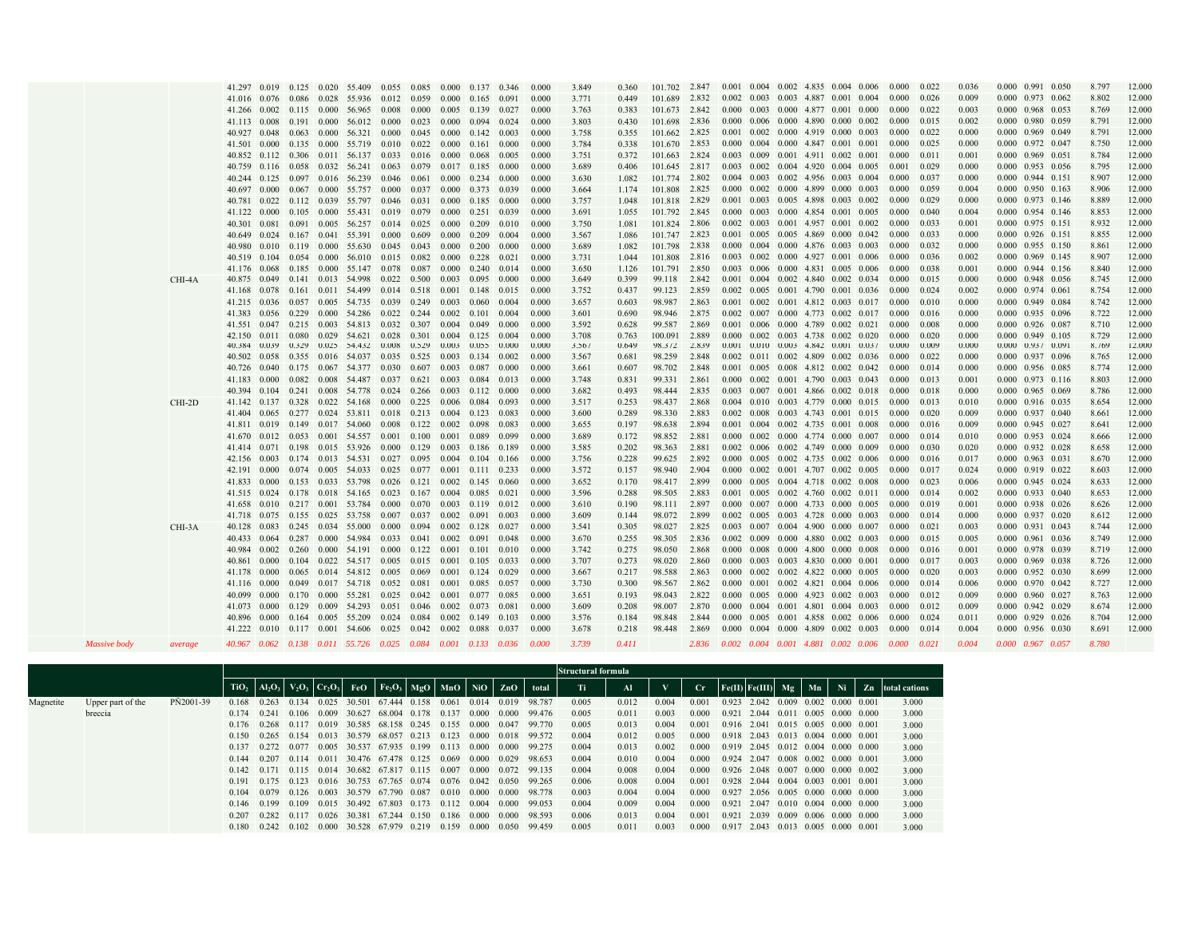|              |         | 41.297 0.019 0.125 0.020 55.409 0.055 0.085 0.000 0.137 0.346     |       |  |                                                                  |       |                                 |                                 |                                 |                | 0.000          | 3.849          | 0.360          | 101.702 2.847    |                |  | 0.001 0.004 0.002 4.835 0.004 0.006                                                    |  | 0.000 | 0.022          | 0.036          | 0.000 0.991 0.050                            | 8.797          | 12.000           |
|--------------|---------|-------------------------------------------------------------------|-------|--|------------------------------------------------------------------|-------|---------------------------------|---------------------------------|---------------------------------|----------------|----------------|----------------|----------------|------------------|----------------|--|----------------------------------------------------------------------------------------|--|-------|----------------|----------------|----------------------------------------------|----------------|------------------|
|              |         | 41.016 0.076 0.086 0.028 55.936 0.012 0.059 0.000 0.165 0.091     |       |  |                                                                  |       |                                 |                                 |                                 |                | 0.000          | 3.771          | 0.449          | 101.689          | 2.832          |  | $0.002$ $0.003$ $0.003$ 4.887 $0.001$ 0.004                                            |  | 0.000 | 0.026          | 0.009          | $0.000$ $0.973$ $0.062$                      | 8.802          | 12.000           |
|              |         | 41.266 0.002 0.115 0.000 56.965 0.008 0.000                       |       |  |                                                                  |       |                                 | $0.005$ 0.139 0.027             |                                 |                | 0.000          | 3.763          | 0.383          | 101.673 2.842    |                |  | 0.000 0.003 0.000 4.877 0.001 0.000                                                    |  | 0.000 | 0.022          | 0.003          | 0.000 0.968 0.053                            | 8.769          | 12.000           |
|              |         | 41.113 0.008 0.191 0.000 56.012 0.000 0.023                       |       |  |                                                                  |       |                                 |                                 | $0.000 \quad 0.094 \quad 0.024$ |                | 0.000          | 3.803          | 0.430          | 101.698          | 2.836          |  | 0.000 0.006 0.000 4.890 0.000 0.002                                                    |  | 0.000 | 0.015          | 0.002          | 0.000 0.980 0.059                            | 8.791          | 12.000           |
|              |         | 40.927 0.048 0.063 0.000 56.321 0.000 0.045 0.000 0.142 0.003     |       |  |                                                                  |       |                                 |                                 |                                 |                | 0.000          | 3.758          | 0.355          | 101.662 2.825    |                |  | $0.001$ $0.002$ $0.000$ $4.919$ $0.000$ $0.003$                                        |  | 0.000 | 0.022          | 0.000          | $0.000$ $0.969$ $0.049$                      | 8.791          | 12.000           |
|              |         | 41.501 0.000 0.135 0.000 55.719 0.010 0.022 0.000 0.161 0.000     |       |  |                                                                  |       |                                 |                                 |                                 |                | 0.000          | 3.784          | 0.338          | 101.670          | 2.853          |  | $0.000$ $0.004$ $0.000$ $4.847$ $0.001$ $0.001$                                        |  | 0.000 | 0.025          | 0.000          | 0.000 0.972 0.047                            | 8.750          | 12.000           |
|              |         | 40.852 0.112 0.306 0.011 56.137 0.033 0.016 0.000 0.068 0.005     |       |  |                                                                  |       |                                 |                                 |                                 |                | 0.000          | 3.751          | 0.372          | 101.663 2.824    |                |  | $0.003$ $0.009$ $0.001$ 4.911 $0.002$ 0.001                                            |  | 0.000 | 0.011          | 0.001          | 0.000 0.969 0.051                            | 8.784          | 12.000           |
|              |         | 40.759 0.116 0.058 0.032 56.241 0.063 0.079 0.017 0.185 0.000     |       |  |                                                                  |       |                                 |                                 |                                 |                | 0.000          | 3.689          | 0.406          | 101.645 2.817    |                |  | $0.003$ $0.002$ $0.004$ $4.920$ $0.004$ $0.005$ $0.001$                                |  |       | 0.029          | 0.000          | 0.000 0.953 0.056                            | 8.795          | 12.000           |
|              |         | 40.244 0.125 0.097 0.016 56.239 0.046 0.061 0.000 0.234 0.000     |       |  |                                                                  |       |                                 |                                 |                                 |                | 0.000          | 3.630          | 1.082          | 101.774 2.802    |                |  | $0.004$ $0.003$ $0.002$ $4.956$ $0.003$ $0.004$                                        |  | 0.000 | 0.037          | 0.000          | $0.000$ $0.944$ $0.151$                      | 8.907          | 12.000           |
|              |         | 40.697 0.000 0.067 0.000 55.757 0.000 0.037 0.000 0.373 0.039     |       |  |                                                                  |       |                                 |                                 |                                 |                | 0.000          | 3.664          | 1.174          | 101.808          | 2.825          |  | $0.000$ $0.002$ $0.000$ $4.899$ $0.000$ $0.003$                                        |  | 0.000 | 0.059          | 0.004          | 0.000 0.950 0.163                            | 8.906          | 12.000           |
|              |         | 40.781 0.022 0.112 0.039 55.797 0.046 0.031 0.000                 |       |  |                                                                  |       |                                 |                                 | 0.185 0.000                     |                | 0.000          | 3.757          | 1.048          | 101.818 2.829    |                |  | $0.001$ $0.003$ $0.005$ $4.898$ $0.003$ $0.002$                                        |  | 0.000 | 0.029          | 0.000          | 0.000 0.973 0.146                            | 8.889          | 12.000           |
|              |         | 41.122 0.000 0.105 0.000 55.431 0.019 0.079 0.000 0.251 0.039     |       |  |                                                                  |       |                                 |                                 |                                 |                | 0.000          | 3.691          | 1.055          | 101.792 2.845    |                |  | $0.000$ $0.003$ $0.000$ $4.854$ $0.001$ $0.005$                                        |  | 0.000 | 0.040          | 0.004          | 0.000 0.954 0.146                            | 8.853          | 12.000           |
|              |         | 40.301 0.081 0.091 0.005 56.257 0.014 0.025 0.000                 |       |  |                                                                  |       |                                 |                                 | $0.209$ $0.010$                 |                | 0.000          | 3.750          | 1.081          | 101.824 2.806    |                |  | 0.002 0.003 0.001 4.957 0.001 0.002                                                    |  | 0.000 | 0.033          | 0.001          | 0.000 0.975 0.151                            | 8.932          | 12.000           |
|              |         | 40.649 0.024 0.167 0.041 55.391 0.000 0.609                       |       |  |                                                                  |       |                                 | 0.000                           | $0.209$ 0.004                   |                | 0.000          | 3.567          | 1.086          | 101.747          | 2.823          |  | $0.001$ $0.005$ $0.005$ $4.869$ $0.000$ $0.042$                                        |  | 0.000 | 0.033          | 0.000          | $0.000$ $0.926$ $0.151$                      | 8.855          | 12.000           |
|              |         | 40.980 0.010 0.119 0.000 55.630                                   |       |  |                                                                  |       | $0.045$ 0.043                   | 0.000                           | 0.200                           | 0.000          | 0.000          | 3.689          | 1.082          | 101.798          | 2.838          |  | 0.000 0.004 0.000 4.876 0.003 0.003                                                    |  | 0.000 | 0.032          | 0.000          | 0.000 0.955 0.150                            | 8.861          | 12.000           |
|              |         | 40.519 0.104 0.054 0.000 56.010 0.015 0.082                       |       |  |                                                                  |       |                                 | 0.000                           | $0.228$ $0.021$                 |                | 0.000          | 3.731          | 1.044          | 101.808 2.816    |                |  | 0.003 0.002 0.000 4.927 0.001 0.006                                                    |  | 0.000 | 0.036          | 0.002          | 0.000 0.969 0.145                            | 8.907          | 12.000           |
|              |         | 41.176 0.068 0.185 0.000 55.147                                   |       |  |                                                                  |       | 0.078 0.087                     | 0.000                           | 0.240                           | 0.014          | 0.000          | 3.650          | 1.126          | 101.791          | 2.850          |  | 0.003 0.006 0.000 4.831 0.005 0.006                                                    |  | 0.000 | 0.038          | 0.001          | 0.000 0.944 0.156                            | 8.840          | 12.000           |
|              | CHI-4A  | 40.875 0.049 0.141 0.013 54.998 0.022 0.500 0.003                 |       |  |                                                                  |       |                                 |                                 | 0.095 0.000                     |                | 0.000          | 3.649          | 0.399          | 99.118 2.842     |                |  | 0.001 0.004 0.002 4.840 0.002 0.034                                                    |  | 0.000 | 0.015          | 0.000          | 0.000 0.948 0.056                            | 8.745          | 12.000           |
|              |         | 41.168 0.078 0.161 0.011 54.499 0.014 0.518 0.001 0.148 0.015     |       |  |                                                                  |       |                                 |                                 |                                 |                | 0.000          | 3.752          | 0.437          | 99.123           | 2.859          |  | 0.002 0.005 0.001 4.790 0.001 0.036                                                    |  | 0.000 | 0.024          | 0.002          | $0.000 \quad 0.974 \quad 0.061$              | 8.754          | 12.000           |
|              |         | 41.215 0.036 0.057 0.005 54.735 0.039 0.249                       |       |  | 0.229 0.000 54.286                                               |       | $0.022 \quad 0.244$             | $0.002 \quad 0.101$             | $0.003 \quad 0.060$             | 0.004<br>0.004 | 0.000<br>0.000 | 3.657<br>3.601 | 0.603          | 98.987<br>98.946 | 2.863<br>2.875 |  | $0.001$ $0.002$ $0.001$ $4.812$ $0.003$ $0.017$ $0.000$                                |  | 0.000 | 0.010<br>0.016 | 0.000          | $0.000$ $0.949$ $0.084$<br>0.000 0.935 0.096 | 8.742<br>8.722 | 12.000<br>12.000 |
|              |         | 41.383<br>41.551 0.047 0.215 0.003 54.813 0.032 0.307 0.004 0.049 | 0.056 |  |                                                                  |       |                                 |                                 |                                 | 0.000          | 0.000          | 3.592          | 0.690<br>0.628 | 99.587           | 2.869          |  | $0.002$ $0.007$ $0.000$ $4.773$ $0.002$ $0.017$<br>0.001 0.006 0.000 4.789 0.002 0.021 |  | 0.000 | 0.008          | 0.000<br>0.000 | 0.000 0.926 0.087                            | 8.710          | 12.000           |
|              |         | 42.150 0.011 0.080 0.029 54.621 0.028 0.301 0.004 0.125 0.004     |       |  |                                                                  |       |                                 |                                 |                                 |                | 0.000          | 3.708          | 0.763          | 100.091          | 2.889          |  | $0.000$ $0.002$ $0.003$ $4.738$ $0.002$ $0.020$                                        |  | 0.000 | 0.020          | 0.000          | 0.000 0.949 0.105                            | 8.729          | 12.000           |
|              |         | 40.384 0.039 0.329 0.025 54.432 0.008                             |       |  |                                                                  |       | 0.529                           | 0.003                           | 0.055                           | 0.000          | 0.000          | 3.567          | 0.649          | 98.372           | 2.839          |  | $0.001$ $0.010$ $0.003$ $4.842$ $0.001$ $0.037$                                        |  | 0.000 | 0.009          | 0.000          | $0.000$ $0.937$ $0.091$                      | 8.769          | 12.000           |
|              |         | 40.502 0.058 0.355 0.016 54.037 0.035 0.525 0.003 0.134 0.002     |       |  |                                                                  |       |                                 |                                 |                                 |                | 0.000          | 3.567          | 0.681          | 98.259           | 2.848          |  | $0.002$ $0.011$ $0.002$ $4.809$ $0.002$ $0.036$                                        |  | 0.000 | 0.022          | 0.000          | 0.000 0.937 0.096                            | 8.765          | 12.000           |
|              |         | 40.726 0.040 0.175 0.067 54.377 0.030 0.607 0.003 0.087           |       |  |                                                                  |       |                                 |                                 |                                 | 0.000          | 0.000          | 3.661          | 0.607          | 98.702           | 2.848          |  | 0.001 0.005 0.008 4.812 0.002 0.042                                                    |  | 0.000 | 0.014          | 0.000          | $0.000 \quad 0.956 \quad 0.085$              | 8.774          | 12.000           |
|              |         | 41.183 0.000 0.082 0.008 54.487 0.037 0.621 0.003 0.084 0.013     |       |  |                                                                  |       |                                 |                                 |                                 |                | 0.000          | 3.748          | 0.831          | 99.331           | 2.861          |  | $0.000$ $0.002$ $0.001$ 4.790 $0.003$ $0.043$ 0.000                                    |  |       | 0.013          | 0.001          | $0.000$ $0.973$ $0.116$                      | 8.803          | 12.000           |
|              |         | 40.394 0.104 0.241 0.008 54.778                                   |       |  |                                                                  |       | $0.024$ $0.266$ $0.003$ $0.112$ |                                 |                                 | 0.000          | 0.000          | 3.682          | 0.493          | 98.444           | 2.835          |  | 0.003 0.007 0.001 4.866 0.002 0.018                                                    |  | 0.000 | 0.018          | 0.000          | 0.000 0.965 0.069                            | 8.786          | 12.000           |
|              | CHI-2D  | 41.142 0.137 0.328 0.022 54.168                                   |       |  |                                                                  | 0.000 |                                 | 0.225 0.006 0.084               |                                 | 0.093          | 0.000          | 3.517          | 0.253          | 98.437           | 2.868          |  | $0.004$ 0.010 0.003 4.779 0.000 0.015                                                  |  | 0.000 | 0.013          | 0.010          | 0.000 0.916 0.035                            | 8.654          | 12.000           |
|              |         | 41.404 0.065 0.277 0.024 53.811 0.018 0.213 0.004 0.123           |       |  |                                                                  |       |                                 |                                 |                                 | 0.083          | 0.000          | 3.600          | 0.289          | 98.330           | 2.883          |  | $0.002$ $0.008$ $0.003$ 4.743 $0.001$ $0.015$ 0.000                                    |  |       | 0.020          | 0.009          | $0.000$ $0.937$ $0.040$                      | 8.661          | 12.000           |
|              |         | 41.811 0.019 0.149 0.017 54.060                                   |       |  |                                                                  |       | 0.008 0.122 0.002 0.098         |                                 |                                 | 0.083          | 0.000          | 3.655          | 0.197          | 98.638           | 2.894          |  | $0.001$ $0.004$ $0.002$ $4.735$ $0.001$ $0.008$                                        |  | 0.000 | 0.016          | 0.009          | 0.000 0.945 0.027                            | 8.641          | 12.000           |
|              |         | 41.670 0.012 0.053 0.001 54.557 0.001 0.100 0.001 0.089           |       |  |                                                                  |       |                                 |                                 |                                 | 0.099          | 0.000          | 3.689          | 0.172          | 98.852           | 2.881          |  | $0.000$ $0.002$ $0.000$ $4.774$ $0.000$ $0.007$                                        |  | 0.000 | 0.014          | 0.010          | 0.000 0.953 0.024                            | 8.666          | 12.000           |
|              |         | 41.414 0.071 0.198 0.015 53.926 0.000 0.129 0.003 0.186 0.189     |       |  |                                                                  |       |                                 |                                 |                                 |                | 0.000          | 3.585          | 0.202          | 98.363           | 2.881          |  | $0.002$ $0.006$ $0.002$ $4.749$ $0.000$ $0.009$                                        |  | 0.000 | 0.030          | 0.020          | $0.000$ $0.932$ $0.028$                      | 8.658          | 12.000           |
|              |         | 42.156 0.003                                                      |       |  | $0.174$ $0.013$ $54.531$ $0.027$ $0.095$ $0.004$ $0.104$ $0.166$ |       |                                 |                                 |                                 |                | 0.000          | 3.756          | 0.228          | 99.625           | 2.892          |  | $0.000$ $0.005$ $0.002$ $4.735$ $0.002$ $0.006$                                        |  | 0.000 | 0.016          | 0.017          | 0.000 0.963 0.031                            | 8.670          | 12.000           |
|              |         | 42.191 0.000                                                      |       |  | $0.074$ $0.005$ 54.033 $0.025$ 0.077 0.001 0.111 0.233           |       |                                 |                                 |                                 |                | 0.000          | 3.572          | 0.157          | 98.940           | 2.904          |  | $0.000$ $0.002$ $0.001$ 4.707 $0.002$ 0.005                                            |  | 0.000 | 0.017          | 0.024          | 0.000 0.919 0.022                            | 8.603          | 12.000           |
|              |         | 41.833 0.000                                                      |       |  | 0.153 0.033 53.798                                               |       | $0.026$ 0.121                   |                                 | $0.002 \quad 0.145 \quad 0.060$ |                | 0.000          | 3.652          | 0.170          | 98.417           | 2.899          |  | $0.000$ $0.005$ $0.004$ 4.718 $0.002$ 0.008                                            |  | 0.000 | 0.023          | 0.006          | $0.000$ $0.945$ $0.024$                      | 8.633          | 12.000           |
|              |         | 41.515 0.024 0.178 0.018 54.165 0.023 0.167 0.004 0.085           |       |  |                                                                  |       |                                 |                                 |                                 | 0.021          | 0.000          | 3.596          | 0.288          | 98.505           | 2.883          |  | $0.001$ $0.005$ $0.002$ $4.760$ $0.002$ $0.011$                                        |  | 0.000 | 0.014          | 0.002          | 0.000 0.933 0.040                            | 8.653          | 12.000           |
|              |         | 41.658 0.010 0.217 0.001 53.784                                   |       |  |                                                                  |       | $0.000 \quad 0.070$             | $0.003$ $0.119$ $0.012$         |                                 |                | 0.000          | 3.610          | 0.190          | 98.111           | 2.897          |  | 0.000 0.007 0.000 4.733 0.000 0.005                                                    |  | 0.000 | 0.019          | 0.001          | 0.000 0.938 0.026                            | 8.626          | 12.000           |
|              |         | 41.718 0.075 0.155 0.025 53.758 0.007 0.037                       |       |  |                                                                  |       |                                 |                                 | $0.002$ $0.091$ $0.003$         |                | 0.000          | 3.609          | 0.144          | 98.072           | 2.899          |  | $0.002$ $0.005$ $0.003$ $4.728$ $0.000$ $0.003$                                        |  | 0.000 | 0.014          | 0.000          | $0.000$ $0.937$ $0.020$                      | 8.612          | 12.000           |
|              | CHI-3A  | 40.128 0.083 0.245 0.034 55.000                                   |       |  |                                                                  | 0.000 |                                 | $0.094$ $0.002$ $0.128$ $0.027$ |                                 |                | 0.000          | 3.541          | 0.305          | 98.027           | 2.825          |  | $0.003$ $0.007$ $0.004$ $4.900$ $0.000$ $0.007$                                        |  | 0.000 | 0.021          | 0.003          | 0.000 0.931 0.043                            | 8.744          | 12.000           |
|              |         | 40.433 0.064                                                      |       |  | 0.287 0.000 54.984                                               |       | $0.033 \quad 0.041$             | $0.002 \quad 0.091$             |                                 | 0.048          | 0.000          | 3.670          | 0.255          | 98.305           | 2.836          |  | $0.002$ $0.009$ $0.000$ $4.880$ $0.002$ $0.003$ $0.000$                                |  |       | 0.015          | 0.005          | 0.000 0.961 0.036                            | 8.749          | 12.000           |
|              |         | 40.984 0.002 0.260 0.000 54.191 0.000 0.122 0.001 0.101 0.010     |       |  |                                                                  |       |                                 |                                 |                                 |                | 0.000          | 3.742          | 0.275          | 98.050           | 2.868          |  | $0.000$ $0.008$ $0.000$ $4.800$ $0.000$ $0.008$                                        |  | 0.000 | 0.016          | 0.001          | 0.000 0.978 0.039                            | 8.719          | 12.000           |
|              |         | 40.861 0.000 0.104 0.022 54.517 0.005 0.015 0.001 0.105 0.033     |       |  |                                                                  |       |                                 |                                 |                                 |                | 0.000          | 3.707          | 0.273          | 98.020           | 2.860          |  | $0.000$ $0.003$ $0.003$ $4.830$ $0.000$ $0.001$                                        |  | 0.000 | 0.017          | 0.003          | 0.000 0.969 0.038                            | 8.726          | 12.000           |
|              |         | 41.178 0.000 0.065 0.014 54.812 0.005 0.069 0.001 0.124 0.029     |       |  |                                                                  |       |                                 |                                 |                                 |                | 0.000          | 3.667          | 0.217          | 98.588           | 2.863          |  | $0.000$ $0.002$ $0.002$ $4.822$ $0.000$ $0.005$ $0.000$                                |  |       | 0.020          | 0.003          | 0.000 0.952 0.030                            | 8.699          | 12.000           |
|              |         | 41.116 0.000 0.049 0.017 54.718 0.052                             |       |  |                                                                  |       | 0.081                           | 0.001                           | 0.085                           | 0.057          | 0.000          | 3.730          | 0.300          | 98.567           | 2.862          |  | $0.000$ $0.001$ $0.002$ $4.821$ $0.004$ $0.006$                                        |  | 0.000 | 0.014          | 0.006          | $0.000$ $0.970$ $0.042$                      | 8.727          | 12.000           |
|              |         | 40.099 0.000 0.170 0.000 55.281 0.025 0.042 0.001 0.077 0.085     |       |  |                                                                  |       |                                 |                                 |                                 |                | 0.000          | 3.651          | 0.193          | 98.043           | 2.822          |  | 0.000 0.005 0.000 4.923 0.002 0.003                                                    |  | 0.000 | 0.012          | 0.009          | 0.000 0.960 0.027                            | 8.763          | 12.000           |
|              |         | 41.073 0.000                                                      |       |  | $0.129$ $0.009$ 54.293                                           |       | $0.051$ 0.046 0.002 0.073       |                                 |                                 | 0.081          | 0.000          | 3.609          | 0.208          | 98.007           | 2.870          |  | 0.000 0.004 0.001 4.801 0.004 0.003                                                    |  | 0.000 | 0.012          | 0.009          | 0.000 0.942 0.029                            | 8.674          | 12.000           |
|              |         | 40.896 0.000 0.164 0.005 55.209 0.024 0.084 0.002 0.149 0.103     |       |  |                                                                  |       |                                 |                                 |                                 |                | 0.000          | 3.576          | 0.184          | 98.848           | 2.844          |  | $0.000$ $0.005$ $0.001$ $4.858$ $0.002$ $0.006$                                        |  | 0.000 | 0.024          | 0.011          | $0.000$ $0.929$ $0.026$                      | 8.704          | 12.000           |
|              |         | 41.222 0.010 0.117 0.001 54.606 0.025 0.042 0.002 0.088           |       |  |                                                                  |       |                                 |                                 |                                 | 0.037          | 0.000          | 3.678          | 0.218          | 98.448           | 2.869          |  | 0.000 0.004 0.000 4.809 0.002 0.003                                                    |  | 0.000 | 0.014          | 0.004          | 0.000 0.956 0.030                            | 8.691          | 12.000           |
| Massive body | average | 40.967 0.062 0.138 0.011 55.726 0.025 0.084 0.001 0.133 0.036     |       |  |                                                                  |       |                                 |                                 |                                 |                | 0.000          | 3.739          | 0.411          |                  | 2.836          |  | $0.002$ $0.004$ $0.001$ $4.881$ $0.002$ $0.006$ $0.000$ $0.021$                        |  |       |                | 0.004          | $0.000$ $0.967$ $0.057$                      | 8.780          |                  |
|              |         |                                                                   |       |  |                                                                  |       |                                 |                                 |                                 |                |                |                |                |                  |                |  |                                                                                        |  |       |                |                |                                              |                |                  |

|           |                   |           |                         |                                 |  |                                                                                    |                   |       |                          |                                                                                    | Structural formula |       |       |             |                                       |  |                               |                                                  |
|-----------|-------------------|-----------|-------------------------|---------------------------------|--|------------------------------------------------------------------------------------|-------------------|-------|--------------------------|------------------------------------------------------------------------------------|--------------------|-------|-------|-------------|---------------------------------------|--|-------------------------------|--------------------------------------------------|
|           |                   |           |                         |                                 |  |                                                                                    |                   |       |                          | $TIO_2$ $Al_2O_3$ $V_2O_3$ $Cr_2O_3$ $FeO$ $Fe_2O_3$ $MgO$ $MnO$ $NiO$ $ZnO$ total | Ti.                |       |       | $_{\rm Cr}$ |                                       |  |                               | $Fe(II)$ $Fe(III)$ $Mg$ $Mn$ Ni Zn total cations |
| Magnetite | Upper part of the | PN2001-39 | 0.168                   |                                 |  | $0.263$ $0.134$ $0.025$ $30.501$ $67.444$ $0.158$ $0.061$ $0.014$ $0.019$ $98.787$ |                   |       |                          |                                                                                    | 0.005              | 0.012 | 0.004 | 0.001       | 0.923 2.042 0.009 0.002 0.000 0.001   |  |                               | 3.000                                            |
|           | breccia           |           | 0.174                   | 0.241                           |  | $0.106$ $0.009$ $30.627$ $68.004$ $0.178$ $0.137$ $0.000$ $0.000$ $99.476$         |                   |       |                          |                                                                                    | 0.005              | 0.011 | 0.003 | 0.000       | 0.921                                 |  | 2.044 0.011 0.005 0.000 0.000 | 3.000                                            |
|           |                   |           | 0.176 0.268 0.117       |                                 |  | 0.019 30.585 68.158 0.245                                                          | 0.155 0.000 0.047 |       |                          | 99.770                                                                             | 0.005              | 0.013 | 0.004 | 0.001       | $0.916$ 2.041 0.015 0.005 0.000 0.001 |  |                               | 3.000                                            |
|           |                   |           |                         |                                 |  | 0.150 0.265 0.154 0.013 30.579 68.057 0.213                                        |                   |       |                          | 0.123 0.000 0.018 99.572                                                           | 0.004              | 0.012 | 0.005 | 0.000       | 0.918 2.043 0.013 0.004 0.000 0.001   |  |                               | 3.000                                            |
|           |                   |           | 0.137                   | 0.272 0.077                     |  | 0.005 30.537 67.935 0.199                                                          |                   |       | 0.113 0.000 0.000 99.275 |                                                                                    | 0.004              | 0.013 | 0.002 | 0.000       | 0.919 2.045 0.012 0.004 0.000 0.000   |  |                               | 3.000                                            |
|           |                   |           |                         |                                 |  | 0.144 0.207 0.114 0.011 30.476 67.478 0.125 0.069 0.000 0.029 98.653               |                   |       |                          |                                                                                    | 0.004              | 0.010 | 0.004 | 0.000       | 0.924 2.047 0.008 0.002 0.000 0.001   |  |                               | 3.000                                            |
|           |                   |           | $0.142 \quad 0.171$     |                                 |  | 0.115 0.014 30.682 67.817 0.115                                                    |                   |       |                          | 0.007 0.000 0.072 99.135                                                           | 0.004              | 0.008 | 0.004 | 0.000       | 0.926 2.048 0.007 0.000 0.000 0.002   |  |                               | 3.000                                            |
|           |                   |           |                         |                                 |  | 0.191 0.175 0.123 0.016 30.753 67.765 0.074                                        |                   |       |                          | $0.076$ $0.042$ $0.050$ 99.265                                                     | 0.006              | 0.008 | 0.004 | 0.001       | 0.928 2.044 0.004 0.003 0.001 0.001   |  |                               | 3.000                                            |
|           |                   |           | 0.104                   |                                 |  | 0.079 0.126 0.003 30.579 67.790 0.087                                              |                   |       |                          | 0.010 0.000 0.000 98.778                                                           | 0.003              | 0.004 | 0.004 | 0.000       | $0.927$ 2.056 0.005 0.000 0.000 0.000 |  |                               | 3.000                                            |
|           |                   |           |                         |                                 |  | 0.146 0.199 0.109 0.015 30.492 67.803 0.173                                        |                   |       | 0.112 0.004 0.000 99.053 |                                                                                    | 0.004              | 0.009 | 0.004 | 0.000       | 0.921                                 |  | 2.047 0.010 0.004 0.000 0.000 | 3.000                                            |
|           |                   |           | $0.207$ $0.282$ $0.117$ |                                 |  | $0.026$ 30.381 67.244 0.150                                                        |                   |       | 0.186 0.000 0.000 98.593 |                                                                                    | 0.006              | 0.013 | 0.004 | 0.001       | 0.921                                 |  | 2.039 0.009 0.006 0.000 0.000 | 3.000                                            |
|           |                   |           |                         | $0.180 \quad 0.242 \quad 0.102$ |  | $0.000$ 30.528 67.979 0.219                                                        | 0.159             | 0.000 | 0.050                    | 99.459                                                                             | 0.005              | 0.011 | 0.003 | 0.000       | $0.917$ 2.043 0.013 0.005 0.000 0.001 |  |                               | 3.000                                            |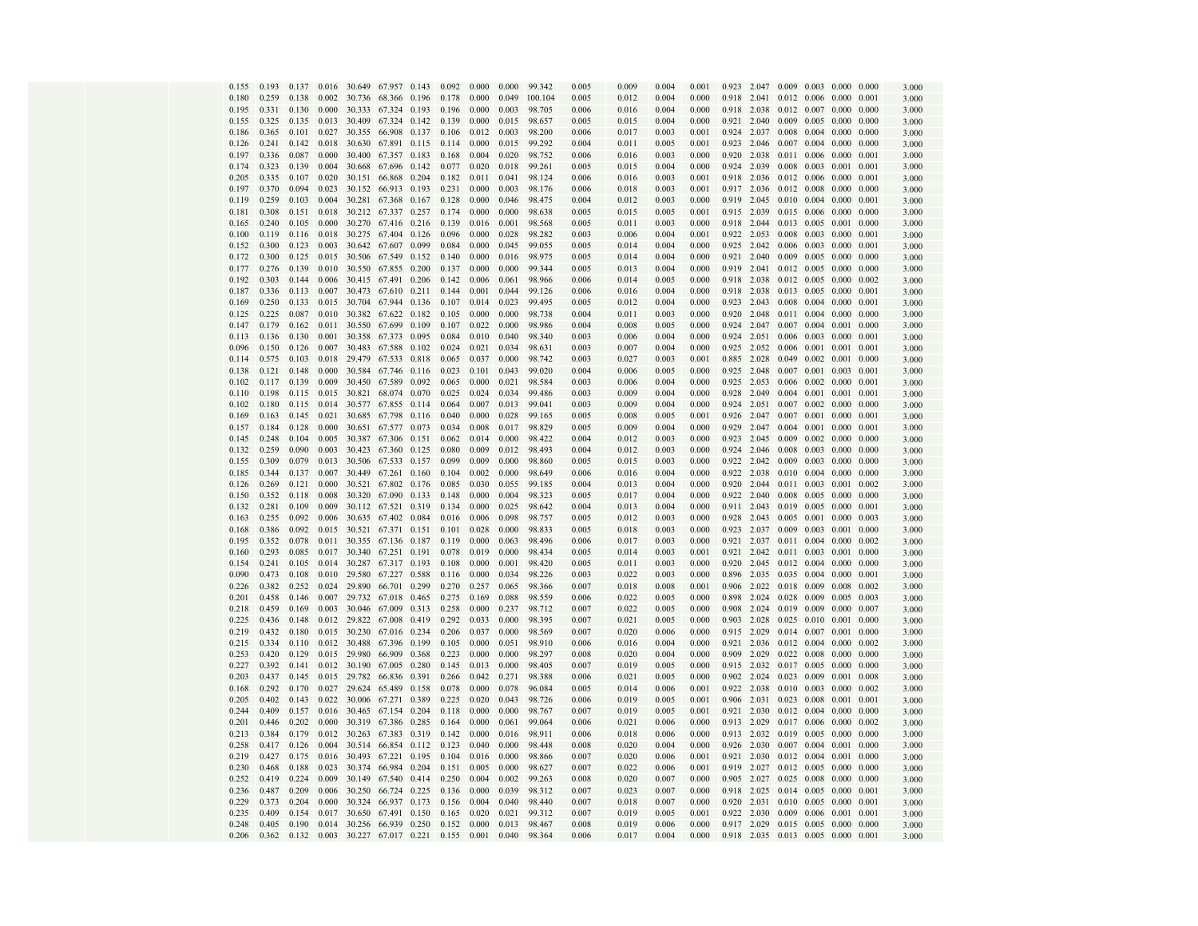| 0.155          | 0.193          | 0.137          |                |                  | 0.016 30.649 67.957 0.143   |       | 0.092          | 0.000          | 0.000          | 99.342           | 0.005          | 0.009          | 0.004          | 0.001          |             |                      | 0.923 2.047 0.009 0.003             |               | $0.000 \quad 0.000$ |                | 3.000          |
|----------------|----------------|----------------|----------------|------------------|-----------------------------|-------|----------------|----------------|----------------|------------------|----------------|----------------|----------------|----------------|-------------|----------------------|-------------------------------------|---------------|---------------------|----------------|----------------|
| 0.180          | 0.259          | 0.138          | 0.002          | 30.736           | 68.366                      | 0.196 | 0.178          | 0.000          | 0.049          | 100.104          | 0.005          | 0.012          | 0.004          | 0.000          |             | 0.918 2.041          | 0.012 0.006                         |               | 0.000               | 0.001          | 3.000          |
| 0.195          | 0.331          | 0.130          | 0.000          | 30.333           | 67.324                      | 0.193 | 0.196          | 0.000          | 0.003          | 98.705           | 0.006          | 0.016          | 0.004          | 0.000          | 0.918       | 2.038                | 0.012                               | 0.007         | 0.000               | 0.000          | 3.000          |
| 0.155          | 0.325          | 0.135          | 0.013          | 30.409           | 67.324                      | 0.142 | 0.139          | 0.000          | 0.015          | 98.657           | 0.005          | 0.015          | 0.004          | 0.000          | 0.921       | 2.040                | 0.009                               | 0.005         | 0.000               | 0.000          | 3.000          |
| 0.186          | 0.365          | 0.101          | 0.027          | 30.355           | 66.908 0.137                |       | 0.106          | 0.012          | 0.003          | 98.200           | 0.006          | 0.017          | 0.003          | 0.001          | 0.924       | 2.037                | 0.008                               | 0.004         | 0.000               | 0.000          | 3.000          |
| 0.126          | 0.241          | 0.142          | 0.018          | 30.630           | 67.891 0.115                |       | 0.114          | 0.000          | 0.015          | 99.292           | 0.004          | 0.011          | 0.005          | 0.001          |             | 0.923 2.046          | 0.007                               | 0.004         | 0.000               | 0.000          | 3.000          |
| 0.197          | 0.336          | 0.087          | 0.000          | 30,400           | 67.357 0.183                |       | 0.168          | 0.004          | 0.020          | 98.752           | 0.006          | 0.016          | 0.003          | 0.000          |             | 0.920 2.038          |                                     | 0.011 0.006   | 0.000               | 0.001          | 3.000          |
| 0.174          | 0.323          | 0.139          | 0.004          | 30.668           | 67.696 0.142                |       | 0.077          | 0.020          | 0.018          | 99.261           | 0.005          | 0.015          | 0.004          | 0.000          | 0.924       | 2.039                | 0.008                               | 0.003         | 0.001               | 0.001          | 3.000          |
| 0.205          | 0.335          | 0.107          | 0.020          | 30.151           | 66.868 0.204                |       | 0.182          | 0.011          | 0.041          | 98.124           | 0.006          | 0.016          | 0.003          | 0.001          |             | 0.918 2.036          |                                     | 0.012 0.006   | $0.000 \quad 0.001$ |                | 3.000          |
| 0.197          | 0.370          | 0.094          | 0.023          | 30.152           | 66.913 0.193                |       | 0.231          | 0.000          | 0.003          | 98.176           | 0.006          | 0.018          | 0.003          | 0.001          |             | 0.917 2.036          | 0.012 0.008                         |               | 0.000               | 0.000          | 3.000          |
| 0.119          | 0.259          | 0.103          | 0.004          | 30.281           | 67.368                      | 0.167 | 0.128          | 0.000          | 0.046          | 98.475           | 0.004          | 0.012          | 0.003          | 0.000          | 0.919       | 2.045                | 0.010                               | 0.004         | 0.000               | 0.001          | 3.000          |
| 0.181          | 0.308          | 0.151          | 0.018          | 30.212           | 67.337                      | 0.257 | 0.174          | 0.000          | 0.000          | 98.638           | 0.005          | 0.015          | 0.005          | 0.001          | 0.915 2.039 |                      | 0.015                               | 0.006         | 0.000               | 0.000          | 3.000          |
| 0.165          | 0.240          | 0.105          | 0.000          | 30.270           | 67.416                      | 0.216 | 0.139          | 0.016          | 0.001          | 98.568           | 0.005          | 0.011          | 0.003          | 0.000          | 0.918       | 2.044                | 0.013                               | 0.005         | 0.001               | 0.000          | 3.000          |
| 0.100          | 0.119          | 0.116          | 0.018          | 30.275           | 67.404                      | 0.126 | 0.096          | 0.000          | 0.028          | 98.282           | 0.003          | 0.006          | 0.004          | 0.001          | 0.922       | 2.053                | 0.008                               | 0.003         | 0.000               | 0.001          | 3.000          |
| 0.152          | 0.300          | 0.123          | 0.003          |                  | 30.642 67.607 0.099         |       | 0.084          | 0.000          | 0.045          | 99.055           | 0.005          | 0.014          | 0.004          | 0.000          | 0.925 2.042 |                      | 0.006                               | 0.003         | 0.000               | 0.001          | 3.000          |
| 0.172          | 0.300          | 0.125          | 0.015          | 30.506           | 67.549 0.152                |       | 0.140          | 0.000          | 0.016          | 98.975           | 0.005          | 0.014          | 0.004          | 0.000          |             | 0.921 2.040          | 0.009                               | 0.005         | 0.000               | 0.000          | 3.000          |
| 0.177          | 0.276          | 0.139          | 0.010          | 30.550           | 67.855                      | 0.200 | 0.137          | 0.000          | 0.000          | 99.344           | 0.005          | 0.013          | 0.004          | 0.000          | 0.919       | 2.041                | 0.012                               | 0.005         | 0.000               | 0.000          | 3.000          |
| 0.192          | 0.303          | 0.144          | 0.006          | 30.415           | 67.491                      | 0.206 | 0.142          | 0.006          | 0.061          | 98.966           | 0.006          | 0.014          | 0.005          | 0.000          |             | 0.918 2.038          | 0.012 0.005                         |               | 0.000 0.002         |                | 3.000          |
| 0.187          | 0.336          | 0.113          | 0.007          | 30.473           | 67.610                      | 0.211 | 0.144          | 0.001          | 0.044          | 99.126           | 0.006          | 0.016          | 0.004          | 0.000          | 0.918 2.038 |                      | 0.013                               | 0.005         | 0.000               | 0.001          | 3.000          |
| 0.169          | 0.250          | 0.133          | 0.015          | 30.704           | 67.944                      | 0.136 | 0.107          | 0.014          | 0.023          | 99.495           | 0.005          | 0.012          | 0.004          | 0.000          | 0.923       | 2.043                | 0.008                               | 0.004         | 0.000               | 0.001          | 3.000          |
| 0.125          | 0.225          | 0.087          | 0.010          | 30.382           | 67.622                      | 0.182 | 0.105          | 0.000          | 0.000          | 98.738           | 0.004          | 0.011          | 0.003          | 0.000          | 0.920       | 2.048                | 0.011                               | 0.004         | 0.000               | 0.000          | 3.000          |
| 0.147          | 0.179          | 0.162          | 0.011          | 30.550           | 67.699                      | 0.109 | 0.107          | 0.022          | 0.000          | 98.986           | 0.004          | 0.008          | 0.005          | 0.000          | 0.924       | 2.047                | 0.007                               | 0.004         | 0.001               | 0.000          | 3.000          |
| 0.113          | 0.136          | 0.130          | 0.001          | 30.358           | 67.373 0.095                |       | 0.084          | 0.010          | 0.040          | 98.340           | 0.003          | 0.006          | 0.004          | 0.000          | 0.924 2.051 |                      | $0.006$ 0.003                       |               | 0.000               | 0.001          | 3.000          |
| 0.096          | 0.150          | 0.126          | 0.007          | 30.483           | 67.588                      | 0.102 | 0.024          | 0.021          | 0.034          | 98.631           | 0.003          | 0.007          | 0.004          | 0.000          |             | 0.925 2.052          | 0.006                               | 0.001         | 0.001               | 0.001          | 3.000          |
| 0.114          | 0.575          | 0.103          | 0.018          | 29.479           | 67.533                      | 0.818 | 0.065          | 0.037          | 0.000          | 98.742           | 0.003          | 0.027          | 0.003          | 0.001          | 0.885       | 2.028                | 0.049                               | 0.002         | 0.001               | 0.000          | 3.000          |
| 0.138          | 0.121          | 0.148          | 0.000          | 30.584           | 67.746                      | 0.116 | 0.023          | 0.101          | 0.043          | 99.020           | 0.004          | 0.006          | 0.005          | 0.000          | 0.925       | 2.048                | 0.007                               | 0.001         | $0.003$ $0.001$     |                | 3.000          |
| 0.102          | 0.117          | 0.139          | 0.009          | 30.450           | 67.589                      | 0.092 | 0.065          | 0.000          | 0.021          | 98.584           | 0.003          | 0.006          | 0.004          | 0.000          |             | 0.925 2.053          |                                     | $0.006$ 0.002 | 0.000               | 0.001          | 3.000          |
| 0.110          | 0.198          | 0.115          | 0.015          | 30.821           | 68.074                      | 0.070 | 0.025          | 0.024          | 0.034          | 99.486           | 0.003          | 0.009          | 0.004          | 0.000          | 0.928       | 2.049                | 0.004                               | 0.001         | 0.001               | 0.001          | 3.000          |
| 0.102          | 0.180          | 0.115          | 0.014          | 30.577           | 67.855                      | 0.114 | 0.064          | 0.007          | 0.013          | 99.041           | 0.003          | 0.009          | 0.004          | 0.000          | 0.924 2.051 |                      | 0.007                               | 0.002         | 0.000               | 0.000          | 3.000          |
| 0.169          | 0.163          | 0.145          | 0.021          | 30.685           | 67.798                      | 0.116 | 0.040          | 0.000          | 0.028          | 99.165           | 0.005          | 0.008          | 0.005          | 0.001          | 0.926       | 2.047                | 0.007                               | 0.001         | 0.000               | 0.001          | 3.000          |
| 0.157          | 0.184          | 0.128          | 0.000          | 30.651           | 67.577                      | 0.073 | 0.034          | 0.008          | 0.017          | 98.829           | 0.005          | 0.009          | 0.004          | 0.000          | 0.929       | 2.047                | 0.004                               | 0.001         | 0.000               | 0.001          | 3.000          |
| 0.145          | 0.248          | 0.104          | 0.005          | 30.387           | 67.306 0.151                |       | 0.062          | 0.014          | 0.000          | 98.422           | 0.004          | 0.012          | 0.003          | 0.000          | 0.923 2.045 |                      | 0.009                               | 0.002         | 0.000               | 0.000          | 3.000          |
| 0.132          | 0.259          | 0.090          | 0.003          | 30.423           | 67.360                      | 0.125 | 0.080          | 0.009          | 0.012          | 98.493           | 0.004          | 0.012          | 0.003          | 0.000          |             | 0.924 2.046          | 0.008                               | 0.003         | 0.000               | 0.000          | 3.000          |
| 0.155          | 0.309          | 0.079          | 0.013          | 30.506           | 67.533                      | 0.157 | 0.099          | 0.009          | 0.000          | 98.860           | 0.005          | 0.015          | 0.003          | 0.000          |             | 0.922 2.042          | 0.009                               | 0.003         | 0.000               | 0.000          | 3.000          |
| 0.185          | 0.344          | 0.137          | 0.007          | 30.449           | 67.261                      | 0.160 | 0.104          | 0.002          | 0.000          | 98.649           | 0.006          | 0.016          | 0.004          | 0.000          |             | 0.922 2.038          | $0.010$ $0.004$                     |               | $0.000 \quad 0.000$ |                | 3.000          |
| 0.126          | 0.269          | 0.121          | 0.000          |                  | 30.521 67.802 0.176         |       | 0.085          | 0.030          | 0.055          | 99.185           | 0.004          | 0.013          | 0.004          | 0.000          |             | 0.920 2.044          | 0.011 0.003                         |               | 0.001 0.002         |                | 3.000          |
| 0.150          | 0.352          | 0.118          | 0.008          | 30.320           | 67.090                      | 0.133 | 0.148          | 0.000          | 0.004          | 98.323           | 0.005          | 0.017          | 0.004          | 0.000          | 0.922 2.040 |                      | 0.008                               | 0.005         | 0.000               | 0.000          | 3.000          |
| 0.132          | 0.281          | 0.109          | 0.009          | 30.112           | 67.521                      | 0.319 | 0.134          | 0.000          | 0.025          | 98.642           | 0.004          | 0.013          | 0.004          | 0.000          | 0.911 2.043 |                      | 0.019                               | 0.005         | 0.000               | 0.001          | 3.000          |
| 0.163          | 0.255          | 0.092          | 0.006          | 30.635           | 67.402                      | 0.084 | 0.016          | 0.006          | 0.098          | 98.757           | 0.005          | 0.012          | 0.003          | 0.000          | 0.928       | 2.043                | 0.005                               | 0.001         | 0.000               | 0.003          | 3.000          |
| 0.168          | 0.386          | 0.092          | 0.015          | 30.521           | 67.371                      | 0.151 | 0.101          | 0.028          | 0.000          | 98.833           | 0.005          | 0.018          | 0.003          | 0.000          | 0.923 2.037 |                      | 0.009                               | 0.003         | 0.001               | 0.000          | 3.000          |
| 0.195          | 0.352          | 0.078          | 0.011          | 30.355           | 67.136 0.187                |       | 0.119          | 0.000          | 0.063          | 98.496           | 0.006          | 0.017          | 0.003          | 0.000          |             | 0.921 2.037          | 0.011 0.004                         |               | 0.000               | 0.002          | 3.000          |
| 0.160          | 0.293          | 0.085          | 0.017          | 30.340           | 67.251                      | 0.191 | 0.078          | 0.019          | 0.000          | 98.434           | 0.005          | 0.014          | 0.003          | 0.001          |             |                      | 0.921 2.042 0.011 0.003             |               | 0.001               | 0.000          | 3.000          |
| 0.154          | 0.241          | 0.105          | 0.014          | 30.287           | 67.317                      | 0.193 | 0.108          | 0.000          | 0.001          | 98.420           | 0.005          | 0.011          | 0.003          | 0.000          | 0.920       | 2.045                | 0.012                               | 0.004         | 0.000               | 0.000          | 3.000          |
| 0.090          | 0.473          | 0.108          | 0.010          | 29.580           | 67.227                      | 0.588 | 0.116          | 0.000          | 0.034          | 98.226           | 0.003          | 0.022          | 0.003          | 0.000          |             | 0.896 2.035          | 0.035                               | 0.004         | $0.000 \quad 0.001$ |                | 3.000          |
| 0.226          | 0.382          | 0.252          | 0.024          | 29.890           | 66.701                      | 0.299 | 0.270          | 0.257          | 0.065          | 98.366           | 0.007          | 0.018          | 0.008          | 0.001          |             | 0.906 2.022          | 0.018                               | 0.009         | 0.008               | 0.002          | 3.000          |
| 0.201          | 0.458          | 0.146          | 0.007          | 29.732           | 67.018                      | 0.465 | 0.275          | 0.169          | 0.088          | 98.559           | 0.006          | 0.022          | 0.005          | 0.000          | 0.898       | 2.024                | 0.028                               | 0.009         | 0.005               | 0.003          | 3.000          |
| 0.218          | 0.459          | 0.169          | 0.003          | 30.046           | 67.009                      | 0.313 | 0.258          | 0.000          | 0.237          | 98.712           | 0.007          | 0.022          | 0.005          | 0.000          | 0.908       | 2.024                | 0.019                               | 0.009         | 0.000               | 0.007          | 3.000          |
| 0.225          | 0.436          | 0.148<br>0.180 | 0.012          | 29.822<br>30.230 | 67.008                      | 0.419 | 0.292<br>0.206 | 0.033          | 0.000<br>0.000 | 98.395           | 0.007          | 0.021          | 0.005          | 0.000<br>0.000 | 0.903       | 2.028<br>0.915 2.029 | 0.025                               | 0.010         | 0.001               | 0.000          | 3.000          |
| 0.219<br>0.215 | 0.432<br>0.334 | 0.110          | 0.015<br>0.012 | 30.488           | 67.016 0.234<br>67.396      | 0.199 | 0.105          | 0.037<br>0.000 | 0.051          | 98.569<br>98.910 | 0.007<br>0.006 | 0.020<br>0.016 | 0.006<br>0.004 | 0.000          |             | 0.921 2.036          | 0.014 0.007<br>0.012 0.004          |               | 0.001<br>0.000      | 0.000<br>0.002 | 3.000          |
| 0.253          | 0.420          | 0.129          | 0.015          | 29.980           | 66.909                      | 0.368 | 0.223          | 0.000          | 0.000          | 98.297           | 0.008          | 0.020          | 0.004          | 0.000          | 0.909       | 2.029                | 0.022                               | 0.008         | 0.000               | 0.000          | 3.000<br>3.000 |
| 0.227          | 0.392          | 0.141          |                | 0.012 30.190     | 67.005                      | 0.280 | 0.145          | 0.013          | 0.000          | 98.405           | 0.007          | 0.019          |                | 0.000          |             | 0.915 2.032          | 0.017                               | 0.005         | 0.000               | 0.000          |                |
| 0.203          | 0.437          | 0.145          | 0.015          | 29.782           | 66.836                      | 0.391 | 0.266          | 0.042          | 0.271          | 98.388           | 0.006          | 0.021          | 0.005<br>0.005 | 0.000          |             | 0.902 2.024          | 0.023 0.009                         |               | 0.001               | 0.008          | 3.000          |
| 0.168          | 0.292          | 0.170          | 0.027          | 29.624           | 65.489                      | 0.158 | 0.078          | 0.000          | 0.078          | 96.084           | 0.005          | 0.014          | 0.006          | 0.001          |             | 0.922 2.038          | 0.010                               | 0.003         | 0.000               | 0.002          | 3.000<br>3.000 |
| 0.205          | 0.402          | 0.143          | 0.022          | 30.006           | 67.271                      | 0.389 | 0.225          | 0.020          | 0.043          | 98.726           | 0.006          | 0.019          | 0.005          | 0.001          | 0.906 2.031 |                      | 0.023                               | 0.008         | 0.001               | 0.001          | 3.000          |
| 0.244          | 0.409          | 0.157          | 0.016          | 30.465           | 67.154                      | 0.204 | 0.118          | 0.000          | 0.000          | 98.767           | 0.007          | 0.019          | 0.005          | 0.001          | 0.921       | 2.030                | $0.012$ 0.004                       |               | 0.000               | 0.000          | 3.000          |
| 0.201          | 0.446          | 0.202          | 0.000          | 30.319           | 67.386                      | 0.285 | 0.164          | 0.000          | 0.061          | 99.064           | 0.006          | 0.021          | 0.006          | 0.000          | 0.913 2.029 |                      | 0.017 0.006                         |               | 0.000               | 0.002          | 3.000          |
| 0.213          | 0.384          | 0.179          | 0.012          | 30.263           | 67.383                      | 0.319 | 0.142          | 0.000          | 0.016          | 98.911           | 0.006          | 0.018          | 0.006          | 0.000          |             | $0.913$ 2.032 0.019  |                                     | 0.005         | 0.000               | 0.000          | 3.000          |
| 0.258          | 0.417          | 0.126          | 0.004          | 30.514           | 66.854 0.112                |       | 0.123          | 0.040          | 0.000          | 98.448           | 0.008          | 0.020          | 0.004          | 0.000          |             | 0.926 2.030          | 0.007 0.004                         |               | 0.001               | 0.000          | 3.000          |
| 0.219          | 0.427          | 0.175          | 0.016          | 30.493           | 67.221                      | 0.195 | 0.104          | 0.016          | 0.000          | 98.866           | 0.007          | 0.020          | 0.006          | 0.001          | 0.921       | 2.030                | 0.012                               | 0.004         | 0.001               | 0.000          | 3.000          |
| 0.230          | 0.468          | 0.188          | 0.023          | 30.374           | 66.984                      | 0.204 | 0.151          | 0.005          | 0.000          | 98.627           | 0.007          | 0.022          | 0.006          | 0.001          |             | 0.919 2.027          | $0.012$ 0.005                       |               | 0.000               | 0.000          | 3.000          |
| 0.252          | 0.419          | 0.224          | 0.009          | 30.149           | 67.540                      | 0.414 | 0.250          | 0.004          | 0.002          | 99.263           | 0.008          | 0.020          | 0.007          | 0.000          |             | 0.905 2.027          | 0.025                               | 0.008         | 0.000               | 0.000          | 3.000          |
| 0.236          | 0.487          | 0.209          | 0.006          | 30.250           | 66.724                      | 0.225 | 0.136          | 0.000          | 0.039          | 98.312           | 0.007          | 0.023          | 0.007          | 0.000          | 0.918       | 2.025                | 0.014                               | 0.005         | 0.000               | 0.001          | 3.000          |
| 0.229          | 0.373          | 0.204          | 0.000          | 30.324           | 66.937                      | 0.173 | 0.156          | 0.004          | 0.040          | 98.440           | 0.007          | 0.018          | 0.007          | 0.000          | 0.920       | 2.031                | 0.010                               | 0.005         | 0.000               | 0.001          | 3.000          |
| 0.235          | 0.409          | 0.154          | 0.017          | 30.650           | 67.491                      | 0.150 | 0.165          | 0.020          | 0.021          | 99.312           | 0.007          | 0.019          | 0.005          | 0.001          |             | 0.922 2.030          | 0.009                               | 0.006         | 0.001               | 0.001          | 3.000          |
| 0.248          | 0.405          | 0.190          | 0.014          |                  | 30.256 66.939 0.250         |       | 0.152          | 0.000          | 0.013          | 98.467           | 0.008          | 0.019          | 0.006          | 0.000          |             |                      | 0.917 2.029 0.015 0.005 0.000 0.000 |               |                     |                | 3.000          |
| 0.206          | 0.362          | 0.132          |                |                  | $0.003$ 30.227 67.017 0.221 |       | 0.155          | 0.001          | 0.040          | 98.364           | 0.006          | 0.017          | 0.004          | 0.000          |             |                      | 0.918 2.035 0.013 0.005 0.000 0.001 |               |                     |                | 3.000          |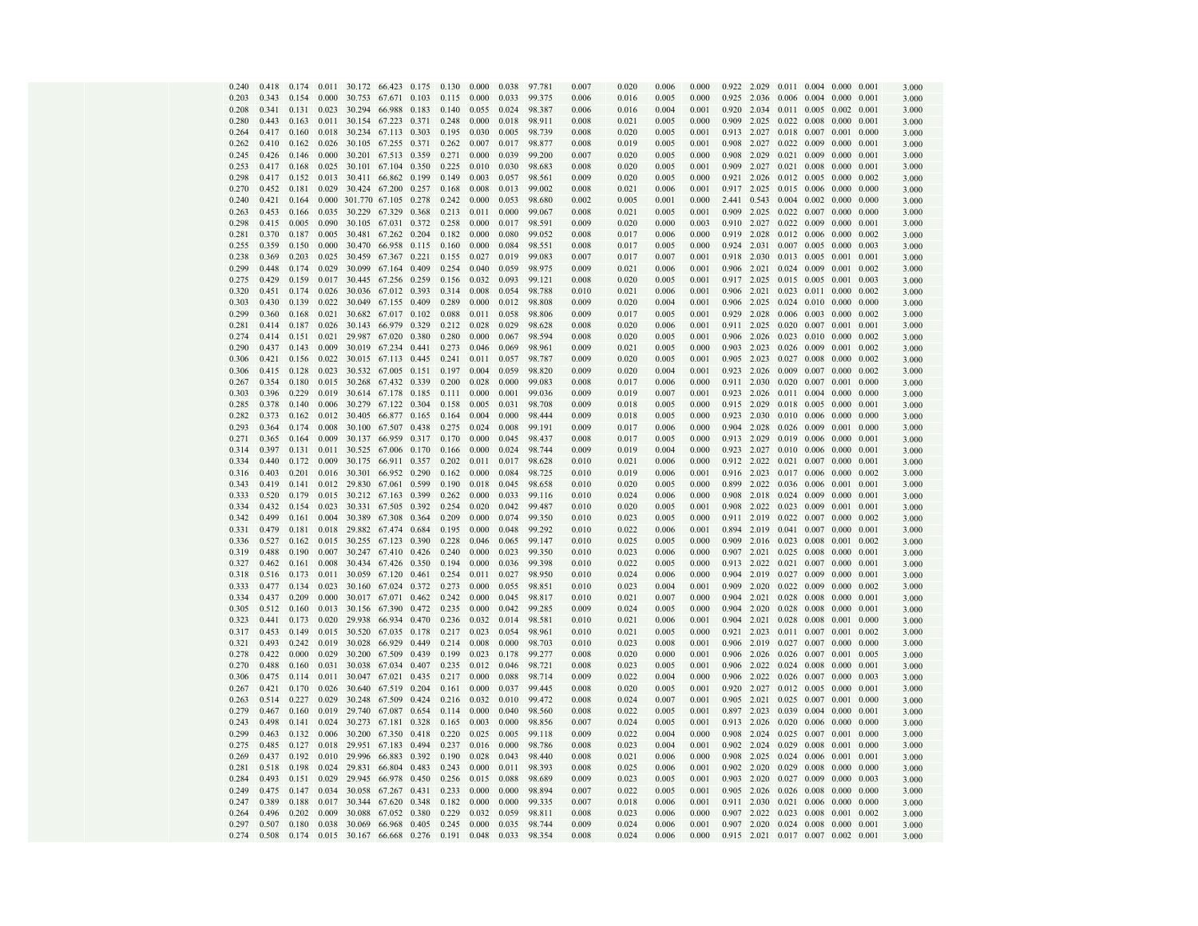| 0.240          | 0.418          | 0.174          | 0.011          |                      | 30.172 66.423 0.175    |       | 0.130          | 0.000          | 0.038          | 97.781           | 0.007          | 0.020          | 0.006          | 0.000          | 0.922                | 2.029                      |                   | $0.011$ $0.004$ $0.000$ $0.001$ |                |                | 3.000          |
|----------------|----------------|----------------|----------------|----------------------|------------------------|-------|----------------|----------------|----------------|------------------|----------------|----------------|----------------|----------------|----------------------|----------------------------|-------------------|---------------------------------|----------------|----------------|----------------|
| 0.203          | 0.343          | 0.154          | 0.000          | 30.753               | 67.671 0.103           |       | 0.115          | 0.000          | 0.033          | 99.375           | 0.006          | 0.016          | 0.005          | 0.000          | 0.925                | 2.036                      |                   | 0.006 0.004                     | 0.000          | 0.001          | 3.000          |
| 0.208          | 0.341          | 0.131          | 0.023          | 30.294               | 66.988                 | 0.183 | 0.140          | 0.055          | 0.024          | 98.387           | 0.006          | 0.016          | 0.004          | 0.001          | 0.920                | 2.034                      | 0.011             | 0.005                           | 0.002          | 0.001          | 3.000          |
| 0.280          | 0.443          | 0.163          | 0.011          | 30.154               | 67.223                 | 0.371 | 0.248          | 0.000          | 0.018          | 98.911           | 0.008          | 0.021          | 0.005          | 0.000          | 0.909                | 2.025                      | 0.022             | 0.008                           | 0.000          | 0.001          | 3.000          |
| 0.264          | 0.417          | 0.160          | 0.018          | 30.234               | 67.113                 | 0.303 | 0.195          | 0.030          | 0.005          | 98.739           | 0.008          | 0.020          | 0.005          | 0.001          | 0.913                | 2.027                      | 0.018             | 0.007                           | 0.001          | 0.000          | 3.000          |
| 0.262          | 0.410          | 0.162          | 0.026          |                      | 30.105 67.255 0.371    |       | 0.262          | 0.007          | 0.017          | 98.877           | 0.008          | 0.019          | 0.005          | 0.001          | 0.908                | 2.027                      | 0.022 0.009       |                                 | 0.000          | 0.001          | 3.000          |
| 0.245          | 0.426          | 0.146          | 0.000          | 30.201               | 67.513 0.359           |       | 0.271          | 0.000          | 0.039          | 99.200           | 0.007          | 0.020          | 0.005          | 0.000          | 0.908                | 2.029                      |                   | 0.021 0.009                     | 0.000          | 0.001          | 3.000          |
| 0.253          | 0.417          | 0.168          | 0.025          | 30.101               | 67.104                 | 0.350 | 0.225          | 0.010          | 0.030          | 98.683           | 0.008          | 0.020          | 0.005          | 0.001          | 0.909                | 2.027                      |                   | 0.021 0.008                     | 0.000          | 0.001          | 3.000          |
| 0.298          | 0.417          | 0.152          | 0.013          | 30.411               | 66.862                 | 0.199 | 0.149          | 0.003          | 0.057          | 98.561           | 0.009          | 0.020          | 0.005          | 0.000          | 0.921                | 2.026                      | 0.012             | 0.005                           | 0.000          | 0.002          | 3.000          |
| 0.270          | 0.452          | 0.181          | 0.029          |                      | 30.424 67.200          | 0.257 | 0.168          | 0.008          | 0.013          | 99.002           | 0.008          | 0.021          | 0.006          | 0.001          |                      | 0.917 2.025                |                   | 0.015 0.006                     | 0.000          | 0.000          | 3.000          |
| 0.240          | 0.421          | 0.164          | 0.000          | 301.770 67.105 0.278 |                        |       | 0.242          | 0.000          | 0.053          | 98.680           | 0.002          | 0.005          | 0.001          | 0.000          |                      | 2.441 0.543                | 0.004             | 0.002                           | 0.000          | 0.000          | 3.000          |
| 0.263          | 0.453          | 0.166          | 0.035          | 30.229               | 67.329                 | 0.368 | 0.213          | 0.011          | 0.000          | 99.067           | 0.008          | 0.021          | 0.005          | 0.001          | 0.909                | 2.025                      | 0.022             | 0.007                           | 0.000          | 0.000          | 3.000          |
| 0.298          | 0.415          | 0.005          | 0.090          | 30.105               | 67.031                 | 0.372 | 0.258          | 0.000          | 0.017          | 98.591           | 0.009          | 0.020          | 0.000          | 0.003          | 0.910                | 2.027                      | 0.022             | 0.009                           | 0.000          | 0.001          | 3.000          |
| 0.281          | 0.370          | 0.187          | 0.005          | 30.481               | 67.262 0.204           |       | 0.182          | 0.000          | 0.080          | 99.052           | 0.008          | 0.017          | 0.006          | 0.000          | 0.919                | 2.028                      |                   | 0.012 0.006                     | 0.000          | 0.002          | 3.000          |
| 0.255          | 0.359          | 0.150          | 0.000          | 30.470               | 66.958 0.115           |       | 0.160          | 0.000          | 0.084          | 98.551           | 0.008          | 0.017          | 0.005          | 0.000          | 0.924                | 2.031                      |                   | $0.007$ 0.005                   | 0.000          | 0.003          | 3.000          |
| 0.238          | 0.369          | 0.203          | 0.025          | 30.459               | 67.367 0.221           |       | 0.155          | 0.027          | 0.019          | 99.083           | 0.007          | 0.017          | 0.007          | 0.001          | 0.918                | 2.030                      |                   | 0.013 0.005                     | 0.001          | 0.001          | 3.000          |
| 0.299          | 0.448          | 0.174          | 0.029          | 30.099               | 67.164                 | 0.409 | 0.254          | 0.040          | 0.059          | 98.975           | 0.009          | 0.021          | 0.006          | 0.001          |                      | 0.906 2.021                |                   | $0.024$ 0.009                   | 0.001          | 0.002          | 3.000          |
| 0.275          | 0.429          | 0.159          | 0.017          |                      | 30.445 67.256          | 0.259 | 0.156          | 0.032          | 0.093          | 99.121           | 0.008          | 0.020          | 0.005          | 0.001          | 0.917                | 2.025                      |                   | $0.015$ 0.005                   | 0.001          | 0.003          | 3.000          |
| 0.320          | 0.451          | 0.174          | 0.026          | 30.036               | 67.012 0.393           |       | 0.314          | 0.008          | 0.054          | 98.788           | 0.010          | 0.021          | 0.006          | 0.001          | 0.906                | 2.021                      | $0.023$ 0.011     |                                 | 0.000          | 0.002          | 3.000          |
| 0.303          | 0.430          | 0.139          | 0.022          | 30.049               | 67.155 0.409           |       | 0.289          | 0.000          | 0.012          | 98.808           | 0.009          | 0.020          | 0.004          | 0.001          | 0.906                | 2.025                      | 0.024             | 0.010                           | 0.000          | 0.000          | 3.000          |
| 0.299          | 0.360          | 0.168          | 0.021          | 30.682               | 67.017                 | 0.102 | 0.088          | 0.011          | 0.058          | 98.806           | 0.009          | 0.017          | 0.005          | 0.001          | 0.929                | 2.028                      | 0.006 0.003       |                                 | 0.000          | 0.002          | 3.000          |
| 0.281          | 0.414          | 0.187          | 0.026          | 30.143               | 66.979                 | 0.329 | 0.212          | 0.028          | 0.029          | 98.628           | 0.008          | 0.020          | 0.006          | 0.001          | 0.911                | 2.025                      | 0.020             | 0.007                           | 0.001          | 0.001          | 3.000          |
| 0.274          | 0.414          | 0.151          | 0.021          | 29.987               | 67.020                 | 0.380 | 0.280          | 0.000          | 0.067          | 98.594           | 0.008          | 0.020          | 0.005          | 0.001          | 0.906                | 2.026                      |                   | $0.023$ $0.010$                 | 0.000          | 0.002          | 3.000          |
| 0.290          | 0.437          | 0.143          | 0.009          | 30.019               | 67.234 0.441           |       | 0.273          | 0.046          | 0.069          | 98.961           | 0.009          | 0.021          | 0.005          | 0.000          | 0.903                | 2.023                      |                   | 0.026 0.009                     | 0.001          | 0.002          | 3.000          |
| 0.306          | 0.421          | 0.156          | 0.022          |                      | 30.015 67.113 0.445    |       | 0.241          | 0.011          | 0.057          | 98.787           | 0.009          | 0.020          | 0.005          | 0.001          | 0.905                | 2.023                      |                   | 0.027 0.008                     | 0.000          | 0.002          | 3.000          |
| 0.306          | 0.415          | 0.128          | 0.023          | 30.532               | 67.005                 | 0.151 | 0.197          | 0.004          | 0.059          | 98.820           | 0.009          | 0.020          | 0.004          | 0.001          | 0.923                | 2.026                      | 0.009             | 0.007                           | 0.000          | 0.002          | 3.000          |
| 0.267          | 0.354          | 0.180          | 0.015          | 30.268               | 67.432 0.339           |       | 0.200          | 0.028          | 0.000          | 99.083           | 0.008          | 0.017          | 0.006          | 0.000          | 0.911                | 2.030                      | 0.020 0.007       |                                 | 0.001          | 0.000          | 3.000          |
| 0.303          | 0.396          | 0.229          | 0.019          | 30.614               | 67.178 0.185           |       | 0.111          | 0.000          | 0.001          | 99.036           | 0.009          | 0.019          | 0.007          | 0.001          |                      | 0.923 2.026                | 0.011 0.004       |                                 | 0.000          | 0.000          | 3.000          |
| 0.285          | 0.378          | 0.140          | 0.006          | 30.279               | 67.122 0.304           |       | 0.158          | 0.005          | 0.031          | 98.708           | 0.009          | 0.018          | 0.005          | 0.000          | 0.915                | 2.029                      | 0.018             | 0.005                           | 0.000          | 0.001          | 3.000          |
| 0.282          | 0.373          | 0.162          | 0.012          | 30.405               | 66.877                 | 0.165 | 0.164          | 0.004          | 0.000          | 98.444           | 0.009          | 0.018          | 0.005          | 0.000          | 0.923                | 2.030                      | 0.010             | 0.006                           | 0.000          | 0.000          | 3.000          |
| 0.293          | 0.364          | 0.174          | 0.008          | 30.100               | 67.507                 | 0.438 | 0.275          | 0.024          | 0.008          | 99.191           | 0.009          | 0.017          | 0.006          | 0.000          | 0.904                | 2.028                      | 0.026             | 0.009                           | 0.001          | 0.000          | 3.000          |
| 0.271          | 0.365          | 0.164          | 0.009          | 30.137               | 66.959 0.317           |       | 0.170          | 0.000          | 0.045          | 98.437           | 0.008          | 0.017          | 0.005          | 0.000          | 0.913                | 2.029                      |                   | 0.019 0.006                     | 0.000          | 0.001          | 3.000          |
| 0.314          | 0.397          | 0.131          | 0.011          | 30.525               | 67.006 0.170           |       | 0.166          | 0.000          | 0.024          | 98.744           | 0.009          | 0.019          | 0.004          | 0.000          |                      | 0.923 2.027                |                   | $0.010$ 0.006                   | 0.000          | 0.001          | 3.000          |
| 0.334          | 0.440          | 0.172          | 0.009          | 30.175               | 66.911                 | 0.357 | 0.202          | 0.011          | 0.017          | 98.628           | 0.010          | 0.021          | 0.006          | 0.000          |                      | 0.912 2.022                |                   | 0.021 0.007                     | 0.000          | 0.001          | 3.000          |
| 0.316          | 0.403          | 0.201          | 0.016          | 30.301               | 66.952                 | 0.290 | 0.162          | 0.000          | 0.084          | 98.725           | 0.010          | 0.019          | 0.006          | 0.001          |                      | 0.916 2.023                | 0.017             | 0.006                           | 0.000          | 0.002          | 3.000          |
| 0.343          | 0.419          | 0.141          | 0.012          | 29.830               | 67.061 0.599           |       | 0.190          | 0.018          | 0.045          | 98.658           | 0.010          | 0.020          | 0.005          | 0.000          |                      | 0.899 2.022                |                   | 0.036 0.006                     | 0.001          | 0.001          | 3.000          |
| 0.333          | 0.520          | 0.179          | 0.015          |                      | 30.212 67.163          | 0.399 | 0.262          | 0.000          | 0.033          | 99.116           | 0.010          | 0.024          | 0.006          | 0.000          |                      | 0.908 2.018                | 0.024             | 0.009                           | 0.000          | 0.001          | 3.000          |
| 0.334          | 0.432          | 0.154          | 0.023          | 30.331               | 67.505                 | 0.392 | 0.254          | 0.020          | 0.042          | 99.487           | 0.010          | 0.020          | 0.005          | 0.001          | 0.908                | 2.022                      | 0.023             | 0.009                           | 0.001          | 0.001          | 3.000          |
| 0.342          | 0.499          | 0.161          | 0.004          | 30.389               | 67.308                 | 0.364 | 0.209          | 0.000          | 0.074          | 99.350           | 0.010          | 0.023          | 0.005          | 0.000          | 0.911                | 2.019                      | 0.022             | 0.007                           | 0.000          | 0.002          | 3.000          |
| 0.331          | 0.479          | 0.181          | 0.018          | 29.882               | 67.474                 | 0.684 | 0.195          | 0.000          | 0.048          | 99.292           | 0.010          | 0.022          | 0.006          | 0.001          | 0.894                | 2.019                      | 0.041             | 0.007                           | 0.000          | 0.001          | 3.000          |
| 0.336          | 0.527          | 0.162          | 0.015          | 30.255               | 67.123 0.390           |       | 0.228          | 0.046          | 0.065          | 99.147           | 0.010          | 0.025          | 0.005          | 0.000          | 0.909                |                            | 2.016 0.023 0.008 |                                 | 0.001          | 0.002          | 3.000          |
| 0.319          | 0.488          | 0.190          | 0.007          |                      | 30.247 67.410 0.426    |       | 0.240          | 0.000          | 0.023          | 99.350           | 0.010          | 0.023          | 0.006          | 0.000          | 0.907                | 2.021                      |                   | $0.025$ 0.008                   | 0.000          | 0.001          | 3.000          |
| 0.327          | 0.462          | 0.161          | 0.008          | 30.434               | 67.426 0.350           |       | 0.194          | 0.000          | 0.036          | 99.398           | 0.010          | 0.022          | 0.005          | 0.000          |                      | 0.913 2.022                | 0.021             | 0.007                           | 0.000          | 0.001          | 3.000          |
| 0.318          | 0.516          | 0.173          | 0.011          | 30.059               | 67.120                 | 0.461 | 0.254          | 0.011          | 0.027          | 98.950           | 0.010          | 0.024          | 0.006          | 0.000          | 0.904                | 2.019                      | 0.027             | 0.009                           | 0.000          | 0.001          | 3.000          |
| 0.333          | 0.477          | 0.134          | 0.023          | 30.160               | 67.024 0.372           |       | 0.273          | 0.000          | 0.055          | 98.851           | 0.010          | 0.023          | 0.004          | 0.001          | 0.909                |                            | 2.020 0.022 0.009 |                                 | 0.000          | 0.002          | 3.000          |
| 0.334          | 0.437          | 0.209<br>0.160 | 0.000          | 30.017               | 67.071<br>67.390       | 0.462 | 0.242<br>0.235 | 0.000          | 0.045          | 98.817<br>99.285 | 0.010          | 0.021          | 0.007          | 0.000          | 0.904                | 2.021                      | 0.028             | 0.008                           | 0.000          | 0.001          | 3.000          |
| 0.305          | 0.512          |                | 0.013          | 30.156               |                        | 0.472 |                | 0.000          | 0.042          |                  | 0.009          | 0.024          | 0.005          | 0.000          | 0.904                | 2.020                      | 0.028             | 0.008                           | 0.000<br>0.001 | 0.001          | 3.000          |
| 0.323          | 0.441<br>0.453 | 0.173<br>0.149 | 0.020<br>0.015 | 29.938<br>30.520     | 66.934<br>67.035 0.178 | 0.470 | 0.236<br>0.217 | 0.032          | 0.014<br>0.054 | 98.581<br>98.961 | 0.010          | 0.021          | 0.006          | 0.001<br>0.000 | 0.904<br>0.921 2.023 | 2.021                      | 0.028             | 0.008<br>0.011 0.007            | 0.001          | 0.000          | 3.000          |
| 0.317          |                |                |                |                      |                        |       |                | 0.023          |                |                  | 0.010          | 0.021          | 0.005          |                |                      |                            |                   |                                 |                | 0.002          | 3.000          |
| 0.321<br>0.278 | 0.493<br>0.422 | 0.242<br>0.000 | 0.019<br>0.029 | 30.028<br>30.200     | 66.929 0.449<br>67.509 | 0.439 | 0.214<br>0.199 | 0.008<br>0.023 | 0.000<br>0.178 | 98.703<br>99.277 | 0.010<br>0.008 | 0.023<br>0.020 | 0.008<br>0.000 | 0.001<br>0.001 |                      | 0.906 2.019<br>0.906 2.026 |                   | 0.027 0.007<br>0.026 0.007      | 0.000<br>0.001 | 0.000<br>0.005 | 3.000          |
| 0.270          | 0.488          | 0.160          | 0.031          | 30.038               | 67.034                 | 0.407 | 0.235          | 0.012          | 0.046          | 98.721           | 0.008          | 0.023          | 0.005          | 0.001          |                      | 0.906 2.022                | 0.024             | 0.008                           | 0.000          | 0.001          | 3.000          |
|                | 0.475          | 0.114          | 0.011          |                      | 67.021 0.435           |       | 0.217          | 0.000          | 0.088          |                  | 0.009          | 0.022          |                |                |                      | 0.906 2.022                |                   | 0.026 0.007                     | 0.000          | 0.003          | 3.000          |
| 0.306<br>0.267 | 0.421          | 0.170          | 0.026          | 30.047<br>30.640     | 67.519                 | 0.204 | 0.161          | 0.000          | 0.037          | 98.714<br>99.445 | 0.008          | 0.020          | 0.004<br>0.005 | 0.000<br>0.001 |                      | 0.920 2.027                |                   | 0.012 0.005                     | 0.000          | 0.001          | 3.000          |
| 0.263          | 0.514          | 0.227          | 0.029          | 30.248               | 67.509                 | 0.424 | 0.216          | 0.032          | 0.010          | 99.472           | 0.008          | 0.024          | 0.007          | 0.001          | 0.905                | 2.021                      | 0.025             | 0.007                           | 0.001          | 0.000          | 3.000<br>3.000 |
| 0.279          | 0.467          | 0.160          | 0.019          | 29.740               | 67.087                 | 0.654 | 0.114          | 0.000          | 0.040          | 98.560           | 0.008          | 0.022          | 0.005          | 0.001          | 0.897                | 2.023                      | 0.039             | 0.004                           | 0.000          | 0.001          | 3.000          |
| 0.243          | 0.498          | 0.141          | 0.024          | 30.273               | 67.181                 | 0.328 | 0.165          | 0.003          | 0.000          | 98.856           | 0.007          | 0.024          | 0.005          | 0.001          | 0.913                | 2.026                      | 0.020             | 0.006                           | 0.000          | 0.000          | 3.000          |
| 0.299          | 0.463          | 0.132          | 0.006          | 30.200               | 67.350 0.418           |       | 0.220          | 0.025          | 0.005          | 99.118           | 0.009          | 0.022          | 0.004          | 0.000          |                      | 0.908 2.024                | 0.025 0.007       |                                 | 0.001          | 0.000          | 3.000          |
| 0.275          | 0.485          | 0.127          | 0.018          | 29.951               | 67.183 0.494           |       | 0.237          | 0.016          | 0.000          | 98.786           | 0.008          | 0.023          | 0.004          | 0.001          |                      | 0.902 2.024                | 0.029             | 0.008                           | 0.001          | 0.000          | 3.000          |
| 0.269          | 0.437          | 0.192          | 0.010          | 29.996               | 66.883                 | 0.392 | 0.190          | 0.028          | 0.043          | 98.440           | 0.008          | 0.021          | 0.006          | 0.000          | 0.908                | 2.025                      | 0.024             | 0.006                           | 0.001          | 0.001          | 3.000          |
| 0.281          | 0.518          | 0.198          | 0.024          | 29.831               | 66.804                 | 0.483 | 0.243          | 0.000          | 0.011          | 98.393           | 0.008          | 0.025          | 0.006          | 0.001          |                      | 0.902 2.020                | 0.029             | 0.008                           | 0.000          | 0.000          | 3.000          |
| 0.284          | 0.493          | 0.151          | 0.029          | 29.945               | 66.978 0.450           |       | 0.256          | 0.015          | 0.088          | 98.689           | 0.009          | 0.023          | 0.005          | 0.001          |                      | 0.903 2.020                | 0.027 0.009       |                                 | 0.000          | 0.003          | 3.000          |
| 0.249          | 0.475          | 0.147          | 0.034          | 30.058               | 67.267                 | 0.431 | 0.233          | 0.000          | 0.000          | 98.894           | 0.007          | 0.022          | 0.005          | 0.001          | 0.905                | 2.026                      | 0.026             | 0.008                           | 0.000          | 0.000          | 3.000          |
| 0.247          | 0.389          | 0.188          | 0.017          | 30.344               | 67.620                 | 0.348 | 0.182          | 0.000          | 0.000          | 99.335           | 0.007          | 0.018          | 0.006          | 0.001          | 0.911                | 2.030                      | 0.021             | 0.006                           | 0.000          | 0.000          | 3.000          |
| 0.264          | 0.496          | 0.202          | 0.009          | 30.088               | 67.052                 | 0.380 | 0.229          | 0.032          | 0.059          | 98.811           | 0.008          | 0.023          | 0.006          | 0.000          | 0.907                | 2.022                      | 0.023             | 0.008                           | 0.001          | 0.002          | 3.000          |
| 0.297          | 0.507          | 0.180          | 0.038          | 30.069               | 66.968                 | 0.405 | 0.245          | 0.000          | 0.035          | 98.744           | 0.009          | 0.024          | 0.006          | 0.001          |                      |                            |                   | 0.907 2.020 0.024 0.008 0.000   |                | 0.001          | 3.000          |
| 0.274          | 0.508          | 0.174          | 0.015          | 30.167               | 66.668 0.276           |       | 0.191          | 0.048          | 0.033          | 98.354           | 0.008          | 0.024          | 0.006          | 0.000          |                      |                            |                   | 0.915 2.021 0.017 0.007 0.002   |                | 0.001          | 3.000          |
|                |                |                |                |                      |                        |       |                |                |                |                  |                |                |                |                |                      |                            |                   |                                 |                |                |                |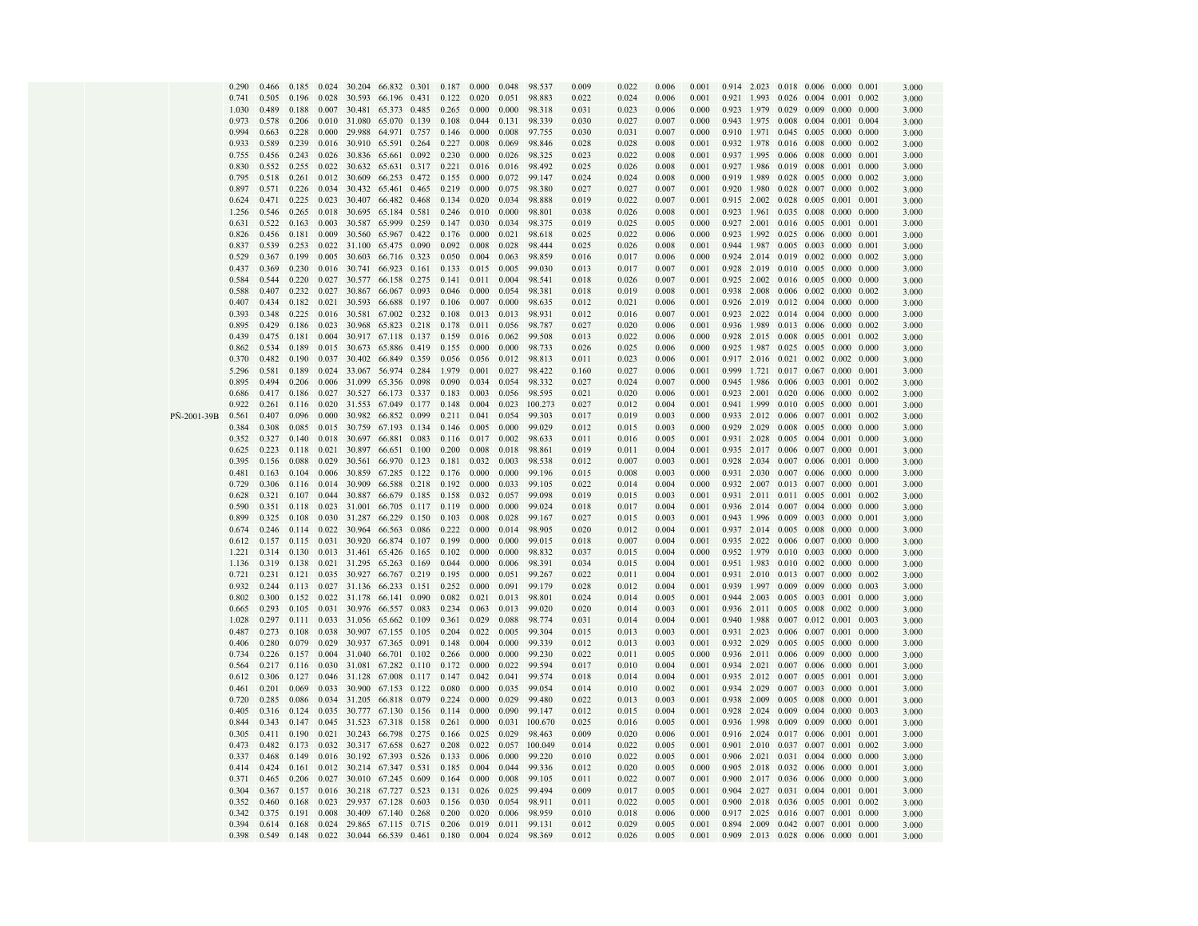|             | 0.290          | 0.466          | 0.185          | 0.024          | 30.204                    | 66.832           | 0.301          | 0.187          | 0.000          | 0.048          | 98.537            | 0.009          | 0.022          | 0.006          | 0.001          |                | 0.914 2.023                   | 0.018             | 0.006                | 0.000          | 0.001          | 3.000          |
|-------------|----------------|----------------|----------------|----------------|---------------------------|------------------|----------------|----------------|----------------|----------------|-------------------|----------------|----------------|----------------|----------------|----------------|-------------------------------|-------------------|----------------------|----------------|----------------|----------------|
|             | 0.741          | 0.505          | 0.196          | 0.028          | 30.593                    | 66.196           | 0.431          | 0.122          | 0.020          | 0.051          | 98.883            | 0.022          | 0.024          | 0.006          | 0.001          | 0.921          | 1.993                         | 0.026             | 0.004                | 0.001          | 0.002          | 3.000          |
|             | 1.030          | 0.489          | 0.188          | 0.007          | 30.481                    | 65.373           | 0.485          | 0.265          | 0.000          | 0.000          | 98.318            | 0.031          | 0.023          | 0.006          | 0.000          | 0.923          | 1.979                         | 0.029             | 0.009                | 0.000          | 0.000          | 3.000          |
|             | 0.973          | 0.578          | 0.206          | 0.010          | 31.080                    | 65.070           | 0.139          | 0.108          | 0.044          | 0.131          | 98.339            | 0.030          | 0.027          | 0.007          | 0.000          | 0.943          | 1.975                         | 0.008             | 0.004                | 0.001          | 0.004          | 3.000          |
|             | 0.994          | 0.663          | 0.228          | 0.000          | 29.988                    | 64.971           | 0.757          | 0.146          | 0.000          | 0.008          | 97.755            | 0.030          | 0.031          | 0.007          | 0.000          | 0.910          | 1.971                         | 0.045             | 0.005                | 0.000          | 0.000          | 3.000          |
|             | 0.933          | 0.589          | 0.239          | 0.016          | 30.910                    | 65.591           | 0.264          | 0.227          | 0.008          | 0.069          | 98.846            | 0.028          | 0.028          | 0.008          | 0.001          | 0.932          | 1.978                         | 0.016             | 0.008                | 0.000          | 0.002          | 3.000          |
|             | 0.755          | 0.456          | 0.243          | 0.026          | 30.836                    | 65.661           | 0.092          | 0.230          | 0.000          | 0.026          | 98.325            | 0.023          | 0.022          | 0.008          | 0.001          | 0.937          | 1.995                         | 0.006             | 0.008                | 0.000          | 0.001          | 3.000          |
|             | 0.830          | 0.552          | 0.255          | 0.022          | 30.632                    | 65.631           | 0.317          | 0.221          | 0.016          | 0.016          | 98.492            | 0.025          | 0.026          | 0.008          | 0.001          | 0.927          | 1.986                         | 0.019             | 0.008                | 0.001          | 0.000          | 3.000          |
|             | 0.795          | 0.518          | 0.261          | 0.012          | 30.609                    | 66.253           | 0.472          | 0.155          | 0.000          | 0.072          | 99.147            | 0.024          | 0.024          | 0.008          | 0.000          | 0.919          | 1.989                         | 0.028             | 0.005                | 0.000          | 0.002          | 3.000          |
|             | 0.897          | 0.571<br>0.471 | 0.226<br>0.225 | 0.034<br>0.023 | 30.432<br>30.407          | 65.461<br>66.482 | 0.465<br>0.468 | 0.219<br>0.134 | 0.000<br>0.020 | 0.075<br>0.034 | 98.380<br>98.888  | 0.027          | 0.027<br>0.022 | 0.007          | 0.001          | 0.920<br>0.915 | 1.980<br>2.002                | 0.028<br>0.028    | 0.007<br>0.005       | 0.000<br>0.001 | 0.002<br>0.001 | 3.000          |
|             | 0.624<br>1.256 | 0.546          | 0.265          | 0.018          | 30.695                    | 65.184           | 0.581          | 0.246          | 0.010          | 0.000          | 98.801            | 0.019<br>0.038 | 0.026          | 0.007<br>0.008 | 0.001<br>0.001 | 0.923          | 1.961                         | 0.035             | 0.008                | 0.000          | 0.000          | 3.000          |
|             | 0.631          | 0.522          | 0.163          | 0.003          | 30.587                    | 65.999           | 0.259          | 0.147          | 0.030          | 0.034          | 98.375            | 0.019          | 0.025          | 0.005          | 0.000          | 0.927          | 2.001                         | 0.016             | 0.005                | 0.001          | 0.001          | 3.000<br>3.000 |
|             | 0.826          | 0.456          | 0.181          | 0.009          | 30.560                    | 65.967           | 0.422          | 0.176          | 0.000          | 0.021          | 98.618            | 0.025          | 0.022          | 0.006          | 0.000          | 0.923          | 1.992                         | $0.025$ 0.006     |                      | 0.000          | 0.001          | 3.000          |
|             | 0.837          | 0.539          | 0.253          | 0.022          | 31.100                    | 65.475           | 0.090          | 0.092          | 0.008          | 0.028          | 98.444            | 0.025          | 0.026          | 0.008          | 0.001          | 0.944          | 1.987                         | 0.005             | 0.003                | 0.000          | 0.001          | 3.000          |
|             | 0.529          | 0.367          | 0.199          | 0.005          | 30.603                    | 66.716           | 0.323          | 0.050          | 0.004          | 0.063          | 98.859            | 0.016          | 0.017          | 0.006          | 0.000          | 0.924          | 2.014                         | 0.019             | 0.002                | 0.000          | 0.002          | 3.000          |
|             | 0.437          | 0.369          | 0.230          | 0.016          | 30.741                    | 66.923           | 0.161          | 0.133          | 0.015          | 0.005          | 99.030            | 0.013          | 0.017          | 0.007          | 0.001          | 0.928          | 2.019                         | 0.010             | 0.005                | 0.000          | 0.000          | 3.000          |
|             | 0.584          | 0.544          | 0.220          | 0.027          | 30.577                    | 66.158           | 0.275          | 0.141          | 0.011          | 0.004          | 98.541            | 0.018          | 0.026          | 0.007          | 0.001          | 0.925          | 2.002                         | $0.016$ 0.005     |                      | 0.000          | 0.000          | 3.000          |
|             | 0.588          | 0.407          | 0.232          | 0.027          | 30.867                    | 66.067           | 0.093          | 0.046          | 0.000          | 0.054          | 98.381            | 0.018          | 0.019          | 0.008          | 0.001          | 0.938          | 2.008                         | 0.006             | 0.002                | 0.000          | 0.002          | 3.000          |
|             | 0.407          | 0.434          | 0.182          | 0.021          | 30.593                    | 66.688           | 0.197          | 0.106          | 0.007          | 0.000          | 98.635            | 0.012          | 0.021          | 0.006          | 0.001          | 0.926          | 2.019                         | 0.012             | 0.004                | 0.000          | 0.000          | 3.000          |
|             | 0.393          | 0.348          | 0.225          | 0.016          | 30.581                    | 67.002           | 0.232          | 0.108          | 0.013          | 0.013          | 98.931            | 0.012          | 0.016          | 0.007          | 0.001          | 0.923          | 2.022                         | 0.014             | 0.004                | 0.000          | 0.000          | 3.000          |
|             | 0.895          | 0.429          | 0.186          | 0.023          | 30.968                    | 65.823           | 0.218          | 0.178          | 0.011          | 0.056          | 98.787            | 0.027          | 0.020          | 0.006          | 0.001          | 0.936          | 1.989                         | 0.013             | 0.006                | 0.000          | 0.002          | 3.000          |
|             | 0.439          | 0.475          | 0.181          | 0.004          | 30.917                    | 67.118           | 0.137          | 0.159          | 0.016          | 0.062          | 99.508            | 0.013          | 0.022          | 0.006          | 0.000          | 0.928          | 2.015                         | 0.008             | 0.005                | 0.001          | 0.002          | 3.000          |
|             | 0.862          | 0.534          | 0.189          | 0.015          | 30.673                    | 65.886           | 0.419          | 0.155          | 0.000          | 0.000          | 98.733            | 0.026          | 0.025          | 0.006          | 0.000          | 0.925          | 1.987                         | 0.025             | 0.005                | 0.000          | 0.000          | 3.000          |
|             | 0.370          | 0.482          | 0.190          | 0.037          | 30.402                    | 66.849           | 0.359          | 0.056          | 0.056          | 0.012          | 98.813            | 0.011          | 0.023          | 0.006          | 0.001          | 0.917          | 2.016                         | 0.021             | 0.002                | 0.002          | 0.000          | 3.000          |
|             | 5.296          | 0.581          | 0.189          | 0.024          | 33.067                    | 56.974           | 0.284          | 1.979          | 0.001          | 0.027          | 98.422            | 0.160          | 0.027          | 0.006          | 0.001          | 0.999          | 1.721                         | 0.017             | 0.067                | 0.000          | 0.001          | 3.000          |
|             | 0.895          | 0.494          | 0.206          | 0.006          | 31.099                    | 65.356           | 0.098          | 0.090          | 0.034          | 0.054          | 98.332            | 0.027          | 0.024          | 0.007          | 0.000          | 0.945          | 1.986                         |                   | 0.006 0.003 0.001    |                | 0.002          | 3.000          |
|             | 0.686<br>0.922 | 0.417<br>0.261 | 0.186<br>0.116 | 0.027<br>0.020 | 30.527<br>31.553          | 66.173<br>67.049 | 0.337<br>0.177 | 0.183<br>0.148 | 0.003<br>0.004 | 0.056<br>0.023 | 98.595<br>100.273 | 0.021<br>0.027 | 0.020<br>0.012 | 0.006<br>0.004 | 0.001<br>0.001 | 0.923<br>0.941 | 2.001<br>1.999                | 0.020<br>0.010    | 0.006<br>0.005       | 0.000<br>0.000 | 0.002<br>0.001 | 3.000<br>3.000 |
| PÑ-2001-39B | 0.561          | 0.407          | 0.096          | 0.000          | 30.982                    | 66.852           | 0.099          | 0.211          | 0.041          | 0.054          | 99.303            | 0.017          | 0.019          | 0.003          | 0.000          | 0.933          | 2.012                         | 0.006             | 0.007                | 0.001          | 0.002          | 3.000          |
|             | 0.384          | 0.308          | 0.085          | 0.015          | 30.759                    | 67.193           | 0.134          | 0.146          | 0.005          | 0.000          | 99.029            | 0.012          | 0.015          | 0.003          | 0.000          | 0.929          | 2.029                         | 0.008             | 0.005                | 0.000          | 0.000          | 3.000          |
|             | 0.352          | 0.327          | 0.140          | 0.018          | 30.697                    | 66.881           | 0.083          | 0.116          | 0.017          | 0.002          | 98.633            | 0.011          | 0.016          | 0.005          | 0.001          | 0.931          | 2.028                         | 0.005             | 0.004                | 0.001          | 0.000          | 3.000          |
|             | 0.625          | 0.223          | 0.118          | 0.021          | 30.897                    | 66.651           | 0.100          | 0.200          | 0.008          | 0.018          | 98.861            | 0.019          | 0.011          | 0.004          | 0.001          | 0.935          | 2.017                         | 0.006             |                      | 0.007 0.000    | 0.001          | 3.000          |
|             | 0.395          | 0.156          | 0.088          | 0.029          | 30.561                    | 66.970           | 0.123          | 0.181          | 0.032          | 0.003          | 98.538            | 0.012          | 0.007          | 0.003          | 0.001          | 0.928          | 2.034                         | 0.007             | 0.006                | 0.001          | 0.000          | 3.000          |
|             | 0.481          | 0.163          | 0.104          | 0.006          | 30.859                    | 67.285           | 0.122          | 0.176          | 0.000          | 0.000          | 99.196            | 0.015          | 0.008          | 0.003          | 0.000          | 0.931          | 2.030                         | 0.007             | 0.006                | 0.000          | 0.000          | 3.000          |
|             | 0.729          | 0.306          | 0.116          | 0.014          | 30.909                    | 66.588           | 0.218          | 0.192          | 0.000          | 0.033          | 99.105            | 0.022          | 0.014          | 0.004          | 0.000          |                | 0.932 2.007                   | 0.013             | 0.007 0.000          |                | 0.001          | 3.000          |
|             | 0.628          | 0.321          | 0.107          | 0.044          | 30.887                    | 66.679           | 0.185          | 0.158          | 0.032          | 0.057          | 99.098            | 0.019          | 0.015          | 0.003          | 0.001          | 0.931          | 2.011                         | 0.011             | 0.005                | 0.001          | 0.002          | 3.000          |
|             | 0.590          | 0.351          | 0.118          | 0.023          | 31.001                    | 66.705           | 0.117          | 0.119          | 0.000          | 0.000          | 99.024            | 0.018          | 0.017          | 0.004          | 0.001          | 0.936          | 2.014                         | 0.007             | 0.004                | 0.000          | 0.000          | 3.000          |
|             | 0.899          | 0.325          | 0.108          | 0.030          | 31.287                    | 66.229           | 0.150          | 0.103          | 0.008          | 0.028          | 99.167            | 0.027          | 0.015          | 0.003          | 0.001          | 0.943          | 1.996                         | 0.009             | 0.003                | 0.000          | 0.001          | 3.000          |
|             | 0.674          | 0.246          | 0.114          | 0.022          | 30.964                    | 66.563           | 0.086          | 0.222          | 0.000          | 0.014          | 98.905            | 0.020          | 0.012          | 0.004          | 0.001          | 0.937          | 2.014                         | 0.005             | 0.008                | 0.000          | 0.000          | 3.000          |
|             | 0.612          | 0.157          | 0.115          | 0.031          | 30.920                    | 66.874           | 0.107          | 0.199          | 0.000          | 0.000          | 99.015            | 0.018          | 0.007          | 0.004          | 0.001          | 0.935          | 2.022                         | 0.006             | 0.007                | 0.000          | 0.000          | 3.000          |
|             | 1.221          | 0.314          | 0.130          | 0.013          | 31.461                    | 65.426           | 0.165          | 0.102          | 0.000          | 0.000          | 98.832            | 0.037          | 0.015          | 0.004          | 0.000          | 0.952          | 1.979                         | 0.010             | 0.003                | 0.000          | 0.000          | 3.000          |
|             | 1.136<br>0.721 | 0.319<br>0.231 | 0.138<br>0.121 | 0.021<br>0.035 | 31.295<br>30.927          | 65.263<br>66.767 | 0.169<br>0.219 | 0.044<br>0.195 | 0.000<br>0.000 | 0.006<br>0.051 | 98.391<br>99.267  | 0.034<br>0.022 | 0.015<br>0.011 | 0.004<br>0.004 | 0.001<br>0.001 | 0.951<br>0.931 | 1.983<br>2.010                | 0.010             | 0.002<br>0.013 0.007 | 0.000<br>0.000 | 0.000<br>0.002 | 3.000          |
|             | 0.932          | 0.244          | 0.113          | 0.027          | 31.136                    | 66.233           | 0.151          | 0.252          | 0.000          | 0.091          | 99.179            | 0.028          | 0.012          | 0.004          | 0.001          | 0.939          | 1.997                         | 0.009             | 0.009                | 0.000          | 0.003          | 3.000<br>3.000 |
|             | 0.802          | 0.300          | 0.152          | 0.022          | 31.178                    | 66.141           | 0.090          | 0.082          | 0.021          | 0.013          | 98.801            | 0.024          | 0.014          | 0.005          | 0.001          | 0.944          | 2.003                         | 0.005             | 0.003                | 0.001          | 0.000          | 3.000          |
|             | 0.665          | 0.293          | 0.105          | 0.031          | 30.976                    | 66.557           | 0.083          | 0.234          | 0.063          | 0.013          | 99.020            | 0.020          | 0.014          | 0.003          | 0.001          | 0.936          | 2.011                         | 0.005             | 0.008                | 0.002          | 0.000          | 3.000          |
|             | 1.028          | 0.297          | 0.111          | 0.033          | 31.056                    | 65.662           | 0.109          | 0.361          | 0.029          | 0.088          | 98.774            | 0.031          | 0.014          | 0.004          | 0.001          | 0.940          | 1.988                         | 0.007             |                      | 0.012 0.001    | 0.003          | 3.000          |
|             | 0.487          | 0.273          | 0.108          | 0.038          | 30.907                    | 67.155           | 0.105          | 0.204          | 0.022          | 0.005          | 99.304            | 0.015          | 0.013          | 0.003          | 0.001          |                | 0.931 2.023                   | 0.006             | $0.007$ 0.001        |                | 0.000          | 3.000          |
|             | 0.406          | 0.280          | 0.079          | 0.029          | 30.937                    | 67.365           | 0.091          | 0.148          | 0.004          | 0.000          | 99.339            | 0.012          | 0.013          | 0.003          | 0.001          |                | 0.932 2.029                   | 0.005             | 0.005                | 0.000          | 0.000          | 3.000          |
|             | 0.734          | 0.226          | 0.157          | 0.004          | 31.040                    | 66.701           | 0.102          | 0.266          | 0.000          | 0.000          | 99.230            | 0.022          | 0.011          | 0.005          | 0.000          |                | 0.936 2.011                   | 0.006             | 0.009                | 0.000          | 0.000          | 3.000          |
|             | 0.564          | 0.217          | 0.116          | 0.030          | 31.081                    | 67.282           | 0.110          | 0.172          | 0.000          | 0.022          | 99.594            | 0.017          | 0.010          | 0.004          | 0.001          | 0.934          | 2.021                         | 0.007             | 0.006                | 0.000          | 0.001          | 3.000          |
|             | 0.612          | 0.306          | 0.127          | 0.046          | 31.128                    | 67.008           | 0.117          | 0.147          | 0.042          | 0.041          | 99.574            | 0.018          | 0.014          | 0.004          | 0.001          |                | 0.935 2.012                   | 0.007             | 0.005                | 0.001          | 0.001          | 3.000          |
|             | 0.461          | 0.201          | 0.069          | 0.033          | 30.900                    | 67.153           | 0.122          | 0.080          | 0.000          | 0.035          | 99.054            | 0.014          | 0.010          | 0.002          | 0.001          | 0.934          | 2.029                         | 0.007             | 0.003                | 0.000          | 0.001          | 3.000          |
|             | 0.720          | 0.285          | 0.086          | 0.034          | 31.205                    | 66.818           | 0.079          | 0.224          | 0.000          | 0.029          | 99.480            | 0.022          | 0.013          | 0.003          | 0.001          | 0.938          | 2.009                         | 0.005             | 0.008                | 0.000          | 0.001          | 3.000          |
|             | 0.405          | 0.316          | 0.124          | 0.035          | 30.777                    | 67.130           | 0.156          | 0.114          | 0.000          | 0.090          | 99.147            | 0.012          | 0.015          | 0.004          | 0.001          | 0.928          | 2.024                         | 0.009             | 0.004                | 0.000          | 0.003          | 3.000          |
|             | 0.844          | 0.343          | 0.147          | 0.045          | 31.523                    | 67.318           | 0.158          | 0.261          | 0.000          | 0.031          | 100.670           | 0.025          | 0.016          | 0.005          | 0.001          | 0.936          | 1.998                         | 0.009             | 0.009                | 0.000          | 0.001          | 3.000          |
|             | 0.305          | 0.411          | 0.190          | 0.021          | 30.243                    | 66.798           | 0.275          | 0.166          | 0.025          | 0.029          | 98.463            | 0.009          | 0.020          | 0.006          | 0.001          | 0.916          | 2.024                         | 0.017             | 0.006                | 0.001          | 0.001          | 3.000          |
|             | 0.473          | 0.482          | 0.173          | 0.032          | 30.317                    | 67.658           | 0.627          | 0.208          | 0.022          | 0.057          | 100.049           | 0.014          | 0.022          | 0.005          | 0.001          | 0.901          | 2.010                         | 0.037             | 0.007                | 0.001          | 0.002          | 3.000          |
|             | 0.337<br>0.414 | 0.468<br>0.424 | 0.149<br>0.161 | 0.016<br>0.012 | 30.192<br>30.214          | 67.393<br>67.347 | 0.526<br>0.531 | 0.133<br>0.185 | 0.006<br>0.004 | 0.000<br>0.044 | 99.220<br>99.336  | 0.010<br>0.012 | 0.022<br>0.020 | 0.005<br>0.005 | 0.001<br>0.000 | 0.906<br>0.905 | 2.021<br>2.018                | 0.031<br>0.032    | 0.004<br>0.006       | 0.000<br>0.000 | 0.000<br>0.001 | 3.000<br>3.000 |
|             | 0.371          | 0.465          | 0.206          | 0.027          | 30.010                    | 67.245           | 0.609          | 0.164          | 0.000          | 0.008          | 99.105            | 0.011          | 0.022          | 0.007          | 0.001          | 0.900          | 2.017                         | 0.036             | 0.006                | 0.000          | 0.000          | 3.000          |
|             | 0.304          | 0.367          | 0.157          | 0.016          | 30.218                    | 67.727           | 0.523          | 0.131          | 0.026          | 0.025          | 99.494            | 0.009          | 0.017          | 0.005          | 0.001          | 0.904          | 2.027                         | 0.031             | 0.004                | 0.001          | 0.001          | 3.000          |
|             | 0.352          | 0.460          | 0.168          | 0.023          | 29.937                    | 67.128           | 0.603          | 0.156          | 0.030          | 0.054          | 98.911            | 0.011          | 0.022          | 0.005          | 0.001          | 0.900          | 2.018                         | 0.036             | 0.005                | 0.001          | 0.002          | 3.000          |
|             | 0.342          | 0.375          | 0.191          | 0.008          | 30.409                    | 67.140           | 0.268          | 0.200          | 0.020          | 0.006          | 98.959            | 0.010          | 0.018          | 0.006          | 0.000          | 0.917          | 2.025                         | 0.016             | $0.007$ 0.001        |                | 0.000          | 3.000          |
|             | 0.394          | 0.614          | 0.168          | 0.024          | 29.865 67.115 0.715       |                  |                | 0.206          | 0.019          | 0.011          | 99.131            | 0.012          | 0.029          | 0.005          | 0.001          |                | 0.894 2.009                   | 0.042 0.007 0.001 |                      |                | 0.000          | 3.000          |
|             | 0.398          | 0.549          | 0.148          |                | 0.022 30.044 66.539 0.461 |                  |                | 0.180          | 0.004          | 0.024          | 98.369            | 0.012          | 0.026          | 0.005          | 0.001          |                | 0.909 2.013 0.028 0.006 0.000 |                   |                      |                | 0.001          | 3.000          |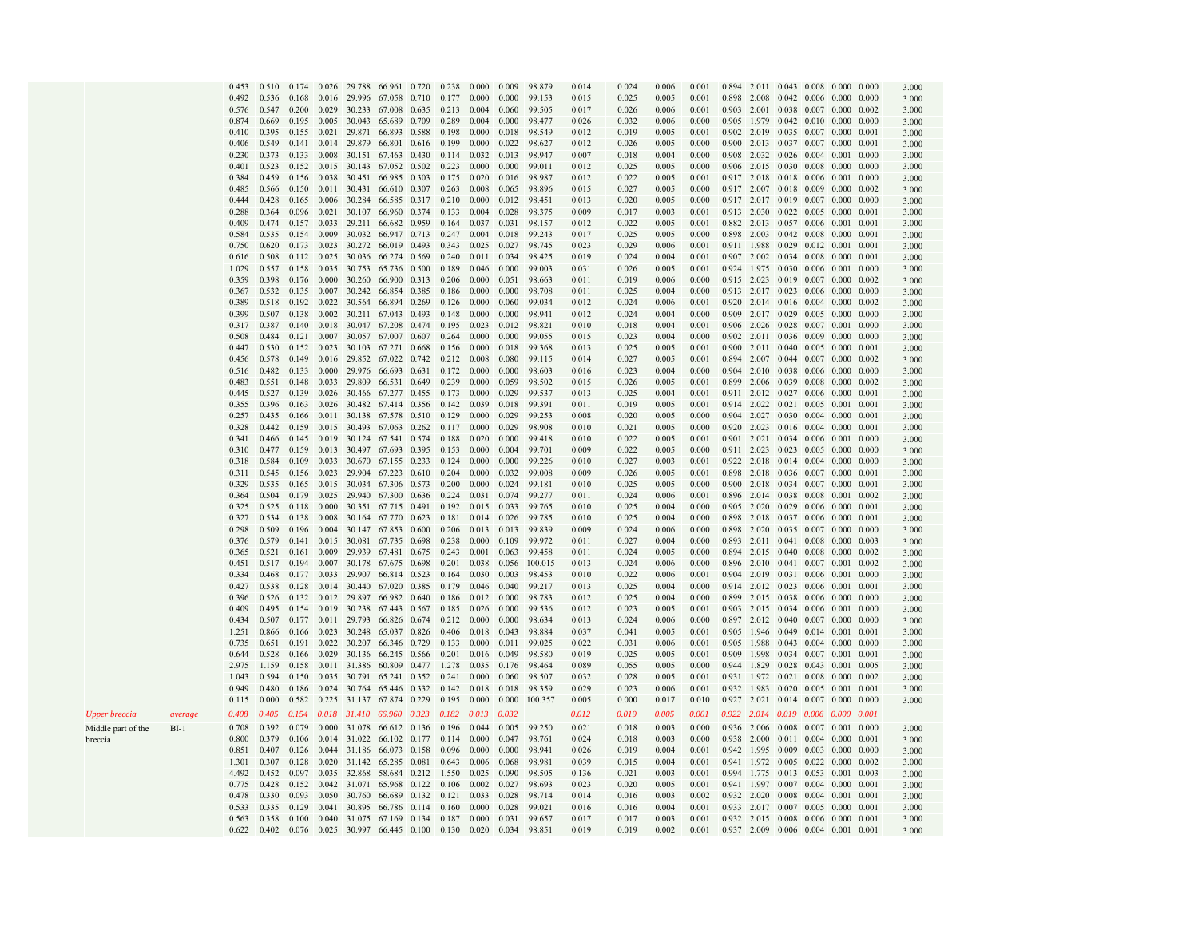|                      |         | 0.453 | 0.510 | 0.174 | 0.026 | 29.788                                | 66.961             | 0.720 | 0.238 | 0.000 | 0.009 | 98.879  | 0.014 | 0.024 | 0.006 | 0.001 | 0.894 |       | 2.011 0.043 0.008 0.000             |                 |                   | 0.000 | 3.000 |
|----------------------|---------|-------|-------|-------|-------|---------------------------------------|--------------------|-------|-------|-------|-------|---------|-------|-------|-------|-------|-------|-------|-------------------------------------|-----------------|-------------------|-------|-------|
|                      |         | 0.492 | 0.536 | 0.168 | 0.016 | 29.996 67.058                         |                    | 0.710 | 0.177 | 0.000 | 0.000 | 99.153  | 0.015 | 0.025 | 0.005 | 0.001 | 0.898 | 2.008 |                                     |                 | 0.042 0.006 0.000 | 0.000 | 3.000 |
|                      |         | 0.576 | 0.547 | 0.200 | 0.029 | 30.233                                | 67.008             | 0.635 | 0.213 | 0.004 | 0.060 | 99.505  | 0.017 | 0.026 | 0.006 | 0.001 | 0.903 |       | 2.001 0.038 0.007 0.000             |                 |                   | 0.002 | 3.000 |
|                      |         | 0.874 | 0.669 | 0.195 | 0.005 | 30.043                                | 65.689             | 0.709 | 0.289 | 0.004 | 0.000 | 98.477  | 0.026 | 0.032 | 0.006 | 0.000 |       |       | 0.905 1.979 0.042 0.010 0.000       |                 |                   | 0.000 |       |
|                      |         |       | 0.395 |       |       | 0.021 29.871                          | 66.893             | 0.588 | 0.198 | 0.000 | 0.018 | 98.549  | 0.012 |       | 0.005 | 0.001 |       |       | 0.902 2.019 0.035 0.007 0.000       |                 |                   |       | 3.000 |
|                      |         | 0.410 |       | 0.155 |       |                                       |                    |       |       |       |       |         |       | 0.019 |       |       |       |       |                                     |                 |                   | 0.001 | 3.000 |
|                      |         | 0.406 | 0.549 | 0.141 |       | 0.014 29.879                          | 66.801             | 0.616 | 0.199 | 0.000 | 0.022 | 98.627  | 0.012 | 0.026 | 0.005 | 0.000 |       |       | 0.900 2.013 0.037 0.007 0.000       |                 |                   | 0.001 | 3.000 |
|                      |         | 0.230 | 0.373 | 0.133 |       | 0.008 30.151 67.463                   |                    | 0.430 | 0.114 | 0.032 | 0.013 | 98.947  | 0.007 | 0.018 | 0.004 | 0.000 | 0.908 |       | 2.032 0.026 0.004 0.001             |                 |                   | 0.000 | 3.000 |
|                      |         | 0.401 | 0.523 | 0.152 |       | 0.015 30.143 67.052                   |                    | 0.502 | 0.223 | 0.000 | 0.000 | 99.011  | 0.012 | 0.025 | 0.005 | 0.000 |       |       | 0.906 2.015 0.030 0.008 0.000       |                 |                   | 0.000 | 3.000 |
|                      |         | 0.384 | 0.459 | 0.156 | 0.038 | 30.451                                | 66.985             | 0.303 | 0.175 | 0.020 | 0.016 | 98.987  | 0.012 | 0.022 | 0.005 | 0.001 |       |       | 0.917 2.018 0.018 0.006 0.001       |                 |                   | 0.000 | 3.000 |
|                      |         | 0.485 | 0.566 | 0.150 | 0.011 | 30.431                                | 66.610             | 0.307 | 0.263 | 0.008 | 0.065 | 98.896  | 0.015 | 0.027 | 0.005 | 0.000 |       |       | 0.917 2.007 0.018 0.009 0.000       |                 |                   | 0.002 | 3.000 |
|                      |         | 0.444 | 0.428 | 0.165 | 0.006 | 30.284                                | 66.585             | 0.317 | 0.210 | 0.000 | 0.012 | 98.451  | 0.013 | 0.020 | 0.005 | 0.000 |       |       | 0.917 2.017 0.019 0.007 0.000       |                 |                   | 0.000 | 3.000 |
|                      |         | 0.288 | 0.364 | 0.096 |       | $0.021$ 30.107 66.960                 |                    | 0.374 | 0.133 | 0.004 | 0.028 | 98.375  | 0.009 | 0.017 | 0.003 | 0.001 |       |       | 0.913 2.030 0.022 0.005 0.000       |                 |                   | 0.001 | 3.000 |
|                      |         | 0.409 | 0.474 | 0.157 |       | 0.033 29.211 66.682 0.959             |                    |       | 0.164 | 0.037 | 0.031 | 98.157  | 0.012 | 0.022 | 0.005 | 0.001 |       |       | 0.882 2.013 0.057 0.006 0.001       |                 |                   | 0.001 | 3.000 |
|                      |         | 0.584 | 0.535 | 0.154 |       | 0.009 30.032 66.947 0.713             |                    |       | 0.247 | 0.004 | 0.018 | 99.243  | 0.017 | 0.025 | 0.005 | 0.000 |       |       | 0.898 2.003 0.042 0.008 0.000       |                 |                   | 0.001 | 3.000 |
|                      |         | 0.750 | 0.620 | 0.173 | 0.023 | 30.272 66.019                         |                    | 0.493 | 0.343 | 0.025 | 0.027 | 98.745  | 0.023 | 0.029 | 0.006 | 0.001 |       |       | 0.911 1.988 0.029 0.012 0.001       |                 |                   | 0.001 | 3.000 |
|                      |         | 0.616 | 0.508 | 0.112 |       | 0.025 30.036 66.274 0.569             |                    |       | 0.240 | 0.011 | 0.034 | 98.425  | 0.019 | 0.024 | 0.004 | 0.001 |       |       | 0.907 2.002 0.034 0.008 0.000       |                 |                   | 0.001 | 3.000 |
|                      |         | 1.029 | 0.557 | 0.158 | 0.035 | 30.753                                | 65.736             | 0.500 | 0.189 | 0.046 | 0.000 | 99.003  | 0.031 | 0.026 | 0.005 | 0.001 |       |       | 0.924 1.975 0.030 0.006 0.001       |                 |                   | 0.000 | 3.000 |
|                      |         | 0.359 | 0.398 | 0.176 | 0.000 | 30.260                                | 66.900             | 0.313 | 0.206 | 0.000 | 0.051 | 98.663  | 0.011 | 0.019 | 0.006 | 0.000 |       |       | 0.915 2.023 0.019 0.007 0.000       |                 |                   | 0.002 | 3.000 |
|                      |         | 0.367 | 0.532 | 0.135 | 0.007 | 30.242                                | 66.854             | 0.385 | 0.186 | 0.000 | 0.000 | 98.708  | 0.011 | 0.025 | 0.004 | 0.000 |       |       | 0.913 2.017 0.023 0.006 0.000       |                 |                   | 0.000 | 3.000 |
|                      |         | 0.389 | 0.518 | 0.192 | 0.022 | 30.564 66.894                         |                    | 0.269 | 0.126 | 0.000 | 0.060 | 99.034  | 0.012 | 0.024 | 0.006 | 0.001 |       |       | 0.920 2.014 0.016 0.004 0.000       |                 |                   | 0.002 |       |
|                      |         | 0.399 | 0.507 | 0.138 |       |                                       |                    | 0.493 |       | 0.000 | 0.000 | 98.941  |       |       |       |       |       |       |                                     |                 |                   | 0.000 | 3.000 |
|                      |         |       |       |       |       | 0.002 30.211 67.043                   |                    |       | 0.148 |       |       |         | 0.012 | 0.024 | 0.004 | 0.000 |       |       | 0.909 2.017 0.029 0.005 0.000       |                 |                   |       | 3.000 |
|                      |         | 0.317 | 0.387 | 0.140 |       | 0.018 30.047 67.208                   |                    | 0.474 | 0.195 | 0.023 | 0.012 | 98.821  | 0.010 | 0.018 | 0.004 | 0.001 |       |       | 0.906 2.026 0.028 0.007 0.001       |                 |                   | 0.000 | 3.000 |
|                      |         | 0.508 | 0.484 | 0.121 | 0.007 | 30.057 67.007                         |                    | 0.607 | 0.264 | 0.000 | 0.000 | 99.055  | 0.015 | 0.023 | 0.004 | 0.000 | 0.902 |       | 2.011 0.036 0.009 0.000             |                 |                   | 0.000 | 3.000 |
|                      |         | 0.447 | 0.530 | 0.152 | 0.023 | 30.103 67.271                         |                    | 0.668 | 0.156 | 0.000 | 0.018 | 99.368  | 0.013 | 0.025 | 0.005 | 0.001 |       |       | 0.900 2.011 0.040 0.005 0.000       |                 |                   | 0.001 | 3.000 |
|                      |         | 0.456 | 0.578 | 0.149 |       | 0.016 29.852 67.022                   |                    | 0.742 | 0.212 | 0.008 | 0.080 | 99.115  | 0.014 | 0.027 | 0.005 | 0.001 | 0.894 |       | 2.007 0.044 0.007 0.000             |                 |                   | 0.002 | 3.000 |
|                      |         | 0.516 | 0.482 | 0.133 | 0.000 | 29.976 66.693                         |                    | 0.631 | 0.172 | 0.000 | 0.000 | 98.603  | 0.016 | 0.023 | 0.004 | 0.000 | 0.904 |       | 2.010 0.038 0.006 0.000             |                 |                   | 0.000 | 3.000 |
|                      |         | 0.483 | 0.551 | 0.148 | 0.033 | 29.809                                | 66.531             | 0.649 | 0.239 | 0.000 | 0.059 | 98.502  | 0.015 | 0.026 | 0.005 | 0.001 | 0.899 |       | 2.006 0.039                         | 0.008           | 0.000             | 0.002 | 3.000 |
|                      |         | 0.445 | 0.527 | 0.139 | 0.026 | 30.466 67.277                         |                    | 0.455 | 0.173 | 0.000 | 0.029 | 99.537  | 0.013 | 0.025 | 0.004 | 0.001 |       |       | 0.911 2.012 0.027 0.006 0.000       |                 |                   | 0.001 | 3.000 |
|                      |         | 0.355 | 0.396 | 0.163 | 0.026 | 30.482 67.414 0.356                   |                    |       | 0.142 | 0.039 | 0.018 | 99.391  | 0.011 | 0.019 | 0.005 | 0.001 |       |       | 0.914 2.022 0.021 0.005 0.001       |                 |                   | 0.001 | 3.000 |
|                      |         | 0.257 | 0.435 | 0.166 |       | 0.011 30.138 67.578                   |                    | 0.510 | 0.129 | 0.000 | 0.029 | 99.253  | 0.008 | 0.020 | 0.005 | 0.000 |       |       | 0.904 2.027 0.030 0.004 0.000       |                 |                   | 0.001 | 3.000 |
|                      |         | 0.328 | 0.442 | 0.159 | 0.015 | 30.493 67.063                         |                    | 0.262 | 0.117 | 0.000 | 0.029 | 98.908  | 0.010 | 0.021 | 0.005 | 0.000 |       |       | 0.920 2.023 0.016 0.004 0.000       |                 |                   | 0.001 | 3.000 |
|                      |         | 0.341 | 0.466 | 0.145 |       | 0.019 30.124 67.541 0.574             |                    |       | 0.188 | 0.020 | 0.000 | 99.418  | 0.010 | 0.022 | 0.005 | 0.001 |       |       | 0.901 2.021 0.034 0.006 0.001       |                 |                   | 0.000 | 3.000 |
|                      |         | 0.310 | 0.477 | 0.159 |       | 0.013 30.497 67.693                   |                    | 0.395 | 0.153 | 0.000 | 0.004 | 99.701  | 0.009 | 0.022 | 0.005 | 0.000 |       |       | 0.911 2.023 0.023 0.005 0.000       |                 |                   | 0.000 | 3.000 |
|                      |         | 0.318 | 0.584 | 0.109 | 0.033 | 30.670                                | 67.155             | 0.233 | 0.124 | 0.000 | 0.000 | 99.226  | 0.010 | 0.027 | 0.003 | 0.001 |       |       | 0.922 2.018 0.014 0.004 0.000       |                 |                   | 0.000 | 3.000 |
|                      |         | 0.311 | 0.545 | 0.156 | 0.023 | 29.904                                | 67.223             | 0.610 | 0.204 | 0.000 | 0.032 | 99.008  | 0.009 | 0.026 | 0.005 | 0.001 | 0.898 |       | 2.018 0.036 0.007 0.000             |                 |                   | 0.001 | 3.000 |
|                      |         | 0.329 | 0.535 | 0.165 | 0.015 | 30.034 67.306                         |                    | 0.573 | 0.200 | 0.000 | 0.024 | 99.181  | 0.010 | 0.025 | 0.005 | 0.000 | 0.900 |       | 2.018 0.034 0.007 0.000             |                 |                   | 0.001 | 3.000 |
|                      |         | 0.364 | 0.504 | 0.179 |       | 0.025 29.940 67.300                   |                    | 0.636 | 0.224 | 0.031 | 0.074 | 99.277  | 0.011 | 0.024 | 0.006 | 0.001 | 0.896 |       | 2.014 0.038 0.008 0.001             |                 |                   | 0.002 | 3.000 |
|                      |         | 0.325 | 0.525 | 0.118 | 0.000 | 30.351 67.715                         |                    | 0.491 | 0.192 | 0.015 | 0.033 | 99.765  | 0.010 | 0.025 | 0.004 | 0.000 |       |       | 0.905 2.020 0.029 0.006 0.000       |                 |                   | 0.001 |       |
|                      |         |       |       |       |       |                                       |                    |       |       |       |       |         |       |       |       |       |       |       |                                     |                 |                   |       | 3.000 |
|                      |         | 0.327 | 0.534 | 0.138 | 0.008 | 30.164 67.770                         |                    | 0.623 | 0.181 | 0.014 | 0.026 | 99.785  | 0.010 | 0.025 | 0.004 | 0.000 | 0.898 |       | 2.018 0.037 0.006 0.000             |                 |                   | 0.001 | 3.000 |
|                      |         | 0.298 | 0.509 | 0.196 |       | 0.004 30.147 67.853                   |                    | 0.600 | 0.206 | 0.013 | 0.013 | 99.839  | 0.009 | 0.024 | 0.006 | 0.000 |       |       | 0.898 2.020 0.035 0.007 0.000       |                 |                   | 0.000 | 3.000 |
|                      |         | 0.376 | 0.579 | 0.141 |       | 0.015 30.081                          | 67.735             | 0.698 | 0.238 | 0.000 | 0.109 | 99.972  | 0.011 | 0.027 | 0.004 | 0.000 | 0.893 |       | 2.011 0.041 0.008 0.000             |                 |                   | 0.003 | 3.000 |
|                      |         | 0.365 | 0.521 | 0.161 | 0.009 | 29.939                                | 67.481             | 0.675 | 0.243 | 0.001 | 0.063 | 99.458  | 0.011 | 0.024 | 0.005 | 0.000 | 0.894 |       | 2.015 0.040 0.008 0.000             |                 |                   | 0.002 | 3.000 |
|                      |         | 0.451 | 0.517 | 0.194 | 0.007 | 30.178                                | 67.675             | 0.698 | 0.201 | 0.038 | 0.056 | 100.015 | 0.013 | 0.024 | 0.006 | 0.000 | 0.896 |       | 2.010 0.041 0.007 0.001             |                 |                   | 0.002 | 3.000 |
|                      |         | 0.334 | 0.468 | 0.177 | 0.033 | 29.907                                | 66.814             | 0.523 | 0.164 | 0.030 | 0.003 | 98.453  | 0.010 | 0.022 | 0.006 | 0.001 | 0.904 |       | 2.019 0.031 0.006 0.001             |                 |                   | 0.000 | 3.000 |
|                      |         | 0.427 | 0.538 | 0.128 |       | $0.014$ 30.440 67.020                 |                    | 0.385 | 0.179 | 0.046 | 0.040 | 99.217  | 0.013 | 0.025 | 0.004 | 0.000 |       |       | 0.914 2.012 0.023 0.006 0.001       |                 |                   | 0.001 | 3.000 |
|                      |         | 0.396 | 0.526 | 0.132 |       | 0.012 29.897 66.982 0.640             |                    |       | 0.186 | 0.012 | 0.000 | 98.783  | 0.012 | 0.025 | 0.004 | 0.000 |       |       | 0.899 2.015 0.038 0.006 0.000       |                 |                   | 0.000 | 3.000 |
|                      |         | 0.409 | 0.495 | 0.154 |       | 0.019 30.238 67.443                   |                    | 0.567 | 0.185 | 0.026 | 0.000 | 99.536  | 0.012 | 0.023 | 0.005 | 0.001 |       |       | 0.903 2.015 0.034 0.006 0.001       |                 |                   | 0.000 | 3.000 |
|                      |         | 0.434 | 0.507 | 0.177 |       | 0.011 29.793 66.826 0.674             |                    |       | 0.212 | 0.000 | 0.000 | 98.634  | 0.013 | 0.024 | 0.006 | 0.000 |       |       | 0.897 2.012 0.040 0.007 0.000       |                 |                   | 0.000 | 3.000 |
|                      |         | 1.251 | 0.866 | 0.166 |       | 0.023 30.248 65.037                   |                    | 0.826 | 0.406 | 0.018 | 0.043 | 98.884  | 0.037 | 0.041 | 0.005 | 0.001 | 0.905 |       | 1.946 0.049 0.014 0.001             |                 |                   | 0.001 | 3.000 |
|                      |         | 0.735 | 0.651 | 0.191 | 0.022 | 30.207                                | 66.346 0.729       |       | 0.133 | 0.000 | 0.011 | 99.025  | 0.022 | 0.031 | 0.006 | 0.001 | 0.905 |       | 1.988 0.043 0.004 0.000             |                 |                   | 0.000 | 3.000 |
|                      |         | 0.644 | 0.528 | 0.166 | 0.029 | 30.136 66.245 0.566                   |                    |       | 0.201 | 0.016 | 0.049 | 98.580  | 0.019 | 0.025 | 0.005 | 0.001 | 0.909 | 1.998 | 0.034 0.007 0.001                   |                 |                   | 0.001 | 3.000 |
|                      |         | 2.975 | 1.159 | 0.158 |       | 0.011 31.386                          | 60.809             | 0.477 | 1.278 | 0.035 | 0.176 | 98.464  | 0.089 | 0.055 | 0.005 | 0.000 |       |       | 0.944 1.829 0.028 0.043 0.001       |                 |                   | 0.005 | 3.000 |
|                      |         | 1.043 | 0.594 | 0.150 | 0.035 | 30.791                                | 65.241 0.352       |       | 0.241 | 0.000 | 0.060 | 98.507  | 0.032 | 0.028 | 0.005 | 0.001 |       |       | 0.931 1.972 0.021 0.008 0.000       |                 |                   | 0.002 | 3.000 |
|                      |         | 0.949 | 0.480 | 0.186 |       | 0.024 30.764 65.446 0.332             |                    |       | 0.142 | 0.018 | 0.018 | 98.359  | 0.029 | 0.023 | 0.006 | 0.001 |       |       | 0.932 1.983 0.020 0.005 0.001       |                 |                   | 0.001 | 3.000 |
|                      |         | 0.115 | 0.000 | 0.582 |       | 0.225 31.137 67.874 0.229             |                    |       | 0.195 | 0.000 | 0.000 | 100.357 | 0.005 | 0.000 | 0.017 | 0.010 |       |       | 0.927 2.021 0.014 0.007 0.000       |                 |                   | 0.000 | 3.000 |
|                      |         |       |       |       |       |                                       |                    |       |       |       |       |         |       |       |       |       |       |       |                                     |                 |                   |       |       |
| <b>Upper breccia</b> | average | 0.408 | 0.405 | 0.154 |       | 0.018 31.410 66.960 0.323             |                    |       | 0.182 | 0.013 | 0.032 |         | 0.012 | 0.019 | 0.005 | 0.001 |       |       | 0.922 2.014 0.019 0.006 0.000       |                 |                   | 0.001 |       |
| Middle part of the   | $BI-1$  | 0.708 | 0.392 | 0.079 |       | 0.000 31.078                          | 66.612 0.136       |       | 0.196 | 0.044 | 0.005 | 99.250  | 0.021 | 0.018 | 0.003 | 0.000 |       |       | 0.936 2.006 0.008 0.007 0.001 0.000 |                 |                   |       | 3.000 |
| breccia              |         | 0.800 | 0.379 | 0.106 |       | 0.014 31.022 66.102 0.177             |                    |       | 0.114 | 0.000 | 0.047 | 98.761  | 0.024 | 0.018 | 0.003 | 0.000 |       |       | 0.938 2.000 0.011 0.004 0.000       |                 |                   | 0.001 | 3.000 |
|                      |         | 0.851 | 0.407 | 0.126 |       | 0.044 31.186                          | 66.073 0.158       |       | 0.096 | 0.000 | 0.000 | 98.941  | 0.026 | 0.019 | 0.004 | 0.001 |       |       | 0.942 1.995 0.009                   |                 | 0.003 0.000       | 0.000 | 3.000 |
|                      |         | 1.301 | 0.307 | 0.128 |       | 0.020 31.142 65.285 0.081             |                    |       | 0.643 | 0.006 | 0.068 | 98.981  | 0.039 | 0.015 | 0.004 | 0.001 |       |       | 0.941 1.972 0.005 0.022 0.000       |                 |                   | 0.002 | 3.000 |
|                      |         | 4.492 | 0.452 | 0.097 |       | 0.035 32.868 58.684                   |                    | 0.212 | 1.550 | 0.025 | 0.090 | 98.505  | 0.136 | 0.021 | 0.003 | 0.001 | 0.994 |       | 1.775 0.013 0.053 0.001             |                 |                   | 0.003 | 3.000 |
|                      |         | 0.775 | 0.428 | 0.152 | 0.042 | 31.071                                | 65.968             | 0.122 | 0.106 | 0.002 | 0.027 | 98.693  | 0.023 | 0.020 | 0.005 | 0.001 | 0.941 |       | 1.997 0.007 0.004 0.000             |                 |                   | 0.001 | 3.000 |
|                      |         | 0.478 | 0.330 | 0.093 | 0.050 | 30.760                                | 66.689             | 0.132 | 0.121 | 0.033 | 0.028 | 98.714  | 0.014 | 0.016 | 0.003 | 0.002 | 0.932 | 2.020 | 0.008                               | $0.004$ $0.001$ |                   | 0.001 | 3.000 |
|                      |         | 0.533 | 0.335 | 0.129 | 0.041 | 30.895                                | 66.786 0.114 0.160 |       |       | 0.000 | 0.028 | 99.021  | 0.016 | 0.016 | 0.004 | 0.001 |       |       | 0.933 2.017 0.007 0.005 0.000       |                 |                   | 0.001 | 3.000 |
|                      |         | 0.563 | 0.358 | 0.100 |       | 0.040 31.075 67.169 0.134 0.187 0.000 |                    |       |       |       | 0.031 | 99.657  | 0.017 | 0.017 | 0.003 | 0.001 |       |       | 0.932 2.015 0.008 0.006 0.000 0.001 |                 |                   |       | 3.000 |
|                      |         | 0.622 | 0.402 |       |       |                                       |                    |       |       |       | 0.034 |         | 0.019 | 0.019 | 0.002 | 0.001 |       |       |                                     |                 |                   |       |       |
|                      |         |       |       | 0.076 |       | 0.025 30.997 66.445 0.100 0.130 0.020 |                    |       |       |       |       | 98.851  |       |       |       |       |       |       | 0.937 2.009 0.006 0.004 0.001 0.001 |                 |                   |       | 3.000 |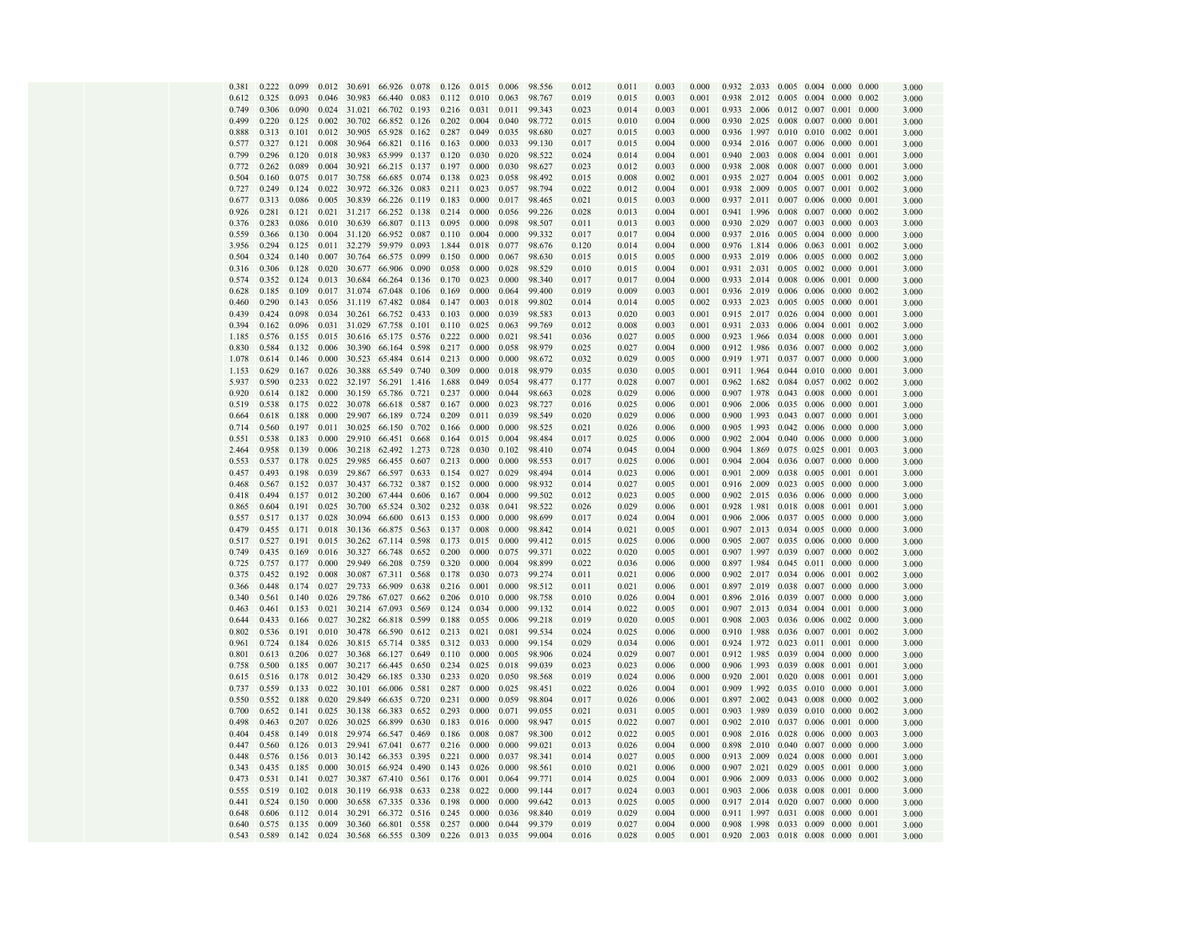| 0.381          | 0.222 | 0.099 | 0.012 | 30.691 | 66.926           | 0.078 | 0.126 | 0.015 | 0.006 | 98.556 | 0.012 | 0.011          | 0.003 | 0.000 | 0.932 | 2.033 |             | $0.005$ 0.004 0.000 0.000     |                |       | 3.000 |
|----------------|-------|-------|-------|--------|------------------|-------|-------|-------|-------|--------|-------|----------------|-------|-------|-------|-------|-------------|-------------------------------|----------------|-------|-------|
| 0.612          | 0.325 | 0.093 | 0.046 | 30.983 | 66.440           | 0.083 | 0.112 | 0.010 | 0.063 | 98.767 | 0.019 | 0.015          | 0.003 | 0.001 | 0.938 | 2.012 |             | $0.005$ 0.004                 | 0.000          | 0.002 | 3.000 |
| 0.749          | 0.306 | 0.090 | 0.024 | 31.021 | 66.702           | 0.193 | 0.216 | 0.031 | 0.011 | 99.343 | 0.023 | 0.014          | 0.003 | 0.001 | 0.933 | 2.006 |             | 0.012 0.007                   | 0.001          | 0.000 | 3.000 |
| 0.499          | 0.220 | 0.125 | 0.002 | 30.702 | 66.852           | 0.126 | 0.202 | 0.004 | 0.040 | 98.772 | 0.015 | 0.010          | 0.004 | 0.000 | 0.930 | 2.025 | 0.008       | 0.007                         | 0.000          | 0.001 | 3.000 |
| 0.888          | 0.313 | 0.101 | 0.012 | 30.905 | 65.928           | 0.162 | 0.287 | 0.049 | 0.035 | 98.680 | 0.027 | 0.015          | 0.003 | 0.000 | 0.936 | 1.997 | 0.010       | 0.010                         | 0.002          | 0.001 | 3.000 |
| 0.577          | 0.327 | 0.121 | 0.008 | 30.964 | 66.821 0.116     |       | 0.163 | 0.000 | 0.033 | 99.130 | 0.017 | 0.015          | 0.004 | 0.000 | 0.934 | 2.016 |             | $0.007$ $0.006$ $0.000$       |                | 0.001 | 3.000 |
| 0.799          | 0.296 | 0.120 | 0.018 | 30.983 | 65.999           | 0.137 | 0.120 | 0.030 | 0.020 | 98.522 | 0.024 | 0.014          | 0.004 | 0.001 | 0.940 | 2.003 | 0.008       | 0.004                         | 0.001          | 0.001 | 3.000 |
| 0.772          | 0.262 | 0.089 | 0.004 | 30.921 | 66.215           | 0.137 | 0.197 | 0.000 | 0.030 | 98.627 | 0.023 | 0.012          | 0.003 | 0.000 | 0.938 | 2.008 | 0.008       | 0.007                         | 0.000          | 0.001 | 3.000 |
| 0.504          | 0.160 | 0.075 | 0.017 | 30.758 | 66.685           | 0.074 | 0.138 | 0.023 | 0.058 | 98.492 | 0.015 | 0.008          | 0.002 | 0.001 | 0.935 | 2.027 | 0.004       | 0.005                         | 0.001          | 0.002 | 3.000 |
| 0.727          | 0.249 | 0.124 | 0.022 | 30.972 | 66.326           | 0.083 | 0.211 | 0.023 | 0.057 | 98.794 | 0.022 | 0.012          | 0.004 | 0.001 | 0.938 | 2.009 |             | $0.005$ 0.007                 | 0.001          | 0.002 | 3.000 |
| 0.677          | 0.313 | 0.086 | 0.005 | 30.839 | 66.226           | 0.119 | 0.183 | 0.000 | 0.017 | 98.465 | 0.021 | 0.015          | 0.003 | 0.000 | 0.937 | 2.011 | 0.007       | 0.006                         | 0.000          | 0.001 | 3.000 |
| 0.926          | 0.281 | 0.121 | 0.021 | 31.217 | 66.252           |       | 0.214 | 0.000 | 0.056 | 99.226 | 0.028 | 0.013          | 0.004 | 0.001 | 0.941 | 1.996 | 0.008       | 0.007                         | 0.000          |       |       |
|                |       |       |       |        |                  | 0.138 |       |       |       |        |       |                |       |       |       |       |             |                               |                | 0.002 | 3.000 |
| 0.376          | 0.283 | 0.086 | 0.010 | 30.639 | 66.807           | 0.113 | 0.095 | 0.000 | 0.098 | 98.507 | 0.011 | 0.013          | 0.003 | 0.000 | 0.930 | 2.029 | 0.007       | 0.003                         | 0.000          | 0.003 | 3.000 |
| 0.559          | 0.366 | 0.130 | 0.004 | 31.120 | 66.952           | 0.087 | 0.110 | 0.004 | 0.000 | 99.332 | 0.017 | 0.017          | 0.004 | 0.000 | 0.937 | 2.016 | 0.005       | 0.004                         | 0.000          | 0.000 | 3.000 |
| 3.956          | 0.294 | 0.125 | 0.011 | 32.279 | 59.979           | 0.093 | 1.844 | 0.018 | 0.077 | 98.676 | 0.120 | 0.014          | 0.004 | 0.000 | 0.976 | 1.814 | 0.006       | 0.063                         | 0.001          | 0.002 | 3.000 |
| 0.504          | 0.324 | 0.140 | 0.007 | 30.764 | 66.575           | 0.099 | 0.150 | 0.000 | 0.067 | 98.630 | 0.015 | 0.015          | 0.005 | 0.000 | 0.933 | 2.019 |             | 0.006 0.005                   | 0.000          | 0.002 | 3.000 |
| 0.316          | 0.306 | 0.128 | 0.020 | 30.677 | 66.906           | 0.090 | 0.058 | 0.000 | 0.028 | 98.529 | 0.010 | 0.015          | 0.004 | 0.001 | 0.931 | 2.031 | 0.005       | 0.002                         | 0.000          | 0.001 | 3.000 |
| 0.574          | 0.352 | 0.124 | 0.013 | 30.684 | 66.264           | 0.136 | 0.170 | 0.023 | 0.000 | 98.340 | 0.017 | 0.017          | 0.004 | 0.000 | 0.933 | 2.014 | 0.008       | 0.006                         | 0.001          | 0.000 | 3.000 |
| 0.628          | 0.185 | 0.109 | 0.017 | 31.074 | 67.048           | 0.106 | 0.169 | 0.000 | 0.064 | 99.400 | 0.019 | 0.009          | 0.003 | 0.001 | 0.936 | 2.019 |             | 0.006 0.006                   | 0.000          | 0.002 | 3.000 |
| 0.460          | 0.290 | 0.143 | 0.056 | 31.119 | 67.482           | 0.084 | 0.147 | 0.003 | 0.018 | 99.802 | 0.014 | 0.014          | 0.005 | 0.002 | 0.933 | 2.023 | 0.005       | 0.005                         | 0.000          | 0.001 | 3.000 |
| 0.439          | 0.424 | 0.098 | 0.034 | 30.261 | 66.752           | 0.433 | 0.103 | 0.000 | 0.039 | 98.583 | 0.013 | 0.020          | 0.003 | 0.001 | 0.915 | 2.017 |             | 0.026 0.004                   | 0.000          | 0.001 | 3.000 |
| 0.394          | 0.162 | 0.096 | 0.031 | 31.029 | 67.758           | 0.101 | 0.110 | 0.025 | 0.063 | 99.769 | 0.012 | 0.008          | 0.003 | 0.001 | 0.931 | 2.033 | 0.006       | 0.004                         | 0.001          | 0.002 | 3.000 |
| 1.185          | 0.576 | 0.155 | 0.015 | 30.616 | 65.175           | 0.576 | 0.222 | 0.000 | 0.021 | 98.541 | 0.036 | 0.027          | 0.005 | 0.000 | 0.923 | 1.966 |             | 0.034 0.008                   | 0.000          | 0.001 | 3.000 |
| 0.830          | 0.584 | 0.132 | 0.006 | 30.390 | 66.164           | 0.598 | 0.217 | 0.000 | 0.058 | 98.979 | 0.025 | 0.027          | 0.004 | 0.000 | 0.912 | 1.986 | 0.036       | 0.007                         | 0.000          | 0.002 | 3.000 |
| 1.078          | 0.614 | 0.146 | 0.000 | 30.523 | 65.484           | 0.614 | 0.213 | 0.000 | 0.000 | 98.672 | 0.032 | 0.029          | 0.005 | 0.000 | 0.919 | 1.971 |             | 0.037 0.007                   | 0.000          | 0.000 | 3.000 |
| 1.153          | 0.629 | 0.167 | 0.026 | 30.388 | 65.549           | 0.740 | 0.309 | 0.000 | 0.018 | 98.979 | 0.035 | 0.030          | 0.005 | 0.001 | 0.911 | 1.964 | 0.044       | 0.010                         | 0.000          | 0.001 | 3.000 |
| 5.937          | 0.590 | 0.233 | 0.022 | 32.197 | 56.291           | 1.416 | 1.688 | 0.049 | 0.054 | 98.477 | 0.177 | 0.028          | 0.007 | 0.001 | 0.962 | 1.682 |             | 0.084 0.057                   | 0.002          | 0.002 | 3.000 |
| 0.920          | 0.614 | 0.182 | 0.000 | 30.159 | 65.786           | 0.721 | 0.237 | 0.000 | 0.044 | 98.663 | 0.028 | 0.029          | 0.006 | 0.000 | 0.907 | 1.978 | 0.043 0.008 |                               | 0.000          | 0.001 | 3.000 |
| 0.519          | 0.538 | 0.175 | 0.022 | 30.078 | 66.618           | 0.587 | 0.167 | 0.000 | 0.023 | 98.727 | 0.016 | 0.025          | 0.006 | 0.001 | 0.906 | 2.006 | 0.035       | 0.006                         | 0.000          | 0.001 | 3.000 |
| 0.664          | 0.618 | 0.188 | 0.000 | 29.907 | 66.189           | 0.724 | 0.209 | 0.011 | 0.039 | 98.549 | 0.020 | 0.029          | 0.006 | 0.000 | 0.900 | 1.993 | 0.043       | 0.007                         | 0.000          | 0.001 | 3.000 |
| 0.714          | 0.560 | 0.197 | 0.011 | 30.025 | 66.150           | 0.702 | 0.166 | 0.000 | 0.000 | 98.525 | 0.021 | 0.026          | 0.006 | 0.000 | 0.905 | 1.993 |             | $0.042$ 0.006                 | 0.000          | 0.000 | 3.000 |
| 0.551          | 0.538 | 0.183 | 0.000 | 29.910 | 66.451           | 0.668 | 0.164 | 0.015 | 0.004 | 98.484 | 0.017 | 0.025          | 0.006 | 0.000 | 0.902 | 2.004 | 0.040       | 0.006                         | 0.000          | 0.000 | 3.000 |
| 2.464          | 0.958 | 0.139 | 0.006 | 30.218 | 62.492           | 1.273 | 0.728 | 0.030 | 0.102 | 98.410 | 0.074 | 0.045          | 0.004 | 0.000 | 0.904 | 1.869 |             | 0.075 0.025                   | 0.001          | 0.003 | 3.000 |
| 0.553          | 0.537 | 0.178 | 0.025 | 29.985 | 66.455           | 0.607 | 0.213 | 0.000 | 0.000 | 98.553 | 0.017 | 0.025          | 0.006 | 0.001 | 0.904 | 2.004 |             | 0.036 0.007                   | 0.000          | 0.000 | 3.000 |
| 0.457          | 0.493 | 0.198 | 0.039 | 29.867 | 66.597           | 0.633 | 0.154 | 0.027 | 0.029 | 98.494 | 0.014 | 0.023          | 0.006 | 0.001 | 0.901 | 2.009 | 0.038       | 0.005                         | 0.001          | 0.001 | 3.000 |
| 0.468          | 0.567 | 0.152 | 0.037 | 30.437 | 66.732           | 0.387 | 0.152 | 0.000 | 0.000 | 98.932 | 0.014 | 0.027          | 0.005 | 0.001 | 0.916 | 2.009 |             | 0.023 0.005                   | 0.000          | 0.000 | 3.000 |
| 0.418          | 0.494 | 0.157 | 0.012 | 30.200 | 67.444           | 0.606 | 0.167 | 0.004 | 0.000 | 99.502 | 0.012 | 0.023          | 0.005 | 0.000 | 0.902 | 2.015 | 0.036       | 0.006                         | 0.000          | 0.000 | 3.000 |
| 0.865          | 0.604 | 0.191 | 0.025 | 30.700 | 65.524           | 0.302 | 0.232 | 0.038 | 0.041 | 98.522 | 0.026 | 0.029          | 0.006 | 0.001 | 0.928 | 1.981 | 0.018       | 0.008                         | 0.001          | 0.001 | 3.000 |
| 0.557          | 0.517 | 0.137 | 0.028 | 30.094 | 66.600           | 0.613 | 0.153 | 0.000 | 0.000 | 98.699 | 0.017 | 0.024          | 0.004 | 0.001 | 0.906 | 2.006 | 0.037       | 0.005                         | 0.000          | 0.000 | 3.000 |
| 0.479          | 0.455 | 0.171 | 0.018 | 30.136 | 66.875           | 0.563 | 0.137 | 0.008 | 0.000 | 98.842 | 0.014 | 0.021          | 0.005 | 0.001 | 0.907 | 2.013 | 0.034       | 0.005                         | 0.000          | 0.000 | 3.000 |
| 0.517          | 0.527 | 0.191 | 0.015 | 30.262 | 67.114           | 0.598 | 0.173 | 0.015 | 0.000 | 99.412 | 0.015 | 0.025          | 0.006 | 0.000 | 0.905 | 2.007 |             | 0.035 0.006                   | 0.000          | 0.000 | 3.000 |
| 0.749          | 0.435 | 0.169 | 0.016 | 30.327 | 66.748           | 0.652 | 0.200 | 0.000 | 0.075 | 99.371 | 0.022 | 0.020          | 0.005 | 0.001 | 0.907 | 1.997 |             | 0.039 0.007                   | 0.000          | 0.002 | 3.000 |
| 0.725          | 0.757 | 0.177 | 0.000 | 29.949 | 66.208           | 0.759 | 0.320 | 0.000 | 0.004 | 98.899 | 0.022 | 0.036          | 0.006 | 0.000 | 0.897 | 1.984 | 0.045       | 0.011                         | 0.000          | 0.000 | 3.000 |
| 0.375          | 0.452 | 0.192 | 0.008 | 30.087 | 67.311           | 0.568 | 0.178 | 0.030 | 0.073 | 99.274 | 0.011 | 0.021          | 0.006 | 0.000 | 0.902 | 2.017 |             | 0.034 0.006                   | 0.001          | 0.002 | 3.000 |
| 0.366          | 0.448 | 0.174 | 0.027 | 29.733 | 66.909           | 0.638 | 0.216 | 0.001 | 0.000 | 98.512 | 0.011 | 0.021          | 0.006 | 0.001 | 0.897 | 2.019 |             | 0.038 0.007                   | 0.000          | 0.000 | 3.000 |
| 0.340          | 0.561 | 0.140 | 0.026 | 29.786 | 67.027           | 0.662 | 0.206 | 0.010 | 0.000 | 98.758 | 0.010 | 0.026          | 0.004 | 0.001 | 0.896 | 2.016 | 0.039       | 0.007                         | 0.000          | 0.000 | 3.000 |
|                | 0.461 | 0.153 | 0.021 | 30.214 | 67.093           | 0.569 | 0.124 | 0.034 | 0.000 | 99.132 | 0.014 | 0.022          | 0.005 | 0.001 | 0.907 | 2.013 |             | 0.034 0.004                   | 0.001          | 0.000 |       |
| 0.463<br>0.644 | 0.433 | 0.166 | 0.027 | 30.282 | 66.818           | 0.599 | 0.188 | 0.055 | 0.006 | 99.218 | 0.019 | 0.020          | 0.005 | 0.001 | 0.908 | 2.003 | 0.036       | 0.006                         | 0.002          | 0.000 | 3.000 |
| 0.802          | 0.536 | 0.191 | 0.010 | 30.478 |                  | 0.612 | 0.213 | 0.021 | 0.081 | 99.534 | 0.024 |                |       | 0.000 | 0.910 | 1.988 |             | 0.036 0.007                   |                | 0.002 | 3.000 |
|                |       | 0.184 | 0.026 |        | 66.590<br>65.714 | 0.385 | 0.312 | 0.033 |       |        |       | 0.025          | 0.006 |       | 0.924 | 1.972 |             | $0.023 \quad 0.011$           | 0.001<br>0.001 | 0.000 | 3.000 |
| 0.961          | 0.724 | 0.206 | 0.027 | 30.815 |                  | 0.649 | 0.110 | 0.000 | 0.000 | 99.154 | 0.029 | 0.034<br>0.029 | 0.006 | 0.001 |       | 1.985 |             |                               | 0.000          |       | 3.000 |
| 0.801          | 0.613 |       |       | 30.368 | 66.127           |       |       |       | 0.005 | 98.906 | 0.024 |                | 0.007 | 0.001 | 0.912 |       | 0.039       | 0.004                         |                | 0.000 | 3.000 |
| 0.758          | 0.500 | 0.185 | 0.007 | 30.217 | 66.445           | 0.650 | 0.234 | 0.025 | 0.018 | 99.039 | 0.023 | 0.023          | 0.006 | 0.000 | 0.906 | 1.993 | 0.039       | 0.008                         | 0.001          | 0.001 | 3.000 |
| 0.615          | 0.516 | 0.178 | 0.012 | 30.429 | 66.185           | 0.330 | 0.233 | 0.020 | 0.050 | 98.568 | 0.019 | 0.024          | 0.006 | 0.000 | 0.920 | 2.001 |             | $0.020$ 0.008                 | 0.001          | 0.001 | 3.000 |
| 0.737          | 0.559 | 0.133 | 0.022 | 30.101 | 66.006           | 0.581 | 0.287 | 0.000 | 0.025 | 98.451 | 0.022 | 0.026          | 0.004 | 0.001 | 0.909 | 1.992 |             | 0.035 0.010                   | 0.000          | 0.001 | 3.000 |
| 0.550          | 0.552 | 0.188 | 0.020 | 29.849 | 66.635           | 0.720 | 0.231 | 0.000 | 0.059 | 98.804 | 0.017 | 0.026          | 0.006 | 0.001 | 0.897 | 2.002 |             | 0.043 0.008                   | 0.000          | 0.002 | 3.000 |
| 0.700          | 0.652 | 0.141 | 0.025 | 30.138 | 66.383           | 0.652 | 0.293 | 0.000 | 0.071 | 99.055 | 0.021 | 0.031          | 0.005 | 0.001 | 0.903 | 1.989 | 0.039       | 0.010                         | 0.000          | 0.002 | 3.000 |
| 0.498          | 0.463 | 0.207 | 0.026 | 30.025 | 66.899           | 0.630 | 0.183 | 0.016 | 0.000 | 98.947 | 0.015 | 0.022          | 0.007 | 0.001 | 0.902 | 2.010 |             | 0.037 0.006                   | 0.001          | 0.000 | 3.000 |
| 0.404          | 0.458 | 0.149 | 0.018 | 29.974 | 66.547           | 0.469 | 0.186 | 0.008 | 0.087 | 98.300 | 0.012 | 0.022          | 0.005 | 0.001 | 0.908 | 2.016 | 0.028 0.006 |                               | 0.000          | 0.003 | 3.000 |
| 0.447          | 0.560 | 0.126 | 0.013 | 29.941 | 67.041           | 0.677 | 0.216 | 0.000 | 0.000 | 99.021 | 0.013 | 0.026          | 0.004 | 0.000 | 0.898 | 2.010 | 0.040       | 0.007                         | 0.000          | 0.000 | 3.000 |
| 0.448          | 0.576 | 0.156 | 0.013 | 30.142 | 66.353           | 0.395 | 0.221 | 0.000 | 0.037 | 98.341 | 0.014 | 0.027          | 0.005 | 0.000 | 0.913 | 2.009 | 0.024       | 0.008                         | 0.000          | 0.001 | 3.000 |
| 0.343          | 0.435 | 0.185 | 0.000 | 30.015 | 66.924           | 0.490 | 0.143 | 0.026 | 0.000 | 98.561 | 0.010 | 0.021          | 0.006 | 0.000 | 0.907 | 2.021 |             | 0.029 0.005                   | 0.001          | 0.000 | 3.000 |
| 0.473          | 0.531 | 0.141 | 0.027 | 30.387 | 67.410           | 0.561 | 0.176 | 0.001 | 0.064 | 99.771 | 0.014 | 0.025          | 0.004 | 0.001 | 0.906 | 2.009 |             | 0.033 0.006                   | 0.000          | 0.002 | 3.000 |
| 0.555          | 0.519 | 0.102 | 0.018 | 30.119 | 66.938           | 0.633 | 0.238 | 0.022 | 0.000 | 99.144 | 0.017 | 0.024          | 0.003 | 0.001 | 0.903 | 2.006 | 0.038       | 0.008                         | 0.001          | 0.000 | 3.000 |
| 0.441          | 0.524 | 0.150 | 0.000 | 30.658 | 67.335           | 0.336 | 0.198 | 0.000 | 0.000 | 99.642 | 0.013 | 0.025          | 0.005 | 0.000 | 0.917 | 2.014 | 0.020       | 0.007                         | 0.000          | 0.000 | 3.000 |
| 0.648          | 0.606 | 0.112 | 0.014 | 30.291 | 66.372           | 0.516 | 0.245 | 0.000 | 0.036 | 98.840 | 0.019 | 0.029          | 0.004 | 0.000 | 0.911 | 1.997 | 0.031       | 0.008                         | 0.000          | 0.001 | 3.000 |
| 0.640          | 0.575 | 0.135 | 0.009 | 30.360 | 66.801           | 0.558 | 0.257 | 0.000 | 0.044 | 99.379 | 0.019 | 0.027          | 0.004 | 0.000 | 0.908 |       |             | 1.998 0.033 0.009 0.000       |                | 0.001 | 3.000 |
| 0.543          | 0.589 | 0.142 | 0.024 | 30.568 | 66.555 0.309     |       | 0.226 | 0.013 | 0.035 | 99.004 | 0.016 | 0.028          | 0.005 | 0.001 | 0.920 |       |             | 2.003 0.018 0.008 0.000 0.001 |                |       | 3.000 |
|                |       |       |       |        |                  |       |       |       |       |        |       |                |       |       |       |       |             |                               |                |       |       |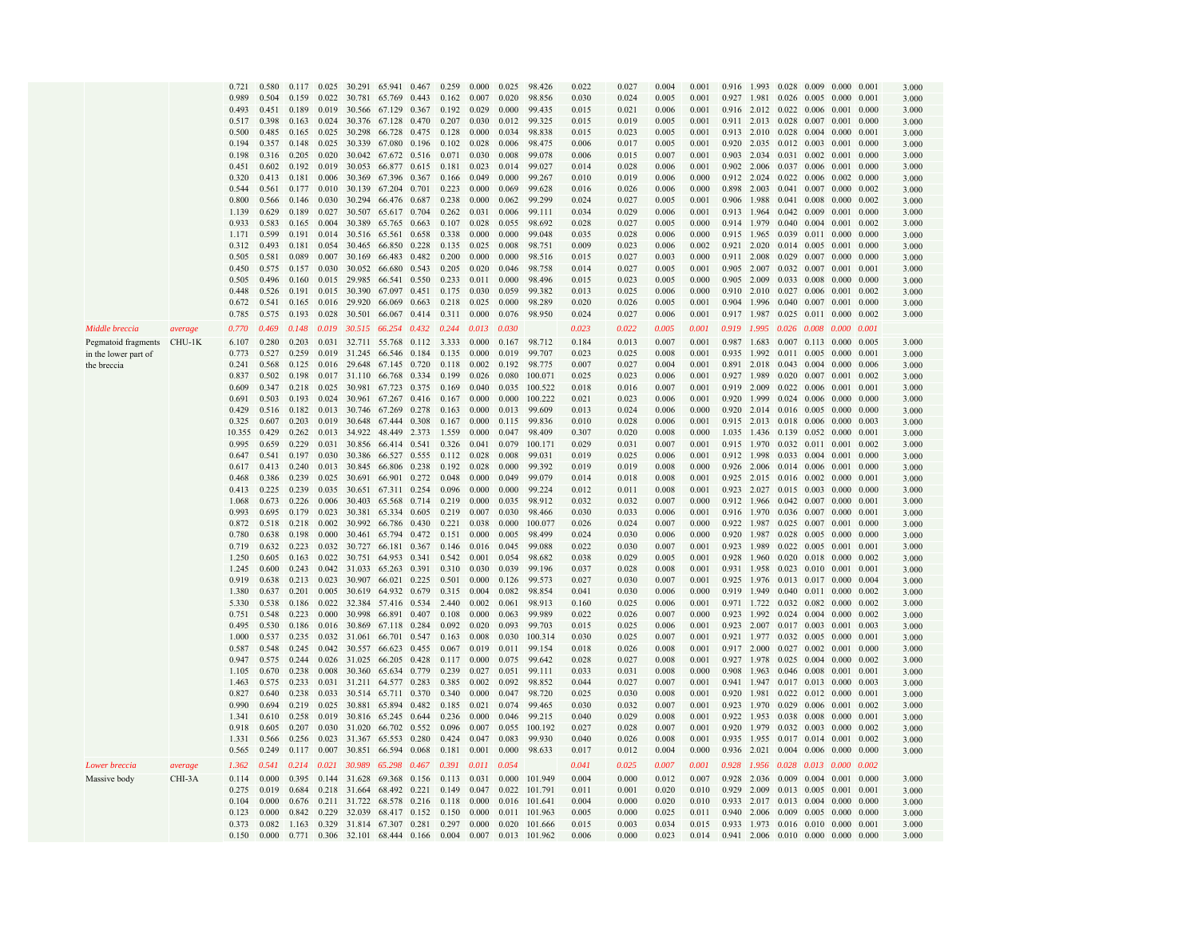|                            |         | 0.721  | 0.580 | 0.117 | 0.025 | 30.291              | 65.941                          | 0.467 | 0.259       | 0.000 | 0.025 | 98.426        | 0.022 | 0.027 | 0.004 | 0.001 | 0.916       | 1.993       |                                       |                         | $0.028$ 0.009 0.000     | 0.001 | 3.000 |
|----------------------------|---------|--------|-------|-------|-------|---------------------|---------------------------------|-------|-------------|-------|-------|---------------|-------|-------|-------|-------|-------------|-------------|---------------------------------------|-------------------------|-------------------------|-------|-------|
|                            |         | 0.989  | 0.504 | 0.159 | 0.022 | 30.781              | 65.769                          | 0.443 | 0.162       | 0.007 | 0.020 | 98.856        | 0.030 | 0.024 | 0.005 | 0.001 | 0.927       | 1.981       | $0.026$ 0.005 0.000                   |                         |                         | 0.001 | 3.000 |
|                            |         |        |       |       |       |                     |                                 |       |             |       |       |               |       |       |       |       |             |             |                                       |                         |                         |       |       |
|                            |         | 0.493  | 0.451 | 0.189 | 0.019 | 30.566              | 67.129                          | 0.367 | 0.192       | 0.029 | 0.000 | 99.435        | 0.015 | 0.021 | 0.006 | 0.001 | 0.916       |             | 2.012 0.022 0.006 0.001               |                         |                         | 0.000 | 3.000 |
|                            |         | 0.517  | 0.398 | 0.163 | 0.024 | 30.376              | 67.128                          | 0.470 | 0.207       | 0.030 | 0.012 | 99.325        | 0.015 | 0.019 | 0.005 | 0.001 |             |             | 0.911 2.013 0.028 0.007 0.001         |                         |                         | 0.000 | 3.000 |
|                            |         | 0.500  | 0.485 | 0.165 | 0.025 | 30.298              | 66.728                          | 0.475 | 0.128       | 0.000 | 0.034 | 98.838        | 0.015 | 0.023 | 0.005 | 0.001 | 0.913       | 2.010       | 0.028                                 |                         | $0.004$ 0.000           | 0.001 | 3.000 |
|                            |         | 0.194  | 0.357 | 0.148 | 0.025 | 30.339              | 67.080                          | 0.196 | 0.102       | 0.028 | 0.006 | 98.475        | 0.006 | 0.017 | 0.005 | 0.001 |             |             | 0.920 2.035 0.012 0.003 0.001         |                         |                         | 0.000 | 3.000 |
|                            |         | 0.198  | 0.316 | 0.205 | 0.020 |                     | 30.042 67.672 0.516             |       | 0.071       | 0.030 | 0.008 | 99.078        | 0.006 | 0.015 | 0.007 | 0.001 | 0.903       |             | 2.034 0.031 0.002 0.001               |                         |                         | 0.000 | 3.000 |
|                            |         |        |       |       |       |                     |                                 |       |             |       |       |               |       |       |       |       |             |             |                                       |                         |                         |       |       |
|                            |         | 0.451  | 0.602 | 0.192 | 0.019 | 30.053              | 66.877                          | 0.615 | 0.181       | 0.023 | 0.014 | 99.027        | 0.014 | 0.028 | 0.006 | 0.001 | 0.902       | 2.006       | 0.037 0.006 0.001                     |                         |                         | 0.000 | 3.000 |
|                            |         | 0.320  | 0.413 | 0.181 | 0.006 | 30.369              | 67.396                          | 0.367 | 0.166       | 0.049 | 0.000 | 99.267        | 0.010 | 0.019 | 0.006 | 0.000 | 0.912       | 2.024       | $0.022$ 0.006 0.002                   |                         |                         | 0.000 | 3.000 |
|                            |         | 0.544  | 0.561 | 0.177 | 0.010 | 30.139              | 67.204                          | 0.701 | 0.223       | 0.000 | 0.069 | 99.628        | 0.016 | 0.026 | 0.006 | 0.000 | 0.898       | 2.003       | 0.041                                 | 0.007 0.000             |                         | 0.002 | 3.000 |
|                            |         | 0.800  | 0.566 | 0.146 | 0.030 | 30.294              | 66.476                          | 0.687 | 0.238       | 0.000 | 0.062 | 99.299        | 0.024 | 0.027 | 0.005 | 0.001 | 0.906       | 1.988       | 0.041 0.008 0.000                     |                         |                         | 0.002 | 3.000 |
|                            |         | 1.139  | 0.629 | 0.189 | 0.027 | 30.507              | 65.617                          | 0.704 | 0.262       | 0.031 | 0.006 | 99.111        | 0.034 | 0.029 | 0.006 | 0.001 | 0.913       | 1.964       | $0.042 \quad 0.009 \quad 0.001$       |                         |                         | 0.000 | 3.000 |
|                            |         |        |       |       |       |                     |                                 |       |             |       |       |               |       |       |       |       |             |             |                                       |                         |                         |       |       |
|                            |         | 0.933  | 0.583 | 0.165 | 0.004 | 30.389              | 65.765                          | 0.663 | 0.107       | 0.028 | 0.055 | 98.692        | 0.028 | 0.027 | 0.005 | 0.000 | 0.914       | 1.979       | $0.040 \quad 0.004 \quad 0.001$       |                         |                         | 0.002 | 3.000 |
|                            |         | 1.171  | 0.599 | 0.191 | 0.014 | 30.516              | 65.561                          | 0.658 | 0.338       | 0.000 | 0.000 | 99.048        | 0.035 | 0.028 | 0.006 | 0.000 | 0.915       | 1.965       |                                       | 0.039 0.011             | 0.000                   | 0.000 | 3.000 |
|                            |         | 0.312  | 0.493 | 0.181 | 0.054 | 30.465              | 66.850                          | 0.228 | 0.135       | 0.025 | 0.008 | 98.751        | 0.009 | 0.023 | 0.006 | 0.002 | 0.921 2.020 |             | 0.014 0.005 0.001                     |                         |                         | 0.000 | 3.000 |
|                            |         | 0.505  | 0.581 | 0.089 | 0.007 | 30.169              | 66.483                          | 0.482 | 0.200       | 0.000 | 0.000 | 98.516        | 0.015 | 0.027 | 0.003 | 0.000 | 0.911       | 2.008       | $0.029$ $0.007$ $0.000$               |                         |                         | 0.000 | 3.000 |
|                            |         | 0.450  | 0.575 | 0.157 | 0.030 | 30.052              | 66.680                          | 0.543 | 0.205       | 0.020 | 0.046 | 98.758        | 0.014 | 0.027 | 0.005 | 0.001 | 0.905       | 2.007       | 0.032 0.007 0.001                     |                         |                         | 0.001 | 3.000 |
|                            |         |        |       |       |       |                     |                                 |       |             |       |       |               |       |       |       |       |             |             |                                       |                         |                         |       |       |
|                            |         | 0.505  | 0.496 | 0.160 | 0.015 | 29.985              | 66.541                          | 0.550 | 0.233       | 0.011 | 0.000 | 98.496        | 0.015 | 0.023 | 0.005 | 0.000 | 0.905       | 2.009       |                                       | $0.033$ $0.008$ $0.000$ |                         | 0.000 | 3.000 |
|                            |         | 0.448  | 0.526 | 0.191 |       | 0.015 30.390        | 67.097                          | 0.451 | 0.175       | 0.030 | 0.059 | 99.382        | 0.013 | 0.025 | 0.006 | 0.000 |             |             | 0.910 2.010 0.027 0.006 0.001         |                         |                         | 0.002 | 3.000 |
|                            |         | 0.672  | 0.541 | 0.165 | 0.016 | 29.920              | 66.069                          | 0.663 | 0.218       | 0.025 | 0.000 | 98.289        | 0.020 | 0.026 | 0.005 | 0.001 | 0.904       | 1.996       | 0.040 0.007 0.001                     |                         |                         | 0.000 | 3.000 |
|                            |         | 0.785  | 0.575 | 0.193 | 0.028 | 30.501              | 66.067                          | 0.414 | 0.311       | 0.000 | 0.076 | 98.950        | 0.024 | 0.027 | 0.006 | 0.001 | 0.917 1.987 |             | 0.025 0.011 0.000                     |                         |                         | 0.002 | 3.000 |
|                            |         |        |       |       |       |                     |                                 |       |             |       |       |               |       |       |       |       |             |             |                                       |                         |                         |       |       |
| Middle breccia             | average | 0.770  | 0.469 | 0.148 | 0.019 |                     | 30.515 66.254 0.432             |       | 0.244       | 0.013 | 0.030 |               | 0.023 | 0.022 | 0.005 | 0.001 | 0.919       | 1.995       |                                       |                         | 0.026 0.008 0.000       | 0.001 |       |
| Pegmatoid fragments CHU-1K |         | 6.107  | 0.280 | 0.203 |       | 0.031 32.711 55.768 |                                 | 0.112 | 3.333       | 0.000 | 0.167 | 98.712        | 0.184 | 0.013 | 0.007 | 0.001 | 0.987       | 1.683       |                                       |                         | $0.007$ 0.113 0.000     | 0.005 | 3.000 |
|                            |         | 0.773  | 0.527 | 0.259 |       | 0.019 31.245        | 66.546                          | 0.184 | 0.135       | 0.000 | 0.019 | 99.707        | 0.023 | 0.025 | 0.008 | 0.001 | 0.935       | 1.992       |                                       |                         | $0.011$ $0.005$ 0.000   | 0.001 | 3.000 |
| in the lower part of       |         |        |       |       |       |                     |                                 |       |             |       |       |               |       |       |       |       |             |             |                                       |                         |                         |       |       |
| the breccia                |         | 0.241  | 0.568 | 0.125 |       |                     | 0.016 29.648 67.145 0.720       |       | 0.118       | 0.002 | 0.192 | 98.775        | 0.007 | 0.027 | 0.004 | 0.001 | 0.891       | 2.018       | 0.043 0.004 0.000                     |                         |                         | 0.006 | 3.000 |
|                            |         | 0.837  | 0.502 | 0.198 |       | 0.017 31.110        | 66.768                          | 0.334 | 0.199       | 0.026 | 0.080 | 100.071       | 0.025 | 0.023 | 0.006 | 0.001 | 0.927       | 1.989       | 0.020 0.007 0.001                     |                         |                         | 0.002 | 3.000 |
|                            |         | 0.609  | 0.347 | 0.218 | 0.025 | 30.981              | 67.723                          | 0.375 | 0.169       | 0.040 | 0.035 | 100.522       | 0.018 | 0.016 | 0.007 | 0.001 | 0.919       | 2.009       |                                       | $0.022$ 0.006 0.001     |                         | 0.001 | 3.000 |
|                            |         | 0.691  | 0.503 | 0.193 | 0.024 | 30.961              | 67.267                          | 0.416 | 0.167       | 0.000 | 0.000 | 100.222       | 0.021 | 0.023 | 0.006 | 0.001 |             |             | 0.920 1.999 0.024 0.006 0.000         |                         |                         | 0.000 | 3.000 |
|                            |         | 0.429  | 0.516 | 0.182 | 0.013 | 30.746              | 67.269                          | 0.278 | 0.163       | 0.000 | 0.013 | 99.609        | 0.013 | 0.024 | 0.006 | 0.000 |             |             | 0.920 2.014 0.016 0.005 0.000         |                         |                         | 0.000 | 3.000 |
|                            |         |        | 0.607 |       | 0.019 |                     |                                 |       |             |       |       |               |       |       |       | 0.001 |             |             |                                       |                         |                         |       |       |
|                            |         | 0.325  |       | 0.203 |       | 30.648              | 67.444                          | 0.308 | 0.167       | 0.000 | 0.115 | 99.836        | 0.010 | 0.028 | 0.006 |       |             |             | 0.915 2.013 0.018 0.006 0.000         |                         |                         | 0.003 | 3.000 |
|                            |         | 10.355 | 0.429 | 0.262 | 0.013 | 34.922              | 48.449                          | 2.373 | 1.559       | 0.000 | 0.047 | 98.409        | 0.307 | 0.020 | 0.008 | 0.000 | 1.035       | 1.436       | 0.139 0.052 0.000                     |                         |                         | 0.001 | 3.000 |
|                            |         | 0.995  | 0.659 | 0.229 | 0.031 | 30.856              | 66.414                          | 0.541 | 0.326       | 0.041 | 0.079 | 100.171       | 0.029 | 0.031 | 0.007 | 0.001 | 0.915       | 1.970       |                                       | 0.032 0.011 0.001       |                         | 0.002 | 3.000 |
|                            |         | 0.647  | 0.541 | 0.197 | 0.030 | 30.386              | 66.527                          | 0.555 | 0.112       | 0.028 | 0.008 | 99.031        | 0.019 | 0.025 | 0.006 | 0.001 | 0.912       | 1.998       | 0.033 0.004 0.001                     |                         |                         | 0.000 | 3.000 |
|                            |         | 0.617  | 0.413 | 0.240 |       | 0.013 30.845        | 66.806 0.238                    |       | 0.192       | 0.028 | 0.000 | 99.392        | 0.019 | 0.019 | 0.008 | 0.000 |             | 0.926 2.006 | 0.014 0.006 0.001                     |                         |                         | 0.000 | 3.000 |
|                            |         | 0.468  | 0.386 | 0.239 |       | 0.025 30.691        | 66.901                          | 0.272 | 0.048       | 0.000 | 0.049 | 99.079        | 0.014 | 0.018 | 0.008 | 0.001 | 0.925 2.015 |             | $0.016$ 0.002 0.000                   |                         |                         | 0.001 |       |
|                            |         |        |       |       |       |                     |                                 |       |             |       |       |               |       |       |       |       |             |             |                                       |                         |                         |       | 3.000 |
|                            |         | 0.413  | 0.225 | 0.239 | 0.035 |                     | 30.651 67.311                   | 0.254 | 0.096       | 0.000 | 0.000 | 99.224        | 0.012 | 0.011 | 0.008 | 0.001 | 0.923 2.027 |             |                                       |                         | $0.015$ 0.003 0.000     | 0.000 | 3.000 |
|                            |         | 1.068  | 0.673 | 0.226 | 0.006 | 30.403              | 65.568                          | 0.714 | 0.219       | 0.000 | 0.035 | 98.912        | 0.032 | 0.032 | 0.007 | 0.000 |             |             | 0.912 1.966 0.042 0.007 0.000         |                         |                         | 0.001 | 3.000 |
|                            |         | 0.993  | 0.695 | 0.179 | 0.023 | 30.381              | 65.334                          | 0.605 | 0.219       | 0.007 | 0.030 | 98.466        | 0.030 | 0.033 | 0.006 | 0.001 | 0.916       | 1.970       | 0.036 0.007 0.000                     |                         |                         | 0.001 | 3.000 |
|                            |         | 0.872  | 0.518 | 0.218 | 0.002 | 30.992              | 66.786                          | 0.430 | 0.221       | 0.038 | 0.000 | 100.077       | 0.026 | 0.024 | 0.007 | 0.000 | 0.922       | 1.987       | 0.025 0.007 0.001                     |                         |                         | 0.000 | 3.000 |
|                            |         | 0.780  | 0.638 | 0.198 | 0.000 | 30.461              | 65.794                          | 0.472 | 0.151       | 0.000 | 0.005 | 98.499        | 0.024 | 0.030 | 0.006 | 0.000 | 0.920       | 1.987       |                                       | 0.028 0.005             | 0.000                   | 0.000 |       |
|                            |         |        |       |       |       |                     |                                 |       |             |       |       |               |       |       |       |       |             |             |                                       |                         |                         |       | 3.000 |
|                            |         | 0.719  | 0.632 | 0.223 | 0.032 | 30.727              | 66.181                          | 0.367 | 0.146       | 0.016 | 0.045 | 99.088        | 0.022 | 0.030 | 0.007 | 0.001 | 0.923       | 1.989       |                                       | 0.022 0.005 0.001       |                         | 0.001 | 3.000 |
|                            |         | 1.250  | 0.605 | 0.163 | 0.022 | 30.751              | 64.953                          | 0.341 | 0.542       | 0.001 | 0.054 | 98.682        | 0.038 | 0.029 | 0.005 | 0.001 | 0.928       | 1.960       |                                       |                         | $0.020$ $0.018$ $0.000$ | 0.002 | 3.000 |
|                            |         | 1.245  | 0.600 | 0.243 |       | 0.042 31.033 65.263 |                                 | 0.391 | 0.310       | 0.030 | 0.039 | 99.196        | 0.037 | 0.028 | 0.008 | 0.001 | 0.931       |             | 1.958 0.023 0.010 0.001               |                         |                         | 0.001 | 3.000 |
|                            |         | 0.919  | 0.638 | 0.213 | 0.023 | 30.907              | 66.021                          | 0.225 | 0.501       | 0.000 | 0.126 | 99.573        | 0.027 | 0.030 | 0.007 | 0.001 | 0.925       | 1.976       |                                       |                         | $0.013$ 0.017 0.000     | 0.004 | 3.000 |
|                            |         | 1.380  | 0.637 | 0.201 | 0.005 | 30.619              | 64.932 0.679                    |       | 0.315       | 0.004 | 0.082 | 98.854        | 0.041 | 0.030 | 0.006 | 0.000 | 0.919       | 1.949       |                                       |                         | $0.040$ $0.011$ $0.000$ | 0.002 | 3.000 |
|                            |         |        |       |       |       |                     |                                 |       |             |       |       |               |       |       |       |       |             |             |                                       |                         |                         |       |       |
|                            |         | 5.330  | 0.538 | 0.186 | 0.022 |                     | 32.384 57.416 0.534             |       | 2.440       | 0.002 | 0.061 | 98.913        | 0.160 | 0.025 | 0.006 | 0.001 | 0.971       |             | 1.722 0.032 0.082 0.000               |                         |                         | 0.002 | 3.000 |
|                            |         | 0.751  | 0.548 | 0.223 | 0.000 | 30.998              | 66.891                          | 0.407 | 0.108       | 0.000 | 0.063 | 99.989        | 0.022 | 0.026 | 0.007 | 0.000 | 0.923       | 1.992       | $0.024$ 0.004 0.000                   |                         |                         | 0.002 | 3.000 |
|                            |         | 0.495  | 0.530 | 0.186 | 0.016 | 30.869              | 67.118                          | 0.284 | 0.092       | 0.020 | 0.093 | 99.703        | 0.015 | 0.025 | 0.006 | 0.001 | 0.923       | 2.007       | 0.017 0.003 0.001                     |                         |                         | 0.003 | 3.000 |
|                            |         | 1.000  | 0.537 | 0.235 | 0.032 | 31.061              | 66.701                          | 0.547 | 0.163       | 0.008 | 0.030 | 100.314       | 0.030 | 0.025 | 0.007 | 0.001 | 0.921       | 1.977       |                                       | 0.032 0.005             | 0.000                   | 0.001 | 3.000 |
|                            |         | 0.587  | 0.548 | 0.245 |       | 0.042 30.557        | 66.623                          | 0.455 | 0.067       | 0.019 | 0.011 | 99.154        | 0.018 | 0.026 | 0.008 | 0.001 | 0.917       | 2.000       |                                       | $0.027$ 0.002 0.001     |                         | 0.000 | 3.000 |
|                            |         | 0.947  | 0.575 | 0.244 |       | 0.026 31.025        | 66.205                          | 0.428 | 0.117       | 0.000 | 0.075 | 99.642        | 0.028 | 0.027 | 0.008 | 0.001 | 0.927       | 1.978       | $0.025$ 0.004 0.000                   |                         |                         | 0.002 | 3.000 |
|                            |         | 1.105  | 0.670 | 0.238 |       | 0.008 30.360        | 65.634 0.779                    |       | 0.239       | 0.027 | 0.051 | 99.111        | 0.033 | 0.031 | 0.008 | 0.000 | 0.908       | 1.963       | 0.046 0.008 0.001                     |                         |                         | 0.001 |       |
|                            |         |        |       |       |       |                     |                                 |       |             |       |       |               |       |       |       |       |             |             |                                       |                         |                         |       | 3.000 |
|                            |         | 1.463  | 0.575 | 0.233 | 0.031 | 31.211              | 64.577                          | 0.283 | 0.385       | 0.002 | 0.092 | 98.852        | 0.044 | 0.027 | 0.007 | 0.001 | 0.941       | 1.947       |                                       |                         | $0.017$ 0.013 0.000     | 0.003 | 3.000 |
|                            |         | 0.827  | 0.640 | 0.238 |       | 0.033 30.514 65.711 |                                 | 0.370 | 0.340       | 0.000 | 0.047 | 98.720        | 0.025 | 0.030 | 0.008 | 0.001 | 0.920       |             | 1.981 0.022 0.012 0.000               |                         |                         | 0.001 | 3.000 |
|                            |         | 0.990  | 0.694 | 0.219 |       | 0.025 30.881 65.894 |                                 | 0.482 | 0.185       | 0.021 | 0.074 | 99.465        | 0.030 | 0.032 | 0.007 | 0.001 | 0.923       |             | 1.970 0.029 0.006 0.001               |                         |                         | 0.002 | 3.000 |
|                            |         | 1.341  | 0.610 | 0.258 | 0.019 |                     | 30.816 65.245                   | 0.644 | 0.236       | 0.000 | 0.046 | 99.215        | 0.040 | 0.029 | 0.008 | 0.001 | 0.922       |             | 1.953 0.038 0.008 0.000               |                         |                         | 0.001 | 3.000 |
|                            |         | 0.918  | 0.605 | 0.207 | 0.030 | 31.020              | 66.702                          | 0.552 | 0.096       | 0.007 | 0.055 | 100.192       | 0.027 | 0.028 | 0.007 | 0.001 | 0.920       | 1.979       | 0.032 0.003 0.000                     |                         |                         | 0.002 | 3.000 |
|                            |         |        | 0.566 | 0.256 | 0.023 |                     |                                 |       |             |       | 0.083 | 99.930        |       |       |       | 0.001 | 0.935       |             |                                       | $0.017$ $0.014$ $0.001$ |                         | 0.002 |       |
|                            |         | 1.331  |       |       |       | 31.367              | 65.553                          | 0.280 | 0.424       | 0.047 |       |               | 0.040 | 0.026 | 0.008 |       |             | 1.955       |                                       |                         |                         |       | 3.000 |
|                            |         | 0.565  | 0.249 | 0.117 | 0.007 | 30.851              | 66.594                          | 0.068 | 0.181       | 0.001 | 0.000 | 98.633        | 0.017 | 0.012 | 0.004 | 0.000 | 0.936       | 2.021       | 0.004 0.006 0.000                     |                         |                         | 0.000 | 3.000 |
| Lower breccia              | average | 1.362  | 0.541 | 0.214 | 0.021 | 30.989              | 65,298 0.467                    |       | 0.391       | 0.011 | 0.054 |               | 0.041 | 0.025 | 0.007 | 0.001 | 0.928       |             | 1.956 0.028 0.013 0.000               |                         |                         | 0.002 |       |
|                            |         |        |       |       |       |                     |                                 |       |             |       |       |               |       |       |       |       |             |             |                                       |                         |                         |       |       |
| Massive body               | CHI-3A  | 0.114  | 0.000 | 0.395 | 0.144 | 31.628              | 69.368                          | 0.156 | 0.113       | 0.031 | 0.000 | 101.949       | 0.004 | 0.000 | 0.012 | 0.007 | 0.928       |             | 2.036 0.009                           | $0.004$ $0.001$         |                         | 0.000 | 3.000 |
|                            |         | 0.275  | 0.019 | 0.684 | 0.218 | 31.664              | 68.492                          | 0.221 | 0.149       | 0.047 | 0.022 | 101.791       | 0.011 | 0.001 | 0.020 | 0.010 | 0.929       | 2.009       | 0.013                                 | 0.005                   | 0.001                   | 0.001 | 3.000 |
|                            |         | 0.104  | 0.000 | 0.676 |       | 0.211 31.722        | 68.578                          | 0.216 | 0.118       | 0.000 | 0.016 | 101.641       | 0.004 | 0.000 | 0.020 | 0.010 | 0.933       |             | 2.017 0.013 0.004 0.000               |                         |                         | 0.000 | 3.000 |
|                            |         | 0.123  | 0.000 |       |       | 0.842 0.229 32.039  | 68.417 0.152                    |       | 0.150       | 0.000 | 0.011 | 101.963       | 0.005 | 0.000 | 0.025 | 0.011 |             |             | 0.940 2.006 0.009 0.005 0.000         |                         |                         | 0.000 | 3.000 |
|                            |         | 0.373  | 0.082 |       |       |                     | 1.163 0.329 31.814 67.307 0.281 |       | 0.297 0.000 |       |       | 0.020 101.666 | 0.015 | 0.003 | 0.034 | 0.015 |             |             | 0.933 1.973 0.016 0.010 0.000 0.001   |                         |                         |       | 3.000 |
|                            |         |        |       |       |       |                     |                                 |       |             |       |       |               |       |       |       |       |             |             |                                       |                         |                         |       |       |
|                            |         | 0.150  | 0.000 | 0.771 |       |                     | 0.306 32.101 68.444 0.166 0.004 |       |             | 0.007 |       | 0.013 101.962 | 0.006 | 0.000 | 0.023 | 0.014 |             |             | $0.941$ 2.006 0.010 0.000 0.000 0.000 |                         |                         |       | 3.000 |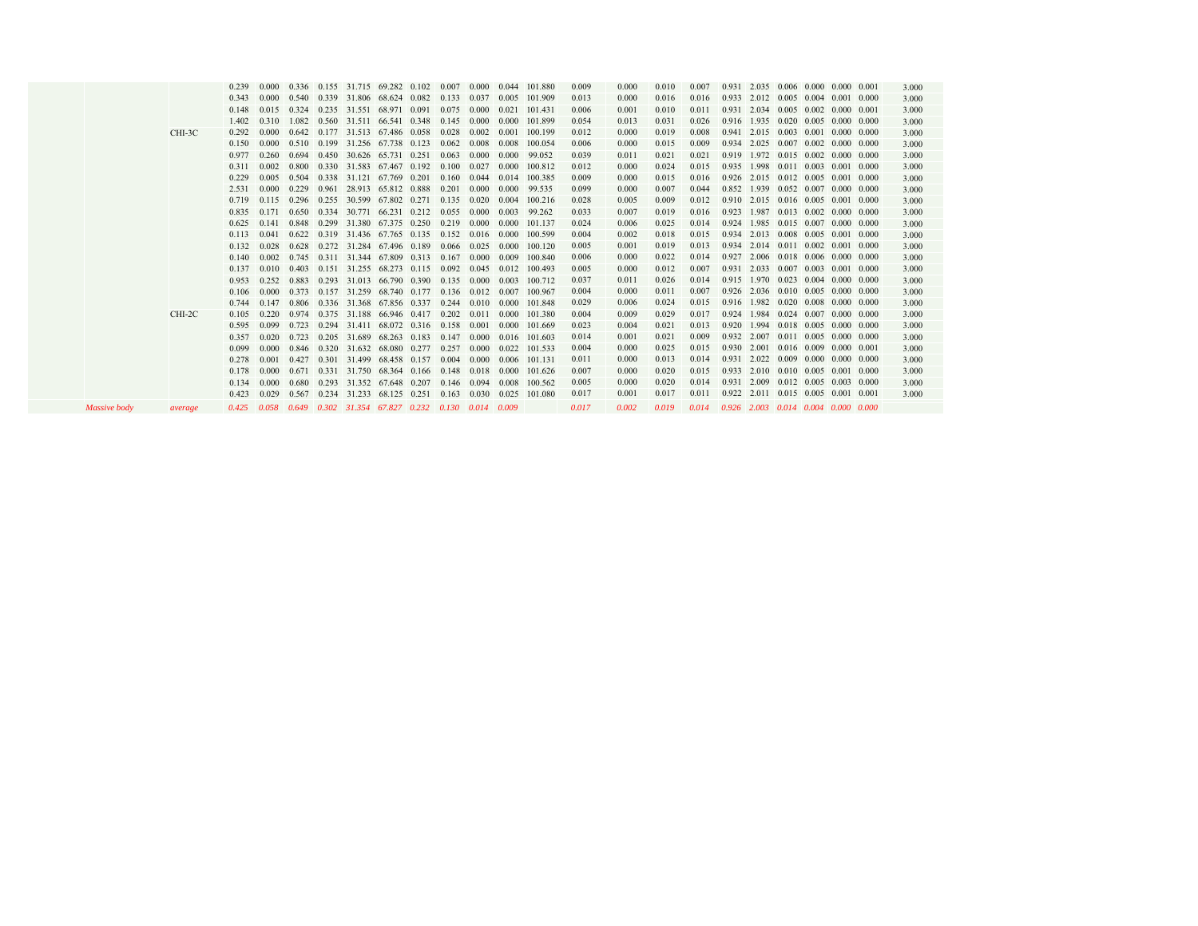|         | 0.239          | 0.000          |       |       | 0.336 0.155 31.715 69.282 0.102                                                            |  | 0.007           | 0.000 | 0.044 | 101.880            | 0.009          | 0.000          | 0.010          | 0.007          |                                                 | 0.931 2.035 0.006 0.000 0.000 0.001 |  |  | 3.000          |
|---------|----------------|----------------|-------|-------|--------------------------------------------------------------------------------------------|--|-----------------|-------|-------|--------------------|----------------|----------------|----------------|----------------|-------------------------------------------------|-------------------------------------|--|--|----------------|
|         | 0.343          | 0.000          |       |       | 0.540 0.339 31.806 68.624 0.082                                                            |  | 0.133           | 0.037 | 0.005 | 101.909            | 0.013          | 0.000          | 0.016          | 0.016          | 0.933 2.012 0.005 0.004 0.001 0.000             |                                     |  |  | 3.000          |
|         | 0.148          | 0.015          |       |       | 0.324 0.235 31.551 68.971 0.091 0.075                                                      |  |                 | 0.000 | 0.021 | 101.431            | 0.006          | 0.001          | 0.010          | 0.011          |                                                 | 0.931 2.034 0.005 0.002 0.000 0.001 |  |  | 3.000          |
|         | 1.402          | 0.310          | 1.082 |       | 0.560 31.511 66.541 0.348                                                                  |  | 0.145           | 0.000 | 0.000 | 101.899            | 0.054          | 0.013          | 0.031          | 0.026          | 0.916 1.935 0.020 0.005 0.000 0.000             |                                     |  |  | 3.000          |
| CHI-3C  | 0.292          | 0.000          |       |       | 0.642 0.177 31.513 67.486 0.058                                                            |  | 0.028           | 0.002 | 0.001 | 100.199            | 0.012          | 0.000          | 0.019          | 0.008          | 0.941 2.015 0.003 0.001 0.000 0.000             |                                     |  |  | 3.000          |
|         | 0.150          | 0.000          | 0.510 |       | 0.199 31.256 67.738 0.123                                                                  |  | 0.062           | 0.008 | 0.008 | 100.054            | 0.006          | 0.000          | 0.015          | 0.009          |                                                 | 0.934 2.025 0.007 0.002 0.000 0.000 |  |  | 3.000          |
|         | 0.977          | 0.260          | 0.694 |       | 0.450 30.626 65.731 0.251                                                                  |  | 0.063           | 0.000 | 0.000 | 99.052             | 0.039          | 0.011          | 0.021          | 0.021          |                                                 | 0.919 1.972 0.015 0.002 0.000 0.000 |  |  | 3.000          |
|         | 0.311          | 0.002          |       |       | 0.800 0.330 31.583 67.467 0.192 0.100 0.027                                                |  |                 |       | 0.000 | 100.812            | 0.012          | 0.000          | 0.024          | 0.015          |                                                 | 0.935 1.998 0.011 0.003 0.001 0.000 |  |  | 3.000          |
|         | 0.229          | 0.005          | 0.504 |       | $0.338$ 31.121 67.769 0.201                                                                |  | 0.160           | 0.044 | 0.014 | 100.385            | 0.009          | 0.000          | 0.015          | 0.016          | 0.926 2.015 0.012 0.005 0.001 0.000             |                                     |  |  | 3.000          |
|         | 2.531          | 0.000          | 0.229 |       | 0.961 28.913 65.812 0.888                                                                  |  | 0.201           | 0.000 | 0.000 | 99.535             | 0.099          | 0.000          | 0.007          | 0.044          |                                                 | 0.852 1.939 0.052 0.007 0.000 0.000 |  |  | 3.000          |
|         | 0.719          | 0.115          |       |       | 0.296 0.255 30.599 67.802 0.271 0.135                                                      |  |                 | 0.020 | 0.004 | 100.216            | 0.028          | 0.005          | 0.009          | 0.012          | 0.910 2.015 0.016 0.005 0.001 0.000             |                                     |  |  | 3.000          |
|         | 0.835          | 0.171          |       |       | $0.650$ $0.334$ $30.771$ $66.231$ $0.212$ $0.055$ $0.000$                                  |  |                 |       | 0.003 | 99.262             | 0.033          | 0.007          | 0.019          | 0.016          | 0.923 1.987 0.013 0.002 0.000 0.000             |                                     |  |  | 3.000          |
|         | 0.625          | 0.141          | 0.848 |       | 0.299 31.380 67.375 0.250                                                                  |  | 0.219           | 0.000 | 0.000 | 101.137            | 0.024          | 0.006          | 0.025          | 0.014          | 0.924                                           | 1.985 0.015 0.007 0.000 0.000       |  |  | 3.000          |
|         | 0.113          | 0.041          | 0.622 |       | $0.319$ 31.436 67.765 0.135 0.152 0.016                                                    |  |                 |       | 0.000 | 100.599            | 0.004          | 0.002          | 0.018          | 0.015          | 0.934 2.013 0.008 0.005 0.001 0.000             |                                     |  |  | 3.000          |
|         | 0.132          | 0.028          | 0.628 |       | 0.272 31.284 67.496 0.189                                                                  |  | 0.066 0.025     |       |       | 0.000 100.120      | 0.005          | 0.001          | 0.019          | 0.013          | 0.934 2.014 0.011 0.002 0.001 0.000             |                                     |  |  | 3.000          |
|         | 0.140          | 0.002          | 0.745 |       | 0.311 31.344 67.809 0.313                                                                  |  | 0.167           | 0.000 | 0.009 | 100.840            | 0.006          | 0.000          | 0.022          | 0.014          | 0.927 2.006 0.018 0.006 0.000 0.000             |                                     |  |  | 3.000          |
|         | 0.137          | 0.010          | 0.403 |       | 0.151 31.255 68.273 0.115 0.092 0.045                                                      |  |                 |       |       | 0.012 100.493      | 0.005<br>0.037 | 0.000<br>0.011 | 0.012<br>0.026 | 0.007<br>0.014 | 0.915 1.970 0.023 0.004 0.000 0.000             | 0.931 2.033 0.007 0.003 0.001 0.000 |  |  | 3.000          |
|         | 0.953<br>0.106 | 0.252<br>0.000 | 0.883 |       | 0.293 31.013 66.790 0.390 0.135 0.000<br>0.373 0.157 31.259 68.740 0.177 0.136 0.012 0.007 |  |                 |       | 0.003 | 100.712<br>100.967 | 0.004          | 0.000          | 0.011          | 0.007          |                                                 | 0.926 2.036 0.010 0.005 0.000 0.000 |  |  | 3.000<br>3.000 |
|         | 0.744          | 0.147          | 0.806 |       | 0.336 31.368 67.856 0.337                                                                  |  | $0.244$ $0.010$ |       |       | 0.000 101.848      | 0.029          | 0.006          | 0.024          | 0.015          |                                                 | 0.916 1.982 0.020 0.008 0.000 0.000 |  |  | 3.000          |
| CHI-2C  | 0.105          | 0.220          | 0.974 |       | 0.375 31.188 66.946 0.417 0.202 0.011                                                      |  |                 |       | 0.000 | 101.380            | 0.004          | 0.009          | 0.029          | 0.017          |                                                 | 0.924 1.984 0.024 0.007 0.000 0.000 |  |  | 3.000          |
|         | 0.595          | 0.099          | 0.723 |       | 0.294 31.411 68.072 0.316 0.158 0.001                                                      |  |                 |       |       | 0.000 101.669      | 0.023          | 0.004          | 0.021          | 0.013          |                                                 | 0.920 1.994 0.018 0.005 0.000 0.000 |  |  | 3.000          |
|         | 0.357          | 0.020          | 0.723 |       | 0.205 31.689 68.263 0.183 0.147 0.000                                                      |  |                 |       |       | 0.016 101.603      | 0.014          | 0.001          | 0.021          | 0.009          | 0.932 2.007 0.011 0.005 0.000 0.000             |                                     |  |  | 3.000          |
|         | 0.099          | 0.000          | 0.846 |       | 0.320 31.632 68.080 0.277 0.257 0.000                                                      |  |                 |       |       | 0.022 101.533      | 0.004          | 0.000          | 0.025          | 0.015          |                                                 | 0.930 2.001 0.016 0.009 0.000 0.001 |  |  | 3.000          |
|         | 0.278          | 0.001          | 0.427 |       | 0.301 31.499 68.458 0.157                                                                  |  | 0.004           | 0.000 |       | 0.006 101.131      | 0.011          | 0.000          | 0.013          | 0.014          | 0.931 2.022 0.009 0.000 0.000 0.000             |                                     |  |  | 3.000          |
|         | 0.178          | 0.000          |       |       | 0.671 0.331 31.750 68.364 0.166 0.148 0.018                                                |  |                 |       |       | 0.000 101.626      | 0.007          | 0.000          | 0.020          | 0.015          |                                                 | 0.933 2.010 0.010 0.005 0.001 0.000 |  |  | 3.000          |
|         | 0.134          | 0.000          | 0.680 | 0.293 | 31.352 67.648 0.207                                                                        |  | $0.146$ 0.094   |       |       | 0.008 100.562      | 0.005          | 0.000          | 0.020          | 0.014          |                                                 | 0.931 2.009 0.012 0.005 0.003 0.000 |  |  | 3.000          |
|         | 0.423          | 0.029          | 0.567 | 0.234 | 31.233 68.125 0.251                                                                        |  | $0.163$ 0.030   |       |       | 0.025 101.080      | 0.017          | 0.001          | 0.017          | 0.011          | 0.922 2.011 0.015 0.005 0.001 0.001             |                                     |  |  | 3.000          |
| average | 0.425          | 0.058          |       |       | $0.649$ $0.302$ $31.354$ $67.827$ $0.232$                                                  |  | 0.130           | 0.014 | 0.009 |                    | 0.017          | 0.002          | 0.019          | 0.014          | $0.926$ $2.003$ $0.014$ $0.004$ $0.000$ $0.000$ |                                     |  |  |                |
|         |                |                |       |       |                                                                                            |  |                 |       |       |                    |                |                |                |                |                                                 |                                     |  |  |                |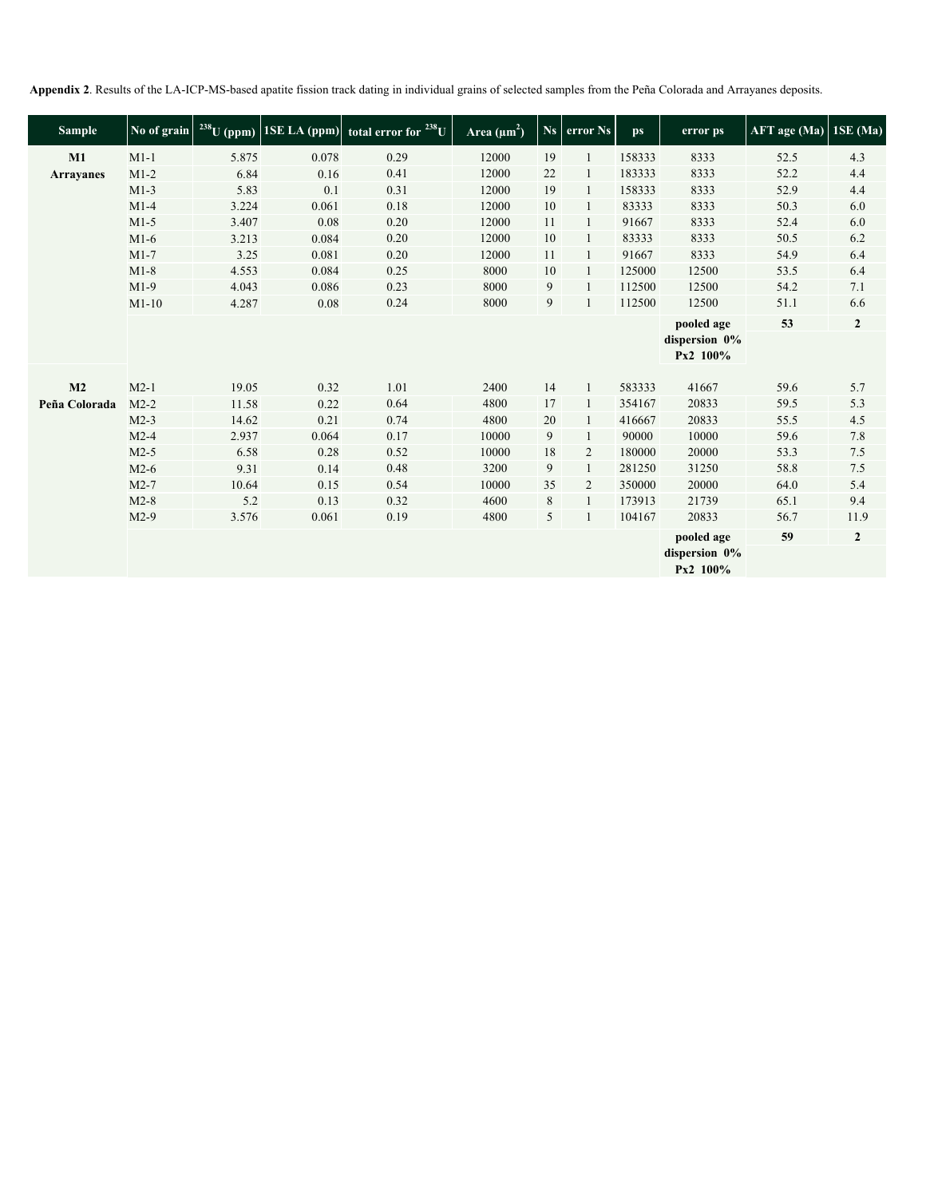**Appendix 2**. Results of the LA-ICP-MS-based apatite fission track dating in individual grains of selected samples from the Peña Colorada and Arrayanes deposits.

| <b>Sample</b>    | No of grain | $238$ U (ppm) |       | 1SE LA (ppm) total error for <sup>238</sup> U | Area $(\mu m^2)$ |    | Ns error Ns  | <b>ps</b> | error ps                                | AFT age (Ma) | $1SE$ (Ma)     |
|------------------|-------------|---------------|-------|-----------------------------------------------|------------------|----|--------------|-----------|-----------------------------------------|--------------|----------------|
| M1               | $M1-1$      | 5.875         | 0.078 | 0.29                                          | 12000            | 19 |              | 158333    | 8333                                    | 52.5         | 4.3            |
| <b>Arrayanes</b> | $M1-2$      | 6.84          | 0.16  | 0.41                                          | 12000            | 22 | 1            | 183333    | 8333                                    | 52.2         | 4.4            |
|                  | $M1-3$      | 5.83          | 0.1   | 0.31                                          | 12000            | 19 |              | 158333    | 8333                                    | 52.9         | 4.4            |
|                  | $M1-4$      | 3.224         | 0.061 | 0.18                                          | 12000            | 10 | 1            | 83333     | 8333                                    | 50.3         | 6.0            |
|                  | $M1-5$      | 3.407         | 0.08  | 0.20                                          | 12000            | 11 | 1            | 91667     | 8333                                    | 52.4         | 6.0            |
|                  | $M1-6$      | 3.213         | 0.084 | 0.20                                          | 12000            | 10 |              | 83333     | 8333                                    | 50.5         | 6.2            |
|                  | $M1-7$      | 3.25          | 0.081 | 0.20                                          | 12000            | 11 | $\mathbf{1}$ | 91667     | 8333                                    | 54.9         | 6.4            |
|                  | $M1-8$      | 4.553         | 0.084 | 0.25                                          | 8000             | 10 |              | 125000    | 12500                                   | 53.5         | 6.4            |
|                  | $M1-9$      | 4.043         | 0.086 | 0.23                                          | 8000             | 9  | $\mathbf{1}$ | 112500    | 12500                                   | 54.2         | 7.1            |
|                  | $M1-10$     | 4.287         | 0.08  | 0.24                                          | 8000             | 9  |              | 112500    | 12500                                   | 51.1         | 6.6            |
|                  |             |               |       |                                               |                  |    |              |           | pooled age                              | 53           | $\overline{2}$ |
|                  |             |               |       |                                               |                  |    |              |           | dispersion 0%<br>Px2 100%               |              |                |
| M <sub>2</sub>   | $M2-1$      | 19.05         | 0.32  | 1.01                                          | 2400             | 14 | $\mathbf{1}$ | 583333    | 41667                                   | 59.6         | 5.7            |
| Peña Colorada    | $M2-2$      | 11.58         | 0.22  | 0.64                                          | 4800             | 17 | $\mathbf{1}$ | 354167    | 20833                                   | 59.5         | 5.3            |
|                  | $M2-3$      | 14.62         | 0.21  | 0.74                                          | 4800             | 20 | 1            | 416667    | 20833                                   | 55.5         | 4.5            |
|                  | $M2-4$      | 2.937         | 0.064 | 0.17                                          | 10000            | 9  |              | 90000     | 10000                                   | 59.6         | 7.8            |
|                  | $M2-5$      | 6.58          | 0.28  | 0.52                                          | 10000            | 18 | 2            | 180000    | 20000                                   | 53.3         | 7.5            |
|                  | $M2-6$      | 9.31          | 0.14  | 0.48                                          | 3200             | 9  |              | 281250    | 31250                                   | 58.8         | 7.5            |
|                  | $M2-7$      | 10.64         | 0.15  | 0.54                                          | 10000            | 35 | 2            | 350000    | 20000                                   | 64.0         | 5.4            |
|                  | $M2-8$      | 5.2           | 0.13  | 0.32                                          | 4600             | 8  | 1            | 173913    | 21739                                   | 65.1         | 9.4            |
|                  | $M2-9$      | 3.576         | 0.061 | 0.19                                          | 4800             | 5  |              | 104167    | 20833                                   | 56.7         | 11.9           |
|                  |             |               |       |                                               |                  |    |              |           | pooled age<br>dispersion 0%<br>Px2 100% | 59           | $\mathbf{2}$   |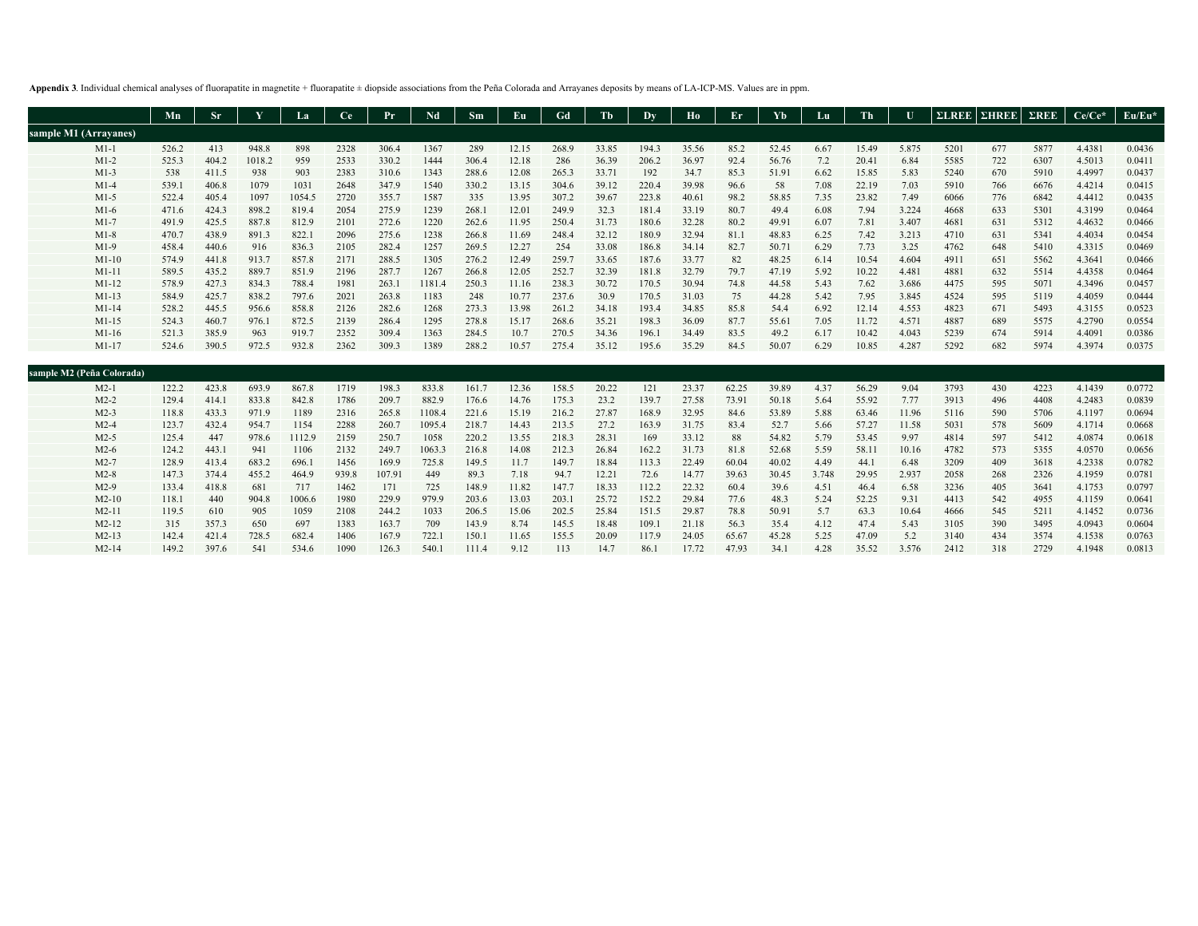**Appendix 3**. Individual chemical analyses of fluorapatite in magnetite + fluorapatite ± diopside associations from the Peña Colorada and Arrayanes deposits by means of LA-ICP-MS. Values are in ppm.

|                           | Mn    | <b>Sr</b> |        | La     | Ce   | Pr    | Nd     | Sm    | Eu    | Gd    | Tb    | Dy    | Ho    | Er    | Yb    | Lu   | Th    |       | $\Sigma$ LREE | $\Sigma$ HREE $\Sigma$ REE |      | $Ce/Ce*$ | Eu/Eu* |
|---------------------------|-------|-----------|--------|--------|------|-------|--------|-------|-------|-------|-------|-------|-------|-------|-------|------|-------|-------|---------------|----------------------------|------|----------|--------|
| sample M1 (Arrayanes)     |       |           |        |        |      |       |        |       |       |       |       |       |       |       |       |      |       |       |               |                            |      |          |        |
| $M1-1$                    | 526.2 | 413       | 948.8  | 898    | 2328 | 306.4 | 1367   | 289   | 12.15 | 268.9 | 33.85 | 194.3 | 35.56 | 85.2  | 52.45 | 6.67 | 15.49 | 5.875 | 5201          | 677                        | 5877 | 4.4381   | 0.0436 |
| $M1-2$                    | 525.3 | 404.2     | 1018.2 | 959    | 2533 | 330.2 | 1444   | 306.4 | 12.18 | 286   | 36.39 | 206.2 | 36.97 | 92.4  | 56.76 | 7.2  | 20.41 | 6.84  | 5585          | 722                        | 6307 | 4.5013   | 0.0411 |
| $M1-3$                    | 538   | 411.5     | 938    | 903    | 2383 | 310.6 | 1343   | 288.6 | 12.08 | 265.3 | 33.71 | 192   | 34.7  | 85.3  | 51.91 | 6.62 | 15.85 | 5.83  | 5240          | 670                        | 5910 | 4.4997   | 0.0437 |
| $M1-4$                    | 539.1 | 406.8     | 1079   | 1031   | 2648 | 347.9 | 1540   | 330.2 | 13.15 | 304.6 | 39.12 | 220.4 | 39.98 | 96.6  | 58    | 7.08 | 22.19 | 7.03  | 5910          | 766                        | 6676 | 4.4214   | 0.0415 |
| $M1-5$                    | 522.4 | 405.4     | 1097   | 1054.5 | 2720 | 355.7 | 1587   | 335   | 13.95 | 307.2 | 39.67 | 223.8 | 40.61 | 98.2  | 58.85 | 7.35 | 23.82 | 7.49  | 6066          | 776                        | 6842 | 4.4412   | 0.0435 |
| $M1-6$                    | 471.6 | 424.3     | 898.2  | 819.4  | 2054 | 275.9 | 1239   | 268.1 | 12.01 | 249.9 | 32.3  | 181.4 | 33.19 | 80.7  | 49.4  | 6.08 | 7.94  | 3.224 | 4668          | 633                        | 5301 | 4.3199   | 0.0464 |
| $M1-7$                    | 491.9 | 425.5     | 887.8  | 812.9  | 2101 | 272.6 | 1220   | 262.6 | 11.95 | 250.4 | 31.73 | 180.6 | 32.28 | 80.2  | 49.91 | 6.07 | 7.81  | 3.407 | 4681          | 631                        | 5312 | 4.4632   | 0.0466 |
| $M1-8$                    | 470.7 | 438.9     | 891.3  | 822.1  | 2096 | 275.6 | 1238   | 266.8 | 11.69 | 248.4 | 32.12 | 180.9 | 32.94 | 81.1  | 48.83 | 6.25 | 7.42  | 3.213 | 4710          | 631                        | 5341 | 4.4034   | 0.0454 |
| $M1-9$                    | 458.4 | 440.6     | 916    | 836.3  | 2105 | 282.4 | 1257   | 269.5 | 12.27 | 254   | 33.08 | 186.8 | 34.14 | 82.7  | 50.71 | 6.29 | 7.73  | 3.25  | 4762          | 648                        | 5410 | 4.3315   | 0.0469 |
| $M1-10$                   | 574.9 | 441.8     | 913.7  | 857.8  | 2171 | 288.5 | 1305   | 276.2 | 12.49 | 259.7 | 33.65 | 187.6 | 33.77 | 82    | 48.25 | 6.14 | 10.54 | 4.604 | 4911          | 651                        | 5562 | 4.3641   | 0.0466 |
| $M1-11$                   | 589.5 | 435.2     | 889.7  | 851.9  | 2196 | 287.7 | 1267   | 266.8 | 12.05 | 252.7 | 32.39 | 181.8 | 32.79 | 79.7  | 47.19 | 5.92 | 10.22 | 4.481 | 4881          | 632                        | 5514 | 4.4358   | 0.0464 |
| $M1-12$                   | 578.9 | 427.3     | 834.3  | 788.4  | 1981 | 263.1 | 1181.4 | 250.3 | 11.16 | 238.3 | 30.72 | 170.5 | 30.94 | 74.8  | 44.58 | 5.43 | 7.62  | 3.686 | 4475          | 595                        | 5071 | 4.3496   | 0.0457 |
| $M1-13$                   | 584.9 | 425.7     | 838.2  | 797.6  | 2021 | 263.8 | 1183   | 248   | 10.77 | 237.6 | 30.9  | 170.5 | 31.03 | 75    | 44.28 | 5.42 | 7.95  | 3.845 | 4524          | 595                        | 5119 | 4.4059   | 0.0444 |
| $M1-14$                   | 528.2 | 445.5     | 956.6  | 858.8  | 2126 | 282.6 | 1268   | 273.3 | 13.98 | 261.2 | 34.18 | 193.4 | 34.85 | 85.8  | 54.4  | 6.92 | 12.14 | 4.553 | 4823          | 671                        | 5493 | 4.3155   | 0.0523 |
| $M1-15$                   | 524.3 | 460.7     | 976.1  | 872.5  | 2139 | 286.4 | 1295   | 278.8 | 15.17 | 268.6 | 35.21 | 198.3 | 36.09 | 87.7  | 55.61 | 7.05 | 11.72 | 4.571 | 4887          | 689                        | 5575 | 4.2790   | 0.0554 |
| $M1-16$                   | 521.3 | 385.9     | 963    | 919.7  | 2352 | 309.4 | 1363   | 284.5 | 10.7  | 270.5 | 34.36 | 196.1 | 34.49 | 83.5  | 49.2  | 6.17 | 10.42 | 4.043 | 5239          | 674                        | 5914 | 4.4091   | 0.0386 |
| $M1-17$                   | 524.6 | 390.5     | 972.5  | 932.8  | 2362 | 309.3 | 1389   | 288.2 | 10.57 | 275.4 | 35.12 | 195.6 | 35.29 | 84.5  | 50.07 | 6.29 | 10.85 | 4.287 | 5292          | 682                        | 5974 | 4.3974   | 0.0375 |
|                           |       |           |        |        |      |       |        |       |       |       |       |       |       |       |       |      |       |       |               |                            |      |          |        |
| sample M2 (Peña Colorada) |       |           |        |        |      |       |        |       |       |       |       |       |       |       |       |      |       |       |               |                            |      |          |        |
| $M2-1$                    | 122.2 | 423.8     | 693.9  | 867.8  | 1719 | 198.3 | 833.8  | 161.7 | 12.36 | 158.5 | 20.22 | 121   | 23.37 | 62.25 | 39.89 | 4.37 | 56.29 | 9.04  | 3793          | 430                        | 4223 | 4.1439   | 0.0772 |
| $M2-2$                    | 129.4 | 414.1     | 833.8  | 842.8  | 1786 | 209.7 | 882.9  | 176.6 | 14.76 | 175.3 | 23.2  | 139.7 | 27.58 | 73.91 | 50.18 | 5.64 | 55.92 | 7.77  | 3913          | 496                        | 4408 | 4.2483   | 0.0839 |
| $M2-3$                    | 118.8 | 433.3     | 971.9  | 1189   | 2316 | 265.8 | 1108.4 | 221.6 | 15.19 | 216.2 | 27.87 | 168.9 | 32.95 | 84.6  | 53.89 | 5.88 | 63.46 | 11.96 | 5116          | 590                        | 5706 | 4.1197   | 0.0694 |
| $M2-4$                    | 123.7 | 432.4     | 954.7  | 1154   | 2288 | 260.7 | 1095.4 | 218.7 | 14.43 | 213.5 | 27.2  | 163.9 | 31.75 | 83.4  | 52.7  | 5.66 | 57.27 | 11.58 | 5031          | 578                        | 5609 | 4.1714   | 0.0668 |
| $M2-5$                    | 125.4 | 447       | 978.6  | 1112.9 | 2159 | 250.7 | 1058   | 220.2 | 13.55 | 218.3 | 28.31 | 169   | 33.12 | 88    | 54.82 | 5.79 | 53.45 | 9.97  | 4814          | 597                        | 5412 | 4.0874   | 0.0618 |
| $M2-6$                    | 124.2 | 443.      | 941    | 1106   | 2132 | 249.7 | 1063.3 | 216.8 | 14.08 | 212.3 | 26.84 | 162.2 | 31.73 | 81.8  | 52.68 | 5.59 | 58.11 | 10.16 | 4782          | 573                        | 5355 | 4.0570   | 0.0656 |
|                           |       |           |        |        |      |       |        |       |       |       |       |       |       |       |       |      |       |       |               |                            |      |          |        |

|         |       |       |       | 1100   | 2132  | <b>249.7</b> | 1003.3 | 210.8 | 14.08 | 212.5 | 20.84 | 102.2 | 31.73 | 81.8  | 24.08 | - 2.29 | 28.11 | 10.16 | 4/82 | 2/3 | <b>3333</b> | 4.0370 |        |
|---------|-------|-------|-------|--------|-------|--------------|--------|-------|-------|-------|-------|-------|-------|-------|-------|--------|-------|-------|------|-----|-------------|--------|--------|
| $M2-7$  | 128.9 | 413.4 | 683.2 | 696.1  | 1456  | 169.9        | 725.8  | 149.5 | 11.7  | 149.7 | 18.84 | 113.3 | 22.49 | 60.04 | 40.02 | 4.49   | 44.1  | 6.48  | 3209 | 409 | 3618        | 4.2338 | 0.0782 |
| $M2-8$  | 147.3 | 374.4 | 455.2 | 464.9  | 939.8 | 107.91       | 449    | 89.3  | 7.18  | 94.7  | 12.21 | 72.6  | 14.77 | 39.63 | 30.45 | 3.748  | 29.95 | 2.937 | 2058 | 268 | 2326        | 4.1959 | 0.0781 |
| $M2-9$  | 133.4 | 418.8 | -681  | 717    | 1462  | 171          | 725    | 148.9 | 11.82 | 147.7 | 18.33 | 112.2 | 22.32 | 60.4  | 39.6  | 4.51   | 46.4  | 6.58  | 3236 | 405 | 3641        | 4.1753 | 0.0797 |
| $M2-10$ | 118.1 | 440   | 904.8 | 1006.6 | 1980  | 229.9        | 979.9  | 203.6 | 13.03 | 203.1 | 25.72 | 152.2 | 29.84 | 77.6  | 48.3  | 5.24   | 52.25 | 9.31  | 4413 | 542 | 4955        | 4.1159 | 0.0641 |
| $M2-11$ | 119.5 | 610   | 905   | 1059   | 2108  | 244.2        | 1033   | 206.5 | 15.06 | 202.5 | 25.84 | 151.5 | 29.87 | 78.8  | 50.91 | 5.7    | 63.3  | 10.64 | 4666 | 545 | 5211        | 4.1452 | 0.0736 |
| $M2-12$ | 315   | 357.3 | -650  | 697    | 1383  | 163.7        | 709    | 143.9 | 8.74  | 145.5 | 18.48 | 109.1 | 21.18 | 56.3  | 35.4  | 4.12   | 47.4  | 5.43  | 3105 | 390 | 3495        | 4.0943 | 0.0604 |
| $M2-13$ | 142.4 | 421.4 | 728.5 | 682.4  | 1406  | 167.9        | 722.1  | 150.1 | 11.65 | 155.5 | 20.09 | 117.9 | 24.05 | 65.67 | 45.28 | 5.25   | 47.09 | 5.2   | 3140 | 434 | 3574        | 4.1538 | 0.0763 |
|         | 149.2 | 397.6 | 541   | 534.6  | 1090  | 126.3        | 540.1  | 111.4 | 9.12  | 113   | 14.7  | 86.1  | 17.72 | 47.93 | 34.1  | 4.28   | 35.52 | 3.576 | 2412 | 318 | 2729        | 4.1948 | 0.0813 |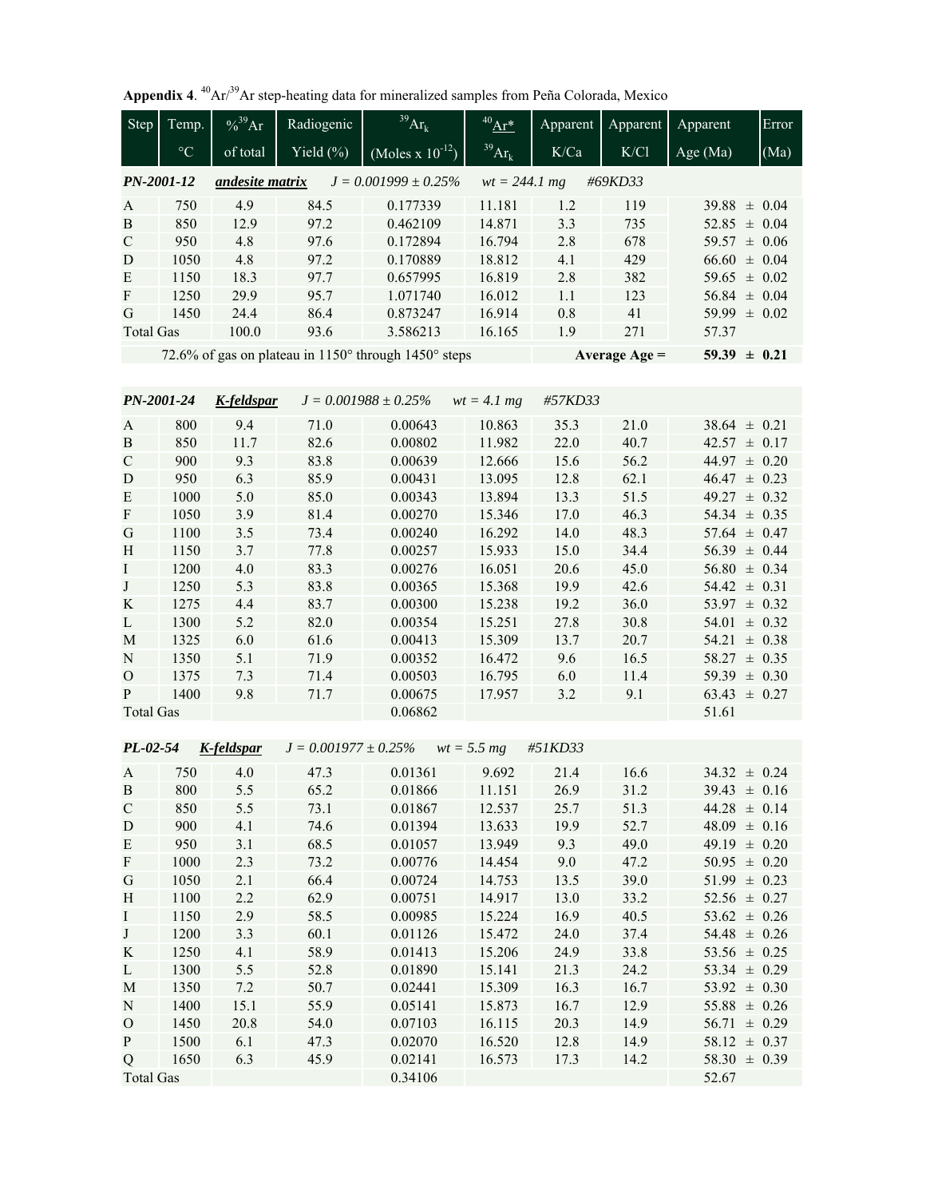|  |  | Appendix 4. $^{40}Ar/^{39}Ar$ step-heating data for mineralized samples from Peña Colorada, Mexico |  |  |  |
|--|--|----------------------------------------------------------------------------------------------------|--|--|--|
|--|--|----------------------------------------------------------------------------------------------------|--|--|--|

| <b>Step</b>               | Temp.           | $% ^{39}Ar$     | Radiogenic                | $^{39}Ar_k$                                          | $^{40}\mathrm{Ar}^*$ | Apparent     | Apparent        | Apparent         | Error                    |
|---------------------------|-----------------|-----------------|---------------------------|------------------------------------------------------|----------------------|--------------|-----------------|------------------|--------------------------|
|                           | $\rm ^{\circ}C$ | of total        | Yield $(\% )$             | $(Moles x 10^{-12})$                                 | $39Ar_k$             | K/Ca         | K/C1            | Age (Ma)         | (Ma)                     |
| PN-2001-12                |                 | andesite matrix |                           | $J = 0.001999 \pm 0.25\%$                            | $wt = 244.1 mg$      |              | #69KD33         |                  |                          |
| A                         | 750             | 4.9             | 84.5                      | 0.177339                                             | 11.181               | 1.2          | 119             | $39.88 \pm 0.04$ |                          |
| $\bf{B}$                  | 850             | 12.9            | 97.2                      | 0.462109                                             | 14.871               | 3.3          | 735             | 52.85            | $\pm$ 0.04               |
| $\mathbf C$               | 950             | 4.8             | 97.6                      | 0.172894                                             | 16.794               | 2.8          | 678             | 59.57            | $\pm 0.06$               |
| D                         | 1050            | 4.8             | 97.2                      | 0.170889                                             | 18.812               | 4.1          | 429             | 66.60            | $\pm$ 0.04               |
| E                         | 1150            | 18.3            | 97.7                      | 0.657995                                             | 16.819               | 2.8          | 382             | 59.65            | $\pm$ 0.02               |
| $\boldsymbol{\mathrm{F}}$ | 1250            | 29.9            | 95.7                      | 1.071740                                             | 16.012               | 1.1          | 123             | $56.84 \pm 0.04$ |                          |
| G                         | 1450            | 24.4            | 86.4                      | 0.873247                                             | 16.914               | 0.8          | 41              | 59.99 $\pm$ 0.02 |                          |
| <b>Total Gas</b>          |                 | 100.0           | 93.6                      | 3.586213                                             | 16.165               | 1.9          | 271             | 57.37            |                          |
|                           |                 |                 |                           | 72.6% of gas on plateau in 1150° through 1450° steps |                      |              | Average $Age =$ | $59.39 \pm 0.21$ |                          |
|                           |                 |                 |                           |                                                      |                      |              |                 |                  |                          |
| PN-2001-24                |                 | K-feldspar      |                           | $J = 0.001988 \pm 0.25\%$                            | $wt = 4.1 mg$        | #57KD33      |                 |                  |                          |
| A                         | 800             | 9.4             | 71.0                      | 0.00643                                              | 10.863               | 35.3         | 21.0            | 38.64            | $\pm$ 0.21               |
| $\, {\bf B}$              | 850             | 11.7            | 82.6                      | 0.00802                                              | 11.982               | 22.0         | 40.7            | 42.57            | $\pm 0.17$               |
| $\mathbf C$               | 900             | 9.3             | 83.8                      | 0.00639                                              | 12.666               | 15.6         | 56.2            | 44.97            | $\pm 0.20$               |
| D                         | 950             | 6.3             | 85.9                      | 0.00431                                              | 13.095               | 12.8         | 62.1            | 46.47            | $\pm$ 0.23               |
| E                         | 1000            | 5.0             | 85.0                      | 0.00343                                              | 13.894               | 13.3         | 51.5            | 49.27            | $\pm$ 0.32               |
| ${\bf F}$                 | 1050            | 3.9             | 81.4                      | 0.00270                                              | 15.346               | 17.0         | 46.3            | $54.34 \pm 0.35$ |                          |
|                           | 1100            | 3.5             | 73.4                      | 0.00240                                              | 16.292               | 14.0         | 48.3            | $57.64 \pm 0.47$ |                          |
| G<br>H                    | 1150            | 3.7             | 77.8                      | 0.00257                                              | 15.933               | 15.0         | 34.4            | $56.39 \pm 0.44$ |                          |
|                           | 1200            | 4.0             | 83.3                      | 0.00276                                              | 16.051               | 20.6         | 45.0            | $56.80 \pm 0.34$ |                          |
| $\mathbf I$<br>$\bf J$    | 1250            | 5.3             | 83.8                      | 0.00365                                              | 15.368               | 19.9         | 42.6            | $54.42 \pm 0.31$ |                          |
|                           | 1275            | 4.4             | 83.7                      | 0.00300                                              | 15.238               | 19.2         | 36.0            | 53.97            | $\pm$ 0.32               |
| K                         |                 | 5.2             | 82.0                      | 0.00354                                              | 15.251               |              |                 | 54.01            | $\pm 0.32$               |
| L                         | 1300            |                 |                           |                                                      |                      | 27.8<br>13.7 | 30.8            |                  |                          |
| M                         | 1325<br>1350    | 6.0<br>5.1      | 61.6<br>71.9              | 0.00413                                              | 15.309               | 9.6          | 20.7<br>16.5    | 54.21<br>58.27   | $\pm 0.38$               |
| ${\bf N}$                 | 1375            | 7.3             | 71.4                      | 0.00352                                              | 16.472<br>16.795     | 6.0          | 11.4            | 59.39            | $\pm$ 0.35<br>$\pm$ 0.30 |
| $\mathbf O$<br>P          | 1400            | 9.8             | 71.7                      | 0.00503<br>0.00675                                   | 17.957               | 3.2          | 9.1             | 63.43            | $\pm 0.27$               |
| <b>Total Gas</b>          |                 |                 |                           | 0.06862                                              |                      |              |                 | 51.61            |                          |
|                           |                 |                 |                           |                                                      |                      |              |                 |                  |                          |
| $PL-02-54$                |                 | K-feldspar      | $J = 0.001977 \pm 0.25\%$ |                                                      | $wt = 5.5 mg$        | #51KD33      |                 |                  |                          |
| A                         | 750             | 4.0             | 47.3                      | 0.01361                                              | 9.692                | 21.4         | 16.6            | $34.32 \pm 0.24$ |                          |
| $\, {\bf B}$              | 800             | 5.5             | 65.2                      | 0.01866                                              | 11.151               | 26.9         | 31.2            | $39.43 \pm 0.16$ |                          |
| ${\bf C}$                 | 850             | 5.5             | 73.1                      | 0.01867                                              | 12.537               | 25.7         | 51.3            | $44.28 \pm 0.14$ |                          |
| D                         | 900             | 4.1             | 74.6                      | 0.01394                                              | 13.633               | 19.9         | 52.7            | $48.09 \pm 0.16$ |                          |
| ${\bf E}$                 | 950             | 3.1             | 68.5                      | 0.01057                                              | 13.949               | 9.3          | 49.0            | $49.19 \pm 0.20$ |                          |
| $\boldsymbol{\mathrm{F}}$ | 1000            | 2.3             | 73.2                      | 0.00776                                              | 14.454               | 9.0          | 47.2            | $50.95 \pm 0.20$ |                          |
| G                         | 1050            | 2.1             | 66.4                      | 0.00724                                              | 14.753               | 13.5         | 39.0            | $51.99 \pm 0.23$ |                          |
| H                         | 1100            | 2.2             | 62.9                      | 0.00751                                              | 14.917               | 13.0         | 33.2            | $52.56 \pm 0.27$ |                          |
| $\bf{I}$                  | 1150            | 2.9             | 58.5                      | 0.00985                                              | 15.224               | 16.9         | 40.5            | $53.62 \pm 0.26$ |                          |
| J                         | 1200            | 3.3             | 60.1                      | 0.01126                                              | 15.472               | 24.0         | 37.4            | $54.48 \pm 0.26$ |                          |
| K                         | 1250            | 4.1             | 58.9                      | 0.01413                                              | 15.206               | 24.9         | 33.8            | 53.56 $\pm$ 0.25 |                          |
| L                         | 1300            | 5.5             | 52.8                      | 0.01890                                              | 15.141               | 21.3         | 24.2            | 53.34 $\pm$ 0.29 |                          |
| M                         | 1350            | 7.2             | 50.7                      | 0.02441                                              | 15.309               | 16.3         | 16.7            | $53.92 \pm 0.30$ |                          |
| ${\bf N}$                 | 1400            | 15.1            | 55.9                      | 0.05141                                              | 15.873               | 16.7         | 12.9            | $55.88 \pm 0.26$ |                          |
| $\mathbf O$               | 1450            | 20.8            | 54.0                      | 0.07103                                              | 16.115               | 20.3         | 14.9            | $56.71 \pm 0.29$ |                          |
| ${\bf p}$                 | 1500            | 6.1             | 47.3                      | 0.02070                                              | 16.520               | 12.8         | 14.9            | $58.12 \pm 0.37$ |                          |
| Q                         | 1650            | 6.3             | 45.9                      | 0.02141                                              | 16.573               | 17.3         | 14.2            | $58.30 \pm 0.39$ |                          |
| <b>Total Gas</b>          |                 |                 |                           | 0.34106                                              |                      |              |                 | 52.67            |                          |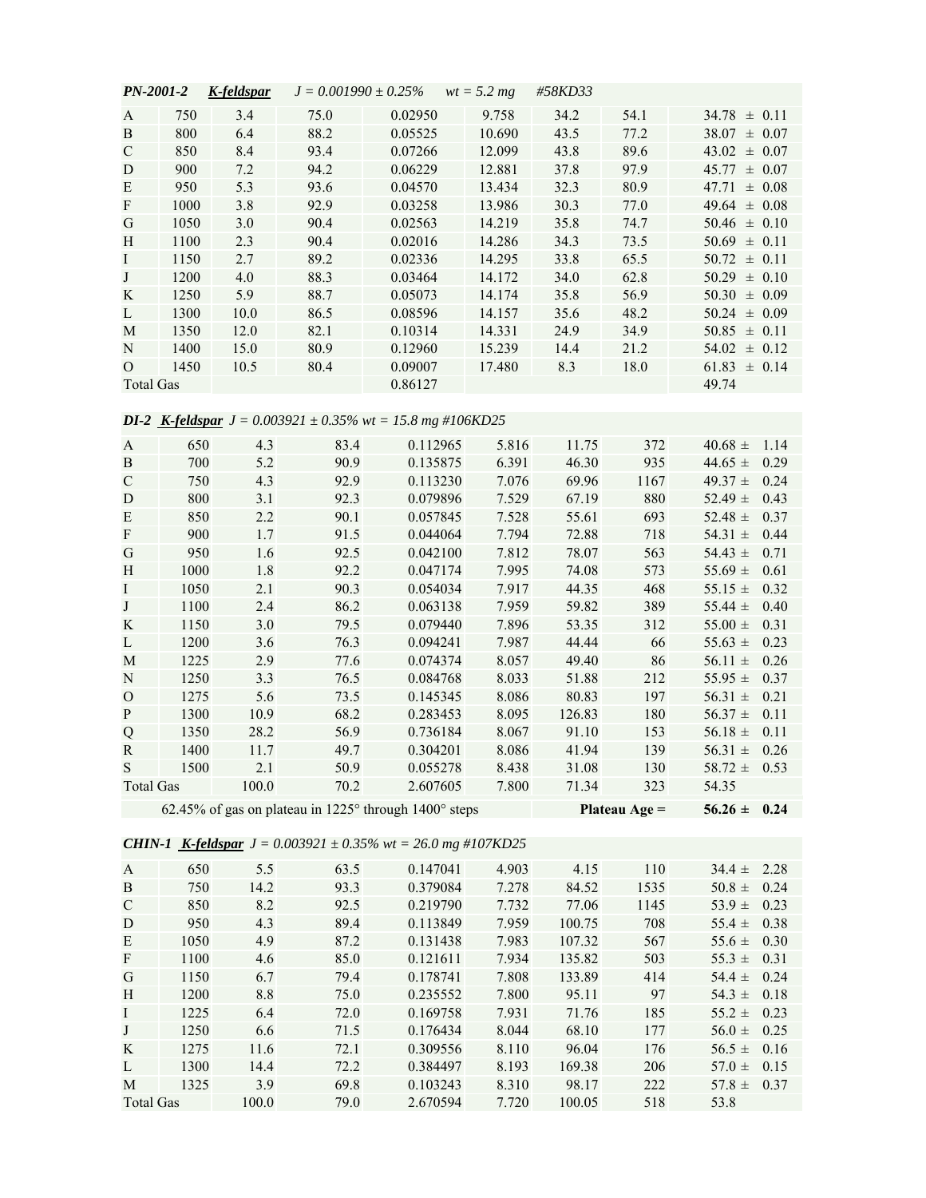| <i>PN-2001-2</i> |      | K-feldspar |      | $J = 0.001990 \pm 0.25\%$ | $wt = 5.2 mg$ | #58KD33 |      |                  |
|------------------|------|------------|------|---------------------------|---------------|---------|------|------------------|
| A                | 750  | 3.4        | 75.0 | 0.02950                   | 9.758         | 34.2    | 54.1 | $34.78 \pm 0.11$ |
| B                | 800  | 6.4        | 88.2 | 0.05525                   | 10.690        | 43.5    | 77.2 | $38.07 \pm 0.07$ |
| $\mathcal{C}$    | 850  | 8.4        | 93.4 | 0.07266                   | 12.099        | 43.8    | 89.6 | $43.02 \pm 0.07$ |
| D                | 900  | 7.2        | 94.2 | 0.06229                   | 12.881        | 37.8    | 97.9 | $45.77 \pm 0.07$ |
| E                | 950  | 5.3        | 93.6 | 0.04570                   | 13.434        | 32.3    | 80.9 | $47.71 \pm 0.08$ |
| F                | 1000 | 3.8        | 92.9 | 0.03258                   | 13.986        | 30.3    | 77.0 | $49.64 \pm 0.08$ |
| G                | 1050 | 3.0        | 90.4 | 0.02563                   | 14.219        | 35.8    | 74.7 | $50.46 \pm 0.10$ |
| H                | 1100 | 2.3        | 90.4 | 0.02016                   | 14.286        | 34.3    | 73.5 | $50.69 \pm 0.11$ |
| $\mathbf{I}$     | 1150 | 2.7        | 89.2 | 0.02336                   | 14.295        | 33.8    | 65.5 | $50.72 \pm 0.11$ |
| J                | 1200 | 4.0        | 88.3 | 0.03464                   | 14.172        | 34.0    | 62.8 | $50.29 \pm 0.10$ |
| K                | 1250 | 5.9        | 88.7 | 0.05073                   | 14.174        | 35.8    | 56.9 | $50.30 \pm 0.09$ |
| L                | 1300 | 10.0       | 86.5 | 0.08596                   | 14.157        | 35.6    | 48.2 | $50.24 \pm 0.09$ |
| M                | 1350 | 12.0       | 82.1 | 0.10314                   | 14.331        | 24.9    | 34.9 | $50.85 \pm 0.11$ |
| N                | 1400 | 15.0       | 80.9 | 0.12960                   | 15.239        | 14.4    | 21.2 | $54.02 \pm 0.12$ |
| $\Omega$         | 1450 | 10.5       | 80.4 | 0.09007                   | 17.480        | 8.3     | 18.0 | $61.83 \pm 0.14$ |
| <b>Total Gas</b> |      |            |      | 0.86127                   |               |         |      | 49.74            |

## *DI-2 K-feldspar J = 0.003921 ± 0.35% wt = 15.8 mg #106KD25*

| A             | 650  | 4.3   | 83.4 | 0.112965                                              | 5.816 | 11.75  | 372             | $40.68 \pm$      | 1.14 |
|---------------|------|-------|------|-------------------------------------------------------|-------|--------|-----------------|------------------|------|
| B             | 700  | 5.2   | 90.9 | 0.135875                                              | 6.391 | 46.30  | 935             | 44.65 $\pm$      | 0.29 |
| $\mathcal{C}$ | 750  | 4.3   | 92.9 | 0.113230                                              | 7.076 | 69.96  | 1167            | 49.37 $\pm$      | 0.24 |
| D             | 800  | 3.1   | 92.3 | 0.079896                                              | 7.529 | 67.19  | 880             | 52.49 $\pm$      | 0.43 |
| E             | 850  | 2.2   | 90.1 | 0.057845                                              | 7.528 | 55.61  | 693             | 52.48 $\pm$      | 0.37 |
| F             | 900  | 1.7   | 91.5 | 0.044064                                              | 7.794 | 72.88  | 718             | 54.31 $\pm$      | 0.44 |
| G             | 950  | 1.6   | 92.5 | 0.042100                                              | 7.812 | 78.07  | 563             | 54.43 $\pm$      | 0.71 |
| H             | 1000 | 1.8   | 92.2 | 0.047174                                              | 7.995 | 74.08  | 573             | 55.69 $\pm$      | 0.61 |
| I             | 1050 | 2.1   | 90.3 | 0.054034                                              | 7.917 | 44.35  | 468             | 55.15 $\pm$      | 0.32 |
| J             | 1100 | 2.4   | 86.2 | 0.063138                                              | 7.959 | 59.82  | 389             | 55.44 $\pm$      | 0.40 |
| K             | 1150 | 3.0   | 79.5 | 0.079440                                              | 7.896 | 53.35  | 312             | 55.00 $\pm$      | 0.31 |
| L             | 1200 | 3.6   | 76.3 | 0.094241                                              | 7.987 | 44.44  | 66              | 55.63 $\pm$      | 0.23 |
| M             | 1225 | 2.9   | 77.6 | 0.074374                                              | 8.057 | 49.40  | 86              | 56.11 $\pm$      | 0.26 |
| N             | 1250 | 3.3   | 76.5 | 0.084768                                              | 8.033 | 51.88  | 212             | 55.95 $\pm$      | 0.37 |
| $\mathbf{O}$  | 1275 | 5.6   | 73.5 | 0.145345                                              | 8.086 | 80.83  | 197             | 56.31 $\pm$      | 0.21 |
| P             | 1300 | 10.9  | 68.2 | 0.283453                                              | 8.095 | 126.83 | 180             | 56.37 $\pm$      | 0.11 |
| Q             | 1350 | 28.2  | 56.9 | 0.736184                                              | 8.067 | 91.10  | 153             | 56.18 $\pm$      | 0.11 |
| R             | 1400 | 11.7  | 49.7 | 0.304201                                              | 8.086 | 41.94  | 139             | 56.31 $\pm$      | 0.26 |
| S             | 1500 | 2.1   | 50.9 | 0.055278                                              | 8.438 | 31.08  | 130             | 58.72 $\pm$      | 0.53 |
| Total Gas     |      | 100.0 | 70.2 | 2.607605                                              | 7.800 | 71.34  | 323             | 54.35            |      |
|               |      |       |      | 62.45% of gas on plateau in 1225° through 1400° steps |       |        | Plateau $Age =$ | $56.26 \pm 0.24$ |      |

*CHIN-1 K-feldspar J = 0.003921 ± 0.35% wt = 26.0 mg #107KD25*

| $\mathsf{A}$  | 650  | 5.5   | 63.5 | 0.147041 | 4.903 | 4.15   | 110  | $34.4 \pm$ | 2.28 |
|---------------|------|-------|------|----------|-------|--------|------|------------|------|
| B             | 750  | 14.2  | 93.3 | 0.379084 | 7.278 | 84.52  | 1535 | $50.8 \pm$ | 0.24 |
| $\mathcal{C}$ | 850  | 8.2   | 92.5 | 0.219790 | 7.732 | 77.06  | 1145 | 53.9 $\pm$ | 0.23 |
| D             | 950  | 4.3   | 89.4 | 0.113849 | 7.959 | 100.75 | 708  | $55.4 \pm$ | 0.38 |
| E             | 1050 | 4.9   | 87.2 | 0.131438 | 7.983 | 107.32 | 567  | 55.6 $\pm$ | 0.30 |
| F             | 1100 | 4.6   | 85.0 | 0.121611 | 7.934 | 135.82 | 503  | $55.3 \pm$ | 0.31 |
| G             | 1150 | 6.7   | 79.4 | 0.178741 | 7.808 | 133.89 | 414  | 54.4 $\pm$ | 0.24 |
| H             | 1200 | 8.8   | 75.0 | 0.235552 | 7.800 | 95.11  | 97   | $54.3 \pm$ | 0.18 |
| I             | 1225 | 6.4   | 72.0 | 0.169758 | 7.931 | 71.76  | 185  | $55.2 \pm$ | 0.23 |
| J             | 1250 | 6.6   | 71.5 | 0.176434 | 8.044 | 68.10  | 177  | $56.0 \pm$ | 0.25 |
| K             | 1275 | 11.6  | 72.1 | 0.309556 | 8.110 | 96.04  | 176  | $56.5 \pm$ | 0.16 |
| L             | 1300 | 14.4  | 72.2 | 0.384497 | 8.193 | 169.38 | 206  | 57.0 $\pm$ | 0.15 |
| M             | 1325 | 3.9   | 69.8 | 0.103243 | 8.310 | 98.17  | 222  | $57.8 \pm$ | 0.37 |
| Total Gas     |      | 100.0 | 79.0 | 2.670594 | 7.720 | 100.05 | 518  | 53.8       |      |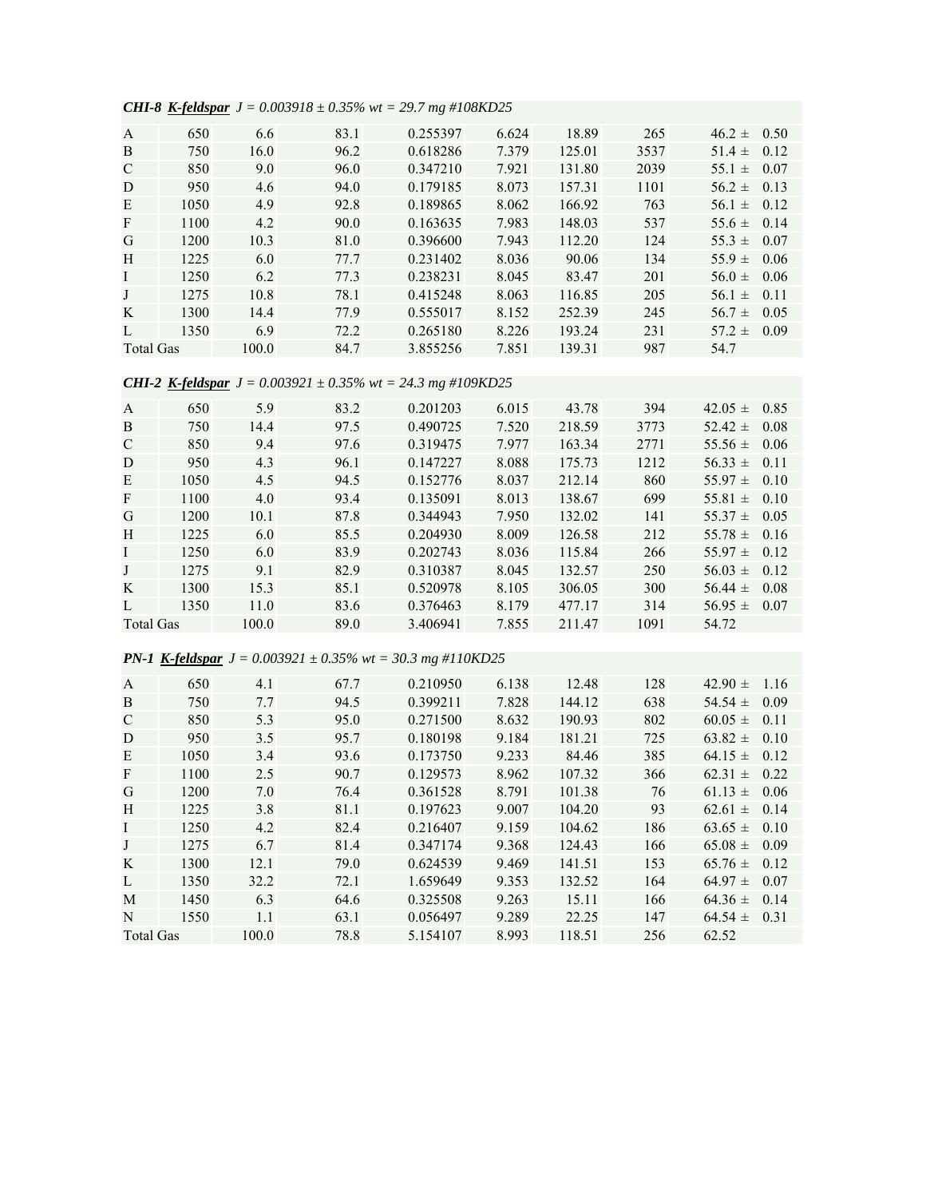*CHI-8 K-feldspar J = 0.003918 ± 0.35% wt = 29.7 mg #108KD25*

| $\mathsf{A}$ | 650  | 6.6   | 83.1 | 0.255397 | 6.624 | 18.89  | 265  | $46.2 \pm$<br>0.50 |
|--------------|------|-------|------|----------|-------|--------|------|--------------------|
| B            | 750  | 16.0  | 96.2 | 0.618286 | 7.379 | 125.01 | 3537 | 0.12<br>51.4 $\pm$ |
| C            | 850  | 9.0   | 96.0 | 0.347210 | 7.921 | 131.80 | 2039 | 55.1 $\pm$<br>0.07 |
| D            | 950  | 4.6   | 94.0 | 0.179185 | 8.073 | 157.31 | 1101 | $56.2 \pm$<br>0.13 |
| E            | 1050 | 4.9   | 92.8 | 0.189865 | 8.062 | 166.92 | 763  | 0.12<br>56.1 $\pm$ |
| F            | 1100 | 4.2   | 90.0 | 0.163635 | 7.983 | 148.03 | 537  | 0.14<br>55.6 $\pm$ |
| G            | 1200 | 10.3  | 81.0 | 0.396600 | 7.943 | 112.20 | 124  | $55.3 \pm$<br>0.07 |
| H            | 1225 | 6.0   | 77.7 | 0.231402 | 8.036 | 90.06  | 134  | 55.9 $\pm$<br>0.06 |
| I            | 1250 | 6.2   | 77.3 | 0.238231 | 8.045 | 83.47  | 201  | $56.0 \pm$<br>0.06 |
| J            | 1275 | 10.8  | 78.1 | 0.415248 | 8.063 | 116.85 | 205  | 0.11<br>$56.1 \pm$ |
| K            | 1300 | 14.4  | 77.9 | 0.555017 | 8.152 | 252.39 | 245  | 0.05<br>$56.7 \pm$ |
| L            | 1350 | 6.9   | 72.2 | 0.265180 | 8.226 | 193.24 | 231  | 0.09<br>$57.2 \pm$ |
| Total Gas    |      | 100.0 | 84.7 | 3.855256 | 7.851 | 139.31 | 987  | 54.7               |

## *CHI-2 K-feldspar J = 0.003921 ± 0.35% wt = 24.3 mg #109KD25*

| $\mathbf{A}$  | 650  | 5.9   | 83.2 | 0.201203 | 6.015 | 43.78  | 394  | $42.05 \pm$<br>0.85 |
|---------------|------|-------|------|----------|-------|--------|------|---------------------|
| B             | 750  | 14.4  | 97.5 | 0.490725 | 7.520 | 218.59 | 3773 | 52.42 $\pm$<br>0.08 |
| $\mathcal{C}$ | 850  | 9.4   | 97.6 | 0.319475 | 7.977 | 163.34 | 2771 | 0.06<br>$55.56 \pm$ |
| D             | 950  | 4.3   | 96.1 | 0.147227 | 8.088 | 175.73 | 1212 | $56.33 \pm$<br>0.11 |
| E             | 1050 | 4.5   | 94.5 | 0.152776 | 8.037 | 212.14 | 860  | 55.97 $\pm$<br>0.10 |
| F             | 1100 | 4.0   | 93.4 | 0.135091 | 8.013 | 138.67 | 699  | 55.81 $\pm$<br>0.10 |
| G             | 1200 | 10.1  | 87.8 | 0.344943 | 7.950 | 132.02 | 141  | $55.37 \pm$<br>0.05 |
| H             | 1225 | 6.0   | 85.5 | 0.204930 | 8.009 | 126.58 | 212  | 55.78 $\pm$<br>0.16 |
| $\bf{I}$      | 1250 | 6.0   | 83.9 | 0.202743 | 8.036 | 115.84 | 266  | $55.97 \pm$<br>0.12 |
| J             | 1275 | 9.1   | 82.9 | 0.310387 | 8.045 | 132.57 | 250  | $56.03 \pm$<br>0.12 |
| K             | 1300 | 15.3  | 85.1 | 0.520978 | 8.105 | 306.05 | 300  | 0.08<br>56.44 $\pm$ |
| $\mathbf{L}$  | 1350 | 11.0  | 83.6 | 0.376463 | 8.179 | 477.17 | 314  | 56.95 $\pm$<br>0.07 |
| Total Gas     |      | 100.0 | 89.0 | 3.406941 | 7.855 | 211.47 | 1091 | 54.72               |

## *PN-1 K-feldspar J = 0.003921 ± 0.35% wt = 30.3 mg #110KD25*

| $\mathbf{A}$     | 650  | 4.1   | 67.7 | 0.210950 | 6.138 | 12.48  | 128 | $42.90 \pm$ | 1.16 |
|------------------|------|-------|------|----------|-------|--------|-----|-------------|------|
| B                | 750  | 7.7   | 94.5 | 0.399211 | 7.828 | 144.12 | 638 | 54.54 $\pm$ | 0.09 |
| C                | 850  | 5.3   | 95.0 | 0.271500 | 8.632 | 190.93 | 802 | $60.05 \pm$ | 0.11 |
| D                | 950  | 3.5   | 95.7 | 0.180198 | 9.184 | 181.21 | 725 | $63.82 \pm$ | 0.10 |
| E                | 1050 | 3.4   | 93.6 | 0.173750 | 9.233 | 84.46  | 385 | 64.15 $\pm$ | 0.12 |
| F                | 1100 | 2.5   | 90.7 | 0.129573 | 8.962 | 107.32 | 366 | $62.31 \pm$ | 0.22 |
| G                | 1200 | 7.0   | 76.4 | 0.361528 | 8.791 | 101.38 | 76  | $61.13 \pm$ | 0.06 |
| H                | 1225 | 3.8   | 81.1 | 0.197623 | 9.007 | 104.20 | 93  | $62.61 \pm$ | 0.14 |
| I                | 1250 | 4.2   | 82.4 | 0.216407 | 9.159 | 104.62 | 186 | $63.65 \pm$ | 0.10 |
| J                | 1275 | 6.7   | 81.4 | 0.347174 | 9.368 | 124.43 | 166 | $65.08 \pm$ | 0.09 |
| K                | 1300 | 12.1  | 79.0 | 0.624539 | 9.469 | 141.51 | 153 | $65.76 \pm$ | 0.12 |
| L                | 1350 | 32.2  | 72.1 | 1.659649 | 9.353 | 132.52 | 164 | $64.97 \pm$ | 0.07 |
| M                | 1450 | 6.3   | 64.6 | 0.325508 | 9.263 | 15.11  | 166 | $64.36 \pm$ | 0.14 |
| N                | 1550 | 1.1   | 63.1 | 0.056497 | 9.289 | 22.25  | 147 | $64.54 \pm$ | 0.31 |
| <b>Total Gas</b> |      | 100.0 | 78.8 | 5.154107 | 8.993 | 118.51 | 256 | 62.52       |      |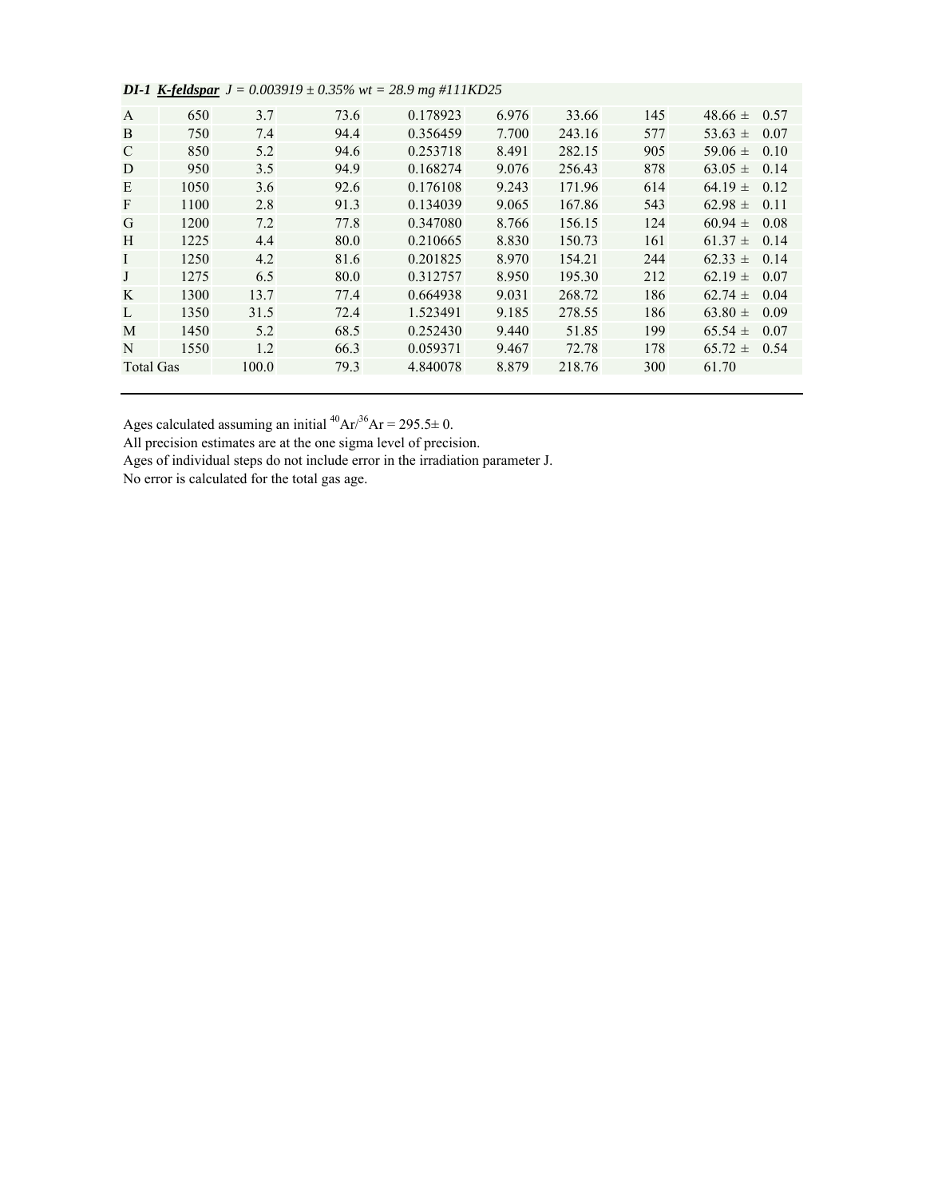|                  | ---- <i>--</i> -- |       |      |          |       |        |     |             |      |
|------------------|-------------------|-------|------|----------|-------|--------|-----|-------------|------|
| A                | 650               | 3.7   | 73.6 | 0.178923 | 6.976 | 33.66  | 145 | $48.66 \pm$ | 0.57 |
| B                | 750               | 7.4   | 94.4 | 0.356459 | 7.700 | 243.16 | 577 | 53.63 $\pm$ | 0.07 |
| C                | 850               | 5.2   | 94.6 | 0.253718 | 8.491 | 282.15 | 905 | 59.06 $\pm$ | 0.10 |
| D                | 950               | 3.5   | 94.9 | 0.168274 | 9.076 | 256.43 | 878 | $63.05 \pm$ | 0.14 |
| E                | 1050              | 3.6   | 92.6 | 0.176108 | 9.243 | 171.96 | 614 | $64.19 \pm$ | 0.12 |
| $\mathbf{F}$     | 1100              | 2.8   | 91.3 | 0.134039 | 9.065 | 167.86 | 543 | $62.98 \pm$ | 0.11 |
| G                | 1200              | 7.2   | 77.8 | 0.347080 | 8.766 | 156.15 | 124 | $60.94 \pm$ | 0.08 |
| H                | 1225              | 4.4   | 80.0 | 0.210665 | 8.830 | 150.73 | 161 | $61.37 \pm$ | 0.14 |
| $\bf{I}$         | 1250              | 4.2   | 81.6 | 0.201825 | 8.970 | 154.21 | 244 | $62.33 \pm$ | 0.14 |
| J                | 1275              | 6.5   | 80.0 | 0.312757 | 8.950 | 195.30 | 212 | $62.19 \pm$ | 0.07 |
| K                | 1300              | 13.7  | 77.4 | 0.664938 | 9.031 | 268.72 | 186 | $62.74 \pm$ | 0.04 |
| L                | 1350              | 31.5  | 72.4 | 1.523491 | 9.185 | 278.55 | 186 | 63.80 $\pm$ | 0.09 |
| M                | 1450              | 5.2   | 68.5 | 0.252430 | 9.440 | 51.85  | 199 | $65.54 \pm$ | 0.07 |
| N                | 1550              | 1.2   | 66.3 | 0.059371 | 9.467 | 72.78  | 178 | $65.72 \pm$ | 0.54 |
| <b>Total Gas</b> |                   | 100.0 | 79.3 | 4.840078 | 8.879 | 218.76 | 300 | 61.70       |      |
|                  |                   |       |      |          |       |        |     |             |      |

|  | <b>DI-1</b> <u>K-feldspar</u> $J = 0.003919 \pm 0.35\%$ wt = 28.9 mg #111KD25 |  |  |  |  |  |  |  |
|--|-------------------------------------------------------------------------------|--|--|--|--|--|--|--|
|--|-------------------------------------------------------------------------------|--|--|--|--|--|--|--|

Ages calculated assuming an initial  $^{40}Ar^{36}Ar = 295.5 \pm 0.$ 

All precision estimates are at the one sigma level of precision.

Ages of individual steps do not include error in the irradiation parameter J.

No error is calculated for the total gas age.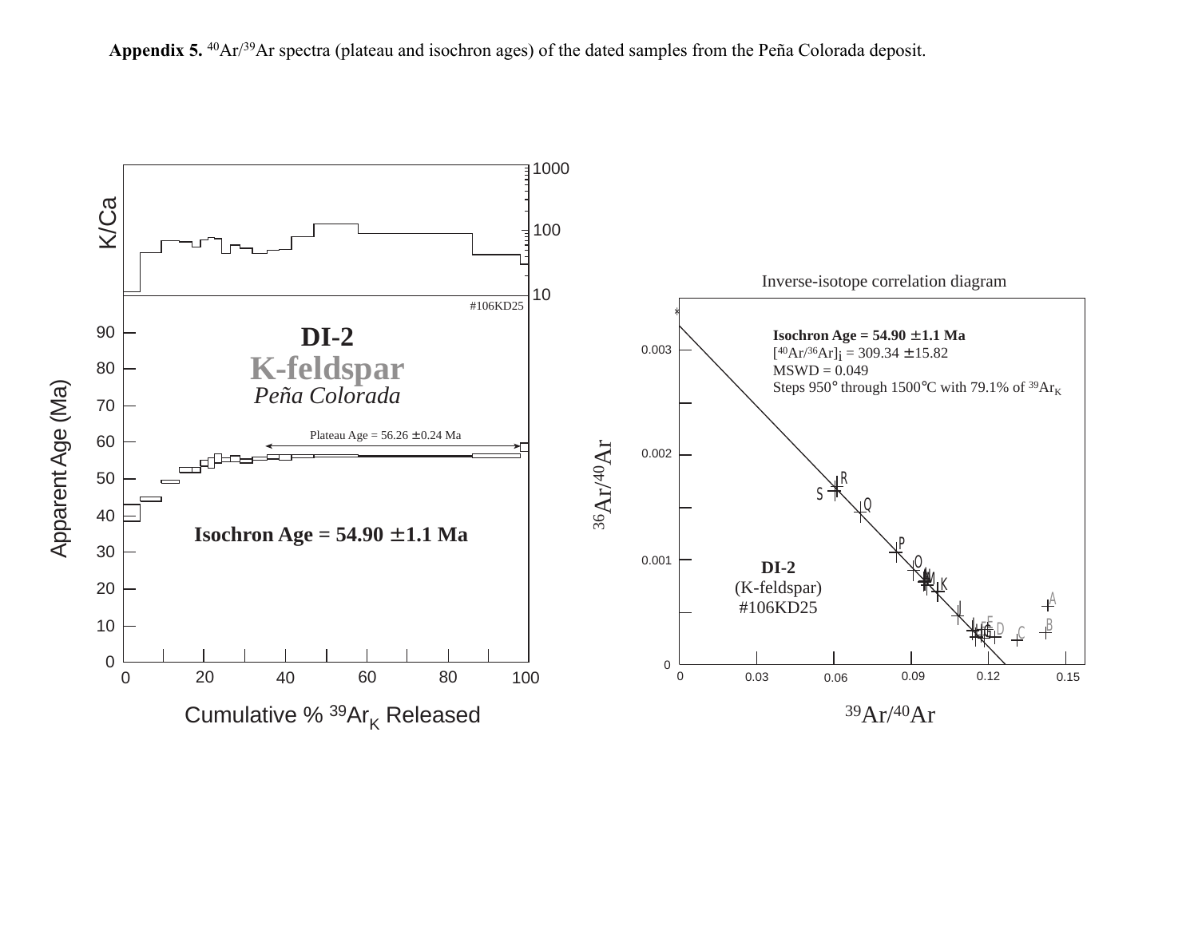

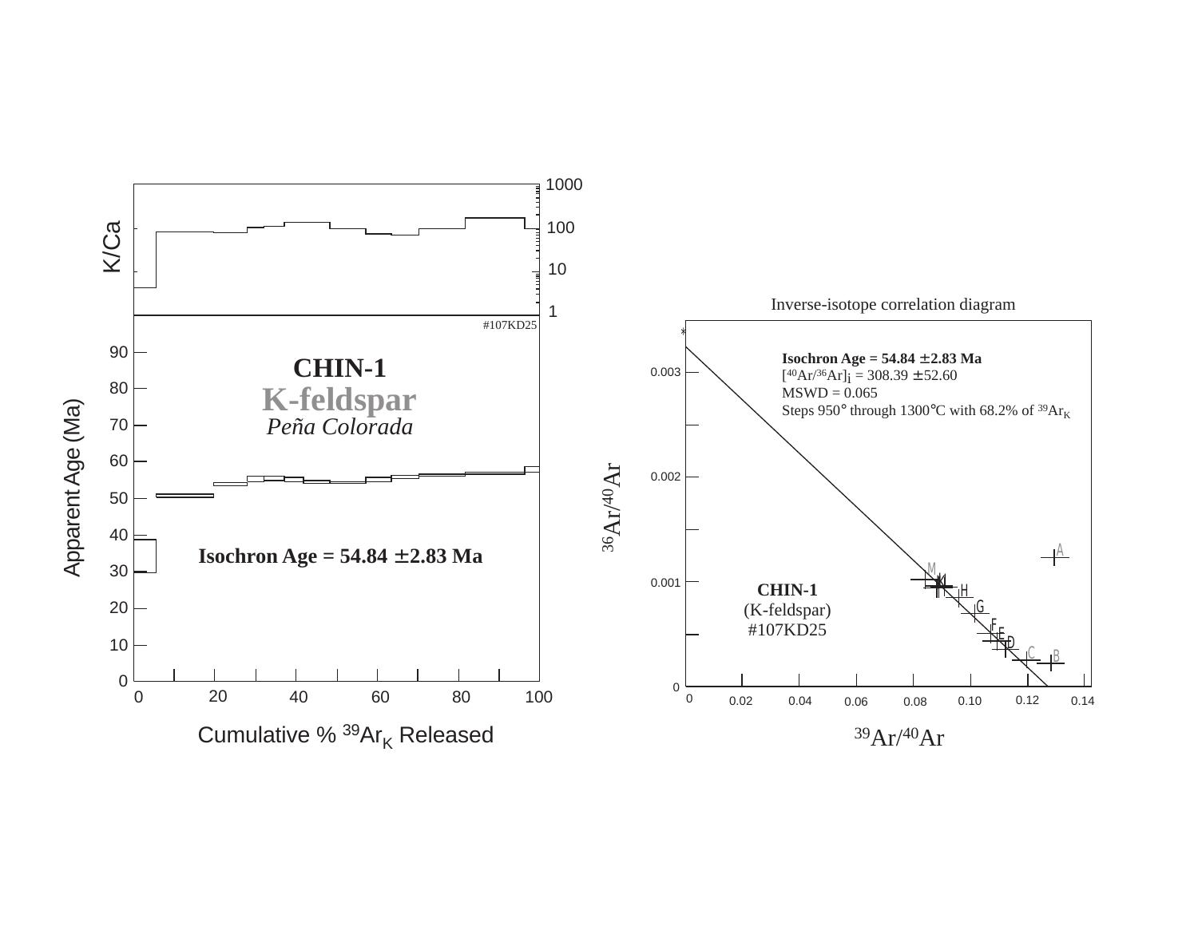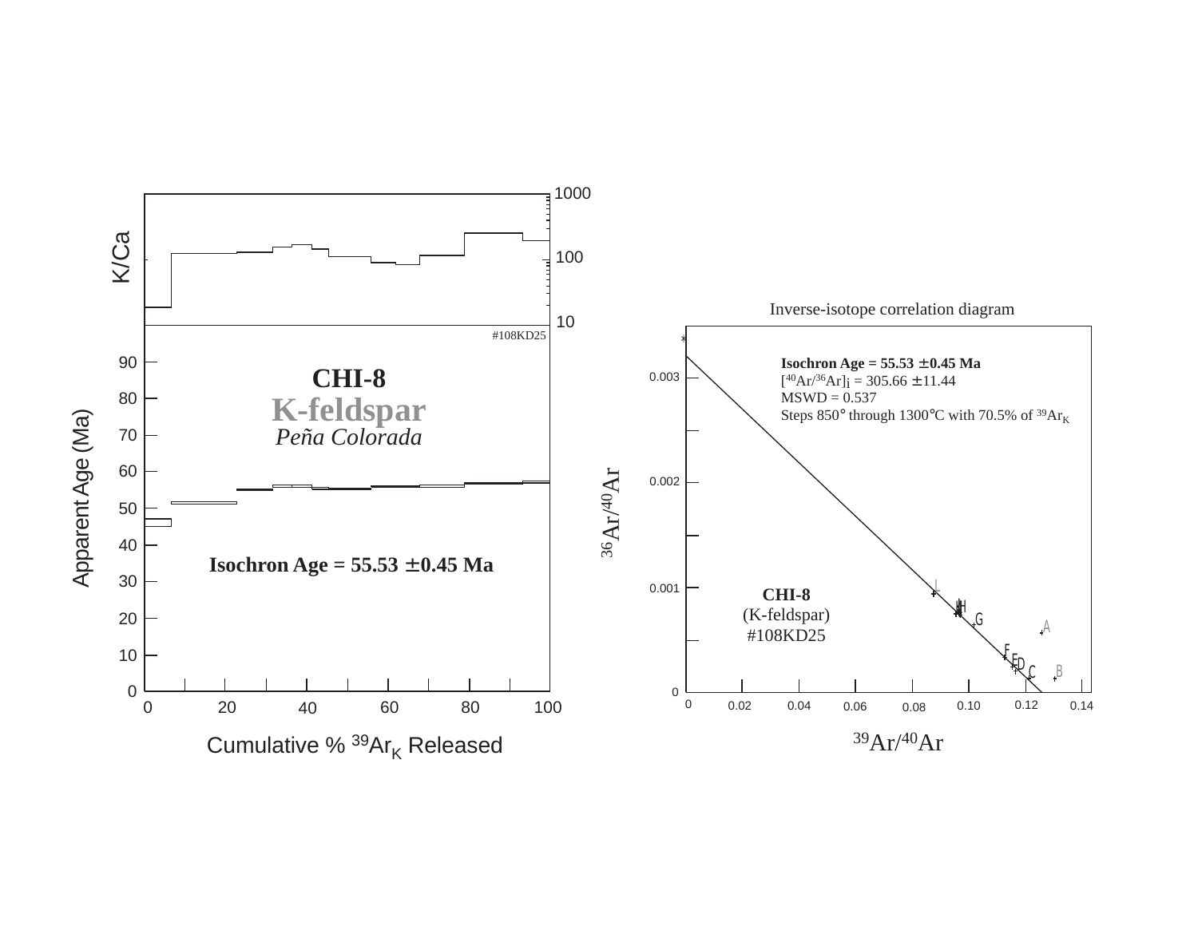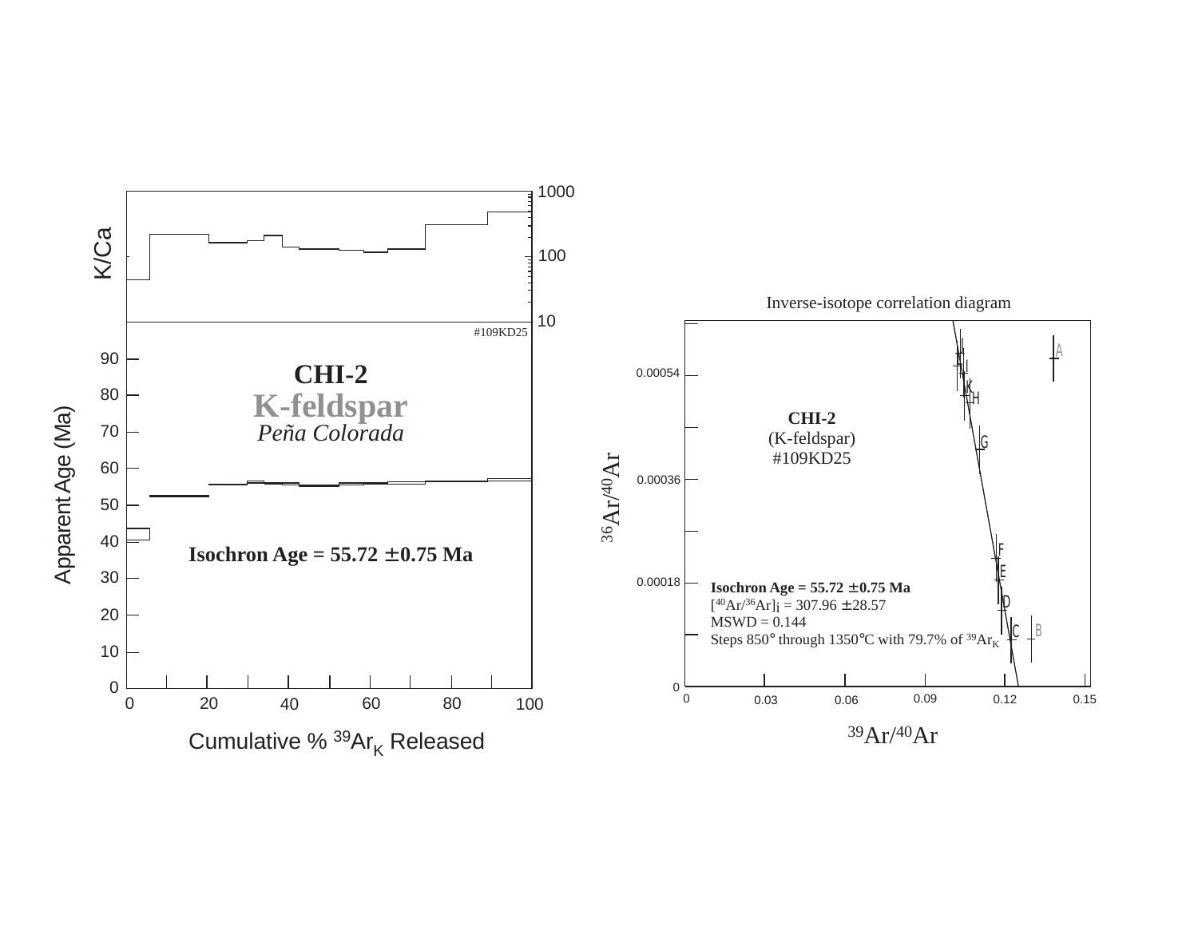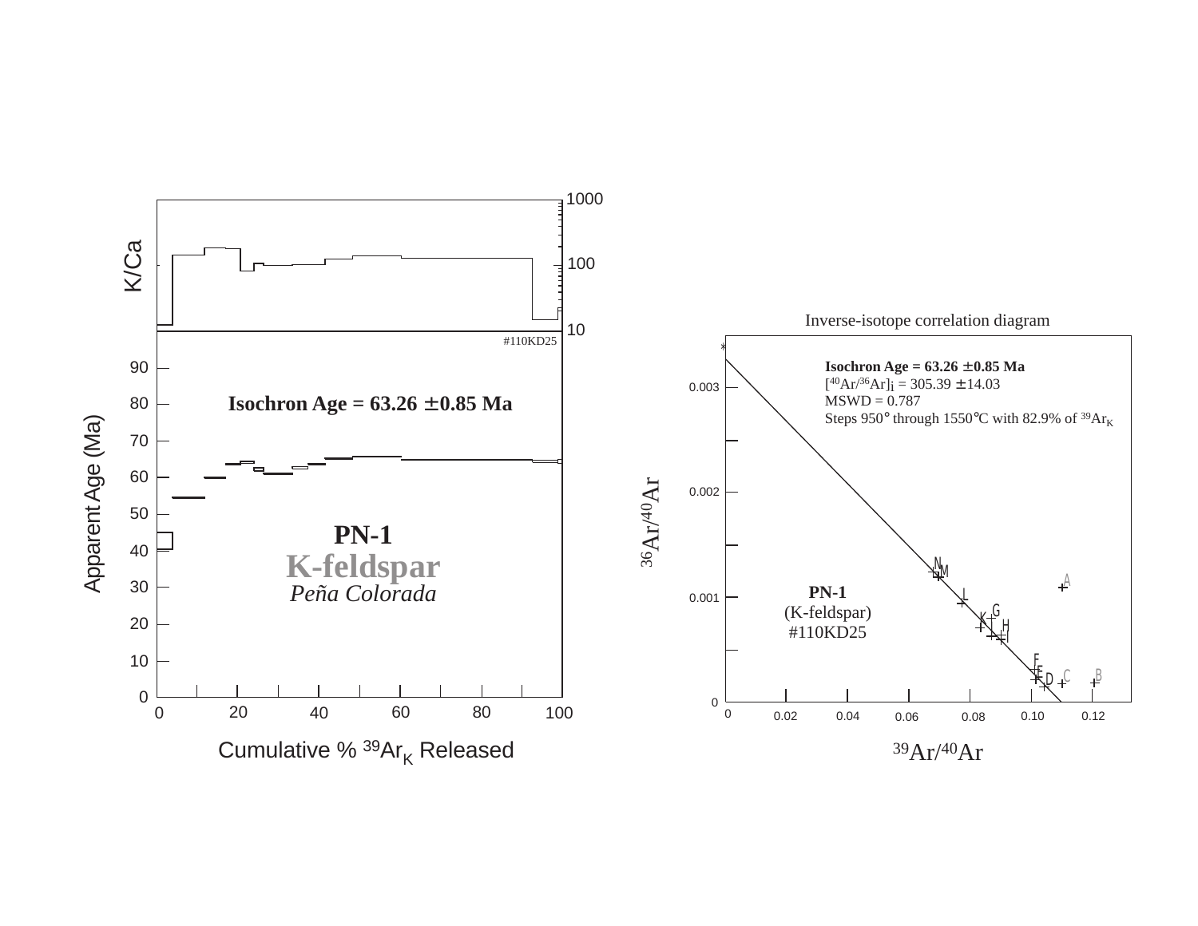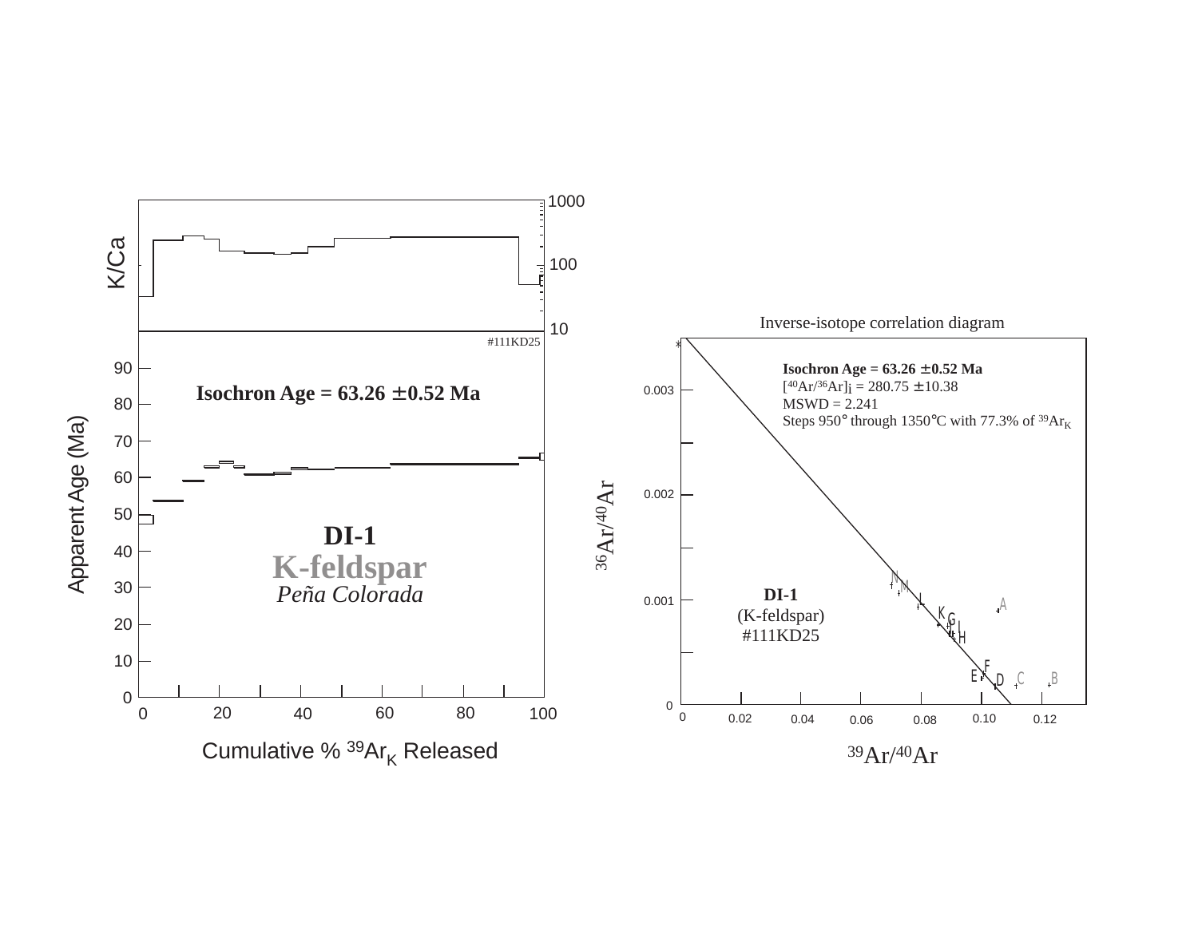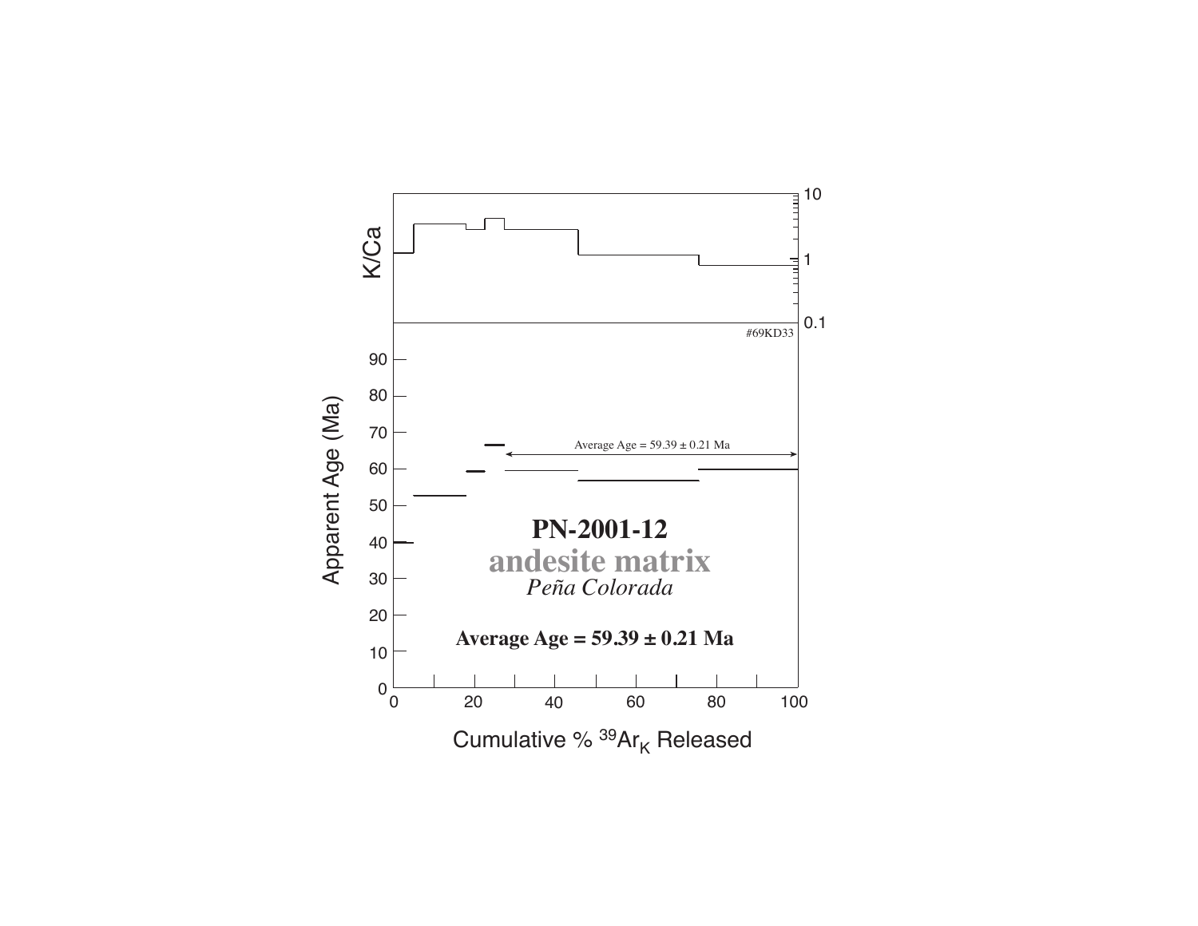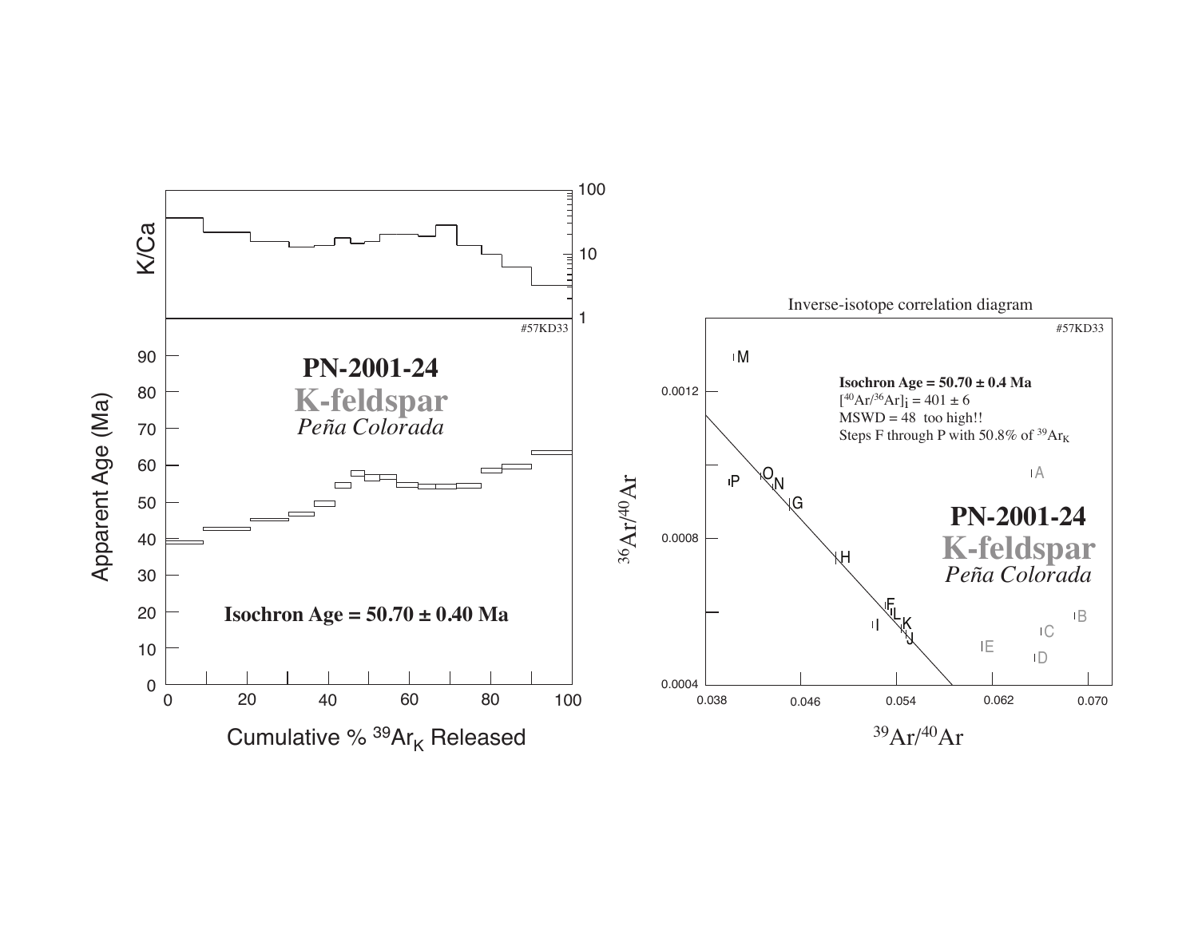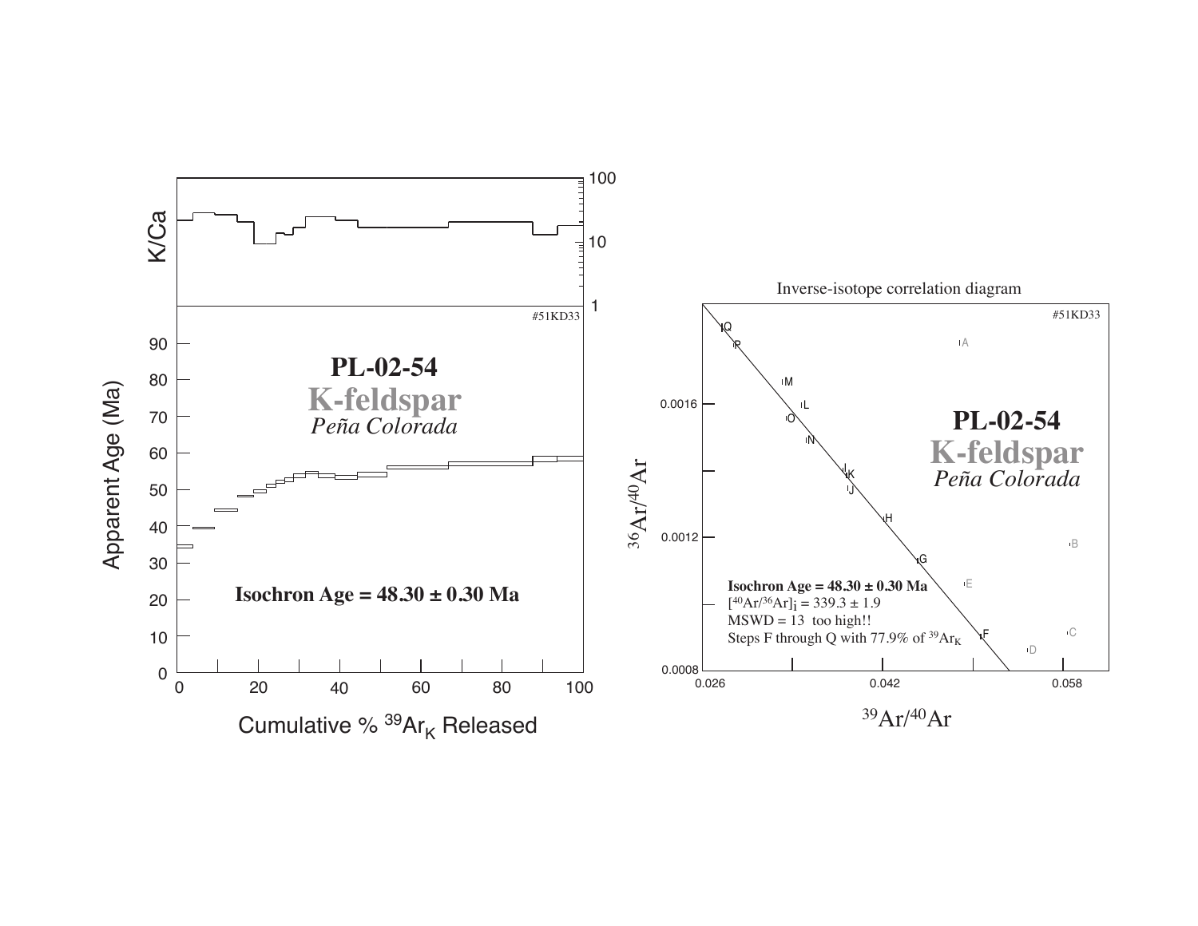